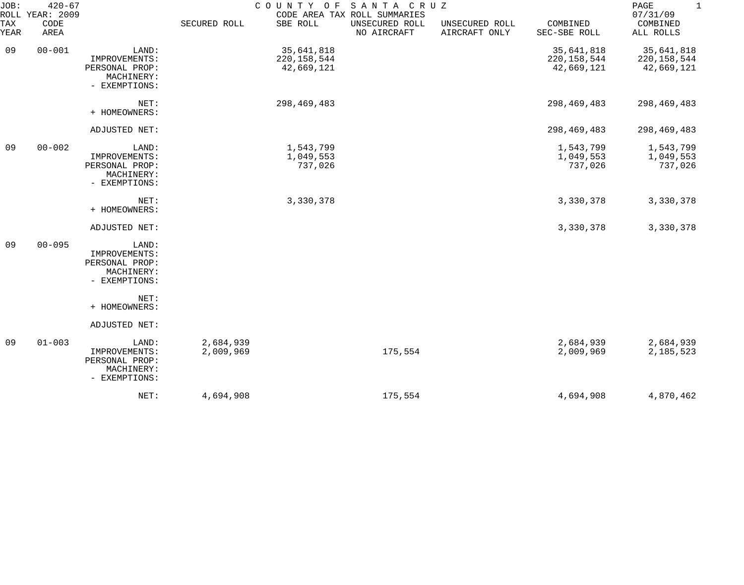| JOB:             | $420 - 67$<br>ROLL YEAR: 2009 |                                                                         |                        | COUNTY OF SANTA CRUZ                      | CODE AREA TAX ROLL SUMMARIES  |                                 |                                           | PAGE<br>$\mathbf{1}$<br>07/31/09          |
|------------------|-------------------------------|-------------------------------------------------------------------------|------------------------|-------------------------------------------|-------------------------------|---------------------------------|-------------------------------------------|-------------------------------------------|
| TAX<br>YEAR      | CODE<br>AREA                  |                                                                         | SECURED ROLL           | SBE ROLL                                  | UNSECURED ROLL<br>NO AIRCRAFT | UNSECURED ROLL<br>AIRCRAFT ONLY | COMBINED<br>SEC-SBE ROLL                  | COMBINED<br>ALL ROLLS                     |
| 09               | $00 - 001$                    | LAND:<br>IMPROVEMENTS:<br>PERSONAL PROP:<br>MACHINERY:<br>- EXEMPTIONS: |                        | 35,641,818<br>220, 158, 544<br>42,669,121 |                               |                                 | 35,641,818<br>220, 158, 544<br>42,669,121 | 35,641,818<br>220, 158, 544<br>42,669,121 |
|                  |                               | NET:<br>+ HOMEOWNERS:                                                   |                        | 298,469,483                               |                               |                                 | 298,469,483                               | 298,469,483                               |
|                  |                               | ADJUSTED NET:                                                           |                        |                                           |                               |                                 | 298,469,483                               | 298, 469, 483                             |
| 09<br>$00 - 002$ |                               | LAND:<br>IMPROVEMENTS:<br>PERSONAL PROP:<br>MACHINERY:<br>- EXEMPTIONS: |                        | 1,543,799<br>1,049,553<br>737,026         |                               |                                 | 1,543,799<br>1,049,553<br>737,026         | 1,543,799<br>1,049,553<br>737,026         |
|                  |                               | NET:<br>+ HOMEOWNERS:                                                   |                        | 3,330,378                                 |                               |                                 | 3,330,378                                 | 3,330,378                                 |
|                  |                               | ADJUSTED NET:                                                           |                        |                                           |                               |                                 | 3,330,378                                 | 3,330,378                                 |
| 09               | $00 - 095$                    | LAND:<br>IMPROVEMENTS:<br>PERSONAL PROP:<br>MACHINERY:<br>- EXEMPTIONS: |                        |                                           |                               |                                 |                                           |                                           |
|                  |                               | NET:<br>+ HOMEOWNERS:                                                   |                        |                                           |                               |                                 |                                           |                                           |
|                  |                               | ADJUSTED NET:                                                           |                        |                                           |                               |                                 |                                           |                                           |
| 09               | $01 - 003$                    | LAND:<br>IMPROVEMENTS:<br>PERSONAL PROP:<br>MACHINERY:<br>- EXEMPTIONS: | 2,684,939<br>2,009,969 |                                           | 175,554                       |                                 | 2,684,939<br>2,009,969                    | 2,684,939<br>2,185,523                    |
|                  |                               | NET:                                                                    | 4,694,908              |                                           | 175,554                       |                                 | 4,694,908                                 | 4,870,462                                 |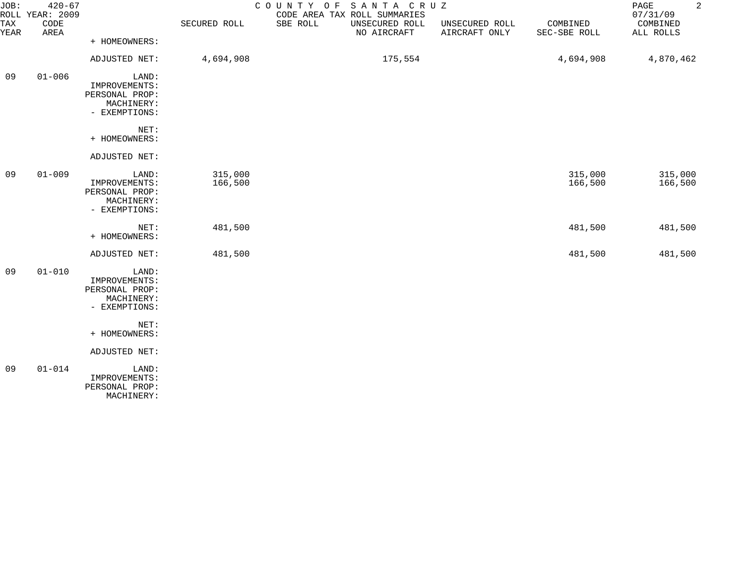| JOB:<br><b>TAX</b> | $420 - 67$<br>ROLL YEAR: 2009<br>CODE |                | SECURED ROLL | COUNTY OF SANTA CRUZ<br>CODE AREA TAX ROLL SUMMARIES<br>SBE ROLL<br>UNSECURED ROLL | UNSECURED ROLL | COMBINED     | $\overline{a}$<br>PAGE<br>07/31/09<br>COMBINED |
|--------------------|---------------------------------------|----------------|--------------|------------------------------------------------------------------------------------|----------------|--------------|------------------------------------------------|
| YEAR               | AREA                                  |                |              | NO AIRCRAFT                                                                        | AIRCRAFT ONLY  | SEC-SBE ROLL | ALL ROLLS                                      |
|                    |                                       | + HOMEOWNERS:  |              |                                                                                    |                |              |                                                |
|                    |                                       | ADJUSTED NET:  | 4,694,908    | 175,554                                                                            |                | 4,694,908    | 4,870,462                                      |
| 09                 | $01 - 006$                            | LAND:          |              |                                                                                    |                |              |                                                |
|                    |                                       | IMPROVEMENTS:  |              |                                                                                    |                |              |                                                |
|                    |                                       | PERSONAL PROP: |              |                                                                                    |                |              |                                                |
|                    |                                       | MACHINERY:     |              |                                                                                    |                |              |                                                |
|                    |                                       | - EXEMPTIONS:  |              |                                                                                    |                |              |                                                |
|                    |                                       | NET:           |              |                                                                                    |                |              |                                                |
|                    |                                       | + HOMEOWNERS:  |              |                                                                                    |                |              |                                                |
|                    |                                       | ADJUSTED NET:  |              |                                                                                    |                |              |                                                |
| 09                 | $01 - 009$                            | LAND:          | 315,000      |                                                                                    |                | 315,000      | 315,000                                        |
|                    |                                       | IMPROVEMENTS:  | 166,500      |                                                                                    |                | 166,500      | 166,500                                        |
|                    |                                       | PERSONAL PROP: |              |                                                                                    |                |              |                                                |
|                    |                                       | MACHINERY:     |              |                                                                                    |                |              |                                                |
|                    |                                       | - EXEMPTIONS:  |              |                                                                                    |                |              |                                                |
|                    |                                       | NET:           | 481,500      |                                                                                    |                | 481,500      | 481,500                                        |
|                    |                                       | + HOMEOWNERS:  |              |                                                                                    |                |              |                                                |
|                    |                                       | ADJUSTED NET:  | 481,500      |                                                                                    |                | 481,500      | 481,500                                        |
| 09                 | $01 - 010$                            | LAND:          |              |                                                                                    |                |              |                                                |
|                    |                                       | IMPROVEMENTS:  |              |                                                                                    |                |              |                                                |
|                    |                                       | PERSONAL PROP: |              |                                                                                    |                |              |                                                |
|                    |                                       | MACHINERY:     |              |                                                                                    |                |              |                                                |
|                    |                                       | - EXEMPTIONS:  |              |                                                                                    |                |              |                                                |
|                    |                                       | NET:           |              |                                                                                    |                |              |                                                |
|                    |                                       | + HOMEOWNERS:  |              |                                                                                    |                |              |                                                |
|                    |                                       | ADJUSTED NET:  |              |                                                                                    |                |              |                                                |
| 09                 | $01 - 014$                            | LAND:          |              |                                                                                    |                |              |                                                |
|                    |                                       | IMPROVEMENTS:  |              |                                                                                    |                |              |                                                |
|                    |                                       | PERSONAL PROP: |              |                                                                                    |                |              |                                                |
|                    |                                       | MACHINERY:     |              |                                                                                    |                |              |                                                |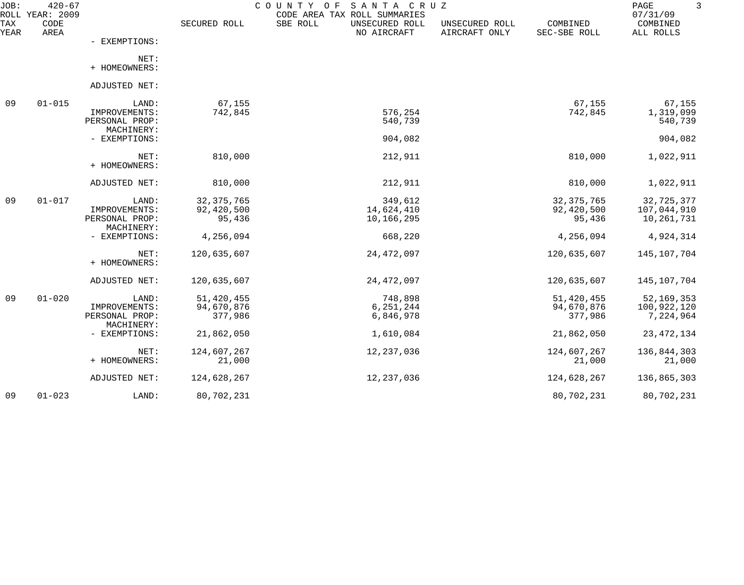| JOB:<br>ROLL | $420 - 67$<br>YEAR: 2009 |                              |              | COUNTY<br>O F<br>SANTA CRUZ<br>CODE AREA TAX ROLL SUMMARIES |                                 |                          | PAGE<br>07/31/09      |
|--------------|--------------------------|------------------------------|--------------|-------------------------------------------------------------|---------------------------------|--------------------------|-----------------------|
| TAX<br>YEAR  | CODE<br>AREA             |                              | SECURED ROLL | SBE ROLL<br>UNSECURED ROLL<br>NO AIRCRAFT                   | UNSECURED ROLL<br>AIRCRAFT ONLY | COMBINED<br>SEC-SBE ROLL | COMBINED<br>ALL ROLLS |
|              |                          | - EXEMPTIONS:                |              |                                                             |                                 |                          |                       |
|              |                          | NET:<br>+ HOMEOWNERS:        |              |                                                             |                                 |                          |                       |
|              |                          | ADJUSTED NET:                |              |                                                             |                                 |                          |                       |
| 09           | $01 - 015$               | LAND:                        | 67,155       |                                                             |                                 | 67,155                   | 67,155                |
|              |                          | IMPROVEMENTS:                | 742,845      | 576,254                                                     |                                 | 742,845                  | 1,319,099             |
|              |                          | PERSONAL PROP:<br>MACHINERY: |              | 540,739                                                     |                                 |                          | 540,739               |
|              |                          | - EXEMPTIONS:                |              | 904,082                                                     |                                 |                          | 904,082               |
|              |                          | NET:<br>+ HOMEOWNERS:        | 810,000      | 212,911                                                     |                                 | 810,000                  | 1,022,911             |
|              |                          | ADJUSTED NET:                | 810,000      | 212,911                                                     |                                 | 810,000                  | 1,022,911             |
| 09           | $01 - 017$               | LAND:                        | 32, 375, 765 | 349,612                                                     |                                 | 32, 375, 765             | 32,725,377            |
|              |                          | IMPROVEMENTS:                | 92,420,500   | 14,624,410                                                  |                                 | 92,420,500               | 107,044,910           |
|              |                          | PERSONAL PROP:<br>MACHINERY: | 95,436       | 10,166,295                                                  |                                 | 95,436                   | 10,261,731            |
|              |                          | - EXEMPTIONS:                | 4,256,094    | 668,220                                                     |                                 | 4,256,094                | 4,924,314             |
|              |                          | NET:<br>+ HOMEOWNERS:        | 120,635,607  | 24, 472, 097                                                |                                 | 120,635,607              | 145,107,704           |
|              |                          | ADJUSTED NET:                | 120,635,607  | 24, 472, 097                                                |                                 | 120,635,607              | 145,107,704           |
| 09           | $01 - 020$               | LAND:                        | 51,420,455   | 748,898                                                     |                                 | 51,420,455               | 52, 169, 353          |
|              |                          | IMPROVEMENTS:                | 94,670,876   | 6, 251, 244                                                 |                                 | 94,670,876               | 100,922,120           |
|              |                          | PERSONAL PROP:<br>MACHINERY: | 377,986      | 6,846,978                                                   |                                 | 377,986                  | 7,224,964             |
|              |                          | - EXEMPTIONS:                | 21,862,050   | 1,610,084                                                   |                                 | 21,862,050               | 23, 472, 134          |
|              |                          | NET:                         | 124,607,267  | 12, 237, 036                                                |                                 | 124,607,267              | 136,844,303           |
|              |                          | + HOMEOWNERS:                | 21,000       |                                                             |                                 | 21,000                   | 21,000                |
|              |                          | ADJUSTED NET:                | 124,628,267  | 12, 237, 036                                                |                                 | 124,628,267              | 136,865,303           |
| 09           | $01 - 023$               | LAND:                        | 80,702,231   |                                                             |                                 | 80,702,231               | 80,702,231            |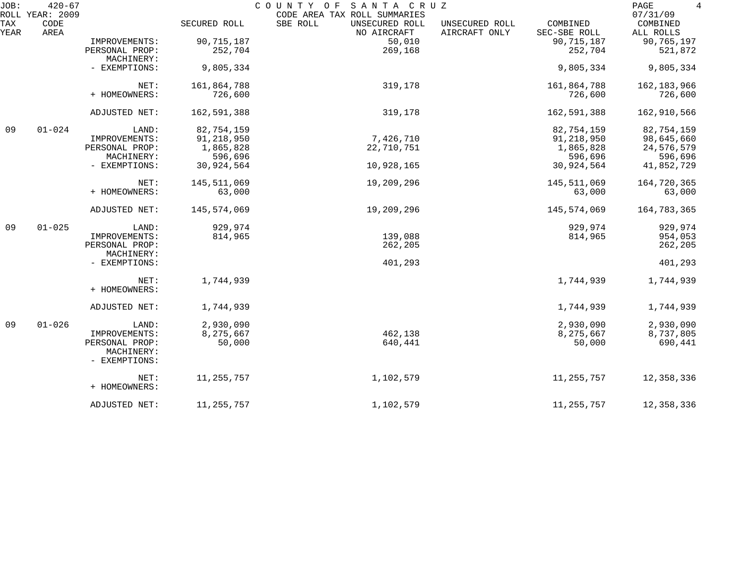| JOB:        | $420 - 67$<br>ROLL YEAR: 2009 |                             |              | COUNTY OF<br>SANTA CRUZ<br>CODE AREA TAX ROLL SUMMARIES |                                 |                          | 4<br>PAGE<br>07/31/09 |
|-------------|-------------------------------|-----------------------------|--------------|---------------------------------------------------------|---------------------------------|--------------------------|-----------------------|
| TAX<br>YEAR | CODE<br>AREA                  |                             | SECURED ROLL | SBE ROLL<br>UNSECURED ROLL<br>NO AIRCRAFT               | UNSECURED ROLL<br>AIRCRAFT ONLY | COMBINED<br>SEC-SBE ROLL | COMBINED<br>ALL ROLLS |
|             |                               | IMPROVEMENTS:               | 90, 715, 187 | 50,010                                                  |                                 | 90, 715, 187             | 90,765,197            |
|             |                               | PERSONAL PROP:              | 252,704      | 269,168                                                 |                                 | 252,704                  | 521,872               |
|             |                               | MACHINERY:                  |              |                                                         |                                 |                          |                       |
|             |                               | - EXEMPTIONS:               | 9,805,334    |                                                         |                                 | 9,805,334                | 9,805,334             |
|             |                               | NET:                        | 161,864,788  | 319,178                                                 |                                 | 161,864,788              | 162, 183, 966         |
|             |                               | + HOMEOWNERS:               | 726,600      |                                                         |                                 | 726,600                  | 726,600               |
|             |                               | ADJUSTED NET:               | 162,591,388  | 319,178                                                 |                                 | 162,591,388              | 162,910,566           |
| 09          | $01 - 024$                    | LAND:                       | 82,754,159   |                                                         |                                 | 82,754,159               | 82,754,159            |
|             |                               | IMPROVEMENTS:               | 91,218,950   | 7,426,710                                               |                                 | 91,218,950               | 98,645,660            |
|             |                               | PERSONAL PROP:              | 1,865,828    | 22,710,751                                              |                                 | 1,865,828                | 24,576,579            |
|             |                               | MACHINERY:                  | 596,696      |                                                         |                                 | 596,696                  | 596,696               |
|             |                               | - EXEMPTIONS:               | 30,924,564   | 10,928,165                                              |                                 | 30,924,564               | 41,852,729            |
|             |                               | NET:                        | 145,511,069  | 19,209,296                                              |                                 | 145,511,069              | 164,720,365           |
|             |                               | + HOMEOWNERS:               | 63,000       |                                                         |                                 | 63,000                   | 63,000                |
|             |                               | ADJUSTED NET:               | 145,574,069  | 19,209,296                                              |                                 | 145,574,069              | 164,783,365           |
| 09          | $01 - 025$                    | LAND:                       | 929,974      |                                                         |                                 | 929,974                  | 929,974               |
|             |                               | IMPROVEMENTS:               | 814,965      | 139,088                                                 |                                 | 814,965                  | 954,053               |
|             |                               | PERSONAL PROP:              |              | 262,205                                                 |                                 |                          | 262,205               |
|             |                               | MACHINERY:                  |              |                                                         |                                 |                          |                       |
|             |                               | - EXEMPTIONS:               |              | 401,293                                                 |                                 |                          | 401,293               |
|             |                               | NET:                        | 1,744,939    |                                                         |                                 | 1,744,939                | 1,744,939             |
|             |                               | + HOMEOWNERS:               |              |                                                         |                                 |                          |                       |
|             |                               | ADJUSTED NET:               | 1,744,939    |                                                         |                                 | 1,744,939                | 1,744,939             |
| 09          | $01 - 026$                    | LAND:                       | 2,930,090    |                                                         |                                 | 2,930,090                | 2,930,090             |
|             |                               | IMPROVEMENTS:               | 8,275,667    | 462,138                                                 |                                 | 8,275,667                | 8,737,805             |
|             |                               | PERSONAL PROP:              | 50,000       | 640,441                                                 |                                 | 50,000                   | 690,441               |
|             |                               | MACHINERY:<br>- EXEMPTIONS: |              |                                                         |                                 |                          |                       |
|             |                               | NET:                        | 11, 255, 757 | 1,102,579                                               |                                 | 11, 255, 757             | 12,358,336            |
|             |                               | + HOMEOWNERS:               |              |                                                         |                                 |                          |                       |
|             |                               | ADJUSTED NET:               | 11, 255, 757 | 1,102,579                                               |                                 | 11, 255, 757             | 12,358,336            |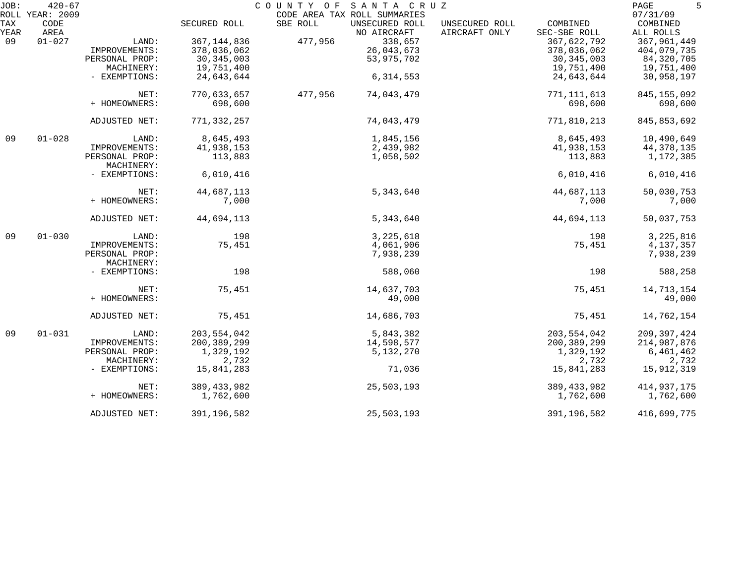| JOB:        | $420 - 67$                      |                |               | COUNTY OF SANTA CRUZ                                                      |                                 |                          | 5<br>PAGE                         |
|-------------|---------------------------------|----------------|---------------|---------------------------------------------------------------------------|---------------------------------|--------------------------|-----------------------------------|
| TAX<br>YEAR | ROLL YEAR: 2009<br>CODE<br>AREA |                | SECURED ROLL  | CODE AREA TAX ROLL SUMMARIES<br>SBE ROLL<br>UNSECURED ROLL<br>NO AIRCRAFT | UNSECURED ROLL<br>AIRCRAFT ONLY | COMBINED<br>SEC-SBE ROLL | 07/31/09<br>COMBINED<br>ALL ROLLS |
| 09          | $01 - 027$                      | LAND:          | 367, 144, 836 | 338,657<br>477,956                                                        |                                 | 367,622,792              | 367,961,449                       |
|             |                                 | IMPROVEMENTS:  | 378,036,062   | 26,043,673                                                                |                                 | 378,036,062              | 404,079,735                       |
|             |                                 | PERSONAL PROP: | 30, 345, 003  | 53,975,702                                                                |                                 | 30, 345, 003             | 84,320,705                        |
|             |                                 | MACHINERY:     | 19,751,400    |                                                                           |                                 | 19,751,400               | 19,751,400                        |
|             |                                 |                |               |                                                                           |                                 |                          |                                   |
|             |                                 | - EXEMPTIONS:  | 24,643,644    | 6, 314, 553                                                               |                                 | 24,643,644               | 30,958,197                        |
|             |                                 | NET:           | 770,633,657   | 477,956<br>74,043,479                                                     |                                 | 771, 111, 613            | 845, 155, 092                     |
|             |                                 | + HOMEOWNERS:  | 698,600       |                                                                           |                                 | 698,600                  | 698,600                           |
|             |                                 |                |               |                                                                           |                                 |                          |                                   |
|             |                                 | ADJUSTED NET:  | 771,332,257   | 74,043,479                                                                |                                 | 771,810,213              | 845, 853, 692                     |
| 09          | $01 - 028$                      | LAND:          | 8,645,493     | 1,845,156                                                                 |                                 | 8,645,493                | 10,490,649                        |
|             |                                 | IMPROVEMENTS:  | 41,938,153    | 2,439,982                                                                 |                                 | 41,938,153               | 44, 378, 135                      |
|             |                                 | PERSONAL PROP: | 113,883       | 1,058,502                                                                 |                                 | 113,883                  | 1,172,385                         |
|             |                                 | MACHINERY:     |               |                                                                           |                                 |                          |                                   |
|             |                                 | - EXEMPTIONS:  | 6,010,416     |                                                                           |                                 | 6,010,416                | 6,010,416                         |
|             |                                 | NET:           | 44,687,113    | 5,343,640                                                                 |                                 | 44,687,113               | 50,030,753                        |
|             |                                 | + HOMEOWNERS:  | 7,000         |                                                                           |                                 | 7,000                    | 7,000                             |
|             |                                 | ADJUSTED NET:  | 44,694,113    | 5,343,640                                                                 |                                 | 44,694,113               | 50,037,753                        |
| 09          | $01 - 030$                      | LAND:          | 198           | 3, 225, 618                                                               |                                 | 198                      | 3,225,816                         |
|             |                                 | IMPROVEMENTS:  | 75,451        | 4,061,906                                                                 |                                 | 75,451                   | 4,137,357                         |
|             |                                 | PERSONAL PROP: |               | 7,938,239                                                                 |                                 |                          | 7,938,239                         |
|             |                                 | MACHINERY:     |               |                                                                           |                                 |                          |                                   |
|             |                                 | - EXEMPTIONS:  | 198           | 588,060                                                                   |                                 | 198                      | 588,258                           |
|             |                                 | NET:           | 75,451        | 14,637,703                                                                |                                 | 75,451                   | 14,713,154                        |
|             |                                 | + HOMEOWNERS:  |               | 49,000                                                                    |                                 |                          | 49,000                            |
|             |                                 |                |               |                                                                           |                                 |                          |                                   |
|             |                                 | ADJUSTED NET:  | 75,451        | 14,686,703                                                                |                                 | 75,451                   | 14,762,154                        |
| 09          | $01 - 031$                      | LAND:          | 203, 554, 042 | 5,843,382                                                                 |                                 | 203, 554, 042            | 209, 397, 424                     |
|             |                                 | IMPROVEMENTS:  | 200, 389, 299 | 14,598,577                                                                |                                 | 200, 389, 299            | 214,987,876                       |
|             |                                 | PERSONAL PROP: | 1,329,192     | 5,132,270                                                                 |                                 | 1,329,192                | 6,461,462                         |
|             |                                 | MACHINERY:     | 2,732         |                                                                           |                                 | 2,732                    | 2,732                             |
|             |                                 | - EXEMPTIONS:  | 15,841,283    | 71,036                                                                    |                                 | 15,841,283               | 15,912,319                        |
|             |                                 | NET:           | 389, 433, 982 | 25,503,193                                                                |                                 | 389, 433, 982            | 414, 937, 175                     |
|             |                                 | + HOMEOWNERS:  | 1,762,600     |                                                                           |                                 | 1,762,600                | 1,762,600                         |
|             |                                 | ADJUSTED NET:  | 391, 196, 582 | 25,503,193                                                                |                                 | 391, 196, 582            | 416,699,775                       |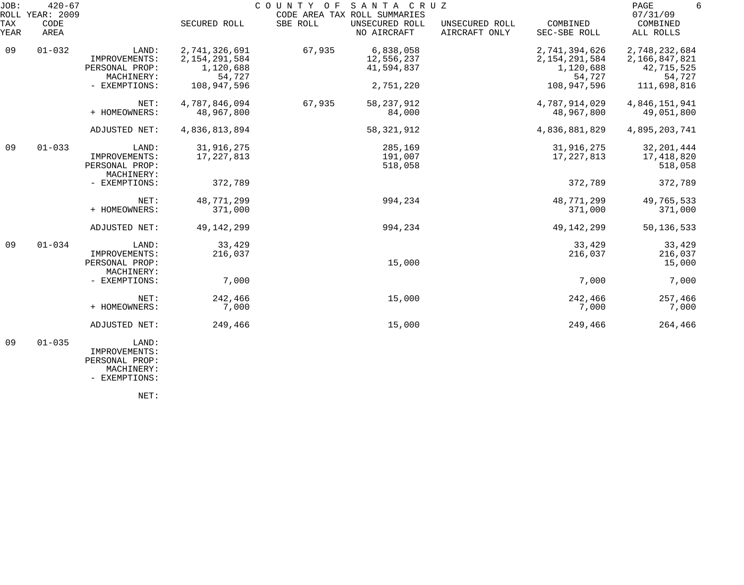| JOB:        | $420 - 67$<br>ROLL YEAR: 2009 |                                                        |                                                          | COUNTY OF SANTA CRUZ | CODE AREA TAX ROLL SUMMARIES          |                                 |                                                          | PAGE<br>6<br>07/31/09                                  |
|-------------|-------------------------------|--------------------------------------------------------|----------------------------------------------------------|----------------------|---------------------------------------|---------------------------------|----------------------------------------------------------|--------------------------------------------------------|
| TAX<br>YEAR | CODE<br>AREA                  |                                                        | SECURED ROLL                                             | SBE ROLL             | UNSECURED ROLL<br>NO AIRCRAFT         | UNSECURED ROLL<br>AIRCRAFT ONLY | COMBINED<br>SEC-SBE ROLL                                 | COMBINED<br>ALL ROLLS                                  |
| 09          | $01 - 032$                    | LAND:<br>IMPROVEMENTS:<br>PERSONAL PROP:<br>MACHINERY: | 2,741,326,691<br>2, 154, 291, 584<br>1,120,688<br>54,727 | 67,935               | 6,838,058<br>12,556,237<br>41,594,837 |                                 | 2,741,394,626<br>2, 154, 291, 584<br>1,120,688<br>54,727 | 2,748,232,684<br>2,166,847,821<br>42,715,525<br>54,727 |
|             |                               | - EXEMPTIONS:                                          | 108,947,596                                              |                      | 2,751,220                             |                                 | 108,947,596                                              | 111,698,816                                            |
|             |                               | NET:<br>+ HOMEOWNERS:                                  | 4,787,846,094<br>48,967,800                              | 67,935               | 58, 237, 912<br>84,000                |                                 | 4,787,914,029<br>48,967,800                              | 4,846,151,941<br>49,051,800                            |
|             |                               | ADJUSTED NET:                                          | 4,836,813,894                                            |                      | 58, 321, 912                          |                                 | 4,836,881,829                                            | 4,895,203,741                                          |
| 09          | $01 - 033$                    | LAND:<br>IMPROVEMENTS:<br>PERSONAL PROP:<br>MACHINERY: | 31,916,275<br>17, 227, 813                               |                      | 285,169<br>191,007<br>518,058         |                                 | 31,916,275<br>17, 227, 813                               | 32, 201, 444<br>17,418,820<br>518,058                  |
|             |                               | - EXEMPTIONS:                                          | 372,789                                                  |                      |                                       |                                 | 372,789                                                  | 372,789                                                |
|             |                               | NET:<br>+ HOMEOWNERS:                                  | 48,771,299<br>371,000                                    |                      | 994,234                               |                                 | 48,771,299<br>371,000                                    | 49,765,533<br>371,000                                  |
|             |                               | ADJUSTED NET:                                          | 49, 142, 299                                             |                      | 994,234                               |                                 | 49, 142, 299                                             | 50, 136, 533                                           |
| 09          | $01 - 034$                    | LAND:<br>IMPROVEMENTS:<br>PERSONAL PROP:<br>MACHINERY: | 33,429<br>216,037                                        |                      | 15,000                                |                                 | 33,429<br>216,037                                        | 33,429<br>216,037<br>15,000                            |
|             |                               | - EXEMPTIONS:                                          | 7,000                                                    |                      |                                       |                                 | 7,000                                                    | 7,000                                                  |
|             |                               | NET:<br>+ HOMEOWNERS:                                  | 242,466<br>7,000                                         |                      | 15,000                                |                                 | 242,466<br>7,000                                         | 257,466<br>7,000                                       |
|             |                               | ADJUSTED NET:                                          | 249,466                                                  |                      | 15,000                                |                                 | 249,466                                                  | 264,466                                                |
| 09          | $01 - 035$                    | LAND:                                                  |                                                          |                      |                                       |                                 |                                                          |                                                        |

 IMPROVEMENTS: PERSONAL PROP:

 MACHINERY: - EXEMPTIONS:

NET: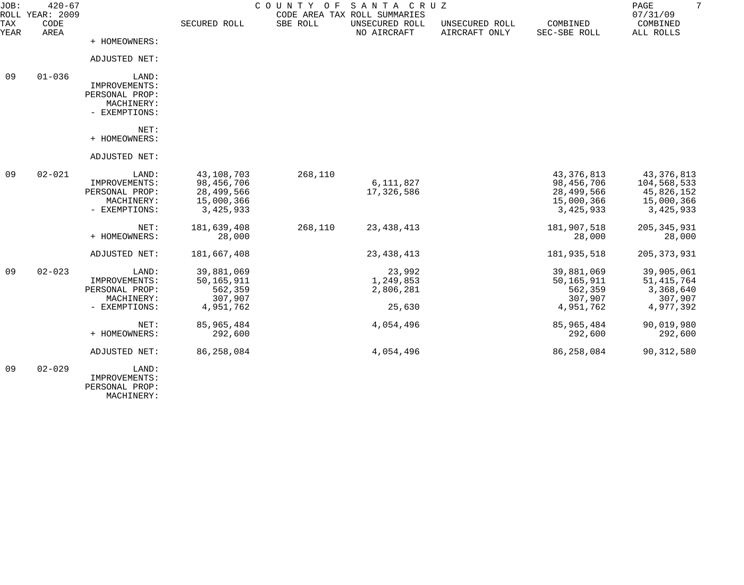| JOB:        | $420 - 67$<br>ROLL YEAR: 2009 |                                                                         |                                                                   | COUNTY OF | SANTA CRUZ<br>CODE AREA TAX ROLL SUMMARIES |                                 |                                                                     | $7\overline{ }$<br>PAGE<br>07/31/09                                |
|-------------|-------------------------------|-------------------------------------------------------------------------|-------------------------------------------------------------------|-----------|--------------------------------------------|---------------------------------|---------------------------------------------------------------------|--------------------------------------------------------------------|
| TAX<br>YEAR | CODE<br>AREA                  |                                                                         | SECURED ROLL                                                      | SBE ROLL  | UNSECURED ROLL<br>NO AIRCRAFT              | UNSECURED ROLL<br>AIRCRAFT ONLY | COMBINED<br>SEC-SBE ROLL                                            | COMBINED<br>ALL ROLLS                                              |
|             |                               | + HOMEOWNERS:                                                           |                                                                   |           |                                            |                                 |                                                                     |                                                                    |
|             |                               | ADJUSTED NET:                                                           |                                                                   |           |                                            |                                 |                                                                     |                                                                    |
| 09          | $01 - 036$                    | LAND:<br>IMPROVEMENTS:<br>PERSONAL PROP:<br>MACHINERY:<br>- EXEMPTIONS: |                                                                   |           |                                            |                                 |                                                                     |                                                                    |
|             |                               | NET:<br>+ HOMEOWNERS:                                                   |                                                                   |           |                                            |                                 |                                                                     |                                                                    |
|             |                               | ADJUSTED NET:                                                           |                                                                   |           |                                            |                                 |                                                                     |                                                                    |
| 09          | $02 - 021$                    | LAND:<br>IMPROVEMENTS:<br>PERSONAL PROP:<br>MACHINERY:<br>- EXEMPTIONS: | 43,108,703<br>98,456,706<br>28,499,566<br>15,000,366<br>3,425,933 | 268,110   | 6,111,827<br>17,326,586                    |                                 | 43, 376, 813<br>98,456,706<br>28,499,566<br>15,000,366<br>3,425,933 | 43,376,813<br>104,568,533<br>45,826,152<br>15,000,366<br>3,425,933 |
|             |                               | NET:<br>+ HOMEOWNERS:                                                   | 181,639,408<br>28,000                                             | 268,110   | 23, 438, 413                               |                                 | 181,907,518<br>28,000                                               | 205, 345, 931<br>28,000                                            |
|             |                               | ADJUSTED NET:                                                           | 181,667,408                                                       |           | 23, 438, 413                               |                                 | 181,935,518                                                         | 205, 373, 931                                                      |
| 09          | $02 - 023$                    | LAND:<br>IMPROVEMENTS:<br>PERSONAL PROP:<br>MACHINERY:<br>- EXEMPTIONS: | 39,881,069<br>50,165,911<br>562,359<br>307,907<br>4,951,762       |           | 23,992<br>1,249,853<br>2,806,281<br>25,630 |                                 | 39,881,069<br>50, 165, 911<br>562,359<br>307,907<br>4,951,762       | 39,905,061<br>51, 415, 764<br>3,368,640<br>307,907<br>4,977,392    |
|             |                               | NET:<br>+ HOMEOWNERS:                                                   | 85, 965, 484<br>292,600                                           |           | 4,054,496                                  |                                 | 85,965,484<br>292,600                                               | 90,019,980<br>292,600                                              |
|             |                               | ADJUSTED NET:                                                           | 86, 258, 084                                                      |           | 4,054,496                                  |                                 | 86,258,084                                                          | 90, 312, 580                                                       |
| 09          | $02 - 029$                    | LAND:<br>IMPROVEMENTS:<br>PERSONAL PROP:                                |                                                                   |           |                                            |                                 |                                                                     |                                                                    |

MACHINERY: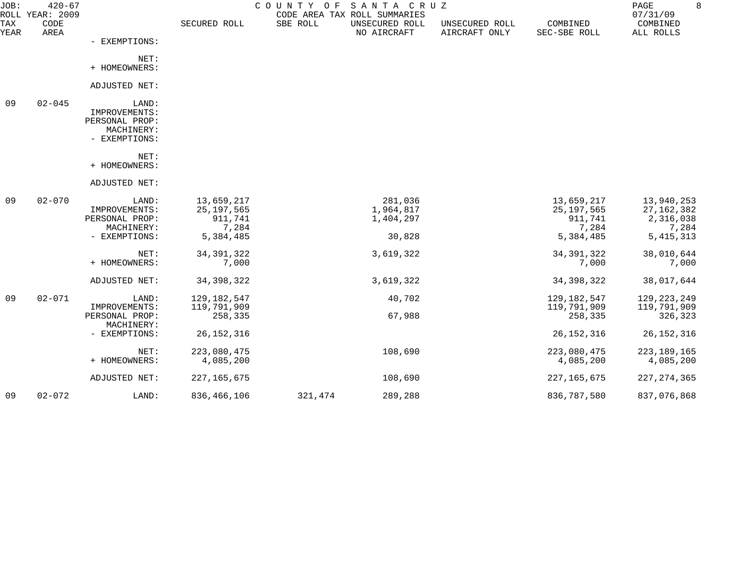| JOB:        | $420 - 67$<br>ROLL YEAR: 2009 |                                                                         |                                                             | COUNTY OF SANTA CRUZ | CODE AREA TAX ROLL SUMMARIES                |                                 |                                                             | 8<br>PAGE<br>07/31/09                                           |
|-------------|-------------------------------|-------------------------------------------------------------------------|-------------------------------------------------------------|----------------------|---------------------------------------------|---------------------------------|-------------------------------------------------------------|-----------------------------------------------------------------|
| TAX<br>YEAR | CODE<br>AREA                  |                                                                         | SECURED ROLL                                                | SBE ROLL             | UNSECURED ROLL<br>NO AIRCRAFT               | UNSECURED ROLL<br>AIRCRAFT ONLY | COMBINED<br>SEC-SBE ROLL                                    | COMBINED<br>ALL ROLLS                                           |
|             |                               | - EXEMPTIONS:                                                           |                                                             |                      |                                             |                                 |                                                             |                                                                 |
|             |                               | NET:<br>+ HOMEOWNERS:                                                   |                                                             |                      |                                             |                                 |                                                             |                                                                 |
|             |                               | ADJUSTED NET:                                                           |                                                             |                      |                                             |                                 |                                                             |                                                                 |
| 09          | $02 - 045$                    | LAND:<br>IMPROVEMENTS:<br>PERSONAL PROP:<br>MACHINERY:<br>- EXEMPTIONS: |                                                             |                      |                                             |                                 |                                                             |                                                                 |
|             |                               | NET:<br>+ HOMEOWNERS:                                                   |                                                             |                      |                                             |                                 |                                                             |                                                                 |
|             |                               | ADJUSTED NET:                                                           |                                                             |                      |                                             |                                 |                                                             |                                                                 |
| 09          | $02 - 070$                    | LAND:<br>IMPROVEMENTS:<br>PERSONAL PROP:<br>MACHINERY:<br>- EXEMPTIONS: | 13,659,217<br>25, 197, 565<br>911,741<br>7,284<br>5,384,485 |                      | 281,036<br>1,964,817<br>1,404,297<br>30,828 |                                 | 13,659,217<br>25, 197, 565<br>911,741<br>7,284<br>5,384,485 | 13,940,253<br>27, 162, 382<br>2,316,038<br>7,284<br>5, 415, 313 |
|             |                               | NET:<br>+ HOMEOWNERS:                                                   | 34, 391, 322<br>7,000                                       |                      | 3,619,322                                   |                                 | 34, 391, 322<br>7,000                                       | 38,010,644<br>7,000                                             |
|             |                               | ADJUSTED NET:                                                           | 34, 398, 322                                                |                      | 3,619,322                                   |                                 | 34, 398, 322                                                | 38,017,644                                                      |
| 09          | $02 - 071$                    | LAND:<br>IMPROVEMENTS:<br>PERSONAL PROP:                                | 129, 182, 547<br>119,791,909<br>258,335                     |                      | 40,702<br>67,988                            |                                 | 129, 182, 547<br>119,791,909<br>258,335                     | 129, 223, 249<br>119,791,909<br>326,323                         |
|             |                               | MACHINERY:<br>- EXEMPTIONS:                                             | 26, 152, 316                                                |                      |                                             |                                 | 26, 152, 316                                                | 26, 152, 316                                                    |
|             |                               | NET:<br>+ HOMEOWNERS:                                                   | 223,080,475<br>4,085,200                                    |                      | 108,690                                     |                                 | 223,080,475<br>4,085,200                                    | 223, 189, 165<br>4,085,200                                      |
|             |                               | ADJUSTED NET:                                                           | 227, 165, 675                                               |                      | 108,690                                     |                                 | 227, 165, 675                                               | 227, 274, 365                                                   |
| 09          | $02 - 072$                    | LAND:                                                                   | 836,466,106                                                 | 321,474              | 289,288                                     |                                 | 836,787,580                                                 | 837,076,868                                                     |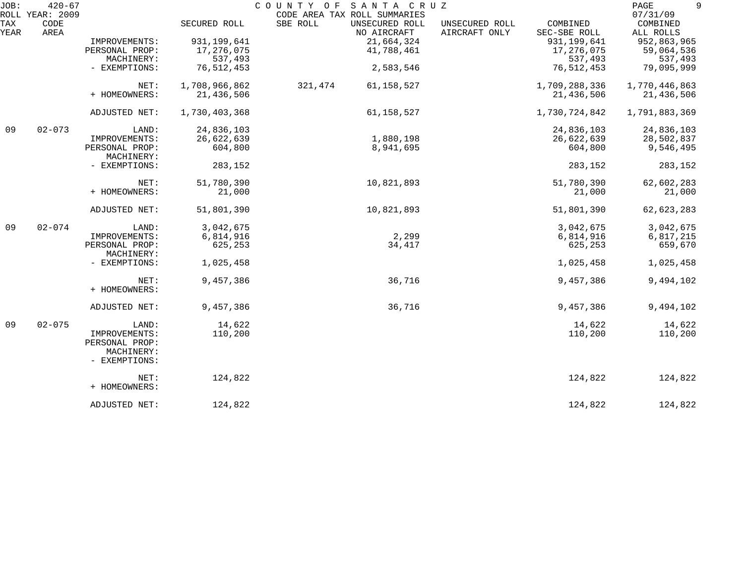| JOB:        | $420 - 67$                      |                                                                         |                             | COUNTY OF<br>SANTA CRUZ                                                   |                                 |                             | 9<br>PAGE                         |
|-------------|---------------------------------|-------------------------------------------------------------------------|-----------------------------|---------------------------------------------------------------------------|---------------------------------|-----------------------------|-----------------------------------|
| TAX<br>YEAR | ROLL YEAR: 2009<br>CODE<br>AREA |                                                                         | SECURED ROLL                | CODE AREA TAX ROLL SUMMARIES<br>SBE ROLL<br>UNSECURED ROLL<br>NO AIRCRAFT | UNSECURED ROLL<br>AIRCRAFT ONLY | COMBINED<br>SEC-SBE ROLL    | 07/31/09<br>COMBINED<br>ALL ROLLS |
|             |                                 | IMPROVEMENTS:<br>PERSONAL PROP:<br>MACHINERY:                           | 931, 199, 641<br>17,276,075 | 21,664,324<br>41,788,461                                                  |                                 | 931, 199, 641<br>17,276,075 | 952,863,965<br>59,064,536         |
|             |                                 | - EXEMPTIONS:                                                           | 537,493<br>76, 512, 453     | 2,583,546                                                                 |                                 | 537,493<br>76,512,453       | 537,493<br>79,095,999             |
|             |                                 | NET:<br>+ HOMEOWNERS:                                                   | 1,708,966,862<br>21,436,506 | 321,474<br>61,158,527                                                     |                                 | 1,709,288,336<br>21,436,506 | 1,770,446,863<br>21,436,506       |
|             |                                 | ADJUSTED NET:                                                           | 1,730,403,368               | 61, 158, 527                                                              |                                 | 1,730,724,842               | 1,791,883,369                     |
| 09          | $02 - 073$                      | LAND:                                                                   | 24,836,103                  |                                                                           |                                 | 24,836,103                  | 24,836,103                        |
|             |                                 | IMPROVEMENTS:<br>PERSONAL PROP:<br>MACHINERY:                           | 26,622,639<br>604,800       | 1,880,198<br>8,941,695                                                    |                                 | 26,622,639<br>604,800       | 28,502,837<br>9,546,495           |
|             |                                 | - EXEMPTIONS:                                                           | 283,152                     |                                                                           |                                 | 283,152                     | 283,152                           |
|             |                                 | NET:<br>+ HOMEOWNERS:                                                   | 51,780,390<br>21,000        | 10,821,893                                                                |                                 | 51,780,390<br>21,000        | 62,602,283<br>21,000              |
|             | ADJUSTED NET:                   | 51,801,390                                                              | 10,821,893                  |                                                                           | 51,801,390                      | 62, 623, 283                |                                   |
| 09          | $02 - 074$                      | LAND:<br>IMPROVEMENTS:                                                  | 3,042,675<br>6,814,916      | 2,299                                                                     |                                 | 3,042,675<br>6,814,916      | 3,042,675<br>6,817,215            |
|             |                                 | PERSONAL PROP:<br>MACHINERY:                                            | 625,253                     | 34,417                                                                    |                                 | 625,253                     | 659,670                           |
|             |                                 | - EXEMPTIONS:                                                           | 1,025,458                   |                                                                           |                                 | 1,025,458                   | 1,025,458                         |
|             |                                 | NET:<br>+ HOMEOWNERS:                                                   | 9,457,386                   | 36,716                                                                    |                                 | 9,457,386                   | 9,494,102                         |
|             |                                 | ADJUSTED NET:                                                           | 9,457,386                   | 36,716                                                                    |                                 | 9,457,386                   | 9,494,102                         |
| 09          | $02 - 075$                      | LAND:<br>IMPROVEMENTS:<br>PERSONAL PROP:<br>MACHINERY:<br>- EXEMPTIONS: | 14,622<br>110,200           |                                                                           |                                 | 14,622<br>110,200           | 14,622<br>110,200                 |
|             |                                 | NET:<br>+ HOMEOWNERS:                                                   | 124,822                     |                                                                           |                                 | 124,822                     | 124,822                           |
|             |                                 | ADJUSTED NET:                                                           | 124,822                     |                                                                           |                                 | 124,822                     | 124,822                           |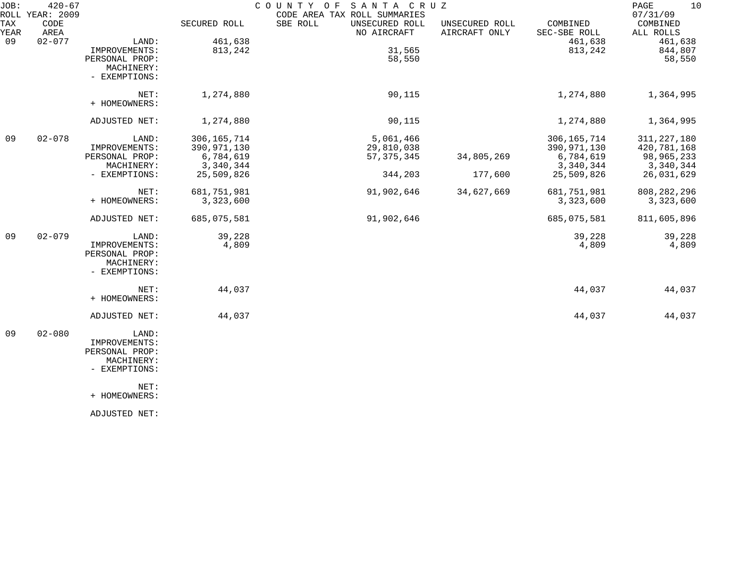| JOB:        | $420 - 67$<br>ROLL YEAR: 2009 |                                                                                 |                            | COUNTY OF<br>SANTA CRUZ<br>CODE AREA TAX ROLL SUMMARIES |                                 |                            | 10<br>PAGE<br>07/31/09    |
|-------------|-------------------------------|---------------------------------------------------------------------------------|----------------------------|---------------------------------------------------------|---------------------------------|----------------------------|---------------------------|
| TAX<br>YEAR | CODE<br>AREA                  |                                                                                 | SECURED ROLL               | SBE ROLL<br>UNSECURED ROLL<br>NO AIRCRAFT               | UNSECURED ROLL<br>AIRCRAFT ONLY | COMBINED<br>SEC-SBE ROLL   | COMBINED<br>ALL ROLLS     |
| 09          | $02 - 077$                    | LAND:<br>IMPROVEMENTS:                                                          | 461,638<br>813,242         | 31,565                                                  |                                 | 461,638<br>813,242         | 461,638<br>844,807        |
|             |                               | PERSONAL PROP:<br>MACHINERY:<br>- EXEMPTIONS:                                   |                            | 58,550                                                  |                                 |                            | 58,550                    |
|             |                               | NET:<br>+ HOMEOWNERS:                                                           | 1,274,880                  | 90,115                                                  |                                 | 1,274,880                  | 1,364,995                 |
|             |                               | ADJUSTED NET:                                                                   | 1,274,880                  | 90,115                                                  |                                 | 1,274,880                  | 1,364,995                 |
| 09          | $02 - 078$                    | LAND:                                                                           | 306, 165, 714              | 5,061,466                                               |                                 | 306, 165, 714              | 311, 227, 180             |
|             |                               | IMPROVEMENTS:<br>PERSONAL PROP:                                                 | 390, 971, 130<br>6,784,619 | 29,810,038<br>57, 375, 345                              | 34,805,269                      | 390, 971, 130<br>6,784,619 | 420,781,168<br>98,965,233 |
|             |                               | MACHINERY:                                                                      | 3,340,344                  |                                                         |                                 | 3,340,344                  | 3,340,344                 |
|             |                               | - EXEMPTIONS:                                                                   | 25,509,826                 | 344,203                                                 | 177,600                         | 25,509,826                 | 26,031,629                |
|             |                               | NET:                                                                            | 681,751,981                | 91,902,646                                              | 34,627,669                      | 681,751,981                | 808, 282, 296             |
|             |                               | + HOMEOWNERS:                                                                   | 3,323,600                  |                                                         |                                 | 3,323,600                  | 3,323,600                 |
|             |                               | ADJUSTED NET:                                                                   | 685,075,581                | 91,902,646                                              |                                 | 685,075,581                | 811,605,896               |
| 09          | $02 - 079$                    | LAND:                                                                           | 39,228                     |                                                         |                                 | 39,228                     | 39,228                    |
|             |                               | IMPROVEMENTS:<br>PERSONAL PROP:<br>MACHINERY:<br>- EXEMPTIONS:                  | 4,809                      |                                                         |                                 | 4,809                      | 4,809                     |
|             |                               | NET:<br>+ HOMEOWNERS:                                                           | 44,037                     |                                                         |                                 | 44,037                     | 44,037                    |
|             |                               | ADJUSTED NET:                                                                   | 44,037                     |                                                         |                                 | 44,037                     | 44,037                    |
| 09          | $02 - 080$                    | LAND:<br>IMPROVEMENTS:<br>PERSONAL PROP:<br>MACHINERY:<br>- EXEMPTIONS:<br>NET: |                            |                                                         |                                 |                            |                           |
|             |                               | + HOMEOWNERS:                                                                   |                            |                                                         |                                 |                            |                           |

ADJUSTED NET: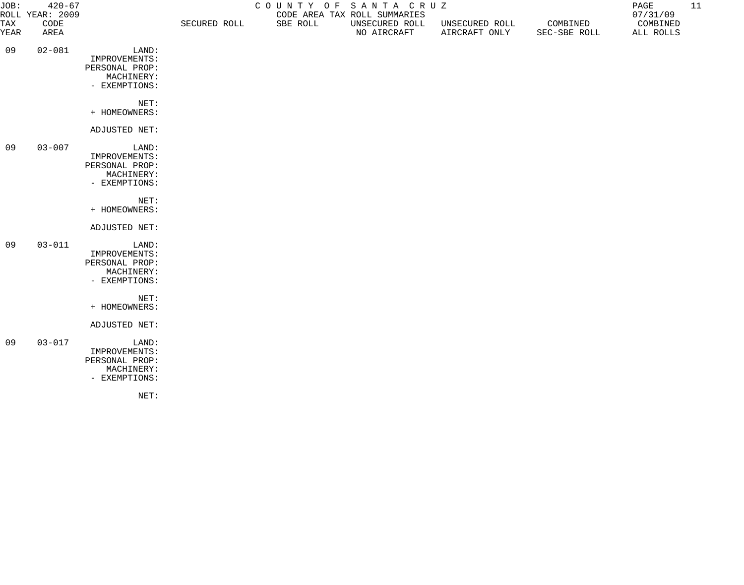| JOB:        | $420 - 67$<br>COUNTY OF SANTA CRUZ<br>ROLL YEAR: 2009<br>CODE AREA TAX ROLL SUMMARIES |                                                                         |              |          |                               | PAGE<br>07/31/09                | 11                       |                       |  |
|-------------|---------------------------------------------------------------------------------------|-------------------------------------------------------------------------|--------------|----------|-------------------------------|---------------------------------|--------------------------|-----------------------|--|
| TAX<br>YEAR | CODE<br>AREA                                                                          |                                                                         | SECURED ROLL | SBE ROLL | UNSECURED ROLL<br>NO AIRCRAFT | UNSECURED ROLL<br>AIRCRAFT ONLY | COMBINED<br>SEC-SBE ROLL | COMBINED<br>ALL ROLLS |  |
| 09          | $02 - 081$                                                                            | LAND:<br>IMPROVEMENTS:<br>PERSONAL PROP:<br>MACHINERY:<br>- EXEMPTIONS: |              |          |                               |                                 |                          |                       |  |
|             |                                                                                       | NET:<br>+ HOMEOWNERS:                                                   |              |          |                               |                                 |                          |                       |  |
|             |                                                                                       | ADJUSTED NET:                                                           |              |          |                               |                                 |                          |                       |  |
| 09          | $03 - 007$                                                                            | LAND:<br>IMPROVEMENTS:<br>PERSONAL PROP:<br>MACHINERY:<br>- EXEMPTIONS: |              |          |                               |                                 |                          |                       |  |
|             |                                                                                       | NET:<br>+ HOMEOWNERS:                                                   |              |          |                               |                                 |                          |                       |  |
|             |                                                                                       | ADJUSTED NET:                                                           |              |          |                               |                                 |                          |                       |  |
| 09          | $03 - 011$                                                                            | LAND:<br>IMPROVEMENTS:<br>PERSONAL PROP:<br>MACHINERY:<br>- EXEMPTIONS: |              |          |                               |                                 |                          |                       |  |
|             |                                                                                       | NET:<br>+ HOMEOWNERS:                                                   |              |          |                               |                                 |                          |                       |  |
|             |                                                                                       | ADJUSTED NET:                                                           |              |          |                               |                                 |                          |                       |  |
| 09          | $03 - 017$                                                                            | LAND:<br>IMPROVEMENTS:<br>PERSONAL PROP:<br>MACHINERY:<br>- EXEMPTIONS: |              |          |                               |                                 |                          |                       |  |

NET: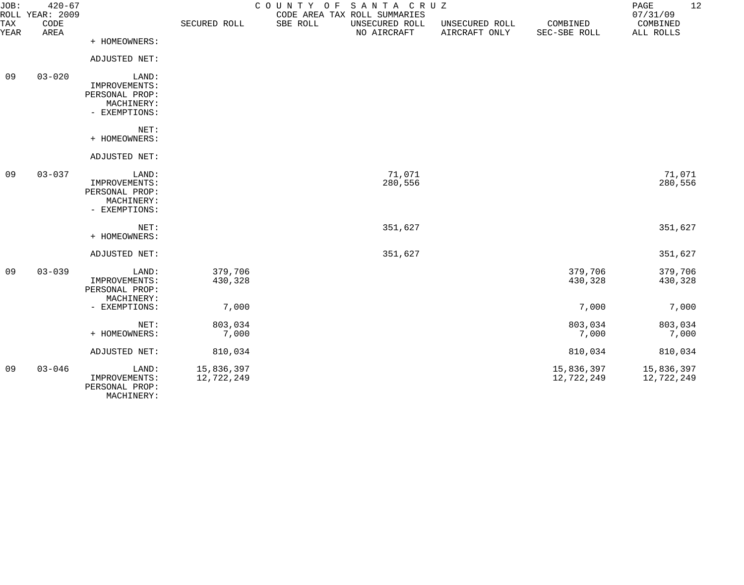| JOB:        | $420 - 67$<br>ROLL YEAR: 2009 |                                                                         |                          | COUNTY OF | SANTA CRUZ<br>CODE AREA TAX ROLL SUMMARIES |                                 |                          | 12<br>PAGE<br>07/31/09   |
|-------------|-------------------------------|-------------------------------------------------------------------------|--------------------------|-----------|--------------------------------------------|---------------------------------|--------------------------|--------------------------|
| TAX<br>YEAR | CODE<br>AREA                  |                                                                         | SECURED ROLL             | SBE ROLL  | UNSECURED ROLL<br>NO AIRCRAFT              | UNSECURED ROLL<br>AIRCRAFT ONLY | COMBINED<br>SEC-SBE ROLL | COMBINED<br>ALL ROLLS    |
|             |                               | + HOMEOWNERS:                                                           |                          |           |                                            |                                 |                          |                          |
|             |                               | ADJUSTED NET:                                                           |                          |           |                                            |                                 |                          |                          |
| 09          | $03 - 020$                    | LAND:<br>IMPROVEMENTS:<br>PERSONAL PROP:<br>MACHINERY:<br>- EXEMPTIONS: |                          |           |                                            |                                 |                          |                          |
|             |                               | NET:<br>+ HOMEOWNERS:                                                   |                          |           |                                            |                                 |                          |                          |
|             |                               | ADJUSTED NET:                                                           |                          |           |                                            |                                 |                          |                          |
| 09          | $03 - 037$                    | LAND:<br>IMPROVEMENTS:<br>PERSONAL PROP:<br>MACHINERY:<br>- EXEMPTIONS: |                          |           | 71,071<br>280,556                          |                                 |                          | 71,071<br>280,556        |
|             |                               | NET:<br>+ HOMEOWNERS:                                                   |                          |           | 351,627                                    |                                 |                          | 351,627                  |
|             |                               | ADJUSTED NET:                                                           |                          |           | 351,627                                    |                                 |                          | 351,627                  |
| 09          | $03 - 039$                    | LAND:<br>IMPROVEMENTS:<br>PERSONAL PROP:<br>MACHINERY:                  | 379,706<br>430,328       |           |                                            |                                 | 379,706<br>430,328       | 379,706<br>430,328       |
|             |                               | - EXEMPTIONS:                                                           | 7,000                    |           |                                            |                                 | 7,000                    | 7,000                    |
|             |                               | NET:<br>+ HOMEOWNERS:                                                   | 803,034<br>7,000         |           |                                            |                                 | 803,034<br>7,000         | 803,034<br>7,000         |
|             |                               | ADJUSTED NET:                                                           | 810,034                  |           |                                            |                                 | 810,034                  | 810,034                  |
| 09          | $03 - 046$                    | LAND:<br>IMPROVEMENTS:<br>PERSONAL PROP:<br>MACHINERY:                  | 15,836,397<br>12,722,249 |           |                                            |                                 | 15,836,397<br>12,722,249 | 15,836,397<br>12,722,249 |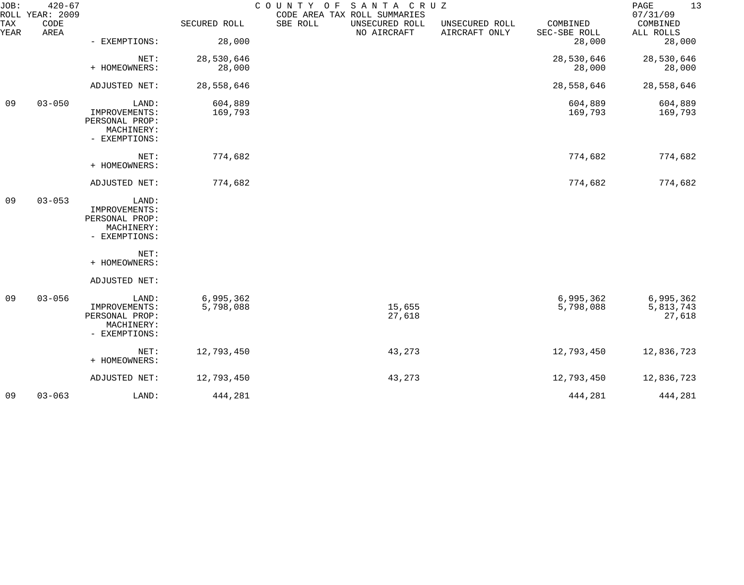| JOB:        | $420 - 67$<br>ROLL YEAR: 2009 |                                                                         |                        | COUNTY OF SANTA CRUZ | CODE AREA TAX ROLL SUMMARIES  |                                 |                          | PAGE<br>13<br>07/31/09           |
|-------------|-------------------------------|-------------------------------------------------------------------------|------------------------|----------------------|-------------------------------|---------------------------------|--------------------------|----------------------------------|
| TAX<br>YEAR | CODE<br>AREA                  |                                                                         | SECURED ROLL           | SBE ROLL             | UNSECURED ROLL<br>NO AIRCRAFT | UNSECURED ROLL<br>AIRCRAFT ONLY | COMBINED<br>SEC-SBE ROLL | COMBINED<br>ALL ROLLS            |
|             |                               | - EXEMPTIONS:                                                           | 28,000                 |                      |                               |                                 | 28,000                   | 28,000                           |
|             |                               | NET:<br>+ HOMEOWNERS:                                                   | 28,530,646<br>28,000   |                      |                               |                                 | 28,530,646<br>28,000     | 28,530,646<br>28,000             |
|             |                               | ADJUSTED NET:                                                           | 28,558,646             |                      |                               |                                 | 28,558,646               | 28,558,646                       |
| 09          | $03 - 050$                    | LAND:<br>IMPROVEMENTS:<br>PERSONAL PROP:<br>MACHINERY:<br>- EXEMPTIONS: | 604,889<br>169,793     |                      |                               |                                 | 604,889<br>169,793       | 604,889<br>169,793               |
|             |                               | NET:<br>+ HOMEOWNERS:                                                   | 774,682                |                      |                               |                                 | 774,682                  | 774,682                          |
|             |                               | ADJUSTED NET:                                                           | 774,682                |                      |                               |                                 | 774,682                  | 774,682                          |
| 09          | $03 - 053$                    | LAND:<br>IMPROVEMENTS:<br>PERSONAL PROP:<br>MACHINERY:<br>- EXEMPTIONS: |                        |                      |                               |                                 |                          |                                  |
|             |                               | NET:<br>+ HOMEOWNERS:                                                   |                        |                      |                               |                                 |                          |                                  |
|             |                               | ADJUSTED NET:                                                           |                        |                      |                               |                                 |                          |                                  |
| 09          | $03 - 056$                    | LAND:<br>IMPROVEMENTS:<br>PERSONAL PROP:<br>MACHINERY:<br>- EXEMPTIONS: | 6,995,362<br>5,798,088 |                      | 15,655<br>27,618              |                                 | 6,995,362<br>5,798,088   | 6,995,362<br>5,813,743<br>27,618 |
|             |                               | NET:<br>+ HOMEOWNERS:                                                   | 12,793,450             |                      | 43,273                        |                                 | 12,793,450               | 12,836,723                       |
|             |                               | ADJUSTED NET:                                                           | 12,793,450             |                      | 43,273                        |                                 | 12,793,450               | 12,836,723                       |
| 09          | $03 - 063$                    | LAND:                                                                   | 444,281                |                      |                               |                                 | 444,281                  | 444,281                          |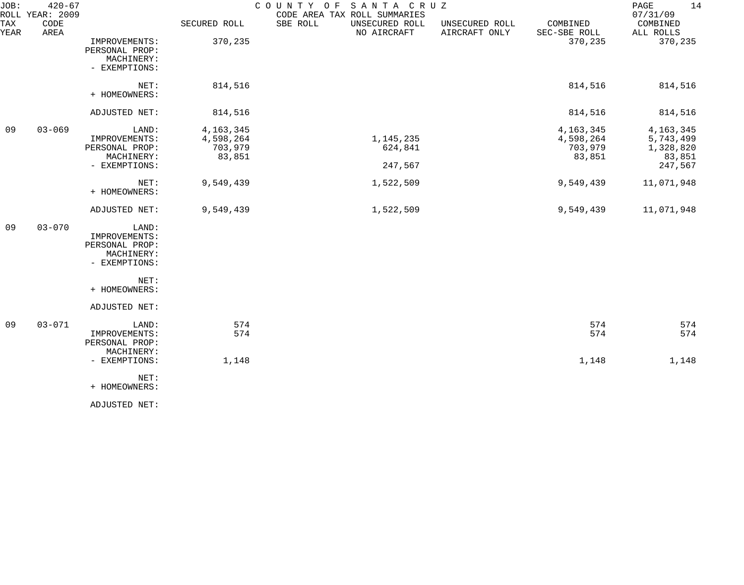| JOB:<br>ROLL | $420 - 67$<br>YEAR: 2009 |                                                                         |                                               | SANTA CRUZ<br>COUNTY OF<br>CODE AREA TAX ROLL SUMMARIES |                                 |                                               | 14<br>PAGE<br>07/31/09                                     |
|--------------|--------------------------|-------------------------------------------------------------------------|-----------------------------------------------|---------------------------------------------------------|---------------------------------|-----------------------------------------------|------------------------------------------------------------|
| TAX<br>YEAR  | CODE<br>AREA             |                                                                         | SECURED ROLL                                  | SBE ROLL<br>UNSECURED ROLL<br>NO AIRCRAFT               | UNSECURED ROLL<br>AIRCRAFT ONLY | COMBINED<br>SEC-SBE ROLL                      | COMBINED<br>ALL ROLLS                                      |
|              |                          | IMPROVEMENTS:<br>PERSONAL PROP:<br>MACHINERY:<br>- EXEMPTIONS:          | 370,235                                       |                                                         |                                 | 370,235                                       | 370,235                                                    |
|              |                          | NET:<br>+ HOMEOWNERS:                                                   | 814,516                                       |                                                         |                                 | 814,516                                       | 814,516                                                    |
|              |                          | ADJUSTED NET:                                                           | 814,516                                       |                                                         |                                 | 814,516                                       | 814,516                                                    |
| 09           | $03 - 069$               | LAND:<br>IMPROVEMENTS:<br>PERSONAL PROP:<br>MACHINERY:<br>- EXEMPTIONS: | 4, 163, 345<br>4,598,264<br>703,979<br>83,851 | 1, 145, 235<br>624,841<br>247,567                       |                                 | 4, 163, 345<br>4,598,264<br>703,979<br>83,851 | 4, 163, 345<br>5,743,499<br>1,328,820<br>83,851<br>247,567 |
|              |                          | NET:<br>+ HOMEOWNERS:                                                   | 9,549,439                                     | 1,522,509                                               |                                 | 9,549,439                                     | 11,071,948                                                 |
|              |                          | ADJUSTED NET:                                                           | 9,549,439                                     | 1,522,509                                               |                                 | 9,549,439                                     | 11,071,948                                                 |
| 09           | $03 - 070$               | LAND:<br>IMPROVEMENTS:<br>PERSONAL PROP:<br>MACHINERY:<br>- EXEMPTIONS: |                                               |                                                         |                                 |                                               |                                                            |
|              |                          | NET:<br>+ HOMEOWNERS:                                                   |                                               |                                                         |                                 |                                               |                                                            |
|              |                          | ADJUSTED NET:                                                           |                                               |                                                         |                                 |                                               |                                                            |
| 09           | $03 - 071$               | LAND:<br>IMPROVEMENTS:<br>PERSONAL PROP:<br>MACHINERY:                  | 574<br>574                                    |                                                         |                                 | 574<br>574                                    | 574<br>574                                                 |
|              |                          | - EXEMPTIONS:                                                           | 1,148                                         |                                                         |                                 | 1,148                                         | 1,148                                                      |
|              |                          | NET:<br>+ HOMEOWNERS:                                                   |                                               |                                                         |                                 |                                               |                                                            |
|              |                          | ADJUSTED NET:                                                           |                                               |                                                         |                                 |                                               |                                                            |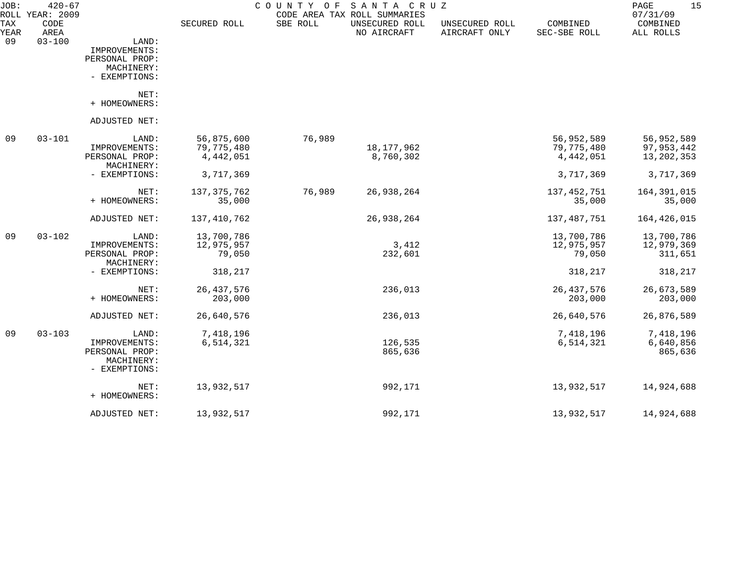| JOB:        | $420 - 67$<br>ROLL YEAR: 2009 |                                                                         |                                       | COUNTY<br>O F | SANTA CRUZ<br>CODE AREA TAX ROLL SUMMARIES |                                 |                                       | 15<br>PAGE<br>07/31/09                   |
|-------------|-------------------------------|-------------------------------------------------------------------------|---------------------------------------|---------------|--------------------------------------------|---------------------------------|---------------------------------------|------------------------------------------|
| TAX<br>YEAR | CODE<br>AREA                  |                                                                         | SECURED ROLL                          | SBE ROLL      | UNSECURED ROLL<br>NO AIRCRAFT              | UNSECURED ROLL<br>AIRCRAFT ONLY | COMBINED<br>SEC-SBE ROLL              | COMBINED<br>ALL ROLLS                    |
| 09          | $03 - 100$                    | LAND:<br>IMPROVEMENTS:<br>PERSONAL PROP:<br>MACHINERY:<br>- EXEMPTIONS: |                                       |               |                                            |                                 |                                       |                                          |
|             |                               | NET:<br>+ HOMEOWNERS:                                                   |                                       |               |                                            |                                 |                                       |                                          |
|             |                               | ADJUSTED NET:                                                           |                                       |               |                                            |                                 |                                       |                                          |
| 09          | $03 - 101$                    | LAND:<br>IMPROVEMENTS:<br>PERSONAL PROP:<br>MACHINERY:                  | 56,875,600<br>79,775,480<br>4,442,051 | 76,989        | 18,177,962<br>8,760,302                    |                                 | 56,952,589<br>79,775,480<br>4,442,051 | 56,952,589<br>97, 953, 442<br>13,202,353 |
|             |                               | - EXEMPTIONS:                                                           | 3,717,369                             |               |                                            |                                 | 3,717,369                             | 3,717,369                                |
|             |                               | NET:<br>+ HOMEOWNERS:                                                   | 137, 375, 762<br>35,000               | 76,989        | 26,938,264                                 |                                 | 137, 452, 751<br>35,000               | 164, 391, 015<br>35,000                  |
|             |                               | ADJUSTED NET:                                                           | 137,410,762                           |               | 26,938,264                                 |                                 | 137,487,751                           | 164,426,015                              |
| 09          | $03 - 102$                    | LAND:<br>IMPROVEMENTS:<br>PERSONAL PROP:<br>MACHINERY:                  | 13,700,786<br>12,975,957<br>79,050    |               | 3,412<br>232,601                           |                                 | 13,700,786<br>12,975,957<br>79,050    | 13,700,786<br>12,979,369<br>311,651      |
|             |                               | - EXEMPTIONS:                                                           | 318,217                               |               |                                            |                                 | 318,217                               | 318,217                                  |
|             |                               | NET:<br>+ HOMEOWNERS:                                                   | 26, 437, 576<br>203,000               |               | 236,013                                    |                                 | 26, 437, 576<br>203,000               | 26,673,589<br>203,000                    |
|             |                               | ADJUSTED NET:                                                           | 26,640,576                            |               | 236,013                                    |                                 | 26,640,576                            | 26,876,589                               |
| 09          | $03 - 103$                    | LAND:<br>IMPROVEMENTS:<br>PERSONAL PROP:<br>MACHINERY:<br>- EXEMPTIONS: | 7,418,196<br>6,514,321                |               | 126,535<br>865,636                         |                                 | 7,418,196<br>6,514,321                | 7,418,196<br>6,640,856<br>865,636        |
|             |                               | NET:<br>+ HOMEOWNERS:                                                   | 13,932,517                            |               | 992,171                                    |                                 | 13,932,517                            | 14,924,688                               |
|             |                               | ADJUSTED NET:                                                           | 13,932,517                            |               | 992,171                                    |                                 | 13,932,517                            | 14,924,688                               |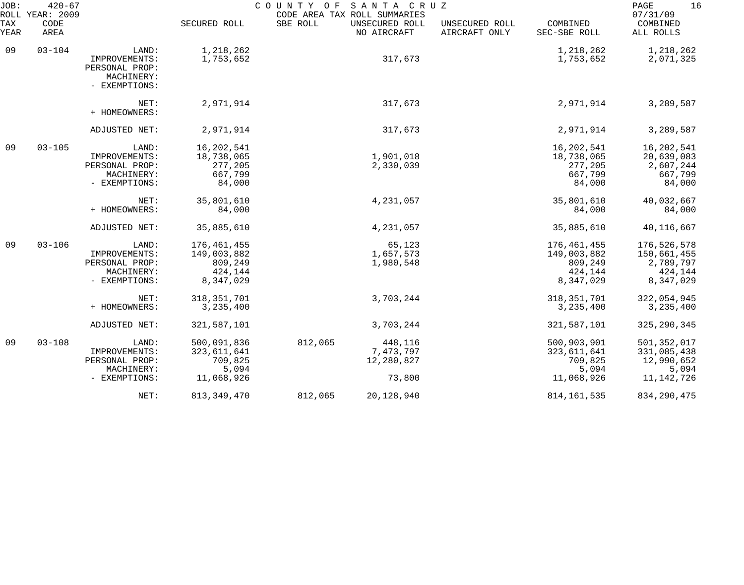| JOB:<br>ROLL | $420 - 67$<br>YEAR: 2009 |                                                                         |                                                                | C O U N T Y<br>O F | SANTA CRUZ<br>CODE AREA TAX ROLL SUMMARIES   |                                 |                                                               | 16<br>PAGE<br>07/31/09                                          |
|--------------|--------------------------|-------------------------------------------------------------------------|----------------------------------------------------------------|--------------------|----------------------------------------------|---------------------------------|---------------------------------------------------------------|-----------------------------------------------------------------|
| TAX<br>YEAR  | CODE<br>AREA             |                                                                         | SECURED ROLL                                                   | SBE ROLL           | UNSECURED ROLL<br>NO AIRCRAFT                | UNSECURED ROLL<br>AIRCRAFT ONLY | COMBINED<br>SEC-SBE ROLL                                      | COMBINED<br>ALL ROLLS                                           |
| 09           | $03 - 104$               | LAND:<br>IMPROVEMENTS:<br>PERSONAL PROP:<br>MACHINERY:                  | 1,218,262<br>1,753,652                                         |                    | 317,673                                      |                                 | 1,218,262<br>1,753,652                                        | 1,218,262<br>2,071,325                                          |
|              |                          | - EXEMPTIONS:<br>NET:                                                   | 2,971,914                                                      |                    | 317,673                                      |                                 | 2,971,914                                                     | 3,289,587                                                       |
|              |                          | + HOMEOWNERS:                                                           | 2,971,914                                                      |                    | 317,673                                      |                                 | 2,971,914                                                     | 3,289,587                                                       |
|              |                          | ADJUSTED NET:                                                           |                                                                |                    |                                              |                                 |                                                               |                                                                 |
| 09           | $03 - 105$               | LAND:<br>IMPROVEMENTS:<br>PERSONAL PROP:<br>MACHINERY:<br>- EXEMPTIONS: | 16,202,541<br>18,738,065<br>277,205<br>667,799<br>84,000       |                    | 1,901,018<br>2,330,039                       |                                 | 16,202,541<br>18,738,065<br>277,205<br>667,799<br>84,000      | 16,202,541<br>20,639,083<br>2,607,244<br>667,799<br>84,000      |
|              |                          | NET:<br>+ HOMEOWNERS:                                                   | 35,801,610<br>84,000                                           |                    | 4,231,057                                    |                                 | 35,801,610<br>84,000                                          | 40,032,667<br>84,000                                            |
|              |                          | ADJUSTED NET:                                                           | 35,885,610                                                     |                    | 4,231,057                                    |                                 | 35,885,610                                                    | 40,116,667                                                      |
| 09           | $03 - 106$               | LAND:<br>IMPROVEMENTS:<br>PERSONAL PROP:<br>MACHINERY:<br>- EXEMPTIONS: | 176,461,455<br>149,003,882<br>809,249<br>424,144<br>8,347,029  |                    | 65,123<br>1,657,573<br>1,980,548             |                                 | 176,461,455<br>149,003,882<br>809,249<br>424,144<br>8,347,029 | 176,526,578<br>150,661,455<br>2,789,797<br>424,144<br>8,347,029 |
|              |                          | NET:<br>+ HOMEOWNERS:                                                   | 318, 351, 701<br>3, 235, 400                                   |                    | 3,703,244                                    |                                 | 318, 351, 701<br>3,235,400                                    | 322,054,945<br>3, 235, 400                                      |
|              |                          | ADJUSTED NET:                                                           | 321, 587, 101                                                  |                    | 3,703,244                                    |                                 | 321, 587, 101                                                 | 325, 290, 345                                                   |
| 09           | $03 - 108$               | LAND:<br>IMPROVEMENTS:<br>PERSONAL PROP:<br>MACHINERY:<br>- EXEMPTIONS: | 500,091,836<br>323, 611, 641<br>709,825<br>5,094<br>11,068,926 | 812,065            | 448,116<br>7,473,797<br>12,280,827<br>73,800 |                                 | 500,903,901<br>323,611,641<br>709,825<br>5,094<br>11,068,926  | 501,352,017<br>331,085,438<br>12,990,652<br>5,094<br>11,142,726 |
|              |                          | NET:                                                                    | 813, 349, 470                                                  | 812,065            | 20,128,940                                   |                                 | 814, 161, 535                                                 | 834, 290, 475                                                   |
|              |                          |                                                                         |                                                                |                    |                                              |                                 |                                                               |                                                                 |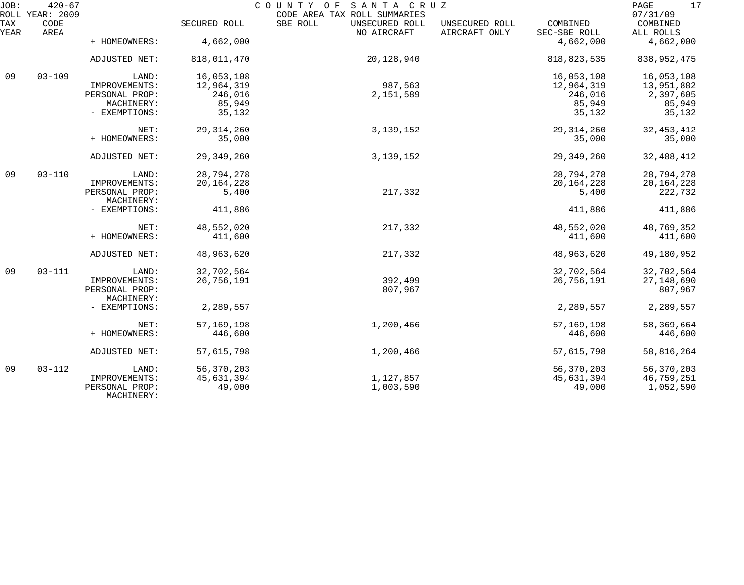| JOB:        | $420 - 67$<br>ROLL YEAR: 2009 |                              |              | COUNTY OF SANTA CRUZ<br>CODE AREA TAX ROLL SUMMARIES |                                 |                          | 17<br>$\mathop{\mathtt{PAGE}}$<br>07/31/09 |
|-------------|-------------------------------|------------------------------|--------------|------------------------------------------------------|---------------------------------|--------------------------|--------------------------------------------|
| TAX<br>YEAR | CODE<br>AREA                  |                              | SECURED ROLL | SBE ROLL<br>UNSECURED ROLL<br>NO AIRCRAFT            | UNSECURED ROLL<br>AIRCRAFT ONLY | COMBINED<br>SEC-SBE ROLL | COMBINED<br>ALL ROLLS                      |
|             |                               | + HOMEOWNERS:                | 4,662,000    |                                                      |                                 | 4,662,000                | 4,662,000                                  |
|             |                               | ADJUSTED NET:                | 818,011,470  | 20,128,940                                           |                                 | 818, 823, 535            | 838, 952, 475                              |
| 09          | $03 - 109$                    | LAND:                        | 16,053,108   |                                                      |                                 | 16,053,108               | 16,053,108                                 |
|             |                               | IMPROVEMENTS:                | 12,964,319   | 987,563                                              |                                 | 12,964,319               | 13,951,882                                 |
|             |                               | PERSONAL PROP:               | 246,016      | 2,151,589                                            |                                 | 246,016                  | 2,397,605                                  |
|             |                               | MACHINERY:                   | 85,949       |                                                      |                                 | 85,949                   | 85,949                                     |
|             |                               | - EXEMPTIONS:                | 35,132       |                                                      |                                 | 35,132                   | 35,132                                     |
|             |                               | NET:                         | 29, 314, 260 | 3, 139, 152                                          |                                 | 29, 314, 260             | 32, 453, 412                               |
|             |                               | + HOMEOWNERS:                | 35,000       |                                                      |                                 | 35,000                   | 35,000                                     |
|             |                               | ADJUSTED NET:                | 29, 349, 260 | 3, 139, 152                                          |                                 | 29, 349, 260             | 32, 488, 412                               |
| 09          | $03 - 110$                    | LAND:                        | 28,794,278   |                                                      |                                 | 28,794,278               | 28,794,278                                 |
|             |                               | IMPROVEMENTS:                | 20, 164, 228 |                                                      |                                 | 20, 164, 228             | 20, 164, 228                               |
|             |                               | PERSONAL PROP:               | 5,400        | 217,332                                              |                                 | 5,400                    | 222,732                                    |
|             |                               | MACHINERY:                   |              |                                                      |                                 |                          |                                            |
|             |                               | - EXEMPTIONS:                | 411,886      |                                                      |                                 | 411,886                  | 411,886                                    |
|             |                               | NET:                         | 48,552,020   | 217,332                                              |                                 | 48,552,020               | 48,769,352                                 |
|             |                               | + HOMEOWNERS:                | 411,600      |                                                      |                                 | 411,600                  | 411,600                                    |
|             |                               | ADJUSTED NET:                | 48,963,620   | 217,332                                              |                                 | 48,963,620               | 49,180,952                                 |
| 09          | $03 - 111$                    | LAND:                        | 32,702,564   |                                                      |                                 | 32,702,564               | 32,702,564                                 |
|             |                               | IMPROVEMENTS:                | 26,756,191   | 392,499                                              |                                 | 26,756,191               | 27, 148, 690                               |
|             |                               | PERSONAL PROP:               |              | 807,967                                              |                                 |                          | 807,967                                    |
|             |                               | MACHINERY:                   |              |                                                      |                                 |                          |                                            |
|             |                               | - EXEMPTIONS:                | 2,289,557    |                                                      |                                 | 2,289,557                | 2,289,557                                  |
|             |                               | NET:                         | 57, 169, 198 | 1,200,466                                            |                                 | 57, 169, 198             | 58,369,664                                 |
|             |                               | + HOMEOWNERS:                | 446,600      |                                                      |                                 | 446,600                  | 446,600                                    |
|             |                               | ADJUSTED NET:                | 57,615,798   | 1,200,466                                            |                                 | 57,615,798               | 58,816,264                                 |
| 09          | $03 - 112$                    | LAND:                        | 56,370,203   |                                                      |                                 | 56,370,203               | 56,370,203                                 |
|             |                               | IMPROVEMENTS:                | 45,631,394   | 1,127,857                                            |                                 | 45,631,394               | 46,759,251                                 |
|             |                               | PERSONAL PROP:<br>MACHINERY: | 49,000       | 1,003,590                                            |                                 | 49,000                   | 1,052,590                                  |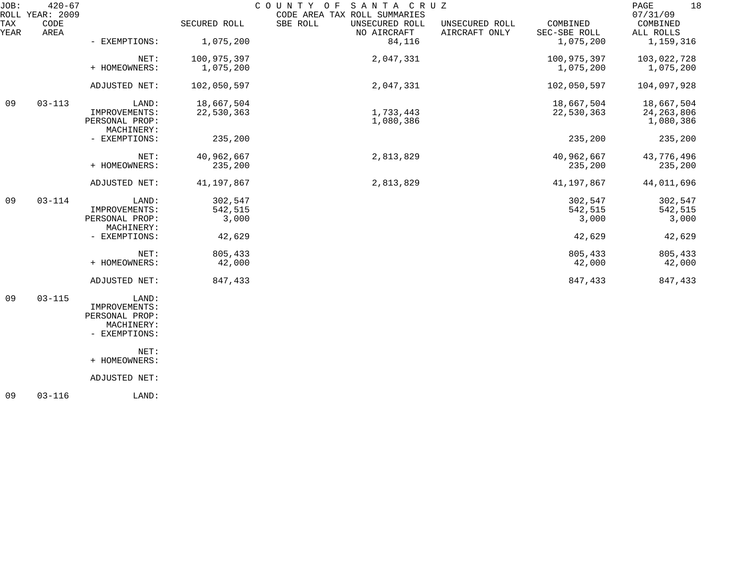| JOB:        | $420 - 67$<br>ROLL YEAR: 2009 |                              |              | COUNTY OF<br>SANTA CRUZ<br>CODE AREA TAX ROLL SUMMARIES |                                 |                          | 18<br>PAGE<br>07/31/09 |
|-------------|-------------------------------|------------------------------|--------------|---------------------------------------------------------|---------------------------------|--------------------------|------------------------|
| TAX<br>YEAR | CODE<br>AREA                  |                              | SECURED ROLL | SBE ROLL<br>UNSECURED ROLL<br>NO AIRCRAFT               | UNSECURED ROLL<br>AIRCRAFT ONLY | COMBINED<br>SEC-SBE ROLL | COMBINED<br>ALL ROLLS  |
|             |                               | - EXEMPTIONS:                | 1,075,200    | 84,116                                                  |                                 | 1,075,200                | 1,159,316              |
|             |                               | NET:                         | 100,975,397  | 2,047,331                                               |                                 | 100,975,397              | 103,022,728            |
|             |                               | + HOMEOWNERS:                | 1,075,200    |                                                         |                                 | 1,075,200                | 1,075,200              |
|             |                               | ADJUSTED NET:                | 102,050,597  | 2,047,331                                               |                                 | 102,050,597              | 104,097,928            |
| 09          | $03 - 113$                    | LAND:                        | 18,667,504   |                                                         |                                 | 18,667,504               | 18,667,504             |
|             |                               | IMPROVEMENTS:                | 22,530,363   | 1,733,443                                               |                                 | 22,530,363               | 24, 263, 806           |
|             |                               | PERSONAL PROP:<br>MACHINERY: |              | 1,080,386                                               |                                 |                          | 1,080,386              |
|             |                               | - EXEMPTIONS:                | 235,200      |                                                         |                                 | 235,200                  | 235,200                |
|             |                               | NET:                         | 40,962,667   | 2,813,829                                               |                                 | 40,962,667               | 43,776,496             |
|             |                               | + HOMEOWNERS:                | 235,200      |                                                         |                                 | 235,200                  | 235,200                |
|             |                               | ADJUSTED NET:                | 41,197,867   | 2,813,829                                               |                                 | 41,197,867               | 44,011,696             |
| 09          | $03 - 114$                    | LAND:                        | 302,547      |                                                         |                                 | 302,547                  | 302,547                |
|             |                               | IMPROVEMENTS:                | 542,515      |                                                         |                                 | 542,515                  | 542,515                |
|             |                               | PERSONAL PROP:<br>MACHINERY: | 3,000        |                                                         |                                 | 3,000                    | 3,000                  |
|             |                               | - EXEMPTIONS:                | 42,629       |                                                         |                                 | 42,629                   | 42,629                 |
|             |                               | NET:                         | 805,433      |                                                         |                                 | 805,433                  | 805,433                |
|             |                               | + HOMEOWNERS:                | 42,000       |                                                         |                                 | 42,000                   | 42,000                 |
|             |                               | ADJUSTED NET:                | 847,433      |                                                         |                                 | 847,433                  | 847,433                |
| 09          | $03 - 115$                    | LAND:                        |              |                                                         |                                 |                          |                        |
|             |                               | IMPROVEMENTS:                |              |                                                         |                                 |                          |                        |
|             |                               | PERSONAL PROP:<br>MACHINERY: |              |                                                         |                                 |                          |                        |
|             |                               | - EXEMPTIONS:                |              |                                                         |                                 |                          |                        |
|             |                               | NET:                         |              |                                                         |                                 |                          |                        |
|             |                               | + HOMEOWNERS:                |              |                                                         |                                 |                          |                        |
|             |                               | ADJUSTED NET:                |              |                                                         |                                 |                          |                        |
|             |                               |                              |              |                                                         |                                 |                          |                        |

09 03-116 LAND: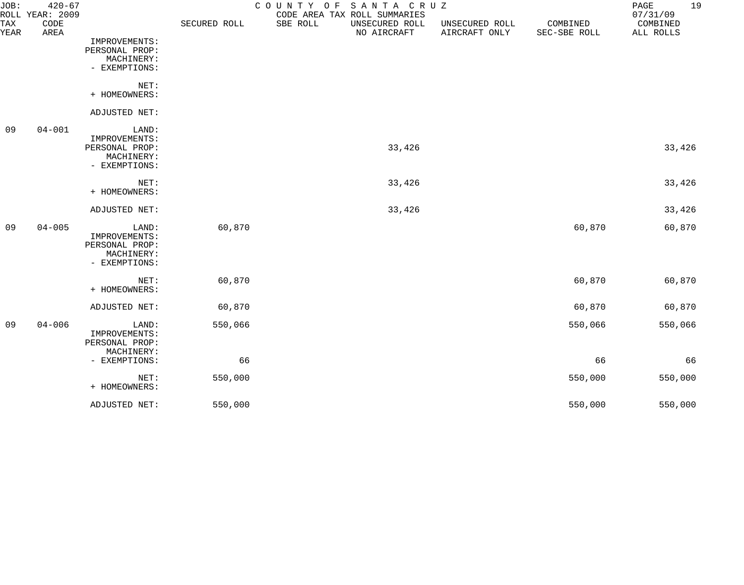| JOB:        | $420 - 67$<br>ROLL YEAR: 2009 |                                                                         |              | SANTA CRUZ<br>COUNTY<br>O F<br>CODE AREA TAX ROLL SUMMARIES |                                 |                          | 19<br>PAGE<br>07/31/09 |
|-------------|-------------------------------|-------------------------------------------------------------------------|--------------|-------------------------------------------------------------|---------------------------------|--------------------------|------------------------|
| TAX<br>YEAR | CODE<br>AREA                  |                                                                         | SECURED ROLL | SBE ROLL<br>UNSECURED ROLL<br>NO AIRCRAFT                   | UNSECURED ROLL<br>AIRCRAFT ONLY | COMBINED<br>SEC-SBE ROLL | COMBINED<br>ALL ROLLS  |
|             |                               | IMPROVEMENTS:<br>PERSONAL PROP:<br>MACHINERY:<br>- EXEMPTIONS:          |              |                                                             |                                 |                          |                        |
|             |                               | NET:<br>+ HOMEOWNERS:                                                   |              |                                                             |                                 |                          |                        |
|             |                               | ADJUSTED NET:                                                           |              |                                                             |                                 |                          |                        |
| 09          | $04 - 001$                    | LAND:<br>IMPROVEMENTS:<br>PERSONAL PROP:<br>MACHINERY:<br>- EXEMPTIONS: |              | 33,426                                                      |                                 |                          | 33,426                 |
|             |                               | NET:<br>+ HOMEOWNERS:                                                   |              | 33,426                                                      |                                 |                          | 33,426                 |
|             |                               | ADJUSTED NET:                                                           |              | 33,426                                                      |                                 |                          | 33,426                 |
| 09          | $04 - 005$                    | LAND:<br>IMPROVEMENTS:<br>PERSONAL PROP:<br>MACHINERY:<br>- EXEMPTIONS: | 60,870       |                                                             |                                 | 60,870                   | 60,870                 |
|             |                               | NET:<br>+ HOMEOWNERS:                                                   | 60,870       |                                                             |                                 | 60,870                   | 60,870                 |
|             |                               | ADJUSTED NET:                                                           | 60,870       |                                                             |                                 | 60,870                   | 60,870                 |
| 09          | $04 - 006$                    | LAND:<br>IMPROVEMENTS:<br>PERSONAL PROP:<br>MACHINERY:                  | 550,066      |                                                             |                                 | 550,066                  | 550,066                |
|             |                               | - EXEMPTIONS:                                                           | 66           |                                                             |                                 | 66                       | 66                     |
|             |                               | NET:<br>+ HOMEOWNERS:                                                   | 550,000      |                                                             |                                 | 550,000                  | 550,000                |
|             |                               | ADJUSTED NET:                                                           | 550,000      |                                                             |                                 | 550,000                  | 550,000                |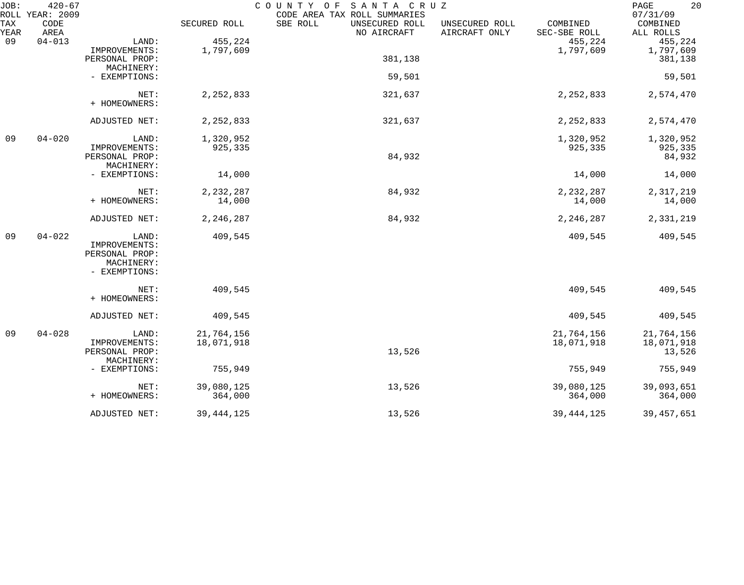| JOB:        | $420 - 67$<br>ROLL YEAR: 2009 |                |              | COUNTY OF<br>SANTA CRUZ<br>CODE AREA TAX ROLL SUMMARIES |                                 |                          | 20<br>PAGE<br>07/31/09 |
|-------------|-------------------------------|----------------|--------------|---------------------------------------------------------|---------------------------------|--------------------------|------------------------|
| TAX<br>YEAR | CODE<br>AREA                  |                | SECURED ROLL | SBE ROLL<br>UNSECURED ROLL<br>NO AIRCRAFT               | UNSECURED ROLL<br>AIRCRAFT ONLY | COMBINED<br>SEC-SBE ROLL | COMBINED<br>ALL ROLLS  |
| 09          | $04 - 013$                    | LAND:          | 455,224      |                                                         |                                 | 455,224                  | 455,224                |
|             |                               | IMPROVEMENTS:  | 1,797,609    |                                                         |                                 | 1,797,609                | 1,797,609              |
|             |                               | PERSONAL PROP: |              | 381,138                                                 |                                 |                          | 381,138                |
|             |                               | MACHINERY:     |              |                                                         |                                 |                          |                        |
|             |                               | - EXEMPTIONS:  |              | 59,501                                                  |                                 |                          | 59,501                 |
|             |                               | NET:           | 2,252,833    | 321,637                                                 |                                 | 2, 252, 833              | 2,574,470              |
|             |                               | + HOMEOWNERS:  |              |                                                         |                                 |                          |                        |
|             |                               | ADJUSTED NET:  | 2, 252, 833  | 321,637                                                 |                                 | 2, 252, 833              | 2,574,470              |
| 09          | $04 - 020$                    | LAND:          | 1,320,952    |                                                         |                                 | 1,320,952                | 1,320,952              |
|             |                               | IMPROVEMENTS:  | 925,335      |                                                         |                                 | 925,335                  | 925,335                |
|             |                               | PERSONAL PROP: |              | 84,932                                                  |                                 |                          | 84,932                 |
|             |                               | MACHINERY:     |              |                                                         |                                 |                          |                        |
|             |                               | - EXEMPTIONS:  | 14,000       |                                                         |                                 | 14,000                   | 14,000                 |
|             |                               |                |              |                                                         |                                 |                          |                        |
|             |                               | NET:           | 2,232,287    | 84,932                                                  |                                 | 2, 232, 287              | 2,317,219              |
|             |                               | + HOMEOWNERS:  | 14,000       |                                                         |                                 | 14,000                   | 14,000                 |
|             |                               | ADJUSTED NET:  | 2,246,287    | 84,932                                                  |                                 | 2,246,287                | 2,331,219              |
| 09          | $04 - 022$                    | LAND:          | 409,545      |                                                         |                                 | 409,545                  | 409,545                |
|             |                               | IMPROVEMENTS:  |              |                                                         |                                 |                          |                        |
|             |                               | PERSONAL PROP: |              |                                                         |                                 |                          |                        |
|             |                               | MACHINERY:     |              |                                                         |                                 |                          |                        |
|             |                               | - EXEMPTIONS:  |              |                                                         |                                 |                          |                        |
|             |                               | NET:           | 409,545      |                                                         |                                 | 409,545                  | 409,545                |
|             |                               | + HOMEOWNERS:  |              |                                                         |                                 |                          |                        |
|             |                               | ADJUSTED NET:  | 409,545      |                                                         |                                 | 409,545                  | 409,545                |
| 09          | $04 - 028$                    | LAND:          | 21,764,156   |                                                         |                                 | 21,764,156               | 21,764,156             |
|             |                               | IMPROVEMENTS:  | 18,071,918   |                                                         |                                 | 18,071,918               | 18,071,918             |
|             |                               | PERSONAL PROP: |              | 13,526                                                  |                                 |                          | 13,526                 |
|             |                               | MACHINERY:     |              |                                                         |                                 |                          |                        |
|             |                               | - EXEMPTIONS:  | 755,949      |                                                         |                                 | 755,949                  | 755,949                |
|             |                               | NET:           | 39,080,125   | 13,526                                                  |                                 | 39,080,125               | 39,093,651             |
|             |                               | + HOMEOWNERS:  | 364,000      |                                                         |                                 | 364,000                  | 364,000                |
|             |                               | ADJUSTED NET:  | 39, 444, 125 | 13,526                                                  |                                 | 39, 444, 125             | 39, 457, 651           |
|             |                               |                |              |                                                         |                                 |                          |                        |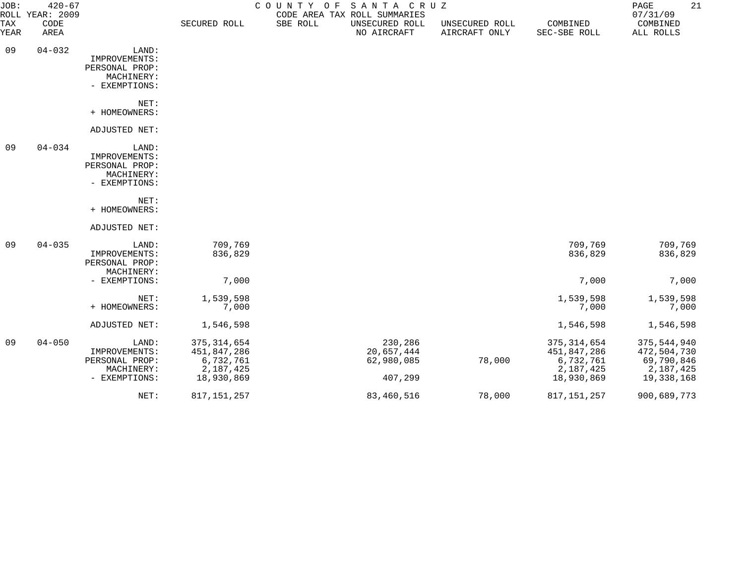| JOB:               | $420 - 67$<br>ROLL YEAR: 2009 |                                                                         |                                                                      |          | COUNTY OF SANTA CRUZ<br>CODE AREA TAX ROLL SUMMARIES |                                 |                                                                      | 21<br>PAGE<br>07/31/09                                              |
|--------------------|-------------------------------|-------------------------------------------------------------------------|----------------------------------------------------------------------|----------|------------------------------------------------------|---------------------------------|----------------------------------------------------------------------|---------------------------------------------------------------------|
| <b>TAX</b><br>YEAR | CODE<br>AREA                  |                                                                         | SECURED ROLL                                                         | SBE ROLL | UNSECURED ROLL<br>NO AIRCRAFT                        | UNSECURED ROLL<br>AIRCRAFT ONLY | COMBINED<br>SEC-SBE ROLL                                             | COMBINED<br>ALL ROLLS                                               |
| 09                 | $04 - 032$                    | LAND:<br>IMPROVEMENTS:<br>PERSONAL PROP:<br>MACHINERY:<br>- EXEMPTIONS: |                                                                      |          |                                                      |                                 |                                                                      |                                                                     |
|                    |                               | NET:<br>+ HOMEOWNERS:                                                   |                                                                      |          |                                                      |                                 |                                                                      |                                                                     |
|                    |                               | ADJUSTED NET:                                                           |                                                                      |          |                                                      |                                 |                                                                      |                                                                     |
| 09                 | $04 - 034$                    | LAND:<br>IMPROVEMENTS:<br>PERSONAL PROP:<br>MACHINERY:<br>- EXEMPTIONS: |                                                                      |          |                                                      |                                 |                                                                      |                                                                     |
|                    |                               | NET:<br>+ HOMEOWNERS:                                                   |                                                                      |          |                                                      |                                 |                                                                      |                                                                     |
|                    |                               | ADJUSTED NET:                                                           |                                                                      |          |                                                      |                                 |                                                                      |                                                                     |
| 09                 | $04 - 035$                    | LAND:<br>IMPROVEMENTS:<br>PERSONAL PROP:<br>MACHINERY:                  | 709,769<br>836,829                                                   |          |                                                      |                                 | 709,769<br>836,829                                                   | 709,769<br>836,829                                                  |
|                    |                               | - EXEMPTIONS:                                                           | 7,000                                                                |          |                                                      |                                 | 7,000                                                                | 7,000                                                               |
|                    |                               | NET:<br>+ HOMEOWNERS:                                                   | 1,539,598<br>7,000                                                   |          |                                                      |                                 | 1,539,598<br>7,000                                                   | 1,539,598<br>7,000                                                  |
|                    |                               | ADJUSTED NET:                                                           | 1,546,598                                                            |          |                                                      |                                 | 1,546,598                                                            | 1,546,598                                                           |
| 09                 | $04 - 050$                    | LAND:<br>IMPROVEMENTS:<br>PERSONAL PROP:<br>MACHINERY:<br>- EXEMPTIONS: | 375, 314, 654<br>451,847,286<br>6,732,761<br>2,187,425<br>18,930,869 |          | 230,286<br>20,657,444<br>62,980,085<br>407,299       | 78,000                          | 375, 314, 654<br>451,847,286<br>6,732,761<br>2,187,425<br>18,930,869 | 375,544,940<br>472,504,730<br>69,790,846<br>2,187,425<br>19,338,168 |
|                    |                               | NET:                                                                    | 817, 151, 257                                                        |          | 83,460,516                                           | 78,000                          | 817, 151, 257                                                        | 900,689,773                                                         |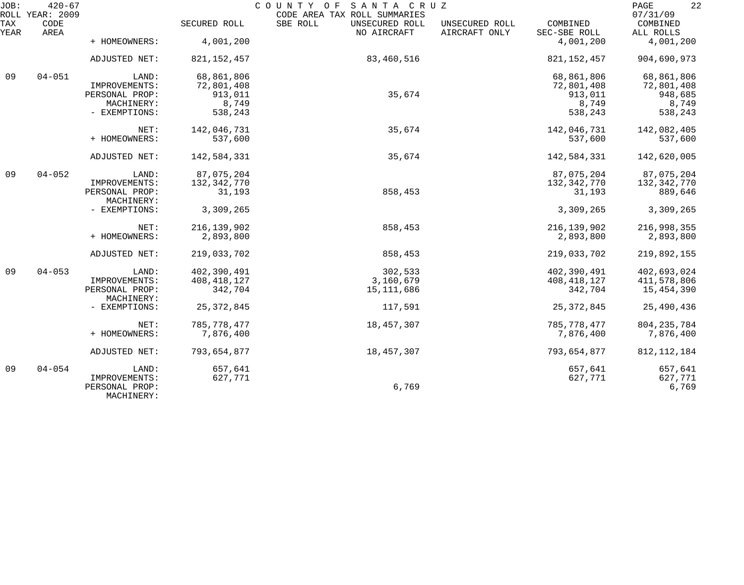| JOB:        | $420 - 67$<br>ROLL YEAR: 2009 |                              |               | COUNTY OF SANTA CRUZ<br>CODE AREA TAX ROLL SUMMARIES |                                 |                          | 22<br>PAGE<br>07/31/09 |
|-------------|-------------------------------|------------------------------|---------------|------------------------------------------------------|---------------------------------|--------------------------|------------------------|
| TAX<br>YEAR | CODE<br>AREA                  |                              | SECURED ROLL  | SBE ROLL<br>UNSECURED ROLL<br>NO AIRCRAFT            | UNSECURED ROLL<br>AIRCRAFT ONLY | COMBINED<br>SEC-SBE ROLL | COMBINED<br>ALL ROLLS  |
|             |                               | + HOMEOWNERS:                | 4,001,200     |                                                      |                                 | 4,001,200                | 4,001,200              |
|             |                               | ADJUSTED NET:                | 821, 152, 457 | 83,460,516                                           |                                 | 821, 152, 457            | 904,690,973            |
| 09          | $04 - 051$                    | LAND:                        | 68,861,806    |                                                      |                                 | 68,861,806               | 68,861,806             |
|             |                               | IMPROVEMENTS:                | 72,801,408    |                                                      |                                 | 72,801,408               | 72,801,408             |
|             |                               | PERSONAL PROP:               | 913,011       | 35,674                                               |                                 | 913,011                  | 948,685                |
|             |                               | MACHINERY:                   | 8,749         |                                                      |                                 | 8,749                    | 8,749                  |
|             |                               | - EXEMPTIONS:                | 538,243       |                                                      |                                 | 538,243                  | 538,243                |
|             |                               | NET:                         | 142,046,731   | 35,674                                               |                                 | 142,046,731              | 142,082,405            |
|             |                               | + HOMEOWNERS:                | 537,600       |                                                      |                                 | 537,600                  | 537,600                |
|             |                               | ADJUSTED NET:                | 142,584,331   | 35,674                                               |                                 | 142,584,331              | 142,620,005            |
| 09          | $04 - 052$                    | LAND:                        | 87,075,204    |                                                      |                                 | 87,075,204               | 87,075,204             |
|             |                               | IMPROVEMENTS:                | 132, 342, 770 |                                                      |                                 | 132,342,770              | 132,342,770            |
|             |                               | PERSONAL PROP:<br>MACHINERY: | 31,193        | 858,453                                              |                                 | 31,193                   | 889,646                |
|             |                               | - EXEMPTIONS:                | 3,309,265     |                                                      |                                 | 3,309,265                | 3,309,265              |
|             |                               | NET:                         | 216, 139, 902 | 858,453                                              |                                 | 216, 139, 902            | 216,998,355            |
|             |                               | + HOMEOWNERS:                | 2,893,800     |                                                      |                                 | 2,893,800                | 2,893,800              |
|             |                               | ADJUSTED NET:                | 219,033,702   | 858,453                                              |                                 | 219,033,702              | 219,892,155            |
| 09          | $04 - 053$                    | LAND:                        | 402,390,491   | 302,533                                              |                                 | 402,390,491              | 402,693,024            |
|             |                               | IMPROVEMENTS:                | 408, 418, 127 | 3,160,679                                            |                                 | 408, 418, 127            | 411,578,806            |
|             |                               | PERSONAL PROP:<br>MACHINERY: | 342,704       | 15,111,686                                           |                                 | 342,704                  | 15,454,390             |
|             |                               | - EXEMPTIONS:                | 25, 372, 845  | 117,591                                              |                                 | 25, 372, 845             | 25,490,436             |
|             |                               | NET:                         | 785, 778, 477 | 18,457,307                                           |                                 | 785,778,477              | 804, 235, 784          |
|             |                               | + HOMEOWNERS:                | 7,876,400     |                                                      |                                 | 7,876,400                | 7,876,400              |
|             |                               | ADJUSTED NET:                | 793,654,877   | 18,457,307                                           |                                 | 793,654,877              | 812, 112, 184          |
| 09          | $04 - 054$                    | LAND:                        | 657,641       |                                                      |                                 | 657,641                  | 657,641                |
|             |                               | IMPROVEMENTS:                | 627,771       |                                                      |                                 | 627,771                  | 627,771                |
|             |                               | PERSONAL PROP:<br>MACHINERY: |               | 6,769                                                |                                 |                          | 6,769                  |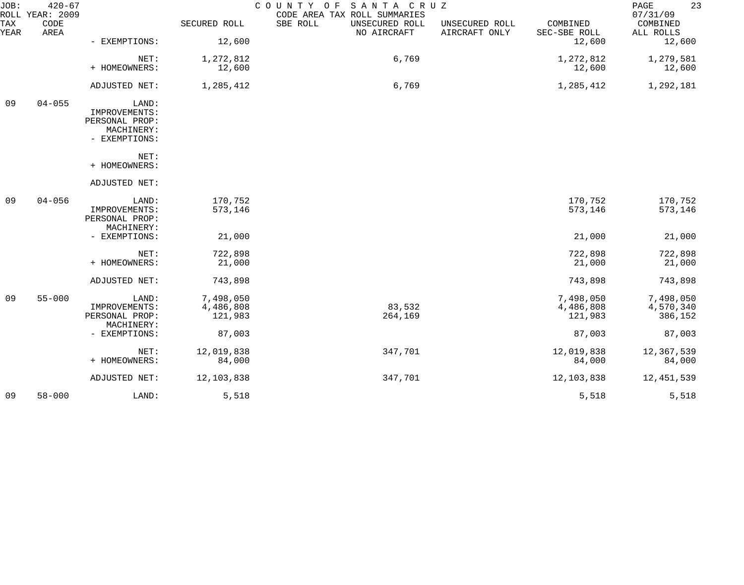| JOB:        | $420 - 67$<br>ROLL YEAR: 2009 |                                 |              | COUNTY OF SANTA CRUZ<br>CODE AREA TAX ROLL SUMMARIES |                                 |                          | 23<br>PAGE<br>07/31/09 |
|-------------|-------------------------------|---------------------------------|--------------|------------------------------------------------------|---------------------------------|--------------------------|------------------------|
| TAX<br>YEAR | CODE<br>AREA                  |                                 | SECURED ROLL | SBE ROLL<br>UNSECURED ROLL<br>NO AIRCRAFT            | UNSECURED ROLL<br>AIRCRAFT ONLY | COMBINED<br>SEC-SBE ROLL | COMBINED<br>ALL ROLLS  |
|             |                               | - EXEMPTIONS:                   | 12,600       |                                                      |                                 | 12,600                   | 12,600                 |
|             |                               | NET:                            | 1,272,812    | 6,769                                                |                                 | 1,272,812                | 1,279,581              |
|             |                               | + HOMEOWNERS:                   | 12,600       |                                                      |                                 | 12,600                   | 12,600                 |
|             |                               | ADJUSTED NET:                   | 1,285,412    | 6,769                                                |                                 | 1,285,412                | 1,292,181              |
| 09          | $04 - 055$                    | LAND:<br>IMPROVEMENTS:          |              |                                                      |                                 |                          |                        |
|             |                               | PERSONAL PROP:                  |              |                                                      |                                 |                          |                        |
|             |                               | MACHINERY:<br>- EXEMPTIONS:     |              |                                                      |                                 |                          |                        |
|             |                               | NET:                            |              |                                                      |                                 |                          |                        |
|             |                               | + HOMEOWNERS:                   |              |                                                      |                                 |                          |                        |
|             |                               | ADJUSTED NET:                   |              |                                                      |                                 |                          |                        |
| 09          | $04 - 056$                    | LAND:                           | 170,752      |                                                      |                                 | 170,752                  | 170,752                |
|             |                               | IMPROVEMENTS:<br>PERSONAL PROP: | 573,146      |                                                      |                                 | 573,146                  | 573,146                |
|             |                               | MACHINERY:                      |              |                                                      |                                 |                          |                        |
|             |                               | - EXEMPTIONS:                   | 21,000       |                                                      |                                 | 21,000                   | 21,000                 |
|             |                               | NET:                            | 722,898      |                                                      |                                 | 722,898                  | 722,898                |
|             |                               | + HOMEOWNERS:                   | 21,000       |                                                      |                                 | 21,000                   | 21,000                 |
|             |                               | ADJUSTED NET:                   | 743,898      |                                                      |                                 | 743,898                  | 743,898                |
| 09          | $55 - 000$                    | LAND:                           | 7,498,050    |                                                      |                                 | 7,498,050                | 7,498,050              |
|             |                               | IMPROVEMENTS:                   | 4,486,808    | 83,532                                               |                                 | 4,486,808                | 4,570,340              |
|             |                               | PERSONAL PROP:                  | 121,983      | 264,169                                              |                                 | 121,983                  | 386,152                |
|             |                               | MACHINERY:                      |              |                                                      |                                 |                          |                        |
|             |                               | - EXEMPTIONS:                   | 87,003       |                                                      |                                 | 87,003                   | 87,003                 |
|             |                               | NET:                            | 12,019,838   | 347,701                                              |                                 | 12,019,838               | 12,367,539             |
|             |                               | + HOMEOWNERS:                   | 84,000       |                                                      |                                 | 84,000                   | 84,000                 |
|             |                               | ADJUSTED NET:                   | 12, 103, 838 | 347,701                                              |                                 | 12, 103, 838             | 12,451,539             |
| 09          | $58 - 000$                    | LAND:                           | 5,518        |                                                      |                                 | 5,518                    | 5,518                  |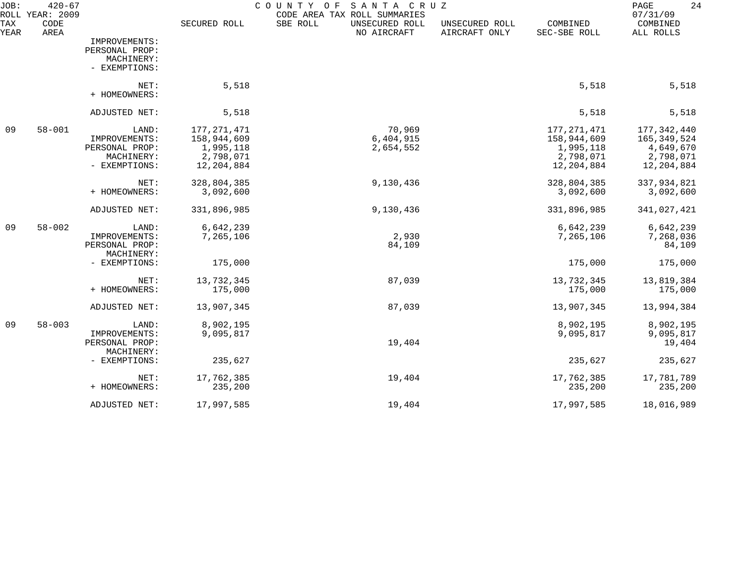| JOB:<br>ROLL       | $420 - 67$<br>YEAR: 2009 |                                                                         |                                                                      | C O U N T Y<br>SANTA CRUZ<br>O F<br>CODE AREA TAX ROLL SUMMARIES |                                 |                                                                    | 24<br>PAGE<br>07/31/09                                             |
|--------------------|--------------------------|-------------------------------------------------------------------------|----------------------------------------------------------------------|------------------------------------------------------------------|---------------------------------|--------------------------------------------------------------------|--------------------------------------------------------------------|
| <b>TAX</b><br>YEAR | CODE<br>AREA             |                                                                         | SECURED ROLL                                                         | SBE ROLL<br>UNSECURED ROLL<br>NO AIRCRAFT                        | UNSECURED ROLL<br>AIRCRAFT ONLY | COMBINED<br>SEC-SBE ROLL                                           | COMBINED<br>ALL ROLLS                                              |
|                    |                          | IMPROVEMENTS:<br>PERSONAL PROP:<br>MACHINERY:<br>- EXEMPTIONS:          |                                                                      |                                                                  |                                 |                                                                    |                                                                    |
|                    |                          | NET:<br>+ HOMEOWNERS:                                                   | 5,518                                                                |                                                                  |                                 | 5,518                                                              | 5,518                                                              |
|                    |                          | ADJUSTED NET:                                                           | 5,518                                                                |                                                                  |                                 | 5,518                                                              | 5,518                                                              |
| 09                 | $58 - 001$               | LAND:<br>IMPROVEMENTS:<br>PERSONAL PROP:<br>MACHINERY:<br>- EXEMPTIONS: | 177, 271, 471<br>158,944,609<br>1,995,118<br>2,798,071<br>12,204,884 | 70,969<br>6,404,915<br>2,654,552                                 |                                 | 177,271,471<br>158,944,609<br>1,995,118<br>2,798,071<br>12,204,884 | 177,342,440<br>165,349,524<br>4,649,670<br>2,798,071<br>12,204,884 |
|                    |                          | NET:<br>+ HOMEOWNERS:                                                   | 328,804,385<br>3,092,600                                             | 9,130,436                                                        |                                 | 328,804,385<br>3,092,600                                           | 337,934,821<br>3,092,600                                           |
|                    |                          | ADJUSTED NET:                                                           | 331,896,985                                                          | 9,130,436                                                        |                                 | 331,896,985                                                        | 341,027,421                                                        |
| 09                 | $58 - 002$               | LAND:<br>IMPROVEMENTS:<br>PERSONAL PROP:<br>MACHINERY:                  | 6,642,239<br>7,265,106                                               | 2,930<br>84,109                                                  |                                 | 6,642,239<br>7,265,106                                             | 6,642,239<br>7,268,036<br>84,109                                   |
|                    |                          | - EXEMPTIONS:                                                           | 175,000                                                              |                                                                  |                                 | 175,000                                                            | 175,000                                                            |
|                    |                          | NET:<br>+ HOMEOWNERS:                                                   | 13,732,345<br>175,000                                                | 87,039                                                           |                                 | 13,732,345<br>175,000                                              | 13,819,384<br>175,000                                              |
|                    |                          | ADJUSTED NET:                                                           | 13,907,345                                                           | 87,039                                                           |                                 | 13,907,345                                                         | 13,994,384                                                         |
| 09                 | $58 - 003$               | LAND:<br>IMPROVEMENTS:<br>PERSONAL PROP:<br>MACHINERY:                  | 8,902,195<br>9,095,817                                               | 19,404                                                           |                                 | 8,902,195<br>9,095,817                                             | 8,902,195<br>9,095,817<br>19,404                                   |
|                    |                          | - EXEMPTIONS:                                                           | 235,627                                                              |                                                                  |                                 | 235,627                                                            | 235,627                                                            |
|                    |                          | NET:<br>+ HOMEOWNERS:                                                   | 17,762,385<br>235,200                                                | 19,404                                                           |                                 | 17,762,385<br>235,200                                              | 17,781,789<br>235,200                                              |
|                    |                          | ADJUSTED NET:                                                           | 17,997,585                                                           | 19,404                                                           |                                 | 17,997,585                                                         | 18,016,989                                                         |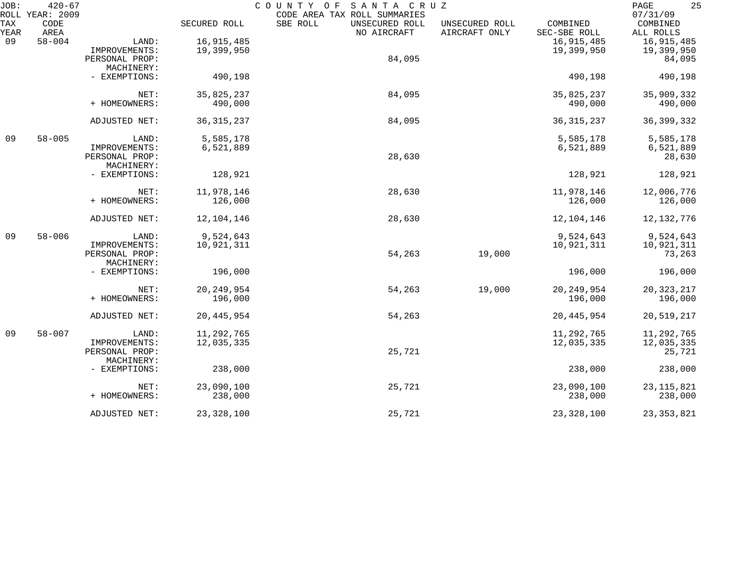| JOB: | $420 - 67$<br>ROLL YEAR: 2009 |                |              | COUNTY OF<br>SANTA CRUZ<br>CODE AREA TAX ROLL SUMMARIES |                                 |                          | 25<br>PAGE<br>07/31/09 |
|------|-------------------------------|----------------|--------------|---------------------------------------------------------|---------------------------------|--------------------------|------------------------|
| TAX  | CODE<br>AREA                  |                | SECURED ROLL | SBE ROLL<br>UNSECURED ROLL                              | UNSECURED ROLL<br>AIRCRAFT ONLY | COMBINED<br>SEC-SBE ROLL | COMBINED<br>ALL ROLLS  |
| YEAR | $58 - 004$                    |                | 16,915,485   | NO AIRCRAFT                                             |                                 |                          |                        |
| 09   |                               | LAND:          |              |                                                         |                                 | 16,915,485               | 16,915,485             |
|      |                               | IMPROVEMENTS:  | 19,399,950   |                                                         |                                 | 19,399,950               | 19,399,950             |
|      |                               | PERSONAL PROP: |              | 84,095                                                  |                                 |                          | 84,095                 |
|      |                               | MACHINERY:     |              |                                                         |                                 |                          |                        |
|      |                               | - EXEMPTIONS:  | 490,198      |                                                         |                                 | 490,198                  | 490,198                |
|      |                               | NET:           | 35,825,237   | 84,095                                                  |                                 | 35,825,237               | 35,909,332             |
|      |                               | + HOMEOWNERS:  | 490,000      |                                                         |                                 | 490,000                  | 490,000                |
|      |                               |                |              |                                                         |                                 |                          |                        |
|      |                               | ADJUSTED NET:  | 36, 315, 237 | 84,095                                                  |                                 | 36, 315, 237             | 36, 399, 332           |
| 09   | $58 - 005$                    | LAND:          | 5,585,178    |                                                         |                                 | 5,585,178                | 5,585,178              |
|      |                               | IMPROVEMENTS:  | 6,521,889    |                                                         |                                 | 6,521,889                | 6,521,889              |
|      |                               | PERSONAL PROP: |              | 28,630                                                  |                                 |                          | 28,630                 |
|      |                               | MACHINERY:     |              |                                                         |                                 |                          |                        |
|      |                               | - EXEMPTIONS:  | 128,921      |                                                         |                                 | 128,921                  | 128,921                |
|      |                               | NET:           | 11,978,146   | 28,630                                                  |                                 | 11,978,146               | 12,006,776             |
|      |                               | + HOMEOWNERS:  | 126,000      |                                                         |                                 | 126,000                  | 126,000                |
|      |                               | ADJUSTED NET:  | 12,104,146   | 28,630                                                  |                                 | 12,104,146               | 12, 132, 776           |
| 09   | $58 - 006$                    | LAND:          | 9,524,643    |                                                         |                                 | 9,524,643                | 9,524,643              |
|      |                               | IMPROVEMENTS:  | 10,921,311   |                                                         |                                 | 10,921,311               | 10,921,311             |
|      |                               | PERSONAL PROP: |              | 54,263                                                  | 19,000                          |                          | 73,263                 |
|      |                               | MACHINERY:     |              |                                                         |                                 |                          |                        |
|      |                               | - EXEMPTIONS:  | 196,000      |                                                         |                                 | 196,000                  | 196,000                |
|      |                               | NET:           | 20, 249, 954 | 54,263                                                  | 19,000                          | 20, 249, 954             | 20, 323, 217           |
|      |                               | + HOMEOWNERS:  | 196,000      |                                                         |                                 | 196,000                  | 196,000                |
|      |                               |                |              |                                                         |                                 |                          |                        |
|      |                               | ADJUSTED NET:  | 20, 445, 954 | 54,263                                                  |                                 | 20, 445, 954             | 20,519,217             |
| 09   | $58 - 007$                    | LAND:          | 11,292,765   |                                                         |                                 | 11,292,765               | 11,292,765             |
|      |                               | IMPROVEMENTS:  | 12,035,335   |                                                         |                                 | 12,035,335               | 12,035,335             |
|      |                               | PERSONAL PROP: |              | 25,721                                                  |                                 |                          | 25,721                 |
|      |                               | MACHINERY:     |              |                                                         |                                 |                          |                        |
|      |                               | - EXEMPTIONS:  | 238,000      |                                                         |                                 | 238,000                  | 238,000                |
|      |                               | NET:           | 23,090,100   | 25,721                                                  |                                 | 23,090,100               | 23, 115, 821           |
|      |                               | + HOMEOWNERS:  | 238,000      |                                                         |                                 | 238,000                  | 238,000                |
|      |                               | ADJUSTED NET:  | 23, 328, 100 | 25,721                                                  |                                 | 23, 328, 100             | 23, 353, 821           |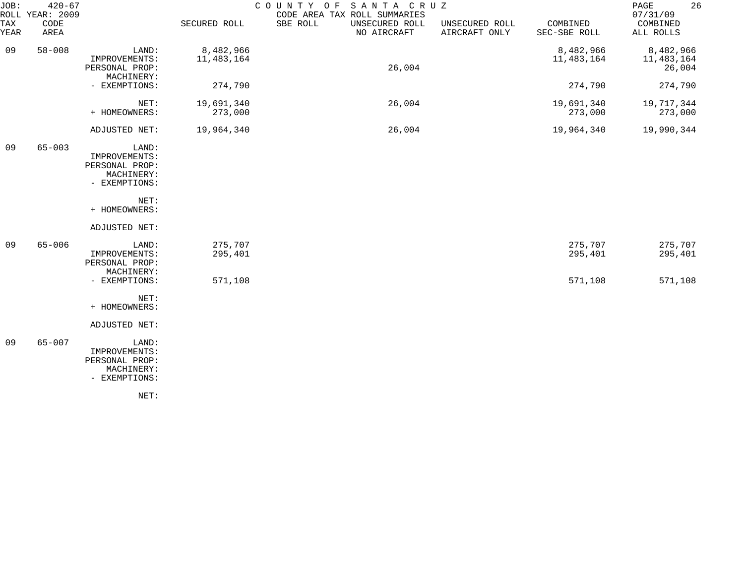| JOB:<br>ROLL | $420 - 67$<br>YEAR: 2009 |                                                                         |                         | COUNTY OF<br>SANTA CRUZ<br>CODE AREA TAX ROLL SUMMARIES |                                 |                           | 26<br>PAGE<br>07/31/09            |
|--------------|--------------------------|-------------------------------------------------------------------------|-------------------------|---------------------------------------------------------|---------------------------------|---------------------------|-----------------------------------|
| TAX<br>YEAR  | CODE<br>AREA             |                                                                         | SECURED ROLL            | SBE ROLL<br>UNSECURED ROLL<br>NO AIRCRAFT               | UNSECURED ROLL<br>AIRCRAFT ONLY | COMBINED<br>SEC-SBE ROLL  | COMBINED<br>ALL ROLLS             |
| 09           | $58 - 008$               | LAND:<br>IMPROVEMENTS:<br>PERSONAL PROP:<br>MACHINERY:                  | 8,482,966<br>11,483,164 | 26,004                                                  |                                 | 8,482,966<br>11, 483, 164 | 8,482,966<br>11,483,164<br>26,004 |
|              |                          | - EXEMPTIONS:                                                           | 274,790                 |                                                         |                                 | 274,790                   | 274,790                           |
|              |                          | NET:<br>+ HOMEOWNERS:                                                   | 19,691,340<br>273,000   | 26,004                                                  |                                 | 19,691,340<br>273,000     | 19,717,344<br>273,000             |
|              |                          | ADJUSTED NET:                                                           | 19,964,340              | 26,004                                                  |                                 | 19,964,340                | 19,990,344                        |
| 09           | $65 - 003$               | LAND:<br>IMPROVEMENTS:<br>PERSONAL PROP:<br>MACHINERY:<br>- EXEMPTIONS: |                         |                                                         |                                 |                           |                                   |
|              |                          | NET:<br>+ HOMEOWNERS:                                                   |                         |                                                         |                                 |                           |                                   |
|              |                          | ADJUSTED NET:                                                           |                         |                                                         |                                 |                           |                                   |
| 09           | $65 - 006$               | LAND:<br>IMPROVEMENTS:<br>PERSONAL PROP:<br>MACHINERY:                  | 275,707<br>295,401      |                                                         |                                 | 275,707<br>295,401        | 275,707<br>295,401                |
|              |                          | - EXEMPTIONS:                                                           | 571,108                 |                                                         |                                 | 571,108                   | 571,108                           |
|              |                          | NET:<br>+ HOMEOWNERS:                                                   |                         |                                                         |                                 |                           |                                   |
|              |                          | ADJUSTED NET:                                                           |                         |                                                         |                                 |                           |                                   |
| 09           | $65 - 007$               | LAND:<br>IMPROVEMENTS:<br>PERSONAL PROP:<br>MACHINERY:<br>- EXEMPTIONS: |                         |                                                         |                                 |                           |                                   |
|              |                          | NET:                                                                    |                         |                                                         |                                 |                           |                                   |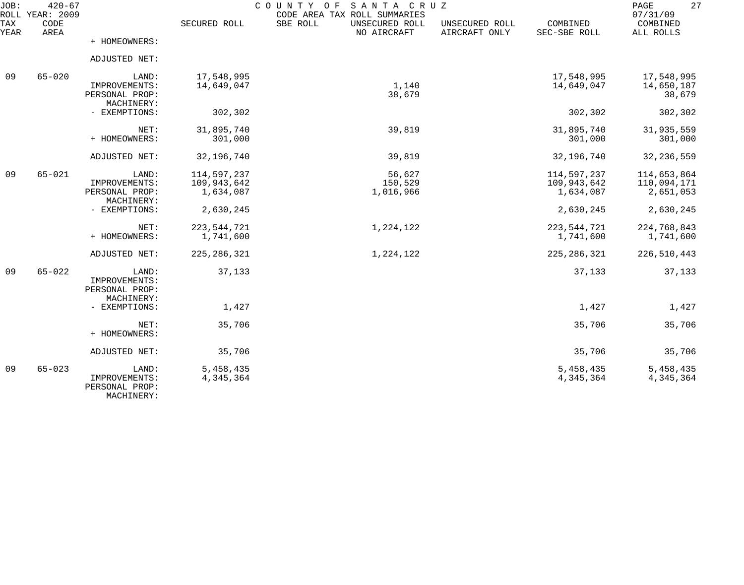| JOB:        | $420 - 67$<br>ROLL YEAR: 2009 |                                                        |                                         | COUNTY OF<br>SANTA CRUZ<br>CODE AREA TAX ROLL SUMMARIES |                                 |                                         | 27<br>PAGE<br>07/31/09                  |
|-------------|-------------------------------|--------------------------------------------------------|-----------------------------------------|---------------------------------------------------------|---------------------------------|-----------------------------------------|-----------------------------------------|
| TAX<br>YEAR | CODE<br>AREA                  |                                                        | SECURED ROLL                            | SBE ROLL<br>UNSECURED ROLL<br>NO AIRCRAFT               | UNSECURED ROLL<br>AIRCRAFT ONLY | COMBINED<br>SEC-SBE ROLL                | COMBINED<br>ALL ROLLS                   |
|             |                               | + HOMEOWNERS:                                          |                                         |                                                         |                                 |                                         |                                         |
|             |                               | ADJUSTED NET:                                          |                                         |                                                         |                                 |                                         |                                         |
| 09          | $65 - 020$                    | LAND:<br>IMPROVEMENTS:<br>PERSONAL PROP:<br>MACHINERY: | 17,548,995<br>14,649,047                | 1,140<br>38,679                                         |                                 | 17,548,995<br>14,649,047                | 17,548,995<br>14,650,187<br>38,679      |
|             |                               | - EXEMPTIONS:                                          | 302,302                                 |                                                         |                                 | 302,302                                 | 302,302                                 |
|             |                               | NET:<br>+ HOMEOWNERS:                                  | 31,895,740<br>301,000                   | 39,819                                                  |                                 | 31,895,740<br>301,000                   | 31,935,559<br>301,000                   |
|             |                               | ADJUSTED NET:                                          | 32,196,740                              | 39,819                                                  |                                 | 32,196,740                              | 32, 236, 559                            |
| 09          | $65 - 021$                    | LAND:<br>IMPROVEMENTS:<br>PERSONAL PROP:<br>MACHINERY: | 114,597,237<br>109,943,642<br>1,634,087 | 56,627<br>150,529<br>1,016,966                          |                                 | 114,597,237<br>109,943,642<br>1,634,087 | 114,653,864<br>110,094,171<br>2,651,053 |
|             |                               | - EXEMPTIONS:                                          | 2,630,245                               |                                                         |                                 | 2,630,245                               | 2,630,245                               |
|             |                               | NET:<br>+ HOMEOWNERS:                                  | 223, 544, 721<br>1,741,600              | 1,224,122                                               |                                 | 223, 544, 721<br>1,741,600              | 224,768,843<br>1,741,600                |
|             |                               | ADJUSTED NET:                                          | 225, 286, 321                           | 1,224,122                                               |                                 | 225, 286, 321                           | 226,510,443                             |
| 09          | $65 - 022$                    | LAND:<br>IMPROVEMENTS:<br>PERSONAL PROP:<br>MACHINERY: | 37,133                                  |                                                         |                                 | 37,133                                  | 37,133                                  |
|             |                               | - EXEMPTIONS:                                          | 1,427                                   |                                                         |                                 | 1,427                                   | 1,427                                   |
|             |                               | NET:<br>+ HOMEOWNERS:                                  | 35,706                                  |                                                         |                                 | 35,706                                  | 35,706                                  |
|             |                               | ADJUSTED NET:                                          | 35,706                                  |                                                         |                                 | 35,706                                  | 35,706                                  |
| 09          | $65 - 023$                    | LAND:<br>IMPROVEMENTS:<br>PERSONAL PROP:<br>MACHINERY: | 5,458,435<br>4,345,364                  |                                                         |                                 | 5,458,435<br>4,345,364                  | 5,458,435<br>4,345,364                  |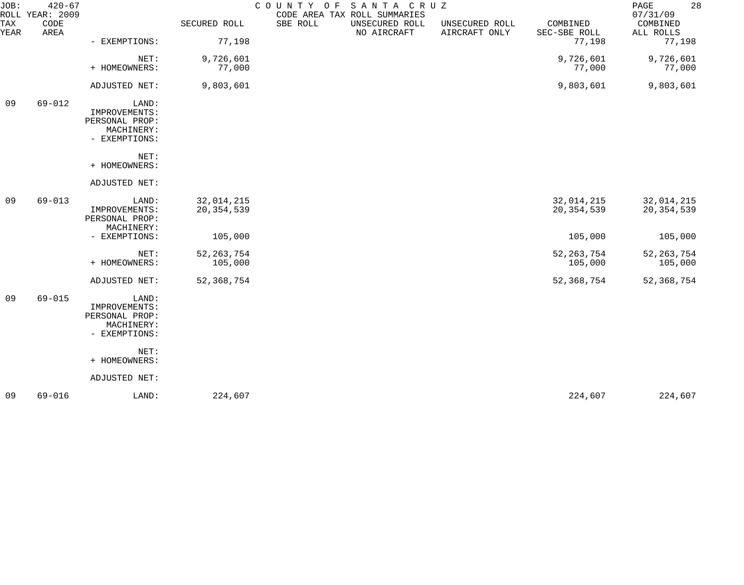| $420 - 67$   |                                                                         |                            |                         |                                 |                                                              | 28<br>PAGE<br>07/31/09     |
|--------------|-------------------------------------------------------------------------|----------------------------|-------------------------|---------------------------------|--------------------------------------------------------------|----------------------------|
| CODE<br>AREA |                                                                         | SECURED ROLL               | SBE ROLL<br>NO AIRCRAFT | UNSECURED ROLL<br>AIRCRAFT ONLY | COMBINED<br>SEC-SBE ROLL                                     | COMBINED<br>ALL ROLLS      |
|              | - EXEMPTIONS:                                                           |                            |                         |                                 |                                                              | 77,198                     |
|              | NET:<br>+ HOMEOWNERS:                                                   | 9,726,601<br>77,000        |                         |                                 | 9,726,601<br>77,000                                          | 9,726,601<br>77,000        |
|              | ADJUSTED NET:                                                           | 9,803,601                  |                         |                                 | 9,803,601                                                    | 9,803,601                  |
| $69 - 012$   | LAND:<br>IMPROVEMENTS:<br>PERSONAL PROP:<br>MACHINERY:<br>- EXEMPTIONS: |                            |                         |                                 |                                                              |                            |
|              | NET:<br>+ HOMEOWNERS:                                                   |                            |                         |                                 |                                                              |                            |
|              | ADJUSTED NET:                                                           |                            |                         |                                 |                                                              |                            |
| $69 - 013$   | LAND:<br>IMPROVEMENTS:<br>PERSONAL PROP:                                | 32,014,215<br>20, 354, 539 |                         |                                 | 32,014,215<br>20, 354, 539                                   | 32,014,215<br>20, 354, 539 |
|              | - EXEMPTIONS:                                                           | 105,000                    |                         |                                 | 105,000                                                      | 105,000                    |
|              | NET:<br>+ HOMEOWNERS:                                                   | 52, 263, 754<br>105,000    |                         |                                 | 52, 263, 754<br>105,000                                      | 52, 263, 754<br>105,000    |
|              | ADJUSTED NET:                                                           | 52, 368, 754               |                         |                                 | 52, 368, 754                                                 | 52, 368, 754               |
| $69 - 015$   | LAND:<br>IMPROVEMENTS:<br>PERSONAL PROP:<br>MACHINERY:<br>- EXEMPTIONS: |                            |                         |                                 |                                                              |                            |
|              | NET:<br>+ HOMEOWNERS:                                                   |                            |                         |                                 |                                                              |                            |
|              | ADJUSTED NET:                                                           |                            |                         |                                 |                                                              |                            |
| $69 - 016$   | LAND:                                                                   | 224,607                    |                         |                                 | 224,607                                                      | 224,607                    |
|              | ROLL YEAR: 2009                                                         | MACHINERY:                 | 77,198                  | COUNTY OF                       | SANTA CRUZ<br>CODE AREA TAX ROLL SUMMARIES<br>UNSECURED ROLL | 77,198                     |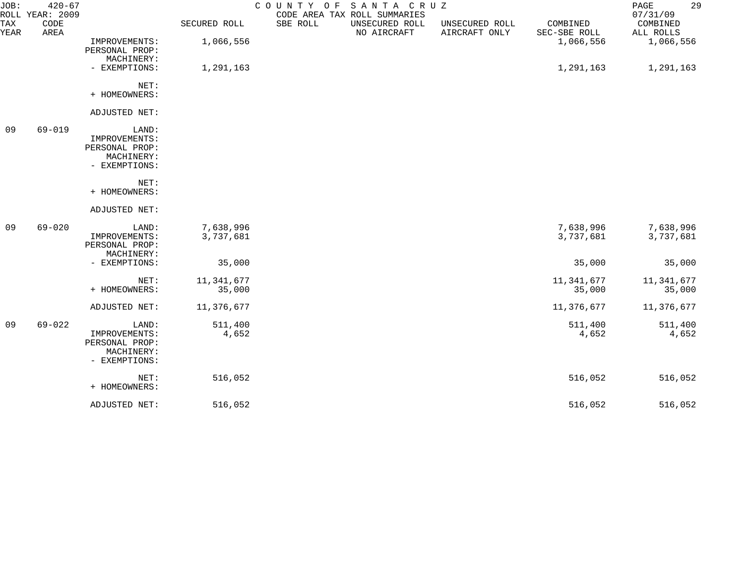| JOB:               | $420 - 67$<br>ROLL YEAR: 2009 |                                                                         |                        | COUNTY OF SANTA CRUZ | CODE AREA TAX ROLL SUMMARIES  |                                 |                          | 29<br>PAGE<br>07/31/09 |
|--------------------|-------------------------------|-------------------------------------------------------------------------|------------------------|----------------------|-------------------------------|---------------------------------|--------------------------|------------------------|
| <b>TAX</b><br>YEAR | CODE<br>AREA                  |                                                                         | SECURED ROLL           | SBE ROLL             | UNSECURED ROLL<br>NO AIRCRAFT | UNSECURED ROLL<br>AIRCRAFT ONLY | COMBINED<br>SEC-SBE ROLL | COMBINED<br>ALL ROLLS  |
|                    |                               | IMPROVEMENTS:<br>PERSONAL PROP:<br>MACHINERY:                           | 1,066,556              |                      |                               |                                 | 1,066,556                | 1,066,556              |
|                    |                               | - EXEMPTIONS:                                                           | 1,291,163              |                      |                               |                                 | 1,291,163                | 1,291,163              |
|                    |                               | NET:<br>+ HOMEOWNERS:                                                   |                        |                      |                               |                                 |                          |                        |
|                    |                               | ADJUSTED NET:                                                           |                        |                      |                               |                                 |                          |                        |
| 09                 | $69 - 019$                    | LAND:<br>IMPROVEMENTS:<br>PERSONAL PROP:<br>MACHINERY:<br>- EXEMPTIONS: |                        |                      |                               |                                 |                          |                        |
|                    |                               | NET:<br>+ HOMEOWNERS:                                                   |                        |                      |                               |                                 |                          |                        |
|                    |                               | ADJUSTED NET:                                                           |                        |                      |                               |                                 |                          |                        |
| 09                 | $69 - 020$                    | LAND:<br>IMPROVEMENTS:<br>PERSONAL PROP:<br>MACHINERY:                  | 7,638,996<br>3,737,681 |                      |                               |                                 | 7,638,996<br>3,737,681   | 7,638,996<br>3,737,681 |
|                    |                               | - EXEMPTIONS:                                                           | 35,000                 |                      |                               |                                 | 35,000                   | 35,000                 |
|                    |                               | NET:<br>+ HOMEOWNERS:                                                   | 11,341,677<br>35,000   |                      |                               |                                 | 11,341,677<br>35,000     | 11,341,677<br>35,000   |
|                    |                               | ADJUSTED NET:                                                           | 11,376,677             |                      |                               |                                 | 11,376,677               | 11,376,677             |
| 09                 | $69 - 022$                    | LAND:<br>IMPROVEMENTS:<br>PERSONAL PROP:<br>MACHINERY:<br>- EXEMPTIONS: | 511,400<br>4,652       |                      |                               |                                 | 511,400<br>4,652         | 511,400<br>4,652       |
|                    |                               | NET:<br>+ HOMEOWNERS:                                                   | 516,052                |                      |                               |                                 | 516,052                  | 516,052                |
|                    |                               | ADJUSTED NET:                                                           | 516,052                |                      |                               |                                 | 516,052                  | 516,052                |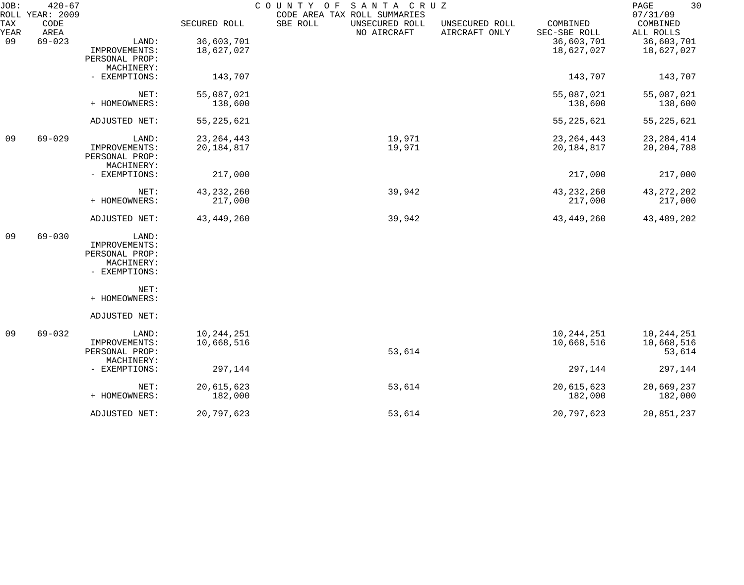| JOB:        | $420 - 67$<br>ROLL YEAR: 2009 |                             |              | COUNTY OF SANTA CRUZ<br>CODE AREA TAX ROLL SUMMARIES |                                 |                          | 30<br>PAGE<br>07/31/09 |
|-------------|-------------------------------|-----------------------------|--------------|------------------------------------------------------|---------------------------------|--------------------------|------------------------|
| TAX<br>YEAR | CODE<br>AREA                  |                             | SECURED ROLL | SBE ROLL<br>UNSECURED ROLL<br>NO AIRCRAFT            | UNSECURED ROLL<br>AIRCRAFT ONLY | COMBINED<br>SEC-SBE ROLL | COMBINED<br>ALL ROLLS  |
| 09          | $69 - 023$                    | LAND:                       | 36,603,701   |                                                      |                                 | 36,603,701               | 36,603,701             |
|             |                               | IMPROVEMENTS:               | 18,627,027   |                                                      |                                 | 18,627,027               | 18,627,027             |
|             |                               | PERSONAL PROP:              |              |                                                      |                                 |                          |                        |
|             |                               | MACHINERY:<br>- EXEMPTIONS: | 143,707      |                                                      |                                 | 143,707                  | 143,707                |
|             |                               |                             |              |                                                      |                                 |                          |                        |
|             |                               | NET:                        | 55,087,021   |                                                      |                                 | 55,087,021               | 55,087,021             |
|             |                               | + HOMEOWNERS:               | 138,600      |                                                      |                                 | 138,600                  | 138,600                |
|             |                               |                             |              |                                                      |                                 |                          |                        |
|             |                               | ADJUSTED NET:               | 55, 225, 621 |                                                      |                                 | 55, 225, 621             | 55, 225, 621           |
| 09          | $69 - 029$                    | LAND:                       | 23, 264, 443 | 19,971                                               |                                 | 23, 264, 443             | 23, 284, 414           |
|             |                               | IMPROVEMENTS:               | 20,184,817   | 19,971                                               |                                 | 20, 184, 817             | 20, 204, 788           |
|             |                               | PERSONAL PROP:              |              |                                                      |                                 |                          |                        |
|             |                               | MACHINERY:                  |              |                                                      |                                 |                          |                        |
|             |                               | - EXEMPTIONS:               | 217,000      |                                                      |                                 | 217,000                  | 217,000                |
|             |                               | NET:                        | 43, 232, 260 | 39,942                                               |                                 | 43, 232, 260             | 43, 272, 202           |
|             |                               | + HOMEOWNERS:               | 217,000      |                                                      |                                 | 217,000                  | 217,000                |
|             |                               | ADJUSTED NET:               | 43,449,260   | 39,942                                               |                                 | 43,449,260               | 43,489,202             |
| 09          | $69 - 030$                    | LAND:                       |              |                                                      |                                 |                          |                        |
|             |                               | IMPROVEMENTS:               |              |                                                      |                                 |                          |                        |
|             |                               | PERSONAL PROP:              |              |                                                      |                                 |                          |                        |
|             |                               | MACHINERY:                  |              |                                                      |                                 |                          |                        |
|             |                               | - EXEMPTIONS:               |              |                                                      |                                 |                          |                        |
|             |                               | NET:                        |              |                                                      |                                 |                          |                        |
|             |                               | + HOMEOWNERS:               |              |                                                      |                                 |                          |                        |
|             |                               | ADJUSTED NET:               |              |                                                      |                                 |                          |                        |
| 09          | $69 - 032$                    | LAND:                       | 10, 244, 251 |                                                      |                                 | 10, 244, 251             | 10, 244, 251           |
|             |                               | IMPROVEMENTS:               | 10,668,516   |                                                      |                                 | 10,668,516               | 10,668,516             |
|             |                               | PERSONAL PROP:              |              | 53,614                                               |                                 |                          | 53,614                 |
|             |                               | MACHINERY:                  |              |                                                      |                                 |                          |                        |
|             |                               | - EXEMPTIONS:               | 297,144      |                                                      |                                 | 297,144                  | 297,144                |
|             |                               | NET:                        | 20,615,623   | 53,614                                               |                                 | 20,615,623               | 20,669,237             |
|             |                               | + HOMEOWNERS:               | 182,000      |                                                      |                                 | 182,000                  | 182,000                |
|             |                               | ADJUSTED NET:               | 20,797,623   | 53,614                                               |                                 | 20,797,623               | 20,851,237             |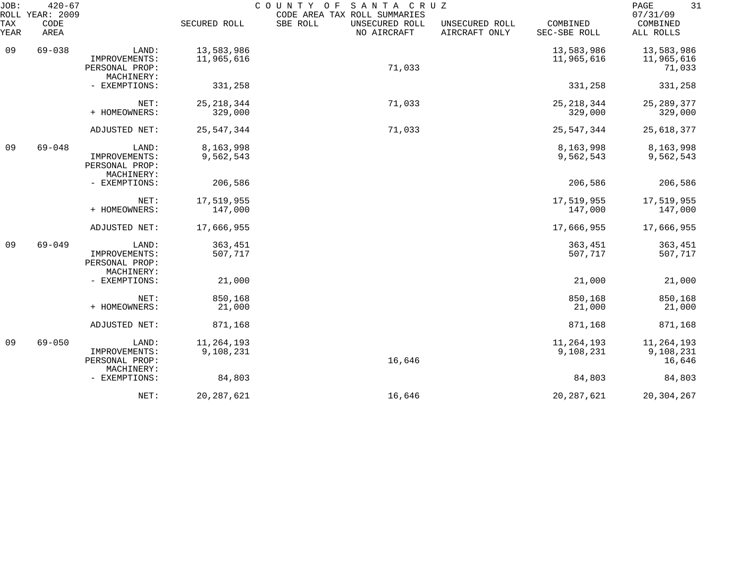| JOB:<br>ROLL | $420 - 67$<br>YEAR: 2009 |                                                        |                           | COUNTY<br>SANTA CRUZ<br>O F<br>CODE AREA TAX ROLL SUMMARIES |                                 |                          | 31<br>PAGE<br>07/31/09            |
|--------------|--------------------------|--------------------------------------------------------|---------------------------|-------------------------------------------------------------|---------------------------------|--------------------------|-----------------------------------|
| TAX<br>YEAR  | CODE<br>AREA             |                                                        | SECURED ROLL              | SBE ROLL<br>UNSECURED ROLL<br>NO AIRCRAFT                   | UNSECURED ROLL<br>AIRCRAFT ONLY | COMBINED<br>SEC-SBE ROLL | COMBINED<br>ALL ROLLS             |
| 09           | $69 - 038$               | LAND:<br>IMPROVEMENTS:                                 | 13,583,986<br>11,965,616  |                                                             |                                 | 13,583,986<br>11,965,616 | 13,583,986<br>11,965,616          |
|              |                          | PERSONAL PROP:<br>MACHINERY:                           |                           | 71,033                                                      |                                 |                          | 71,033                            |
|              |                          | - EXEMPTIONS:                                          | 331,258                   |                                                             |                                 | 331,258                  | 331,258                           |
|              |                          | NET:<br>+ HOMEOWNERS:                                  | 25, 218, 344<br>329,000   | 71,033                                                      |                                 | 25, 218, 344<br>329,000  | 25, 289, 377<br>329,000           |
|              |                          | ADJUSTED NET:                                          | 25, 547, 344              | 71,033                                                      |                                 | 25, 547, 344             | 25,618,377                        |
| 09           | $69 - 048$               | LAND:<br>IMPROVEMENTS:<br>PERSONAL PROP:               | 8,163,998<br>9,562,543    |                                                             |                                 | 8,163,998<br>9,562,543   | 8,163,998<br>9,562,543            |
|              |                          | MACHINERY:<br>- EXEMPTIONS:                            | 206,586                   |                                                             |                                 | 206,586                  | 206,586                           |
|              |                          | NET:<br>+ HOMEOWNERS:                                  | 17,519,955<br>147,000     |                                                             |                                 | 17,519,955<br>147,000    | 17,519,955<br>147,000             |
|              |                          | ADJUSTED NET:                                          | 17,666,955                |                                                             |                                 | 17,666,955               | 17,666,955                        |
| 09           | $69 - 049$               | LAND:<br>IMPROVEMENTS:<br>PERSONAL PROP:<br>MACHINERY: | 363,451<br>507,717        |                                                             |                                 | 363,451<br>507,717       | 363,451<br>507,717                |
|              |                          | - EXEMPTIONS:                                          | 21,000                    |                                                             |                                 | 21,000                   | 21,000                            |
|              |                          | NET:<br>+ HOMEOWNERS:                                  | 850,168<br>21,000         |                                                             |                                 | 850,168<br>21,000        | 850,168<br>21,000                 |
|              |                          | ADJUSTED NET:                                          | 871,168                   |                                                             |                                 | 871,168                  | 871,168                           |
| 09           | $69 - 050$               | LAND:<br>IMPROVEMENTS:<br>PERSONAL PROP:               | 11, 264, 193<br>9,108,231 | 16,646                                                      |                                 | 11,264,193<br>9,108,231  | 11,264,193<br>9,108,231<br>16,646 |
|              |                          | MACHINERY:<br>- EXEMPTIONS:                            | 84,803                    |                                                             |                                 | 84,803                   | 84,803                            |
|              |                          | NET:                                                   | 20, 287, 621              | 16,646                                                      |                                 | 20, 287, 621             | 20, 304, 267                      |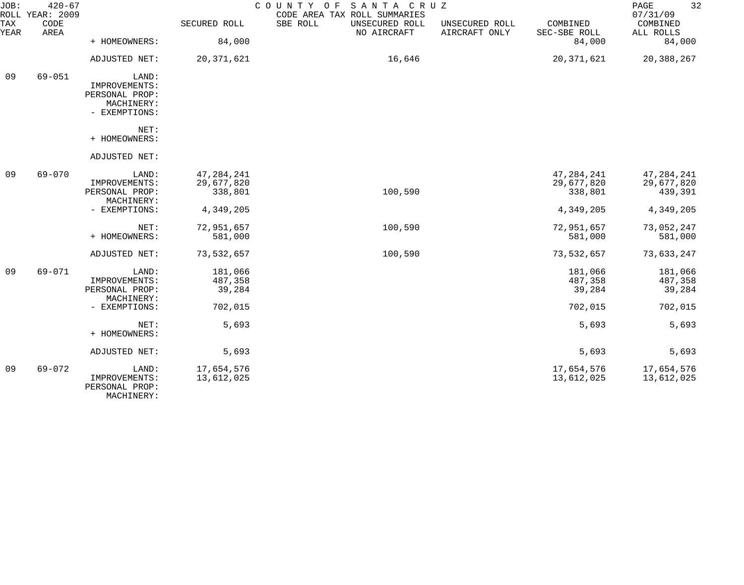| JOB:               | $420 - 67$<br>ROLL YEAR: 2009 |                                                                         |                                       | COUNTY OF SANTA CRUZ<br>CODE AREA TAX ROLL SUMMARIES |                                 |                                       | 32<br>PAGE<br>07/31/09                |
|--------------------|-------------------------------|-------------------------------------------------------------------------|---------------------------------------|------------------------------------------------------|---------------------------------|---------------------------------------|---------------------------------------|
| <b>TAX</b><br>YEAR | CODE<br>AREA                  |                                                                         | SECURED ROLL                          | SBE ROLL<br>UNSECURED ROLL<br>NO AIRCRAFT            | UNSECURED ROLL<br>AIRCRAFT ONLY | COMBINED<br>SEC-SBE ROLL              | COMBINED<br>ALL ROLLS                 |
|                    |                               | + HOMEOWNERS:                                                           | 84,000                                |                                                      |                                 | 84,000                                | 84,000                                |
|                    |                               | ADJUSTED NET:                                                           | 20, 371, 621                          | 16,646                                               |                                 | 20, 371, 621                          | 20,388,267                            |
| 09                 | $69 - 051$                    | LAND:<br>IMPROVEMENTS:<br>PERSONAL PROP:<br>MACHINERY:<br>- EXEMPTIONS: |                                       |                                                      |                                 |                                       |                                       |
|                    |                               | NET:<br>+ HOMEOWNERS:                                                   |                                       |                                                      |                                 |                                       |                                       |
|                    |                               | ADJUSTED NET:                                                           |                                       |                                                      |                                 |                                       |                                       |
| 09                 | $69 - 070$                    | LAND:<br>IMPROVEMENTS:<br>PERSONAL PROP:<br>MACHINERY:                  | 47, 284, 241<br>29,677,820<br>338,801 | 100,590                                              |                                 | 47, 284, 241<br>29,677,820<br>338,801 | 47, 284, 241<br>29,677,820<br>439,391 |
|                    |                               | - EXEMPTIONS:                                                           | 4,349,205                             |                                                      |                                 | 4,349,205                             | 4,349,205                             |
|                    |                               | NET:<br>+ HOMEOWNERS:                                                   | 72,951,657<br>581,000                 | 100,590                                              |                                 | 72,951,657<br>581,000                 | 73,052,247<br>581,000                 |
|                    |                               | ADJUSTED NET:                                                           | 73,532,657                            | 100,590                                              |                                 | 73,532,657                            | 73,633,247                            |
| 09                 | 69-071                        | LAND:<br>IMPROVEMENTS:<br>PERSONAL PROP:<br>MACHINERY:                  | 181,066<br>487,358<br>39,284          |                                                      |                                 | 181,066<br>487,358<br>39,284          | 181,066<br>487,358<br>39,284          |
|                    |                               | - EXEMPTIONS:                                                           | 702,015                               |                                                      |                                 | 702,015                               | 702,015                               |
|                    |                               | NET:<br>+ HOMEOWNERS:                                                   | 5,693                                 |                                                      |                                 | 5,693                                 | 5,693                                 |
|                    |                               | ADJUSTED NET:                                                           | 5,693                                 |                                                      |                                 | 5,693                                 | 5,693                                 |
| 09                 | $69 - 072$                    | LAND:<br>IMPROVEMENTS:<br>PERSONAL PROP:<br>MACHINERY:                  | 17,654,576<br>13,612,025              |                                                      |                                 | 17,654,576<br>13,612,025              | 17,654,576<br>13,612,025              |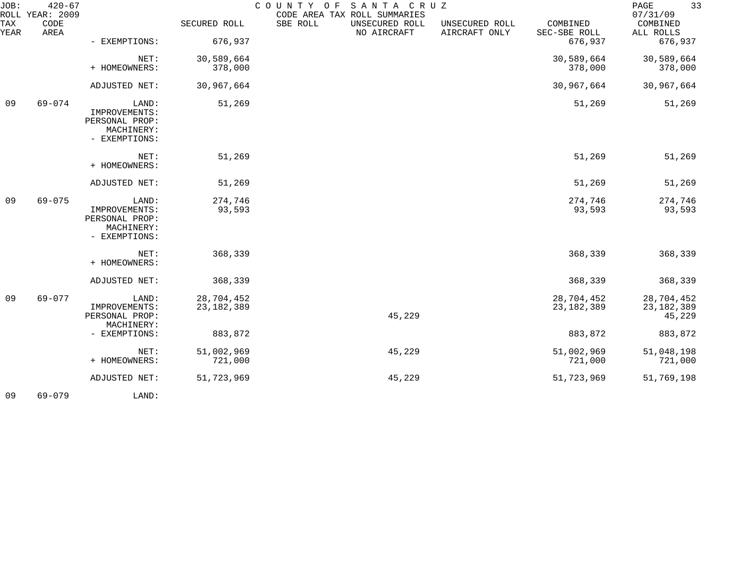| JOB:        | $420 - 67$<br>ROLL YEAR: 2009 |                                                                         |                            | COUNTY OF | SANTA CRUZ<br>CODE AREA TAX ROLL SUMMARIES |                                 |                            | 33<br>PAGE<br>07/31/09               |
|-------------|-------------------------------|-------------------------------------------------------------------------|----------------------------|-----------|--------------------------------------------|---------------------------------|----------------------------|--------------------------------------|
| TAX<br>YEAR | CODE<br>AREA                  |                                                                         | SECURED ROLL               | SBE ROLL  | UNSECURED ROLL<br>NO AIRCRAFT              | UNSECURED ROLL<br>AIRCRAFT ONLY | COMBINED<br>SEC-SBE ROLL   | COMBINED<br>ALL ROLLS                |
|             |                               | - EXEMPTIONS:                                                           | 676,937                    |           |                                            |                                 | 676,937                    | 676,937                              |
|             |                               | NET:<br>+ HOMEOWNERS:                                                   | 30,589,664<br>378,000      |           |                                            |                                 | 30,589,664<br>378,000      | 30,589,664<br>378,000                |
|             |                               | ADJUSTED NET:                                                           | 30,967,664                 |           |                                            |                                 | 30,967,664                 | 30,967,664                           |
| 09          | $69 - 074$                    | LAND:<br>IMPROVEMENTS:<br>PERSONAL PROP:<br>MACHINERY:<br>- EXEMPTIONS: | 51,269                     |           |                                            |                                 | 51,269                     | 51,269                               |
|             |                               | NET:<br>+ HOMEOWNERS:                                                   | 51,269                     |           |                                            |                                 | 51,269                     | 51,269                               |
|             |                               | ADJUSTED NET:                                                           | 51,269                     |           |                                            |                                 | 51,269                     | 51,269                               |
| 09          | $69 - 075$                    | LAND:<br>IMPROVEMENTS:<br>PERSONAL PROP:<br>MACHINERY:<br>- EXEMPTIONS: | 274,746<br>93,593          |           |                                            |                                 | 274,746<br>93,593          | 274,746<br>93,593                    |
|             |                               | NET:<br>+ HOMEOWNERS:                                                   | 368,339                    |           |                                            |                                 | 368,339                    | 368,339                              |
|             |                               | ADJUSTED NET:                                                           | 368,339                    |           |                                            |                                 | 368,339                    | 368,339                              |
| 09          | $69 - 077$                    | LAND:<br>IMPROVEMENTS:<br>PERSONAL PROP:<br>MACHINERY:                  | 28,704,452<br>23, 182, 389 |           | 45,229                                     |                                 | 28,704,452<br>23, 182, 389 | 28,704,452<br>23, 182, 389<br>45,229 |
|             |                               | - EXEMPTIONS:                                                           | 883,872                    |           |                                            |                                 | 883,872                    | 883,872                              |
|             |                               | NET:<br>+ HOMEOWNERS:                                                   | 51,002,969<br>721,000      |           | 45,229                                     |                                 | 51,002,969<br>721,000      | 51,048,198<br>721,000                |
|             |                               | ADJUSTED NET:                                                           | 51,723,969                 |           | 45,229                                     |                                 | 51,723,969                 | 51,769,198                           |
|             |                               |                                                                         |                            |           |                                            |                                 |                            |                                      |

09 69-079 LAND: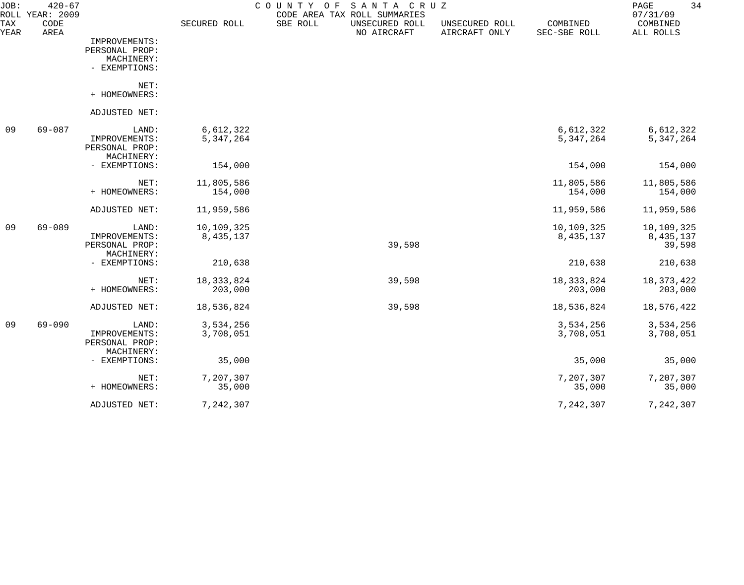| JOB:<br>ROLL       | $420 - 67$<br>YEAR: 2009 |                                                                |                         | SANTA CRUZ<br>COUNTY<br>O F<br>CODE AREA TAX ROLL SUMMARIES |                                 |                          | 34<br>PAGE<br>07/31/09              |
|--------------------|--------------------------|----------------------------------------------------------------|-------------------------|-------------------------------------------------------------|---------------------------------|--------------------------|-------------------------------------|
| <b>TAX</b><br>YEAR | CODE<br>AREA             |                                                                | SECURED ROLL            | SBE ROLL<br>UNSECURED ROLL<br>NO AIRCRAFT                   | UNSECURED ROLL<br>AIRCRAFT ONLY | COMBINED<br>SEC-SBE ROLL | COMBINED<br>ALL ROLLS               |
|                    |                          | IMPROVEMENTS:<br>PERSONAL PROP:<br>MACHINERY:<br>- EXEMPTIONS: |                         |                                                             |                                 |                          |                                     |
|                    |                          | NET:<br>+ HOMEOWNERS:                                          |                         |                                                             |                                 |                          |                                     |
|                    |                          | ADJUSTED NET:                                                  |                         |                                                             |                                 |                          |                                     |
| 09                 | $69 - 087$               | LAND:<br>IMPROVEMENTS:<br>PERSONAL PROP:<br>MACHINERY:         | 6,612,322<br>5,347,264  |                                                             |                                 | 6,612,322<br>5,347,264   | 6,612,322<br>5, 347, 264            |
|                    |                          | - EXEMPTIONS:                                                  | 154,000                 |                                                             |                                 | 154,000                  | 154,000                             |
|                    |                          | NET:<br>+ HOMEOWNERS:                                          | 11,805,586<br>154,000   |                                                             |                                 | 11,805,586<br>154,000    | 11,805,586<br>154,000               |
|                    |                          | ADJUSTED NET:                                                  | 11,959,586              |                                                             |                                 | 11,959,586               | 11,959,586                          |
| 09                 | $69 - 089$               | LAND:<br>IMPROVEMENTS:<br>PERSONAL PROP:                       | 10,109,325<br>8,435,137 | 39,598                                                      |                                 | 10,109,325<br>8,435,137  | 10,109,325<br>8, 435, 137<br>39,598 |
|                    |                          | MACHINERY:<br>- EXEMPTIONS:                                    | 210,638                 |                                                             |                                 | 210,638                  | 210,638                             |
|                    |                          | NET:<br>+ HOMEOWNERS:                                          | 18, 333, 824<br>203,000 | 39,598                                                      |                                 | 18, 333, 824<br>203,000  | 18, 373, 422<br>203,000             |
|                    |                          | ADJUSTED NET:                                                  | 18,536,824              | 39,598                                                      |                                 | 18,536,824               | 18,576,422                          |
| 09                 | $69 - 090$               | LAND:<br>IMPROVEMENTS:<br>PERSONAL PROP:<br>MACHINERY:         | 3,534,256<br>3,708,051  |                                                             |                                 | 3,534,256<br>3,708,051   | 3,534,256<br>3,708,051              |
|                    |                          | - EXEMPTIONS:                                                  | 35,000                  |                                                             |                                 | 35,000                   | 35,000                              |
|                    |                          | NET:<br>+ HOMEOWNERS:                                          | 7,207,307<br>35,000     |                                                             |                                 | 7,207,307<br>35,000      | 7,207,307<br>35,000                 |
|                    |                          | ADJUSTED NET:                                                  | 7,242,307               |                                                             |                                 | 7,242,307                | 7,242,307                           |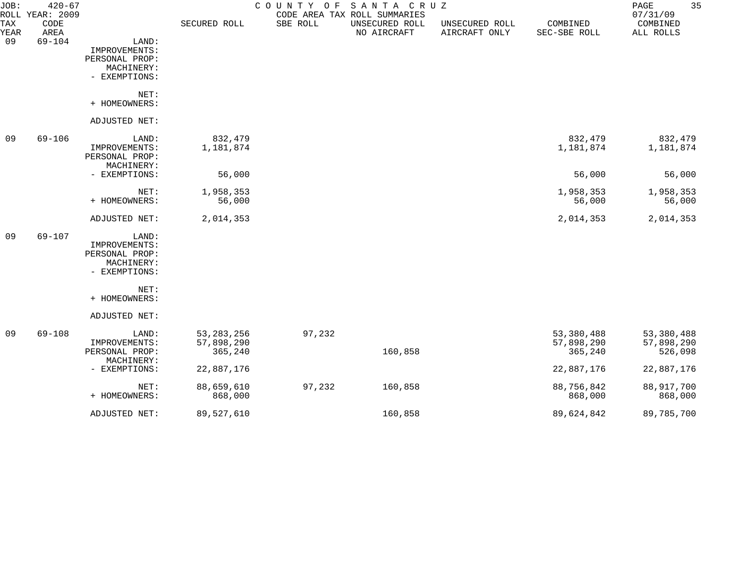| JOB:               | $420 - 67$<br>ROLL YEAR: 2009 |                                                                         |                                       | COUNTY<br>O F | SANTA CRUZ<br>CODE AREA TAX ROLL SUMMARIES |                                 |                                     | 35<br>$\mathop{\mathrm{PAGE}}$<br>07/31/09 |
|--------------------|-------------------------------|-------------------------------------------------------------------------|---------------------------------------|---------------|--------------------------------------------|---------------------------------|-------------------------------------|--------------------------------------------|
| <b>TAX</b><br>YEAR | CODE<br>AREA                  |                                                                         | SECURED ROLL                          | SBE ROLL      | UNSECURED ROLL<br>NO AIRCRAFT              | UNSECURED ROLL<br>AIRCRAFT ONLY | COMBINED<br>SEC-SBE ROLL            | COMBINED<br>ALL ROLLS                      |
| 09                 | $69 - 104$                    | LAND:<br>IMPROVEMENTS:<br>PERSONAL PROP:<br>MACHINERY:                  |                                       |               |                                            |                                 |                                     |                                            |
|                    |                               | - EXEMPTIONS:                                                           |                                       |               |                                            |                                 |                                     |                                            |
|                    |                               | NET:<br>+ HOMEOWNERS:                                                   |                                       |               |                                            |                                 |                                     |                                            |
|                    |                               | ADJUSTED NET:                                                           |                                       |               |                                            |                                 |                                     |                                            |
| 09                 | $69 - 106$                    | LAND:<br>IMPROVEMENTS:<br>PERSONAL PROP:<br>MACHINERY:                  | 832,479<br>1,181,874                  |               |                                            |                                 | 832,479<br>1,181,874                | 832,479<br>1,181,874                       |
|                    |                               | - EXEMPTIONS:                                                           | 56,000                                |               |                                            |                                 | 56,000                              | 56,000                                     |
|                    |                               | NET:<br>+ HOMEOWNERS:                                                   | 1,958,353<br>56,000                   |               |                                            |                                 | 1,958,353<br>56,000                 | 1,958,353<br>56,000                        |
|                    |                               | ADJUSTED NET:                                                           | 2,014,353                             |               |                                            |                                 | 2,014,353                           | 2,014,353                                  |
| 09                 | $69 - 107$                    | LAND:<br>IMPROVEMENTS:<br>PERSONAL PROP:<br>MACHINERY:<br>- EXEMPTIONS: |                                       |               |                                            |                                 |                                     |                                            |
|                    |                               | NET:<br>+ HOMEOWNERS:                                                   |                                       |               |                                            |                                 |                                     |                                            |
|                    |                               | ADJUSTED NET:                                                           |                                       |               |                                            |                                 |                                     |                                            |
| 09                 | 69-108                        | LAND:<br>IMPROVEMENTS:<br>PERSONAL PROP:                                | 53, 283, 256<br>57,898,290<br>365,240 | 97,232        | 160,858                                    |                                 | 53,380,488<br>57,898,290<br>365,240 | 53,380,488<br>57,898,290<br>526,098        |
|                    |                               | MACHINERY:<br>- EXEMPTIONS:                                             | 22,887,176                            |               |                                            |                                 | 22,887,176                          | 22,887,176                                 |
|                    |                               | NET:<br>+ HOMEOWNERS:                                                   | 88,659,610<br>868,000                 | 97,232        | 160,858                                    |                                 | 88,756,842<br>868,000               | 88,917,700<br>868,000                      |
|                    |                               | ADJUSTED NET:                                                           | 89,527,610                            |               | 160,858                                    |                                 | 89,624,842                          | 89,785,700                                 |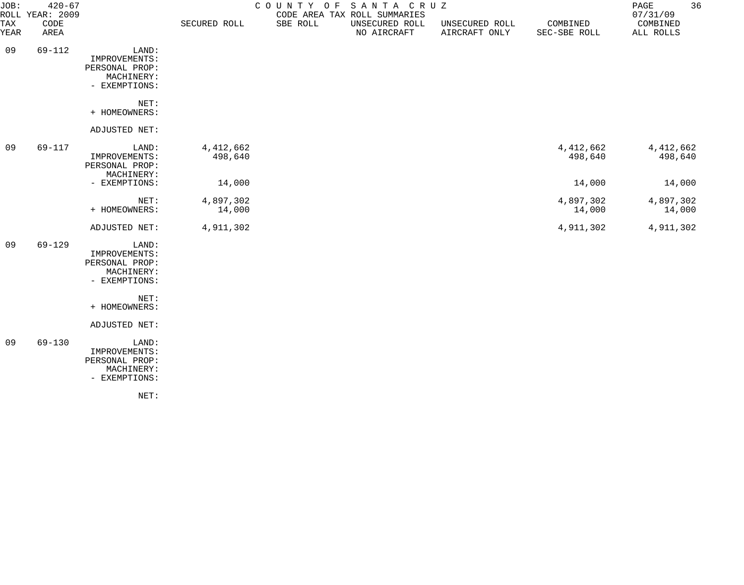| JOB:               | $420 - 67$<br>ROLL YEAR: 2009 |                                                                         |                        |          | COUNTY OF SANTA CRUZ<br>CODE AREA TAX ROLL SUMMARIES |                                 |                          | 36<br>PAGE<br>07/31/09 |
|--------------------|-------------------------------|-------------------------------------------------------------------------|------------------------|----------|------------------------------------------------------|---------------------------------|--------------------------|------------------------|
| <b>TAX</b><br>YEAR | CODE<br>AREA                  |                                                                         | SECURED ROLL           | SBE ROLL | UNSECURED ROLL<br>NO AIRCRAFT                        | UNSECURED ROLL<br>AIRCRAFT ONLY | COMBINED<br>SEC-SBE ROLL | COMBINED<br>ALL ROLLS  |
| 09                 | $69 - 112$                    | LAND:<br>IMPROVEMENTS:<br>PERSONAL PROP:<br>MACHINERY:<br>- EXEMPTIONS: |                        |          |                                                      |                                 |                          |                        |
|                    |                               | NET:<br>+ HOMEOWNERS:                                                   |                        |          |                                                      |                                 |                          |                        |
|                    |                               | ADJUSTED NET:                                                           |                        |          |                                                      |                                 |                          |                        |
| 09                 | 69-117                        | LAND:<br>IMPROVEMENTS:<br>PERSONAL PROP:<br>MACHINERY:                  | 4, 412, 662<br>498,640 |          |                                                      |                                 | 4, 412, 662<br>498,640   | 4, 412, 662<br>498,640 |
|                    |                               | - EXEMPTIONS:                                                           | 14,000                 |          |                                                      |                                 | 14,000                   | 14,000                 |
|                    |                               | NET:<br>+ HOMEOWNERS:                                                   | 4,897,302<br>14,000    |          |                                                      |                                 | 4,897,302<br>14,000      | 4,897,302<br>14,000    |
|                    |                               | ADJUSTED NET:                                                           | 4,911,302              |          |                                                      |                                 | 4,911,302                | 4,911,302              |
| 09                 | 69-129                        | LAND:<br>IMPROVEMENTS:<br>PERSONAL PROP:<br>MACHINERY:<br>- EXEMPTIONS: |                        |          |                                                      |                                 |                          |                        |
|                    |                               | NET:                                                                    |                        |          |                                                      |                                 |                          |                        |
|                    |                               | + HOMEOWNERS:                                                           |                        |          |                                                      |                                 |                          |                        |
|                    |                               | ADJUSTED NET:                                                           |                        |          |                                                      |                                 |                          |                        |
| 09                 | $69 - 130$                    | LAND:<br>IMPROVEMENTS:<br>PERSONAL PROP:<br>MACHINERY:<br>- EXEMPTIONS: |                        |          |                                                      |                                 |                          |                        |
|                    |                               | NET:                                                                    |                        |          |                                                      |                                 |                          |                        |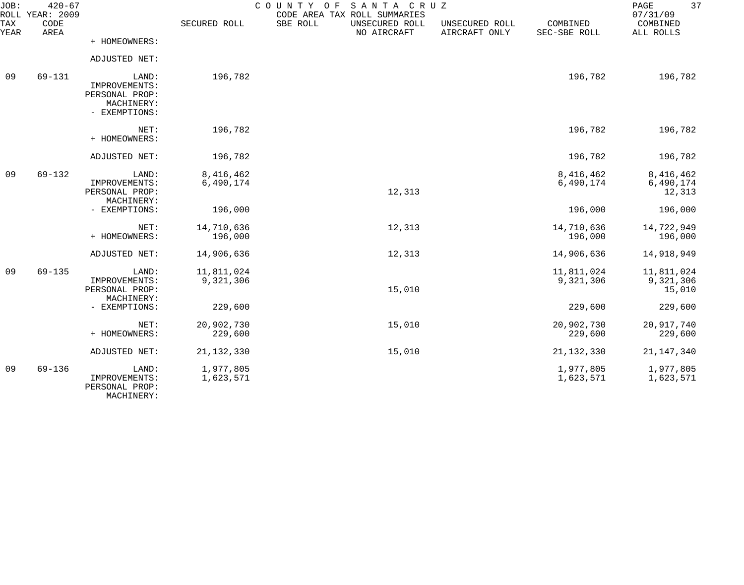| JOB:<br>ROLL | $420 - 67$<br><b>YEAR: 2009</b> |                                                                         |                         | COUNTY OF<br>SANTA CRUZ<br>CODE AREA TAX ROLL SUMMARIES |                                 |                          | 37<br>PAGE<br>07/31/09            |
|--------------|---------------------------------|-------------------------------------------------------------------------|-------------------------|---------------------------------------------------------|---------------------------------|--------------------------|-----------------------------------|
| TAX<br>YEAR  | CODE<br>AREA                    |                                                                         | SECURED ROLL            | SBE ROLL<br>UNSECURED ROLL<br>NO AIRCRAFT               | UNSECURED ROLL<br>AIRCRAFT ONLY | COMBINED<br>SEC-SBE ROLL | COMBINED<br>ALL ROLLS             |
|              |                                 | + HOMEOWNERS:                                                           |                         |                                                         |                                 |                          |                                   |
|              |                                 | ADJUSTED NET:                                                           |                         |                                                         |                                 |                          |                                   |
| 09           | 69-131                          | LAND:<br>IMPROVEMENTS:<br>PERSONAL PROP:<br>MACHINERY:<br>- EXEMPTIONS: | 196,782                 |                                                         |                                 | 196,782                  | 196,782                           |
|              |                                 | NET:<br>+ HOMEOWNERS:                                                   | 196,782                 |                                                         |                                 | 196,782                  | 196,782                           |
|              |                                 | ADJUSTED NET:                                                           | 196,782                 |                                                         |                                 | 196,782                  | 196,782                           |
| 09           | $69 - 132$                      | LAND:<br>IMPROVEMENTS:<br>PERSONAL PROP:<br>MACHINERY:                  | 8,416,462<br>6,490,174  | 12,313                                                  |                                 | 8,416,462<br>6,490,174   | 8,416,462<br>6,490,174<br>12,313  |
|              |                                 | - EXEMPTIONS:                                                           | 196,000                 |                                                         |                                 | 196,000                  | 196,000                           |
|              |                                 | NET:<br>+ HOMEOWNERS:                                                   | 14,710,636<br>196,000   | 12,313                                                  |                                 | 14,710,636<br>196,000    | 14,722,949<br>196,000             |
|              |                                 | ADJUSTED NET:                                                           | 14,906,636              | 12,313                                                  |                                 | 14,906,636               | 14,918,949                        |
| 09           | $69 - 135$                      | LAND:<br>IMPROVEMENTS:<br>PERSONAL PROP:<br>MACHINERY:                  | 11,811,024<br>9,321,306 | 15,010                                                  |                                 | 11,811,024<br>9,321,306  | 11,811,024<br>9,321,306<br>15,010 |
|              |                                 | - EXEMPTIONS:                                                           | 229,600                 |                                                         |                                 | 229,600                  | 229,600                           |
|              |                                 | NET:<br>+ HOMEOWNERS:                                                   | 20,902,730<br>229,600   | 15,010                                                  |                                 | 20,902,730<br>229,600    | 20,917,740<br>229,600             |
|              |                                 | ADJUSTED NET:                                                           | 21, 132, 330            | 15,010                                                  |                                 | 21, 132, 330             | 21, 147, 340                      |
| 09           | $69 - 136$                      | LAND:<br>IMPROVEMENTS:<br>PERSONAL PROP:                                | 1,977,805<br>1,623,571  |                                                         |                                 | 1,977,805<br>1,623,571   | 1,977,805<br>1,623,571            |

MACHINERY: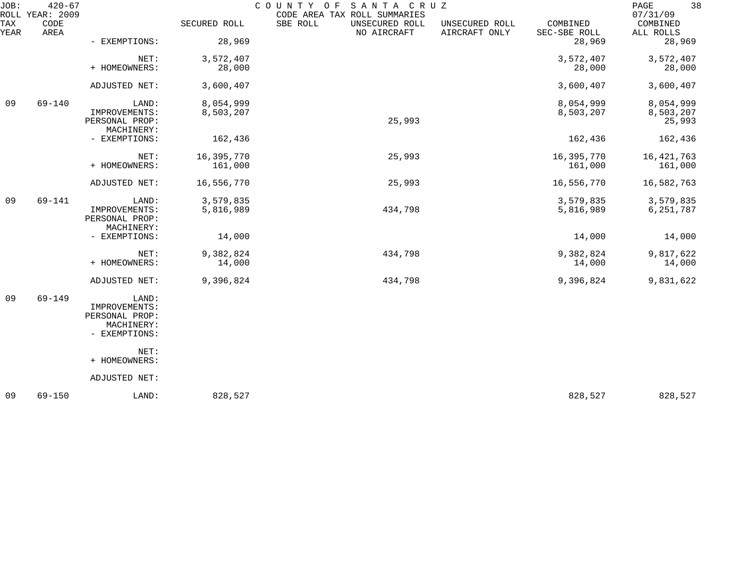| JOB:        | $420 - 67$<br>ROLL YEAR: 2009 |                                                                         |                        | COUNTY<br>SANTA CRUZ<br>O F<br>CODE AREA TAX ROLL SUMMARIES |                                 |                          | 38<br>PAGE<br>07/31/09           |
|-------------|-------------------------------|-------------------------------------------------------------------------|------------------------|-------------------------------------------------------------|---------------------------------|--------------------------|----------------------------------|
| TAX<br>YEAR | CODE<br>AREA                  |                                                                         | SECURED ROLL           | SBE ROLL<br>UNSECURED ROLL<br>NO AIRCRAFT                   | UNSECURED ROLL<br>AIRCRAFT ONLY | COMBINED<br>SEC-SBE ROLL | COMBINED<br>ALL ROLLS            |
|             |                               | - EXEMPTIONS:                                                           | 28,969                 |                                                             |                                 | 28,969                   | 28,969                           |
|             |                               | NET:<br>+ HOMEOWNERS:                                                   | 3,572,407<br>28,000    |                                                             |                                 | 3,572,407<br>28,000      | 3,572,407<br>28,000              |
|             |                               | ADJUSTED NET:                                                           | 3,600,407              |                                                             |                                 | 3,600,407                | 3,600,407                        |
| 09          | $69 - 140$                    | LAND:<br>IMPROVEMENTS:<br>PERSONAL PROP:                                | 8,054,999<br>8,503,207 | 25,993                                                      |                                 | 8,054,999<br>8,503,207   | 8,054,999<br>8,503,207<br>25,993 |
|             |                               | MACHINERY:<br>- EXEMPTIONS:                                             | 162,436                |                                                             |                                 | 162,436                  | 162,436                          |
|             |                               | NET:<br>+ HOMEOWNERS:                                                   | 16,395,770<br>161,000  | 25,993                                                      |                                 | 16,395,770<br>161,000    | 16, 421, 763<br>161,000          |
|             |                               | ADJUSTED NET:                                                           | 16,556,770             | 25,993                                                      |                                 | 16,556,770               | 16,582,763                       |
| 09          | 69-141                        | LAND:<br>IMPROVEMENTS:<br>PERSONAL PROP:                                | 3,579,835<br>5,816,989 | 434,798                                                     |                                 | 3,579,835<br>5,816,989   | 3,579,835<br>6,251,787           |
|             |                               | MACHINERY:<br>- EXEMPTIONS:                                             | 14,000                 |                                                             |                                 | 14,000                   | 14,000                           |
|             |                               | NET:<br>+ HOMEOWNERS:                                                   | 9,382,824<br>14,000    | 434,798                                                     |                                 | 9,382,824<br>14,000      | 9,817,622<br>14,000              |
|             |                               | ADJUSTED NET:                                                           | 9,396,824              | 434,798                                                     |                                 | 9,396,824                | 9,831,622                        |
| 09          | $69 - 149$                    | LAND:<br>IMPROVEMENTS:<br>PERSONAL PROP:<br>MACHINERY:<br>- EXEMPTIONS: |                        |                                                             |                                 |                          |                                  |
|             |                               | NET:<br>+ HOMEOWNERS:                                                   |                        |                                                             |                                 |                          |                                  |
|             |                               | ADJUSTED NET:                                                           |                        |                                                             |                                 |                          |                                  |
| 09          | $69 - 150$                    | LAND:                                                                   | 828,527                |                                                             |                                 | 828,527                  | 828,527                          |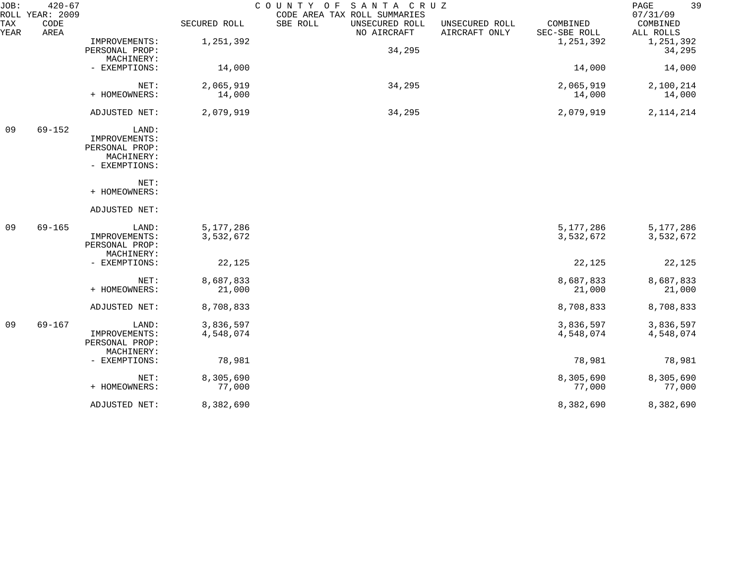| JOB:        | $420 - 67$<br>ROLL YEAR: 2009 |                                                                         |                        | SANTA CRUZ<br>COUNTY OF<br>CODE AREA TAX ROLL SUMMARIES |                                 |                          | 39<br>PAGE<br>07/31/09 |
|-------------|-------------------------------|-------------------------------------------------------------------------|------------------------|---------------------------------------------------------|---------------------------------|--------------------------|------------------------|
| TAX<br>YEAR | CODE<br>AREA                  |                                                                         | SECURED ROLL           | SBE ROLL<br>UNSECURED ROLL<br>NO AIRCRAFT               | UNSECURED ROLL<br>AIRCRAFT ONLY | COMBINED<br>SEC-SBE ROLL | COMBINED<br>ALL ROLLS  |
|             |                               | IMPROVEMENTS:<br>PERSONAL PROP:<br>MACHINERY:                           | 1,251,392              | 34,295                                                  |                                 | 1,251,392                | 1,251,392<br>34,295    |
|             |                               | - EXEMPTIONS:                                                           | 14,000                 |                                                         |                                 | 14,000                   | 14,000                 |
|             |                               | NET:<br>+ HOMEOWNERS:                                                   | 2,065,919<br>14,000    | 34,295                                                  |                                 | 2,065,919<br>14,000      | 2,100,214<br>14,000    |
|             |                               | ADJUSTED NET:                                                           | 2,079,919              | 34,295                                                  |                                 | 2,079,919                | 2, 114, 214            |
| 09          | $69 - 152$                    | LAND:<br>IMPROVEMENTS:<br>PERSONAL PROP:<br>MACHINERY:<br>- EXEMPTIONS: |                        |                                                         |                                 |                          |                        |
|             |                               | NET:<br>+ HOMEOWNERS:                                                   |                        |                                                         |                                 |                          |                        |
|             |                               | ADJUSTED NET:                                                           |                        |                                                         |                                 |                          |                        |
| 09          | $69 - 165$                    | LAND:<br>IMPROVEMENTS:<br>PERSONAL PROP:<br>MACHINERY:                  | 5,177,286<br>3,532,672 |                                                         |                                 | 5,177,286<br>3,532,672   | 5,177,286<br>3,532,672 |
|             |                               | - EXEMPTIONS:                                                           | 22,125                 |                                                         |                                 | 22,125                   | 22,125                 |
|             |                               | NET:<br>+ HOMEOWNERS:                                                   | 8,687,833<br>21,000    |                                                         |                                 | 8,687,833<br>21,000      | 8,687,833<br>21,000    |
|             |                               | ADJUSTED NET:                                                           | 8,708,833              |                                                         |                                 | 8,708,833                | 8,708,833              |
| 09          | $69 - 167$                    | LAND:<br>IMPROVEMENTS:<br>PERSONAL PROP:<br>MACHINERY:                  | 3,836,597<br>4,548,074 |                                                         |                                 | 3,836,597<br>4,548,074   | 3,836,597<br>4,548,074 |
|             |                               | - EXEMPTIONS:                                                           | 78,981                 |                                                         |                                 | 78,981                   | 78,981                 |
|             |                               | NET:<br>+ HOMEOWNERS:                                                   | 8,305,690<br>77,000    |                                                         |                                 | 8,305,690<br>77,000      | 8,305,690<br>77,000    |
|             |                               | ADJUSTED NET:                                                           | 8,382,690              |                                                         |                                 | 8,382,690                | 8,382,690              |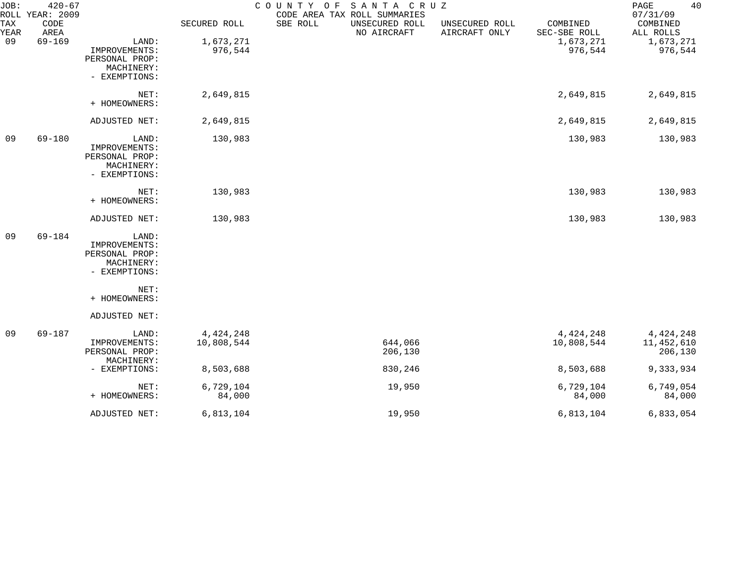| JOB:        | $420 - 67$<br>ROLL YEAR: 2009 |                                                                         |                           | COUNTY OF SANTA CRUZ | CODE AREA TAX ROLL SUMMARIES  |                                 |                           | 40<br>PAGE<br>07/31/09             |
|-------------|-------------------------------|-------------------------------------------------------------------------|---------------------------|----------------------|-------------------------------|---------------------------------|---------------------------|------------------------------------|
| TAX<br>YEAR | CODE<br>AREA                  |                                                                         | SECURED ROLL              | SBE ROLL             | UNSECURED ROLL<br>NO AIRCRAFT | UNSECURED ROLL<br>AIRCRAFT ONLY | COMBINED<br>SEC-SBE ROLL  | COMBINED<br>ALL ROLLS              |
| 09          | $69 - 169$                    | LAND:<br>IMPROVEMENTS:<br>PERSONAL PROP:<br>MACHINERY:<br>- EXEMPTIONS: | 1,673,271<br>976,544      |                      |                               |                                 | 1,673,271<br>976,544      | 1,673,271<br>976,544               |
|             |                               | NET:<br>+ HOMEOWNERS:                                                   | 2,649,815                 |                      |                               |                                 | 2,649,815                 | 2,649,815                          |
|             |                               | ADJUSTED NET:                                                           | 2,649,815                 |                      |                               |                                 | 2,649,815                 | 2,649,815                          |
| 09          | $69 - 180$                    | LAND:<br>IMPROVEMENTS:<br>PERSONAL PROP:<br>MACHINERY:<br>- EXEMPTIONS: | 130,983                   |                      |                               |                                 | 130,983                   | 130,983                            |
|             |                               | NET:<br>+ HOMEOWNERS:                                                   | 130,983                   |                      |                               |                                 | 130,983                   | 130,983                            |
|             |                               | ADJUSTED NET:                                                           | 130,983                   |                      |                               |                                 | 130,983                   | 130,983                            |
| 09          | 69-184                        | LAND:<br>IMPROVEMENTS:<br>PERSONAL PROP:<br>MACHINERY:<br>- EXEMPTIONS: |                           |                      |                               |                                 |                           |                                    |
|             |                               | NET:<br>+ HOMEOWNERS:                                                   |                           |                      |                               |                                 |                           |                                    |
|             |                               | ADJUSTED NET:                                                           |                           |                      |                               |                                 |                           |                                    |
| 09          | $69 - 187$                    | LAND:<br>IMPROVEMENTS:<br>PERSONAL PROP:<br>MACHINERY:                  | 4, 424, 248<br>10,808,544 |                      | 644,066<br>206,130            |                                 | 4, 424, 248<br>10,808,544 | 4,424,248<br>11,452,610<br>206,130 |
|             |                               | - EXEMPTIONS:                                                           | 8,503,688                 |                      | 830,246                       |                                 | 8,503,688                 | 9,333,934                          |
|             |                               | NET:<br>+ HOMEOWNERS:                                                   | 6,729,104<br>84,000       |                      | 19,950                        |                                 | 6,729,104<br>84,000       | 6,749,054<br>84,000                |
|             |                               | ADJUSTED NET:                                                           | 6,813,104                 |                      | 19,950                        |                                 | 6,813,104                 | 6,833,054                          |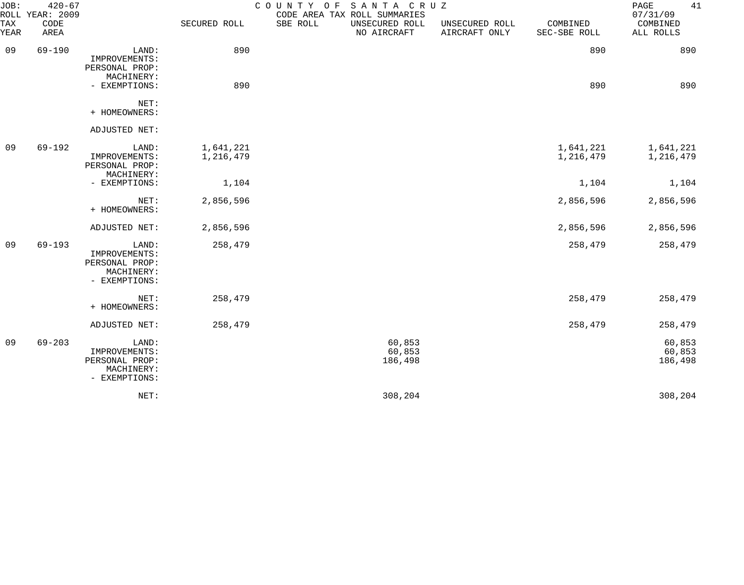| JOB:<br>ROLL | $420 - 67$<br><b>YEAR: 2009</b> |                                                                         |                        | COUNTY OF SANTA CRUZ<br>CODE AREA TAX ROLL SUMMARIES |                                 |                          | 41<br>PAGE<br>07/31/09      |
|--------------|---------------------------------|-------------------------------------------------------------------------|------------------------|------------------------------------------------------|---------------------------------|--------------------------|-----------------------------|
| TAX<br>YEAR  | CODE<br>AREA                    |                                                                         | SECURED ROLL           | SBE ROLL<br>UNSECURED ROLL<br>NO AIRCRAFT            | UNSECURED ROLL<br>AIRCRAFT ONLY | COMBINED<br>SEC-SBE ROLL | COMBINED<br>ALL ROLLS       |
| 09           | $69 - 190$                      | LAND:<br>IMPROVEMENTS:<br>PERSONAL PROP:                                | 890                    |                                                      |                                 | 890                      | 890                         |
|              |                                 | MACHINERY:<br>- EXEMPTIONS:                                             | 890                    |                                                      |                                 | 890                      | 890                         |
|              |                                 | NET:<br>+ HOMEOWNERS:                                                   |                        |                                                      |                                 |                          |                             |
|              |                                 | ADJUSTED NET:                                                           |                        |                                                      |                                 |                          |                             |
| 09           | 69-192                          | LAND:<br>IMPROVEMENTS:<br>PERSONAL PROP:<br>MACHINERY:                  | 1,641,221<br>1,216,479 |                                                      |                                 | 1,641,221<br>1,216,479   | 1,641,221<br>1,216,479      |
|              |                                 | - EXEMPTIONS:                                                           | 1,104                  |                                                      |                                 | 1,104                    | 1,104                       |
|              |                                 | NET:<br>+ HOMEOWNERS:                                                   | 2,856,596              |                                                      |                                 | 2,856,596                | 2,856,596                   |
|              |                                 | ADJUSTED NET:                                                           | 2,856,596              |                                                      |                                 | 2,856,596                | 2,856,596                   |
| 09           | $69 - 193$                      | LAND:<br>IMPROVEMENTS:<br>PERSONAL PROP:<br>MACHINERY:<br>- EXEMPTIONS: | 258,479                |                                                      |                                 | 258,479                  | 258,479                     |
|              |                                 | NET:<br>+ HOMEOWNERS:                                                   | 258,479                |                                                      |                                 | 258,479                  | 258,479                     |
|              |                                 | ADJUSTED NET:                                                           | 258,479                |                                                      |                                 | 258,479                  | 258,479                     |
| 09           | $69 - 203$                      | LAND:<br>IMPROVEMENTS:<br>PERSONAL PROP:<br>MACHINERY:<br>- EXEMPTIONS: |                        | 60,853<br>60,853<br>186,498                          |                                 |                          | 60,853<br>60,853<br>186,498 |
|              |                                 | NET:                                                                    |                        | 308,204                                              |                                 |                          | 308,204                     |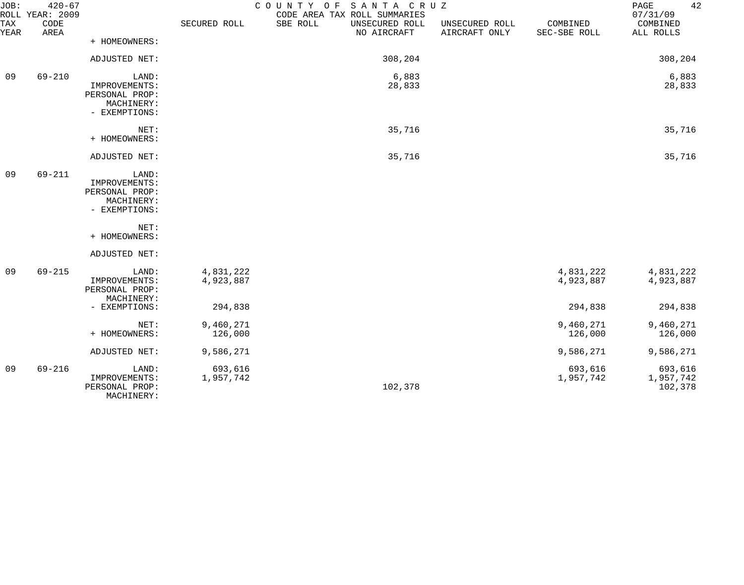| JOB:        | $420 - 67$<br>ROLL YEAR: 2009 |                                                                         |                        | COUNTY OF SANTA CRUZ<br>CODE AREA TAX ROLL SUMMARIES |                                 |                          | 42<br>PAGE<br>07/31/09          |
|-------------|-------------------------------|-------------------------------------------------------------------------|------------------------|------------------------------------------------------|---------------------------------|--------------------------|---------------------------------|
| TAX<br>YEAR | CODE<br>AREA                  |                                                                         | SECURED ROLL           | SBE ROLL<br>UNSECURED ROLL<br>NO AIRCRAFT            | UNSECURED ROLL<br>AIRCRAFT ONLY | COMBINED<br>SEC-SBE ROLL | COMBINED<br>ALL ROLLS           |
|             |                               | + HOMEOWNERS:                                                           |                        |                                                      |                                 |                          |                                 |
|             |                               | ADJUSTED NET:                                                           |                        | 308,204                                              |                                 |                          | 308,204                         |
| 09          | $69 - 210$                    | LAND:<br>IMPROVEMENTS:<br>PERSONAL PROP:<br>MACHINERY:<br>- EXEMPTIONS: |                        | 6,883<br>28,833                                      |                                 |                          | 6,883<br>28,833                 |
|             |                               | NET:<br>+ HOMEOWNERS:                                                   |                        | 35,716                                               |                                 |                          | 35,716                          |
|             |                               | ADJUSTED NET:                                                           |                        | 35,716                                               |                                 |                          | 35,716                          |
| 09          | $69 - 211$                    | LAND:<br>IMPROVEMENTS:<br>PERSONAL PROP:<br>MACHINERY:<br>- EXEMPTIONS: |                        |                                                      |                                 |                          |                                 |
|             |                               | NET:<br>+ HOMEOWNERS:                                                   |                        |                                                      |                                 |                          |                                 |
|             |                               | ADJUSTED NET:                                                           |                        |                                                      |                                 |                          |                                 |
| 09          | $69 - 215$                    | LAND:<br>IMPROVEMENTS:<br>PERSONAL PROP:<br>MACHINERY:                  | 4,831,222<br>4,923,887 |                                                      |                                 | 4,831,222<br>4,923,887   | 4,831,222<br>4,923,887          |
|             |                               | - EXEMPTIONS:                                                           | 294,838                |                                                      |                                 | 294,838                  | 294,838                         |
|             |                               | NET:<br>+ HOMEOWNERS:                                                   | 9,460,271<br>126,000   |                                                      |                                 | 9,460,271<br>126,000     | 9,460,271<br>126,000            |
|             |                               | ADJUSTED NET:                                                           | 9,586,271              |                                                      |                                 | 9,586,271                | 9,586,271                       |
| 09          | $69 - 216$                    | LAND:<br>IMPROVEMENTS:<br>PERSONAL PROP:<br>MACHINERY:                  | 693,616<br>1,957,742   | 102,378                                              |                                 | 693,616<br>1,957,742     | 693,616<br>1,957,742<br>102,378 |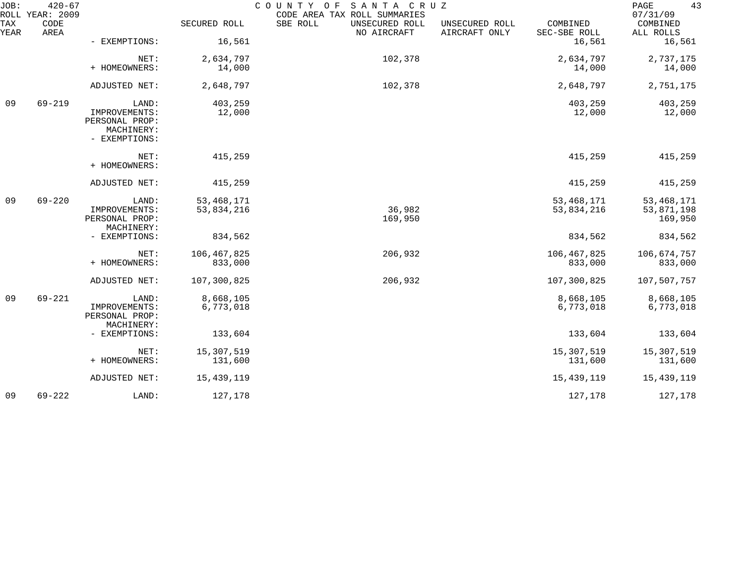| JOB:        | $420 - 67$<br>ROLL YEAR: 2009 |                                                                         |                            | COUNTY OF<br>SANTA CRUZ<br>CODE AREA TAX ROLL SUMMARIES |                                 |                            | 43<br>PAGE<br>07/31/09                |
|-------------|-------------------------------|-------------------------------------------------------------------------|----------------------------|---------------------------------------------------------|---------------------------------|----------------------------|---------------------------------------|
| TAX<br>YEAR | CODE<br>AREA                  |                                                                         | SECURED ROLL               | SBE ROLL<br>UNSECURED ROLL<br>NO AIRCRAFT               | UNSECURED ROLL<br>AIRCRAFT ONLY | COMBINED<br>SEC-SBE ROLL   | COMBINED<br>ALL ROLLS                 |
|             |                               | - EXEMPTIONS:                                                           | 16,561                     |                                                         |                                 | 16,561                     | 16,561                                |
|             |                               | NET:<br>+ HOMEOWNERS:                                                   | 2,634,797<br>14,000        | 102,378                                                 |                                 | 2,634,797<br>14,000        | 2,737,175<br>14,000                   |
|             |                               | ADJUSTED NET:                                                           | 2,648,797                  | 102,378                                                 |                                 | 2,648,797                  | 2,751,175                             |
| 09          |                               |                                                                         |                            |                                                         |                                 |                            |                                       |
|             | $69 - 219$                    | LAND:<br>IMPROVEMENTS:<br>PERSONAL PROP:<br>MACHINERY:<br>- EXEMPTIONS: | 403,259<br>12,000          |                                                         |                                 | 403,259<br>12,000          | 403,259<br>12,000                     |
|             |                               | NET:<br>+ HOMEOWNERS:                                                   | 415,259                    |                                                         |                                 | 415,259                    | 415,259                               |
|             |                               | ADJUSTED NET:                                                           | 415,259                    |                                                         |                                 | 415,259                    | 415,259                               |
| 09          | $69 - 220$                    | LAND:<br>IMPROVEMENTS:<br>PERSONAL PROP:                                | 53, 468, 171<br>53,834,216 | 36,982<br>169,950                                       |                                 | 53, 468, 171<br>53,834,216 | 53, 468, 171<br>53,871,198<br>169,950 |
|             |                               | MACHINERY:<br>- EXEMPTIONS:                                             | 834,562                    |                                                         |                                 | 834,562                    | 834,562                               |
|             |                               | NET:<br>+ HOMEOWNERS:                                                   | 106,467,825<br>833,000     | 206,932                                                 |                                 | 106,467,825<br>833,000     | 106,674,757<br>833,000                |
|             |                               | ADJUSTED NET:                                                           | 107,300,825                | 206,932                                                 |                                 | 107,300,825                | 107,507,757                           |
| 09          | $69 - 221$                    | LAND:<br>IMPROVEMENTS:<br>PERSONAL PROP:<br>MACHINERY:                  | 8,668,105<br>6,773,018     |                                                         |                                 | 8,668,105<br>6,773,018     | 8,668,105<br>6,773,018                |
|             |                               | - EXEMPTIONS:                                                           | 133,604                    |                                                         |                                 | 133,604                    | 133,604                               |
|             |                               | NET:<br>+ HOMEOWNERS:                                                   | 15,307,519<br>131,600      |                                                         |                                 | 15,307,519<br>131,600      | 15,307,519<br>131,600                 |
|             |                               | ADJUSTED NET:                                                           | 15,439,119                 |                                                         |                                 | 15,439,119                 | 15,439,119                            |
| 09          | $69 - 222$                    | LAND:                                                                   | 127,178                    |                                                         |                                 | 127,178                    | 127,178                               |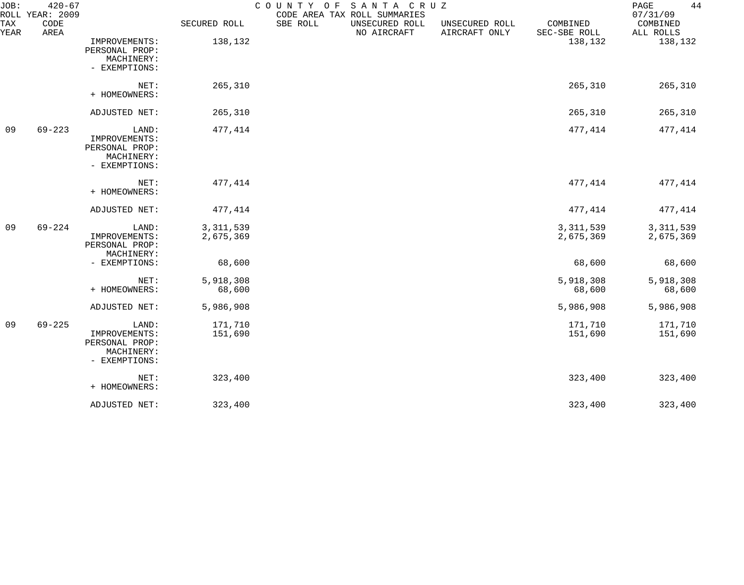| JOB:               | $420 - 67$<br>ROLL YEAR: 2009 |                                                                         |                          | COUNTY OF SANTA CRUZ<br>CODE AREA TAX ROLL SUMMARIES |                                 |                          | 44<br>PAGE<br>07/31/09   |
|--------------------|-------------------------------|-------------------------------------------------------------------------|--------------------------|------------------------------------------------------|---------------------------------|--------------------------|--------------------------|
| <b>TAX</b><br>YEAR | CODE<br>AREA                  |                                                                         | SECURED ROLL             | SBE ROLL<br>UNSECURED ROLL<br>NO AIRCRAFT            | UNSECURED ROLL<br>AIRCRAFT ONLY | COMBINED<br>SEC-SBE ROLL | COMBINED<br>ALL ROLLS    |
|                    |                               | IMPROVEMENTS:<br>PERSONAL PROP:<br>MACHINERY:<br>- EXEMPTIONS:          | 138,132                  |                                                      |                                 | 138,132                  | 138,132                  |
|                    |                               | NET:<br>+ HOMEOWNERS:                                                   | 265,310                  |                                                      |                                 | 265,310                  | 265,310                  |
|                    |                               | ADJUSTED NET:                                                           | 265,310                  |                                                      |                                 | 265,310                  | 265,310                  |
| 09                 | $69 - 223$                    | LAND:<br>IMPROVEMENTS:<br>PERSONAL PROP:<br>MACHINERY:<br>- EXEMPTIONS: | 477,414                  |                                                      |                                 | 477,414                  | 477,414                  |
|                    |                               | NET:<br>+ HOMEOWNERS:                                                   | 477,414                  |                                                      |                                 | 477, 414                 | 477,414                  |
|                    |                               | ADJUSTED NET:                                                           | 477,414                  |                                                      |                                 | 477,414                  | 477,414                  |
| 09                 | $69 - 224$                    | LAND:<br>IMPROVEMENTS:<br>PERSONAL PROP:<br>MACHINERY:                  | 3, 311, 539<br>2,675,369 |                                                      |                                 | 3, 311, 539<br>2,675,369 | 3, 311, 539<br>2,675,369 |
|                    |                               | - EXEMPTIONS:                                                           | 68,600                   |                                                      |                                 | 68,600                   | 68,600                   |
|                    |                               | NET:<br>+ HOMEOWNERS:                                                   | 5,918,308<br>68,600      |                                                      |                                 | 5,918,308<br>68,600      | 5,918,308<br>68,600      |
|                    |                               | ADJUSTED NET:                                                           | 5,986,908                |                                                      |                                 | 5,986,908                | 5,986,908                |
| 09                 | $69 - 225$                    | LAND:<br>IMPROVEMENTS:<br>PERSONAL PROP:<br>MACHINERY:<br>- EXEMPTIONS: | 171,710<br>151,690       |                                                      |                                 | 171,710<br>151,690       | 171,710<br>151,690       |
|                    |                               | NET:<br>+ HOMEOWNERS:                                                   | 323,400                  |                                                      |                                 | 323,400                  | 323,400                  |
|                    |                               | ADJUSTED NET:                                                           | 323,400                  |                                                      |                                 | 323,400                  | 323,400                  |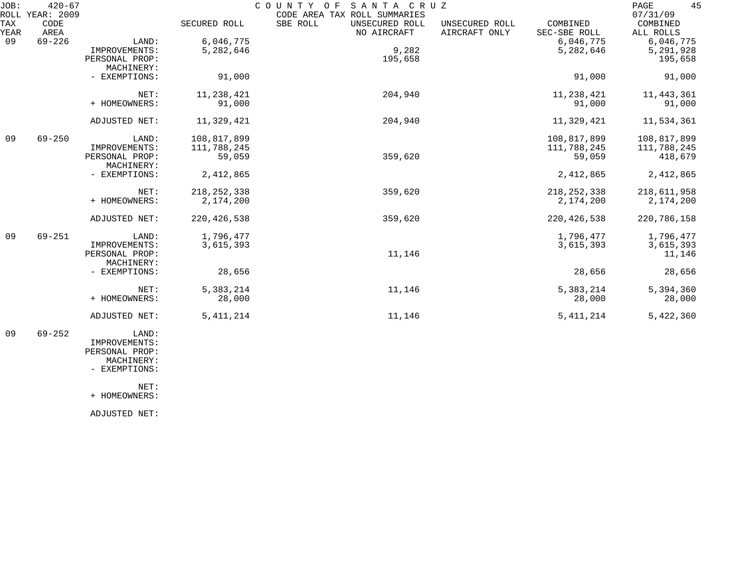| JOB:        | $420 - 67$<br>ROLL YEAR: 2009 |                              |               | COUNTY OF<br>SANTA CRUZ<br>CODE AREA TAX ROLL SUMMARIES |                                 |                          | 45<br>PAGE<br>07/31/09 |
|-------------|-------------------------------|------------------------------|---------------|---------------------------------------------------------|---------------------------------|--------------------------|------------------------|
| TAX<br>YEAR | <b>CODE</b><br>AREA           |                              | SECURED ROLL  | SBE ROLL<br>UNSECURED ROLL<br>NO AIRCRAFT               | UNSECURED ROLL<br>AIRCRAFT ONLY | COMBINED<br>SEC-SBE ROLL | COMBINED<br>ALL ROLLS  |
| 09          | $69 - 226$                    | LAND:                        | 6,046,775     |                                                         |                                 | 6,046,775                | 6,046,775              |
|             |                               | IMPROVEMENTS:                | 5,282,646     | 9,282                                                   |                                 | 5,282,646                | 5,291,928              |
|             |                               | PERSONAL PROP:               |               | 195,658                                                 |                                 |                          | 195,658                |
|             |                               | MACHINERY:                   |               |                                                         |                                 |                          |                        |
|             |                               | - EXEMPTIONS:                | 91,000        |                                                         |                                 | 91,000                   | 91,000                 |
|             |                               | NET:                         | 11,238,421    | 204,940                                                 |                                 | 11,238,421               | 11, 443, 361           |
|             |                               | + HOMEOWNERS:                | 91,000        |                                                         |                                 | 91,000                   | 91,000                 |
|             |                               | ADJUSTED NET:                | 11,329,421    | 204,940                                                 |                                 | 11,329,421               | 11,534,361             |
| 09          | $69 - 250$                    | LAND:                        | 108,817,899   |                                                         |                                 | 108,817,899              | 108,817,899            |
|             |                               | IMPROVEMENTS:                | 111,788,245   |                                                         |                                 | 111,788,245              | 111,788,245            |
|             |                               | PERSONAL PROP:<br>MACHINERY: | 59,059        | 359,620                                                 |                                 | 59,059                   | 418,679                |
|             |                               | - EXEMPTIONS:                | 2,412,865     |                                                         |                                 | 2,412,865                | 2,412,865              |
|             |                               | NET:                         | 218, 252, 338 | 359,620                                                 |                                 | 218, 252, 338            | 218,611,958            |
|             |                               | + HOMEOWNERS:                | 2,174,200     |                                                         |                                 | 2,174,200                | 2,174,200              |
|             |                               | ADJUSTED NET:                | 220, 426, 538 | 359,620                                                 |                                 | 220, 426, 538            | 220, 786, 158          |
| 09          | $69 - 251$                    | LAND:                        | 1,796,477     |                                                         |                                 | 1,796,477                | 1,796,477              |
|             |                               | IMPROVEMENTS:                | 3,615,393     |                                                         |                                 | 3,615,393                | 3,615,393              |
|             |                               | PERSONAL PROP:               |               | 11,146                                                  |                                 |                          | 11,146                 |
|             |                               | MACHINERY:                   |               |                                                         |                                 |                          |                        |
|             |                               | - EXEMPTIONS:                | 28,656        |                                                         |                                 | 28,656                   | 28,656                 |
|             |                               | NET:                         | 5,383,214     | 11,146                                                  |                                 | 5,383,214                | 5,394,360              |
|             |                               | + HOMEOWNERS:                | 28,000        |                                                         |                                 | 28,000                   | 28,000                 |
|             |                               | ADJUSTED NET:                | 5, 411, 214   | 11,146                                                  |                                 | 5, 411, 214              | 5,422,360              |
| 09          | $69 - 252$                    | LAND:                        |               |                                                         |                                 |                          |                        |

 IMPROVEMENTS: PERSONAL PROP: MACHINERY:

- EXEMPTIONS:

NET:

+ HOMEOWNERS:

ADJUSTED NET: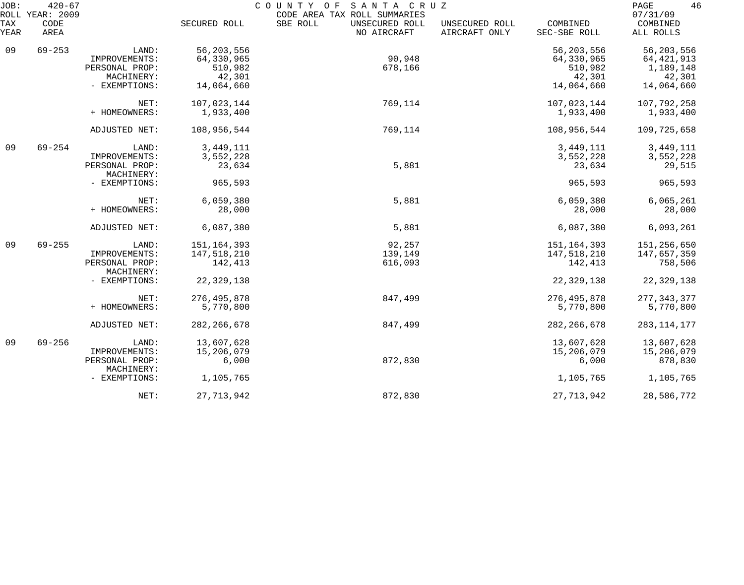| JOB:<br>ROLL | $420 - 67$<br>YEAR: 2009 |                                 |                       | COUNTY OF SANTA CRUZ<br>CODE AREA TAX ROLL SUMMARIES |                                 |                          | 46<br>PAGE<br>07/31/09    |
|--------------|--------------------------|---------------------------------|-----------------------|------------------------------------------------------|---------------------------------|--------------------------|---------------------------|
| TAX<br>YEAR  | CODE<br>AREA             |                                 | SECURED ROLL          | SBE ROLL<br>UNSECURED ROLL<br>NO AIRCRAFT            | UNSECURED ROLL<br>AIRCRAFT ONLY | COMBINED<br>SEC-SBE ROLL | COMBINED<br>ALL ROLLS     |
| 09           | $69 - 253$               | LAND:                           | 56, 203, 556          |                                                      |                                 | 56, 203, 556             | 56, 203, 556              |
|              |                          | IMPROVEMENTS:<br>PERSONAL PROP: | 64,330,965<br>510,982 | 90,948<br>678,166                                    |                                 | 64,330,965<br>510,982    | 64, 421, 913<br>1,189,148 |
|              |                          | MACHINERY:                      | 42,301                |                                                      |                                 | 42,301                   | 42,301                    |
|              |                          | - EXEMPTIONS:                   | 14,064,660            |                                                      |                                 | 14,064,660               | 14,064,660                |
|              |                          | NET:                            | 107,023,144           | 769,114                                              |                                 | 107,023,144              | 107,792,258               |
|              |                          | + HOMEOWNERS:                   | 1,933,400             |                                                      |                                 | 1,933,400                | 1,933,400                 |
|              |                          | ADJUSTED NET:                   | 108,956,544           | 769,114                                              |                                 | 108,956,544              | 109,725,658               |
| 09           | $69 - 254$               | LAND:                           | 3,449,111             |                                                      |                                 | 3,449,111                | 3,449,111                 |
|              |                          | IMPROVEMENTS:                   | 3,552,228             |                                                      |                                 | 3,552,228                | 3,552,228                 |
|              |                          | PERSONAL PROP:<br>MACHINERY:    | 23,634                | 5,881                                                |                                 | 23,634                   | 29,515                    |
|              |                          | - EXEMPTIONS:                   | 965,593               |                                                      |                                 | 965,593                  | 965,593                   |
|              |                          | NET:                            | 6,059,380             | 5,881                                                |                                 | 6,059,380                | 6,065,261                 |
|              |                          | + HOMEOWNERS:                   | 28,000                |                                                      |                                 | 28,000                   | 28,000                    |
|              |                          | ADJUSTED NET:                   | 6,087,380             | 5,881                                                |                                 | 6,087,380                | 6,093,261                 |
| 09           | $69 - 255$               | LAND:                           | 151, 164, 393         | 92,257                                               |                                 | 151, 164, 393            | 151,256,650               |
|              |                          | IMPROVEMENTS:                   | 147,518,210           | 139,149                                              |                                 | 147,518,210              | 147,657,359               |
|              |                          | PERSONAL PROP:<br>MACHINERY:    | 142,413               | 616,093                                              |                                 | 142,413                  | 758,506                   |
|              |                          | - EXEMPTIONS:                   | 22, 329, 138          |                                                      |                                 | 22,329,138               | 22, 329, 138              |
|              |                          | NET:                            | 276, 495, 878         | 847,499                                              |                                 | 276, 495, 878            | 277, 343, 377             |
|              |                          | + HOMEOWNERS:                   | 5,770,800             |                                                      |                                 | 5,770,800                | 5,770,800                 |
|              |                          | ADJUSTED NET:                   | 282, 266, 678         | 847,499                                              |                                 | 282, 266, 678            | 283, 114, 177             |
| 09           | $69 - 256$               | LAND:                           | 13,607,628            |                                                      |                                 | 13,607,628               | 13,607,628                |
|              |                          | IMPROVEMENTS:                   | 15,206,079            |                                                      |                                 | 15,206,079               | 15,206,079                |
|              |                          | PERSONAL PROP:<br>MACHINERY:    | 6,000                 | 872,830                                              |                                 | 6,000                    | 878,830                   |
|              |                          | - EXEMPTIONS:                   | 1,105,765             |                                                      |                                 | 1,105,765                | 1,105,765                 |
|              |                          | NET:                            | 27, 713, 942          | 872,830                                              |                                 | 27, 713, 942             | 28,586,772                |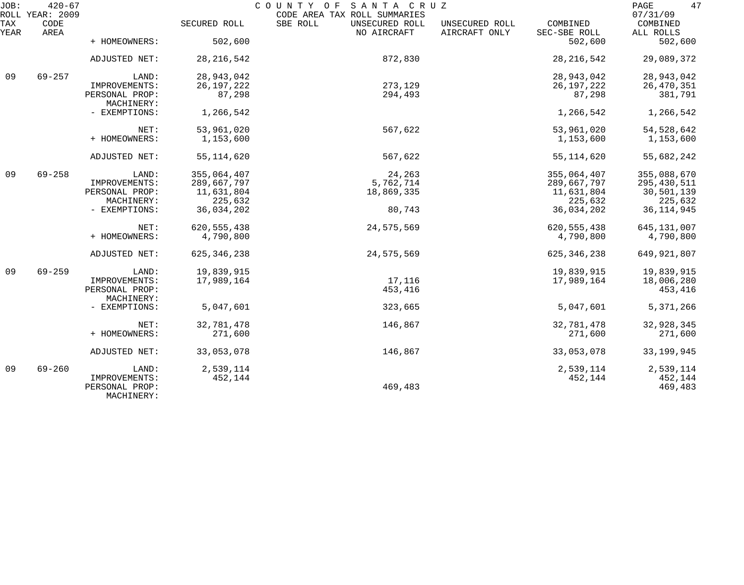| JOB:        | $420 - 67$<br>ROLL YEAR: 2009 |                              |               | COUNTY OF SANTA CRUZ<br>CODE AREA TAX ROLL SUMMARIES |                                 |                          | 47<br>$\mathop{\mathtt{PAGE}}$<br>07/31/09 |
|-------------|-------------------------------|------------------------------|---------------|------------------------------------------------------|---------------------------------|--------------------------|--------------------------------------------|
| TAX<br>YEAR | CODE<br>AREA                  |                              | SECURED ROLL  | SBE ROLL<br>UNSECURED ROLL<br>NO AIRCRAFT            | UNSECURED ROLL<br>AIRCRAFT ONLY | COMBINED<br>SEC-SBE ROLL | COMBINED<br>ALL ROLLS                      |
|             |                               | + HOMEOWNERS:                | 502,600       |                                                      |                                 | 502,600                  | 502,600                                    |
|             |                               | ADJUSTED NET:                | 28, 216, 542  | 872,830                                              |                                 | 28, 216, 542             | 29,089,372                                 |
| 09          | $69 - 257$                    | LAND:                        | 28, 943, 042  |                                                      |                                 | 28,943,042               | 28,943,042                                 |
|             |                               | IMPROVEMENTS:                | 26, 197, 222  | 273,129                                              |                                 | 26, 197, 222             | 26,470,351                                 |
|             |                               | PERSONAL PROP:<br>MACHINERY: | 87,298        | 294,493                                              |                                 | 87,298                   | 381,791                                    |
|             |                               | - EXEMPTIONS:                | 1,266,542     |                                                      |                                 | 1,266,542                | 1,266,542                                  |
|             |                               | NET:                         | 53,961,020    | 567,622                                              |                                 | 53,961,020               | 54, 528, 642                               |
|             |                               | + HOMEOWNERS:                | 1,153,600     |                                                      |                                 | 1,153,600                | 1,153,600                                  |
|             |                               | ADJUSTED NET:                | 55, 114, 620  | 567,622                                              |                                 | 55, 114, 620             | 55,682,242                                 |
| 09          | $69 - 258$                    | LAND:                        | 355,064,407   | 24,263                                               |                                 | 355,064,407              | 355,088,670                                |
|             |                               | IMPROVEMENTS:                | 289,667,797   | 5,762,714                                            |                                 | 289,667,797              | 295,430,511                                |
|             |                               | PERSONAL PROP:               | 11,631,804    | 18,869,335                                           |                                 | 11,631,804               | 30,501,139                                 |
|             |                               | MACHINERY:                   | 225,632       |                                                      |                                 | 225,632                  | 225,632                                    |
|             |                               | - EXEMPTIONS:                | 36,034,202    | 80,743                                               |                                 | 36,034,202               | 36, 114, 945                               |
|             |                               | NET:                         | 620, 555, 438 | 24,575,569                                           |                                 | 620, 555, 438            | 645, 131, 007                              |
|             |                               | + HOMEOWNERS:                | 4,790,800     |                                                      |                                 | 4,790,800                | 4,790,800                                  |
|             |                               | ADJUSTED NET:                | 625, 346, 238 | 24,575,569                                           |                                 | 625, 346, 238            | 649, 921, 807                              |
| 09          | $69 - 259$                    | LAND:                        | 19,839,915    |                                                      |                                 | 19,839,915               | 19,839,915                                 |
|             |                               | IMPROVEMENTS:                | 17,989,164    | 17,116                                               |                                 | 17,989,164               | 18,006,280                                 |
|             |                               | PERSONAL PROP:<br>MACHINERY: |               | 453,416                                              |                                 |                          | 453,416                                    |
|             |                               | - EXEMPTIONS:                | 5,047,601     | 323,665                                              |                                 | 5,047,601                | 5,371,266                                  |
|             |                               | NET:                         | 32,781,478    | 146,867                                              |                                 | 32,781,478               | 32,928,345                                 |
|             |                               | + HOMEOWNERS:                | 271,600       |                                                      |                                 | 271,600                  | 271,600                                    |
|             |                               | ADJUSTED NET:                | 33,053,078    | 146,867                                              |                                 | 33,053,078               | 33, 199, 945                               |
| 09          | $69 - 260$                    | LAND:                        | 2,539,114     |                                                      |                                 | 2,539,114                | 2,539,114                                  |
|             |                               | IMPROVEMENTS:                | 452,144       |                                                      |                                 | 452,144                  | 452,144                                    |
|             |                               | PERSONAL PROP:<br>MACHINERY: |               | 469,483                                              |                                 |                          | 469,483                                    |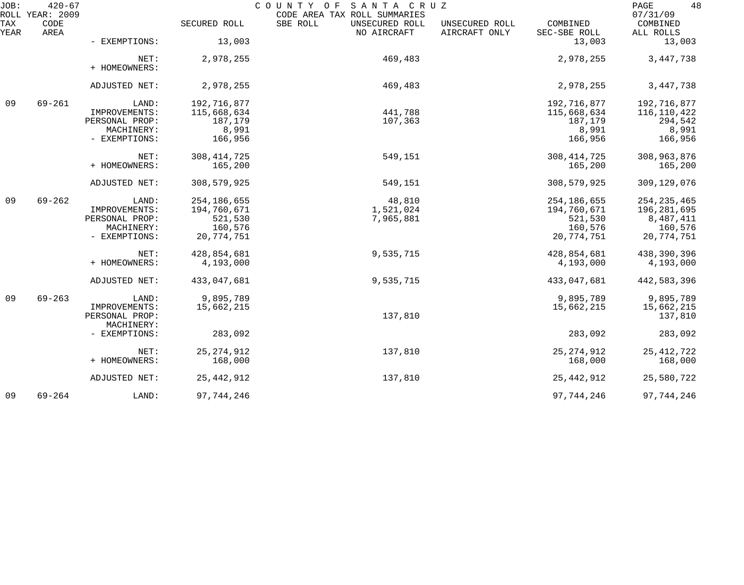| JOB:        | $420 - 67$<br>ROLL YEAR: 2009 |                                                                         |                                                                    | SANTA CRUZ<br>COUNTY OF<br>CODE AREA TAX ROLL SUMMARIES |                                 |                                                                | 48<br>PAGE<br>07/31/09                                                 |
|-------------|-------------------------------|-------------------------------------------------------------------------|--------------------------------------------------------------------|---------------------------------------------------------|---------------------------------|----------------------------------------------------------------|------------------------------------------------------------------------|
| TAX<br>YEAR | CODE<br>AREA                  |                                                                         | SECURED ROLL                                                       | SBE ROLL<br>UNSECURED ROLL<br>NO AIRCRAFT               | UNSECURED ROLL<br>AIRCRAFT ONLY | COMBINED<br>SEC-SBE ROLL                                       | COMBINED<br>ALL ROLLS                                                  |
|             |                               | - EXEMPTIONS:                                                           | 13,003                                                             |                                                         |                                 | 13,003                                                         | 13,003                                                                 |
|             |                               | NET:<br>+ HOMEOWNERS:                                                   | 2,978,255                                                          | 469,483                                                 |                                 | 2,978,255                                                      | 3, 447, 738                                                            |
|             |                               | ADJUSTED NET:                                                           | 2,978,255                                                          | 469,483                                                 |                                 | 2,978,255                                                      | 3, 447, 738                                                            |
| 09          | $69 - 261$                    | LAND:<br>IMPROVEMENTS:<br>PERSONAL PROP:                                | 192,716,877<br>115,668,634<br>187,179                              | 441,788<br>107,363                                      |                                 | 192,716,877<br>115,668,634<br>187,179                          | 192,716,877<br>116,110,422<br>294,542                                  |
|             |                               | MACHINERY:<br>- EXEMPTIONS:                                             | 8,991<br>166,956                                                   |                                                         |                                 | 8,991<br>166,956                                               | 8,991<br>166,956                                                       |
|             |                               | NET:<br>+ HOMEOWNERS:                                                   | 308, 414, 725<br>165,200                                           | 549,151                                                 |                                 | 308, 414, 725<br>165,200                                       | 308,963,876<br>165,200                                                 |
|             |                               | ADJUSTED NET:                                                           | 308,579,925                                                        | 549,151                                                 |                                 | 308,579,925                                                    | 309,129,076                                                            |
| 09          | $69 - 262$                    | LAND:<br>IMPROVEMENTS:<br>PERSONAL PROP:<br>MACHINERY:<br>- EXEMPTIONS: | 254, 186, 655<br>194,760,671<br>521,530<br>160,576<br>20, 774, 751 | 48,810<br>1,521,024<br>7,965,881                        |                                 | 254,186,655<br>194,760,671<br>521,530<br>160,576<br>20,774,751 | 254, 235, 465<br>196, 281, 695<br>8,487,411<br>160,576<br>20, 774, 751 |
|             |                               | NET:<br>+ HOMEOWNERS:                                                   | 428,854,681<br>4,193,000                                           | 9,535,715                                               |                                 | 428,854,681<br>4,193,000                                       | 438,390,396<br>4,193,000                                               |
|             |                               | ADJUSTED NET:                                                           | 433,047,681                                                        | 9,535,715                                               |                                 | 433,047,681                                                    | 442,583,396                                                            |
| 09          | $69 - 263$                    | LAND:<br>IMPROVEMENTS:<br>PERSONAL PROP:                                | 9,895,789<br>15,662,215                                            | 137,810                                                 |                                 | 9,895,789<br>15,662,215                                        | 9,895,789<br>15,662,215<br>137,810                                     |
|             |                               | MACHINERY:<br>- EXEMPTIONS:                                             | 283,092                                                            |                                                         |                                 | 283,092                                                        | 283,092                                                                |
|             |                               | NET:<br>+ HOMEOWNERS:                                                   | 25, 274, 912<br>168,000                                            | 137,810                                                 |                                 | 25, 274, 912<br>168,000                                        | 25, 412, 722<br>168,000                                                |
|             |                               | ADJUSTED NET:                                                           | 25, 442, 912                                                       | 137,810                                                 |                                 | 25, 442, 912                                                   | 25,580,722                                                             |
| 09          | $69 - 264$                    | LAND:                                                                   | 97,744,246                                                         |                                                         |                                 | 97,744,246                                                     | 97,744,246                                                             |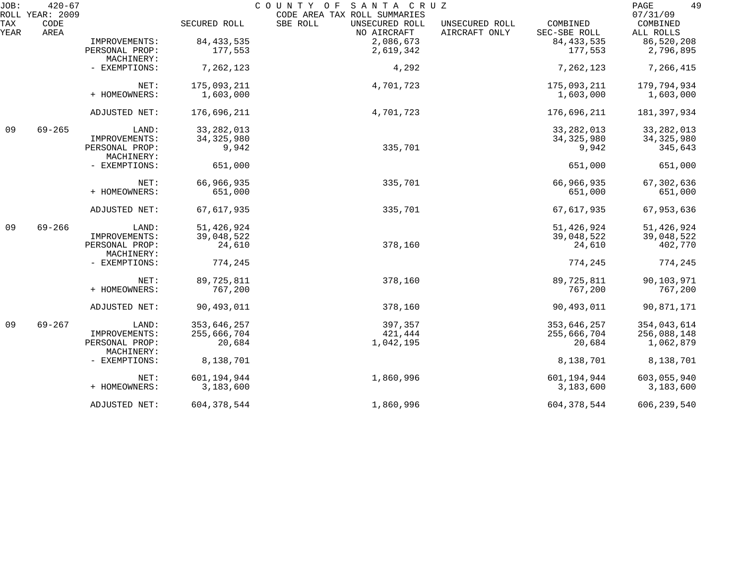| JOB:        | $420 - 67$                      |                              |               | COUNTY OF<br>SANTA CRUZ                                                   |                                                             | 49<br>PAGE                        |
|-------------|---------------------------------|------------------------------|---------------|---------------------------------------------------------------------------|-------------------------------------------------------------|-----------------------------------|
| TAX<br>YEAR | ROLL YEAR: 2009<br>CODE<br>AREA |                              | SECURED ROLL  | CODE AREA TAX ROLL SUMMARIES<br>SBE ROLL<br>UNSECURED ROLL<br>NO AIRCRAFT | COMBINED<br>UNSECURED ROLL<br>AIRCRAFT ONLY<br>SEC-SBE ROLL | 07/31/09<br>COMBINED<br>ALL ROLLS |
|             |                                 | IMPROVEMENTS:                | 84, 433, 535  | 2,086,673                                                                 | 84, 433, 535                                                | 86,520,208                        |
|             |                                 | PERSONAL PROP:<br>MACHINERY: | 177,553       | 2,619,342                                                                 | 177,553                                                     | 2,796,895                         |
|             |                                 | - EXEMPTIONS:                | 7,262,123     | 4,292                                                                     | 7,262,123                                                   | 7,266,415                         |
|             |                                 | NET:                         | 175,093,211   | 4,701,723                                                                 | 175,093,211                                                 | 179,794,934                       |
|             |                                 | + HOMEOWNERS:                | 1,603,000     |                                                                           | 1,603,000                                                   | 1,603,000                         |
|             |                                 | ADJUSTED NET:                | 176,696,211   | 4,701,723                                                                 | 176,696,211                                                 | 181,397,934                       |
| 09          | $69 - 265$                      | LAND:                        | 33, 282, 013  |                                                                           | 33, 282, 013                                                | 33, 282, 013                      |
|             |                                 | IMPROVEMENTS:                | 34, 325, 980  |                                                                           | 34, 325, 980                                                | 34, 325, 980                      |
|             |                                 | PERSONAL PROP:<br>MACHINERY: | 9,942         | 335,701                                                                   | 9,942                                                       | 345,643                           |
|             |                                 | - EXEMPTIONS:                | 651,000       |                                                                           | 651,000                                                     | 651,000                           |
|             |                                 | NET:                         | 66,966,935    | 335,701                                                                   | 66,966,935                                                  | 67, 302, 636                      |
|             |                                 | + HOMEOWNERS:                | 651,000       |                                                                           | 651,000                                                     | 651,000                           |
|             |                                 | ADJUSTED NET:                | 67,617,935    | 335,701                                                                   | 67,617,935                                                  | 67,953,636                        |
| 09          | $69 - 266$                      | LAND:                        | 51, 426, 924  |                                                                           | 51, 426, 924                                                | 51,426,924                        |
|             |                                 | IMPROVEMENTS:                | 39,048,522    |                                                                           | 39,048,522                                                  | 39,048,522                        |
|             |                                 | PERSONAL PROP:<br>MACHINERY: | 24,610        | 378,160                                                                   | 24,610                                                      | 402,770                           |
|             |                                 | - EXEMPTIONS:                | 774,245       |                                                                           | 774,245                                                     | 774,245                           |
|             |                                 | NET:                         | 89,725,811    | 378,160                                                                   | 89,725,811                                                  | 90,103,971                        |
|             |                                 | + HOMEOWNERS:                | 767,200       |                                                                           | 767,200                                                     | 767,200                           |
|             |                                 | ADJUSTED NET:                | 90,493,011    | 378,160                                                                   | 90,493,011                                                  | 90,871,171                        |
| 09          | $69 - 267$                      | LAND:                        | 353,646,257   | 397,357                                                                   | 353,646,257                                                 | 354,043,614                       |
|             |                                 | IMPROVEMENTS:                | 255,666,704   | 421,444                                                                   | 255,666,704                                                 | 256,088,148                       |
|             |                                 | PERSONAL PROP:<br>MACHINERY: | 20,684        | 1,042,195                                                                 | 20,684                                                      | 1,062,879                         |
|             |                                 | - EXEMPTIONS:                | 8,138,701     |                                                                           | 8,138,701                                                   | 8,138,701                         |
|             |                                 | NET:                         | 601,194,944   | 1,860,996                                                                 | 601,194,944                                                 | 603,055,940                       |
|             |                                 | + HOMEOWNERS:                | 3,183,600     |                                                                           | 3,183,600                                                   | 3,183,600                         |
|             |                                 | ADJUSTED NET:                | 604, 378, 544 | 1,860,996                                                                 | 604,378,544                                                 | 606, 239, 540                     |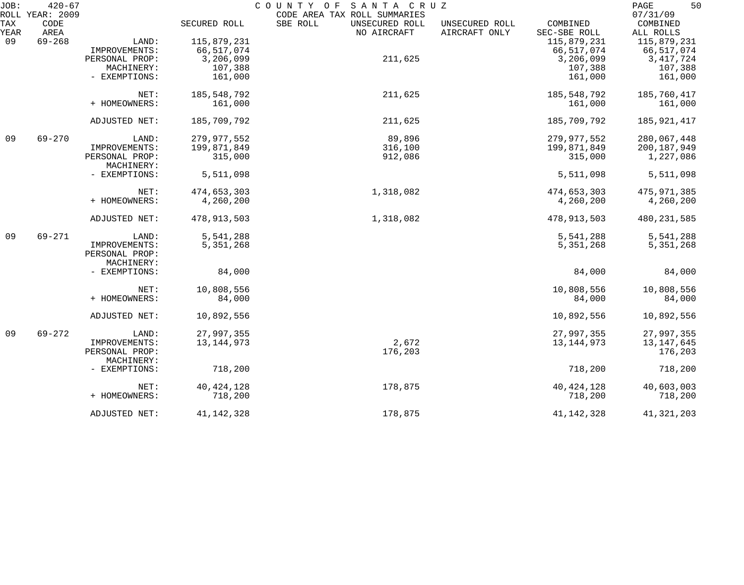| JOB: | $420 - 67$<br>ROLL YEAR: 2009 |                |              | COUNTY OF<br>SANTA CRUZ<br>CODE AREA TAX ROLL SUMMARIES |                |              | 50<br>PAGE<br>07/31/09 |
|------|-------------------------------|----------------|--------------|---------------------------------------------------------|----------------|--------------|------------------------|
| TAX  | CODE                          |                | SECURED ROLL | SBE ROLL<br>UNSECURED ROLL                              | UNSECURED ROLL | COMBINED     | COMBINED               |
| YEAR | AREA                          |                |              | NO AIRCRAFT                                             | AIRCRAFT ONLY  | SEC-SBE ROLL | ALL ROLLS              |
| 09   | $69 - 268$                    | LAND:          | 115,879,231  |                                                         |                | 115,879,231  | 115,879,231            |
|      |                               | IMPROVEMENTS:  | 66,517,074   |                                                         |                | 66,517,074   | 66, 517, 074           |
|      |                               | PERSONAL PROP: | 3,206,099    | 211,625                                                 |                | 3,206,099    | 3, 417, 724            |
|      |                               | MACHINERY:     | 107,388      |                                                         |                | 107,388      | 107,388                |
|      |                               | - EXEMPTIONS:  | 161,000      |                                                         |                | 161,000      | 161,000                |
|      |                               | NET:           | 185,548,792  | 211,625                                                 |                | 185,548,792  | 185,760,417            |
|      |                               | + HOMEOWNERS:  | 161,000      |                                                         |                | 161,000      | 161,000                |
|      |                               | ADJUSTED NET:  | 185,709,792  | 211,625                                                 |                | 185,709,792  | 185,921,417            |
| 09   | $69 - 270$                    | LAND:          | 279,977,552  | 89,896                                                  |                | 279,977,552  | 280,067,448            |
|      |                               | IMPROVEMENTS:  | 199,871,849  | 316,100                                                 |                | 199,871,849  | 200, 187, 949          |
|      |                               | PERSONAL PROP: | 315,000      | 912,086                                                 |                | 315,000      | 1,227,086              |
|      |                               | MACHINERY:     |              |                                                         |                |              |                        |
|      |                               | - EXEMPTIONS:  | 5,511,098    |                                                         |                | 5,511,098    | 5,511,098              |
|      |                               | NET:           | 474,653,303  | 1,318,082                                               |                | 474,653,303  | 475, 971, 385          |
|      |                               | + HOMEOWNERS:  | 4,260,200    |                                                         |                | 4,260,200    | 4,260,200              |
|      |                               | ADJUSTED NET:  | 478,913,503  | 1,318,082                                               |                | 478,913,503  | 480, 231, 585          |
| 09   | $69 - 271$                    | LAND:          | 5,541,288    |                                                         |                | 5,541,288    | 5,541,288              |
|      |                               | IMPROVEMENTS:  | 5,351,268    |                                                         |                | 5, 351, 268  | 5, 351, 268            |
|      |                               | PERSONAL PROP: |              |                                                         |                |              |                        |
|      |                               | MACHINERY:     |              |                                                         |                |              |                        |
|      |                               | - EXEMPTIONS:  | 84,000       |                                                         |                | 84,000       | 84,000                 |
|      |                               | NET:           | 10,808,556   |                                                         |                | 10,808,556   | 10,808,556             |
|      |                               | + HOMEOWNERS:  | 84,000       |                                                         |                | 84,000       | 84,000                 |
|      |                               | ADJUSTED NET:  | 10,892,556   |                                                         |                | 10,892,556   | 10,892,556             |
| 09   | $69 - 272$                    | LAND:          | 27,997,355   |                                                         |                | 27,997,355   | 27,997,355             |
|      |                               | IMPROVEMENTS:  | 13, 144, 973 | 2,672                                                   |                | 13, 144, 973 | 13, 147, 645           |
|      |                               | PERSONAL PROP: |              | 176,203                                                 |                |              | 176,203                |
|      |                               | MACHINERY:     |              |                                                         |                |              |                        |
|      |                               | - EXEMPTIONS:  | 718,200      |                                                         |                | 718,200      | 718,200                |
|      |                               | NET:           | 40, 424, 128 | 178,875                                                 |                | 40, 424, 128 | 40,603,003             |
|      |                               | + HOMEOWNERS:  | 718,200      |                                                         |                | 718,200      | 718,200                |
|      |                               | ADJUSTED NET:  | 41, 142, 328 | 178,875                                                 |                | 41,142,328   | 41, 321, 203           |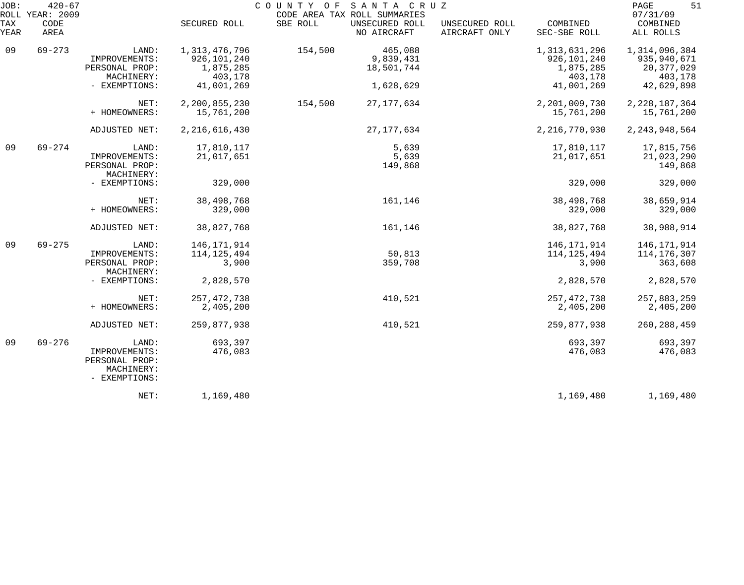| JOB:        | $420 - 67$<br>ROLL YEAR: 2009 |                                                                         |                                         | COUNTY OF SANTA CRUZ | CODE AREA TAX ROLL SUMMARIES  |                                 |                                         | 51<br>PAGE<br>07/31/09                |
|-------------|-------------------------------|-------------------------------------------------------------------------|-----------------------------------------|----------------------|-------------------------------|---------------------------------|-----------------------------------------|---------------------------------------|
| TAX<br>YEAR | CODE<br>AREA                  |                                                                         | SECURED ROLL                            | SBE ROLL             | UNSECURED ROLL<br>NO AIRCRAFT | UNSECURED ROLL<br>AIRCRAFT ONLY | COMBINED<br>SEC-SBE ROLL                | COMBINED<br>ALL ROLLS                 |
| 09          | $69 - 273$                    | LAND:<br>IMPROVEMENTS:                                                  | 1,313,476,796<br>926,101,240            | 154,500              | 465,088<br>9,839,431          |                                 | 1,313,631,296<br>926,101,240            | 1,314,096,384<br>935, 940, 671        |
|             |                               | PERSONAL PROP:<br>MACHINERY:<br>- EXEMPTIONS:                           | 1,875,285<br>403,178<br>41,001,269      |                      | 18,501,744<br>1,628,629       |                                 | 1,875,285<br>403,178<br>41,001,269      | 20, 377, 029<br>403,178<br>42,629,898 |
|             |                               |                                                                         |                                         |                      |                               |                                 |                                         |                                       |
|             |                               | NET:<br>+ HOMEOWNERS:                                                   | 2,200,855,230<br>15,761,200             | 154,500              | 27, 177, 634                  |                                 | 2,201,009,730<br>15,761,200             | 2, 228, 187, 364<br>15,761,200        |
|             |                               | ADJUSTED NET:                                                           | 2, 216, 616, 430                        |                      | 27, 177, 634                  |                                 | 2, 216, 770, 930                        | 2, 243, 948, 564                      |
| 09          | $69 - 274$                    | LAND:<br>IMPROVEMENTS:<br>PERSONAL PROP:<br>MACHINERY:                  | 17,810,117<br>21,017,651                |                      | 5,639<br>5,639<br>149,868     |                                 | 17,810,117<br>21,017,651                | 17,815,756<br>21,023,290<br>149,868   |
|             |                               | - EXEMPTIONS:                                                           | 329,000                                 |                      |                               |                                 | 329,000                                 | 329,000                               |
|             |                               | NET:<br>+ HOMEOWNERS:                                                   | 38,498,768<br>329,000                   |                      | 161,146                       |                                 | 38, 498, 768<br>329,000                 | 38,659,914<br>329,000                 |
|             |                               | ADJUSTED NET:                                                           | 38,827,768                              |                      | 161,146                       |                                 | 38,827,768                              | 38,988,914                            |
| 09          | $69 - 275$                    | LAND:<br>IMPROVEMENTS:<br>PERSONAL PROP:<br>MACHINERY:                  | 146, 171, 914<br>114, 125, 494<br>3,900 |                      | 50,813<br>359,708             |                                 | 146, 171, 914<br>114, 125, 494<br>3,900 | 146,171,914<br>114,176,307<br>363,608 |
|             |                               | - EXEMPTIONS:                                                           | 2,828,570                               |                      |                               |                                 | 2,828,570                               | 2,828,570                             |
|             |                               | NET:<br>+ HOMEOWNERS:                                                   | 257, 472, 738<br>2,405,200              |                      | 410,521                       |                                 | 257, 472, 738<br>2,405,200              | 257,883,259<br>2,405,200              |
|             |                               | ADJUSTED NET:                                                           | 259,877,938                             |                      | 410,521                       |                                 | 259,877,938                             | 260, 288, 459                         |
| 09          | $69 - 276$                    | LAND:<br>IMPROVEMENTS:<br>PERSONAL PROP:<br>MACHINERY:<br>- EXEMPTIONS: | 693,397<br>476,083                      |                      |                               |                                 | 693,397<br>476,083                      | 693,397<br>476,083                    |
|             |                               | NET:                                                                    | 1,169,480                               |                      |                               |                                 | 1,169,480                               | 1,169,480                             |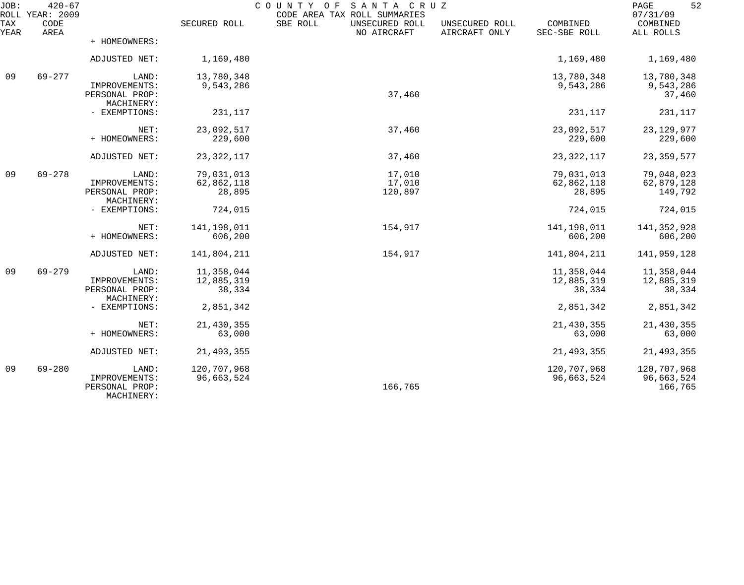| JOB:        | $420 - 67$<br>ROLL YEAR: 2009 |                                               |              | COUNTY OF<br>SANTA CRUZ<br>CODE AREA TAX ROLL SUMMARIES |                                 |                          | 52<br>PAGE<br>07/31/09 |
|-------------|-------------------------------|-----------------------------------------------|--------------|---------------------------------------------------------|---------------------------------|--------------------------|------------------------|
| TAX<br>YEAR | CODE<br>AREA                  |                                               | SECURED ROLL | SBE ROLL<br>UNSECURED ROLL<br>NO AIRCRAFT               | UNSECURED ROLL<br>AIRCRAFT ONLY | COMBINED<br>SEC-SBE ROLL | COMBINED<br>ALL ROLLS  |
|             |                               | + HOMEOWNERS:                                 |              |                                                         |                                 |                          |                        |
|             |                               | ADJUSTED NET:                                 | 1,169,480    |                                                         |                                 | 1,169,480                | 1,169,480              |
| 09          | $69 - 277$                    | LAND:                                         | 13,780,348   |                                                         |                                 | 13,780,348               | 13,780,348             |
|             |                               | IMPROVEMENTS:<br>PERSONAL PROP:<br>MACHINERY: | 9,543,286    | 37,460                                                  |                                 | 9,543,286                | 9,543,286<br>37,460    |
|             |                               | - EXEMPTIONS:                                 | 231,117      |                                                         |                                 | 231,117                  | 231,117                |
|             |                               | NET:                                          | 23,092,517   | 37,460                                                  |                                 | 23,092,517               | 23, 129, 977           |
|             |                               | + HOMEOWNERS:                                 | 229,600      |                                                         |                                 | 229,600                  | 229,600                |
|             |                               | ADJUSTED NET:                                 | 23, 322, 117 | 37,460                                                  |                                 | 23, 322, 117             | 23, 359, 577           |
| 09          | $69 - 278$                    | LAND:                                         | 79,031,013   | 17,010                                                  |                                 | 79,031,013               | 79,048,023             |
|             |                               | IMPROVEMENTS:<br>PERSONAL PROP:               | 62,862,118   | 17,010                                                  |                                 | 62,862,118               | 62,879,128             |
|             |                               | MACHINERY:                                    | 28,895       | 120,897                                                 |                                 | 28,895                   | 149,792                |
|             |                               | - EXEMPTIONS:                                 | 724,015      |                                                         |                                 | 724,015                  | 724,015                |
|             |                               | NET:                                          | 141,198,011  | 154,917                                                 |                                 | 141,198,011              | 141,352,928            |
|             |                               | + HOMEOWNERS:                                 | 606,200      |                                                         |                                 | 606,200                  | 606,200                |
|             |                               | ADJUSTED NET:                                 | 141,804,211  | 154,917                                                 |                                 | 141,804,211              | 141,959,128            |
| 09          | $69 - 279$                    | LAND:                                         | 11,358,044   |                                                         |                                 | 11,358,044               | 11,358,044             |
|             |                               | IMPROVEMENTS:                                 | 12,885,319   |                                                         |                                 | 12,885,319               | 12,885,319             |
|             |                               | PERSONAL PROP:<br>MACHINERY:                  | 38,334       |                                                         |                                 | 38,334                   | 38,334                 |
|             |                               | - EXEMPTIONS:                                 | 2,851,342    |                                                         |                                 | 2,851,342                | 2,851,342              |
|             |                               | NET:                                          | 21,430,355   |                                                         |                                 | 21,430,355               | 21,430,355             |
|             |                               | + HOMEOWNERS:                                 | 63,000       |                                                         |                                 | 63,000                   | 63,000                 |
|             |                               | ADJUSTED NET:                                 | 21, 493, 355 |                                                         |                                 | 21, 493, 355             | 21, 493, 355           |
| 09          | $69 - 280$                    | LAND:                                         | 120,707,968  |                                                         |                                 | 120,707,968              | 120,707,968            |
|             |                               | IMPROVEMENTS:<br>PERSONAL PROP:<br>MACHINERY: | 96,663,524   | 166,765                                                 |                                 | 96,663,524               | 96,663,524<br>166,765  |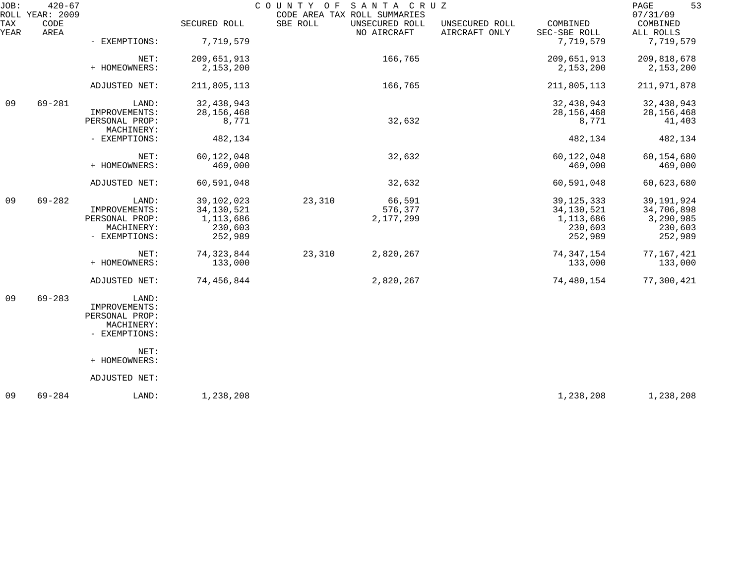| JOB:        | $420 - 67$<br>ROLL YEAR: 2009 |                              |              | COUNTY OF | SANTA CRUZ<br>CODE AREA TAX ROLL SUMMARIES |                                 |                          | 53<br>PAGE<br>07/31/09 |
|-------------|-------------------------------|------------------------------|--------------|-----------|--------------------------------------------|---------------------------------|--------------------------|------------------------|
| TAX<br>YEAR | CODE<br>AREA                  |                              | SECURED ROLL | SBE ROLL  | UNSECURED ROLL<br>NO AIRCRAFT              | UNSECURED ROLL<br>AIRCRAFT ONLY | COMBINED<br>SEC-SBE ROLL | COMBINED<br>ALL ROLLS  |
|             |                               | - EXEMPTIONS:                | 7,719,579    |           |                                            |                                 | 7,719,579                | 7,719,579              |
|             |                               | NET:                         | 209,651,913  |           | 166,765                                    |                                 | 209,651,913              | 209,818,678            |
|             |                               | + HOMEOWNERS:                | 2,153,200    |           |                                            |                                 | 2,153,200                | 2,153,200              |
|             |                               | ADJUSTED NET:                | 211,805,113  |           | 166,765                                    |                                 | 211,805,113              | 211,971,878            |
| 09          | $69 - 281$                    | LAND:                        | 32, 438, 943 |           |                                            |                                 | 32,438,943               | 32,438,943             |
|             |                               | IMPROVEMENTS:                | 28, 156, 468 |           |                                            |                                 | 28, 156, 468             | 28, 156, 468           |
|             |                               | PERSONAL PROP:<br>MACHINERY: | 8,771        |           | 32,632                                     |                                 | 8,771                    | 41,403                 |
|             |                               | - EXEMPTIONS:                | 482,134      |           |                                            |                                 | 482,134                  | 482,134                |
|             |                               | NET:                         | 60, 122, 048 |           | 32,632                                     |                                 | 60,122,048               | 60,154,680             |
|             |                               | + HOMEOWNERS:                | 469,000      |           |                                            |                                 | 469,000                  | 469,000                |
|             |                               | ADJUSTED NET:                | 60,591,048   |           | 32,632                                     |                                 | 60,591,048               | 60,623,680             |
| 09          | $69 - 282$                    | LAND:                        | 39,102,023   | 23,310    | 66,591                                     |                                 | 39, 125, 333             | 39, 191, 924           |
|             |                               | IMPROVEMENTS:                | 34, 130, 521 |           | 576,377                                    |                                 | 34, 130, 521             | 34,706,898             |
|             |                               | PERSONAL PROP:               | 1,113,686    |           | 2,177,299                                  |                                 | 1,113,686                | 3,290,985              |
|             |                               | MACHINERY:                   | 230,603      |           |                                            |                                 | 230,603                  | 230,603                |
|             |                               | - EXEMPTIONS:                | 252,989      |           |                                            |                                 | 252,989                  | 252,989                |
|             |                               | NET:                         | 74, 323, 844 | 23,310    | 2,820,267                                  |                                 | 74, 347, 154             | 77,167,421             |
|             |                               | + HOMEOWNERS:                | 133,000      |           |                                            |                                 | 133,000                  | 133,000                |
|             |                               | ADJUSTED NET:                | 74,456,844   |           | 2,820,267                                  |                                 | 74,480,154               | 77,300,421             |
| 09          | $69 - 283$                    | LAND:                        |              |           |                                            |                                 |                          |                        |
|             |                               | IMPROVEMENTS:                |              |           |                                            |                                 |                          |                        |
|             |                               | PERSONAL PROP:               |              |           |                                            |                                 |                          |                        |
|             |                               | MACHINERY:<br>- EXEMPTIONS:  |              |           |                                            |                                 |                          |                        |
|             |                               | NET:                         |              |           |                                            |                                 |                          |                        |
|             |                               | + HOMEOWNERS:                |              |           |                                            |                                 |                          |                        |
|             |                               | ADJUSTED NET:                |              |           |                                            |                                 |                          |                        |
| 09          | $69 - 284$                    | LAND:                        | 1,238,208    |           |                                            |                                 | 1,238,208                | 1,238,208              |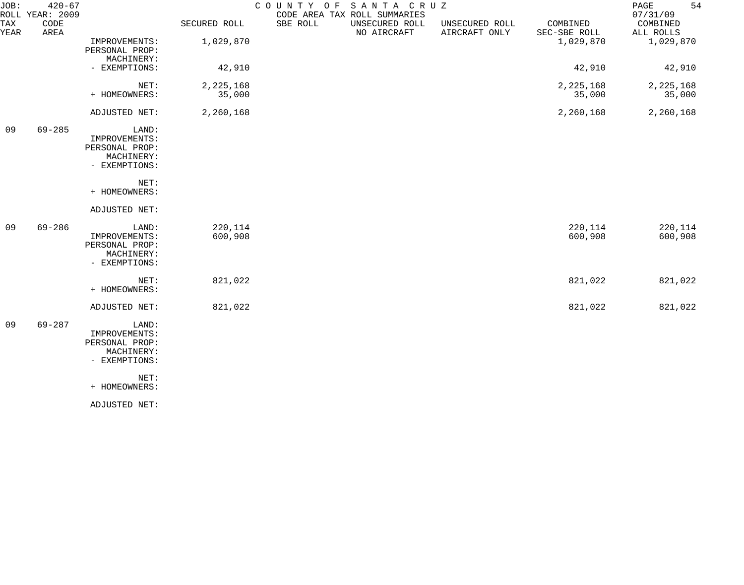| JOB:        | $420 - 67$<br>ROLL YEAR: 2009 |                                                                         |                       | COUNTY OF<br>CODE AREA TAX ROLL SUMMARIES | SANTA CRUZ                    |                                 |                          | 54<br>PAGE<br>07/31/09 |
|-------------|-------------------------------|-------------------------------------------------------------------------|-----------------------|-------------------------------------------|-------------------------------|---------------------------------|--------------------------|------------------------|
| TAX<br>YEAR | CODE<br>AREA                  |                                                                         | SECURED ROLL          | SBE ROLL                                  | UNSECURED ROLL<br>NO AIRCRAFT | UNSECURED ROLL<br>AIRCRAFT ONLY | COMBINED<br>SEC-SBE ROLL | COMBINED<br>ALL ROLLS  |
|             |                               | IMPROVEMENTS:<br>PERSONAL PROP:<br>MACHINERY:                           | 1,029,870             |                                           |                               |                                 | 1,029,870                | 1,029,870              |
|             |                               | - EXEMPTIONS:                                                           | 42,910                |                                           |                               |                                 | 42,910                   | 42,910                 |
|             |                               | NET:<br>+ HOMEOWNERS:                                                   | 2, 225, 168<br>35,000 |                                           |                               |                                 | 2, 225, 168<br>35,000    | 2, 225, 168<br>35,000  |
|             |                               | ADJUSTED NET:                                                           | 2,260,168             |                                           |                               |                                 | 2,260,168                | 2,260,168              |
| 09          | $69 - 285$                    | LAND:<br>IMPROVEMENTS:<br>PERSONAL PROP:<br>MACHINERY:<br>- EXEMPTIONS: |                       |                                           |                               |                                 |                          |                        |
|             |                               | NET:<br>+ HOMEOWNERS:                                                   |                       |                                           |                               |                                 |                          |                        |
|             |                               | ADJUSTED NET:                                                           |                       |                                           |                               |                                 |                          |                        |
| 09          | $69 - 286$                    | LAND:<br>IMPROVEMENTS:<br>PERSONAL PROP:<br>MACHINERY:<br>- EXEMPTIONS: | 220,114<br>600,908    |                                           |                               |                                 | 220,114<br>600,908       | 220,114<br>600,908     |
|             |                               | NET:<br>+ HOMEOWNERS:                                                   | 821,022               |                                           |                               |                                 | 821,022                  | 821,022                |
|             |                               | ADJUSTED NET:                                                           | 821,022               |                                           |                               |                                 | 821,022                  | 821,022                |
| 09          | $69 - 287$                    | LAND:<br>IMPROVEMENTS:<br>PERSONAL PROP:<br>MACHINERY:<br>- EXEMPTIONS: |                       |                                           |                               |                                 |                          |                        |
|             |                               | NET:<br>+ HOMEOWNERS:                                                   |                       |                                           |                               |                                 |                          |                        |
|             |                               | ADJUSTED NET:                                                           |                       |                                           |                               |                                 |                          |                        |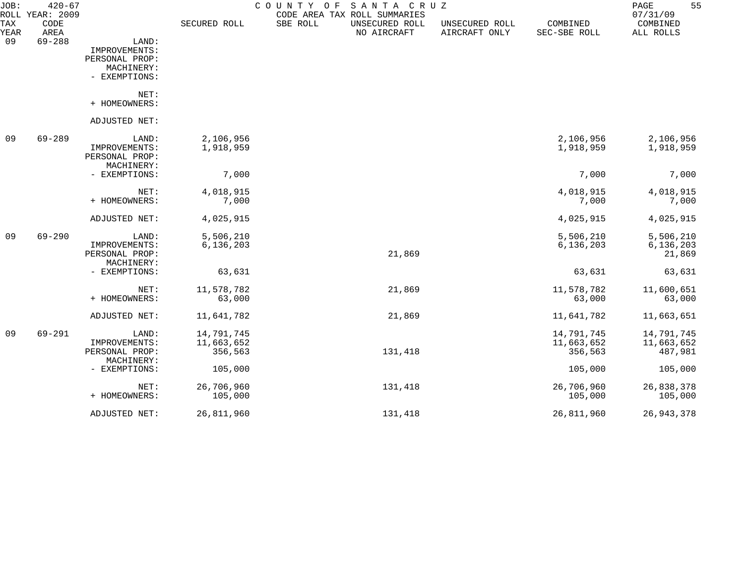| JOB:        | $420 - 67$<br>ROLL YEAR: 2009 |                              |              | COUNTY<br>O F | SANTA CRUZ<br>CODE AREA TAX ROLL SUMMARIES |                                 |                          | 55<br>PAGE<br>07/31/09 |
|-------------|-------------------------------|------------------------------|--------------|---------------|--------------------------------------------|---------------------------------|--------------------------|------------------------|
| TAX<br>YEAR | CODE<br>AREA                  |                              | SECURED ROLL | SBE ROLL      | UNSECURED ROLL<br>NO AIRCRAFT              | UNSECURED ROLL<br>AIRCRAFT ONLY | COMBINED<br>SEC-SBE ROLL | COMBINED<br>ALL ROLLS  |
| 09          | $69 - 288$                    | LAND:                        |              |               |                                            |                                 |                          |                        |
|             |                               | IMPROVEMENTS:                |              |               |                                            |                                 |                          |                        |
|             |                               | PERSONAL PROP:               |              |               |                                            |                                 |                          |                        |
|             |                               | MACHINERY:                   |              |               |                                            |                                 |                          |                        |
|             |                               | - EXEMPTIONS:                |              |               |                                            |                                 |                          |                        |
|             |                               | NET:                         |              |               |                                            |                                 |                          |                        |
|             |                               | + HOMEOWNERS:                |              |               |                                            |                                 |                          |                        |
|             |                               | ADJUSTED NET:                |              |               |                                            |                                 |                          |                        |
| 09          | $69 - 289$                    | LAND:                        | 2,106,956    |               |                                            |                                 | 2,106,956                | 2,106,956              |
|             |                               | IMPROVEMENTS:                | 1,918,959    |               |                                            |                                 | 1,918,959                | 1,918,959              |
|             |                               | PERSONAL PROP:               |              |               |                                            |                                 |                          |                        |
|             |                               | MACHINERY:                   |              |               |                                            |                                 |                          |                        |
|             |                               | - EXEMPTIONS:                | 7,000        |               |                                            |                                 | 7,000                    | 7,000                  |
|             |                               | NET:                         | 4,018,915    |               |                                            |                                 | 4,018,915                | 4,018,915              |
|             |                               | + HOMEOWNERS:                | 7,000        |               |                                            |                                 | 7,000                    | 7,000                  |
|             |                               | ADJUSTED NET:                | 4,025,915    |               |                                            |                                 | 4,025,915                | 4,025,915              |
| 09          | $69 - 290$                    | LAND:                        | 5,506,210    |               |                                            |                                 | 5,506,210                | 5,506,210              |
|             |                               | IMPROVEMENTS:                | 6, 136, 203  |               |                                            |                                 | 6, 136, 203              | 6, 136, 203            |
|             |                               | PERSONAL PROP:               |              |               | 21,869                                     |                                 |                          | 21,869                 |
|             |                               | MACHINERY:                   |              |               |                                            |                                 |                          |                        |
|             |                               | - EXEMPTIONS:                | 63,631       |               |                                            |                                 | 63,631                   | 63,631                 |
|             |                               | NET:                         | 11,578,782   |               | 21,869                                     |                                 | 11,578,782               | 11,600,651             |
|             |                               | + HOMEOWNERS:                | 63,000       |               |                                            |                                 | 63,000                   | 63,000                 |
|             |                               | ADJUSTED NET:                | 11,641,782   |               | 21,869                                     |                                 | 11,641,782               | 11,663,651             |
| 09          | $69 - 291$                    | LAND:                        | 14,791,745   |               |                                            |                                 | 14,791,745               | 14,791,745             |
|             |                               | IMPROVEMENTS:                | 11,663,652   |               |                                            |                                 | 11,663,652               | 11,663,652             |
|             |                               | PERSONAL PROP:<br>MACHINERY: | 356,563      |               | 131,418                                    |                                 | 356,563                  | 487,981                |
|             |                               | - EXEMPTIONS:                | 105,000      |               |                                            |                                 | 105,000                  | 105,000                |
|             |                               | NET:                         | 26,706,960   |               | 131,418                                    |                                 | 26,706,960               | 26,838,378             |
|             |                               | + HOMEOWNERS:                | 105,000      |               |                                            |                                 | 105,000                  | 105,000                |
|             |                               | ADJUSTED NET:                | 26,811,960   |               | 131,418                                    |                                 | 26,811,960               | 26, 943, 378           |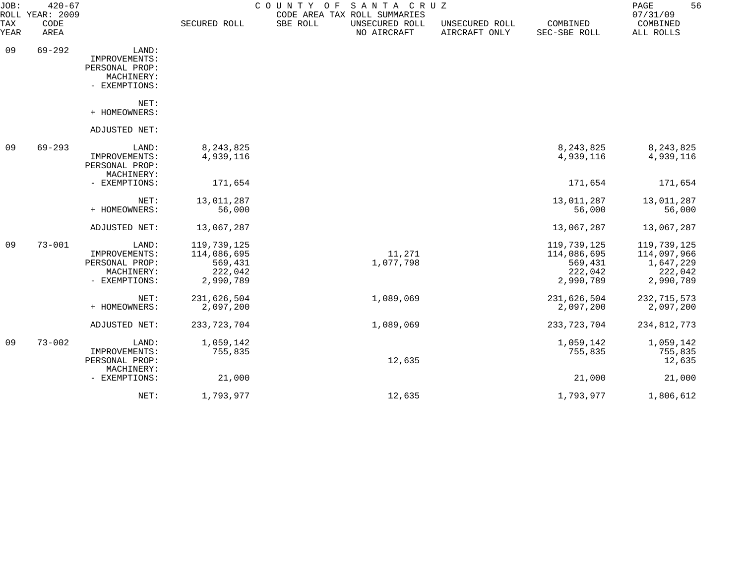| JOB:        | $420 - 67$<br>ROLL YEAR: 2009 |                                                                         |                                                               | COUNTY OF | SANTA CRUZ<br>CODE AREA TAX ROLL SUMMARIES |                                 |                                                               | 56<br>PAGE<br>07/31/09                                          |
|-------------|-------------------------------|-------------------------------------------------------------------------|---------------------------------------------------------------|-----------|--------------------------------------------|---------------------------------|---------------------------------------------------------------|-----------------------------------------------------------------|
| TAX<br>YEAR | CODE<br>AREA                  |                                                                         | SECURED ROLL                                                  | SBE ROLL  | UNSECURED ROLL<br>NO AIRCRAFT              | UNSECURED ROLL<br>AIRCRAFT ONLY | COMBINED<br>SEC-SBE ROLL                                      | COMBINED<br>ALL ROLLS                                           |
| 09          | $69 - 292$                    | LAND:<br>IMPROVEMENTS:<br>PERSONAL PROP:<br>MACHINERY:<br>- EXEMPTIONS: |                                                               |           |                                            |                                 |                                                               |                                                                 |
|             |                               | NET:<br>+ HOMEOWNERS:                                                   |                                                               |           |                                            |                                 |                                                               |                                                                 |
|             |                               | ADJUSTED NET:                                                           |                                                               |           |                                            |                                 |                                                               |                                                                 |
| 09          | $69 - 293$                    | LAND:<br>IMPROVEMENTS:<br>PERSONAL PROP:<br>MACHINERY:                  | 8, 243, 825<br>4,939,116                                      |           |                                            |                                 | 8,243,825<br>4,939,116                                        | 8, 243, 825<br>4,939,116                                        |
|             |                               | - EXEMPTIONS:                                                           | 171,654                                                       |           |                                            |                                 | 171,654                                                       | 171,654                                                         |
|             |                               | NET:<br>+ HOMEOWNERS:                                                   | 13,011,287<br>56,000                                          |           |                                            |                                 | 13,011,287<br>56,000                                          | 13,011,287<br>56,000                                            |
|             |                               | ADJUSTED NET:                                                           | 13,067,287                                                    |           |                                            |                                 | 13,067,287                                                    | 13,067,287                                                      |
| 09          | $73 - 001$                    | LAND:<br>IMPROVEMENTS:<br>PERSONAL PROP:<br>MACHINERY:<br>- EXEMPTIONS: | 119,739,125<br>114,086,695<br>569,431<br>222,042<br>2,990,789 |           | 11,271<br>1,077,798                        |                                 | 119,739,125<br>114,086,695<br>569,431<br>222,042<br>2,990,789 | 119,739,125<br>114,097,966<br>1,647,229<br>222,042<br>2,990,789 |
|             |                               | NET:<br>+ HOMEOWNERS:                                                   | 231,626,504<br>2,097,200                                      |           | 1,089,069                                  |                                 | 231,626,504<br>2,097,200                                      | 232, 715, 573<br>2,097,200                                      |
|             |                               | ADJUSTED NET:                                                           | 233, 723, 704                                                 |           | 1,089,069                                  |                                 | 233, 723, 704                                                 | 234,812,773                                                     |
| 09          | $73 - 002$                    | LAND:<br>IMPROVEMENTS:<br>PERSONAL PROP:<br>MACHINERY:                  | 1,059,142<br>755,835                                          |           | 12,635                                     |                                 | 1,059,142<br>755,835                                          | 1,059,142<br>755,835<br>12,635                                  |
|             |                               | - EXEMPTIONS:                                                           | 21,000                                                        |           |                                            |                                 | 21,000                                                        | 21,000                                                          |
|             |                               | NET:                                                                    | 1,793,977                                                     |           | 12,635                                     |                                 | 1,793,977                                                     | 1,806,612                                                       |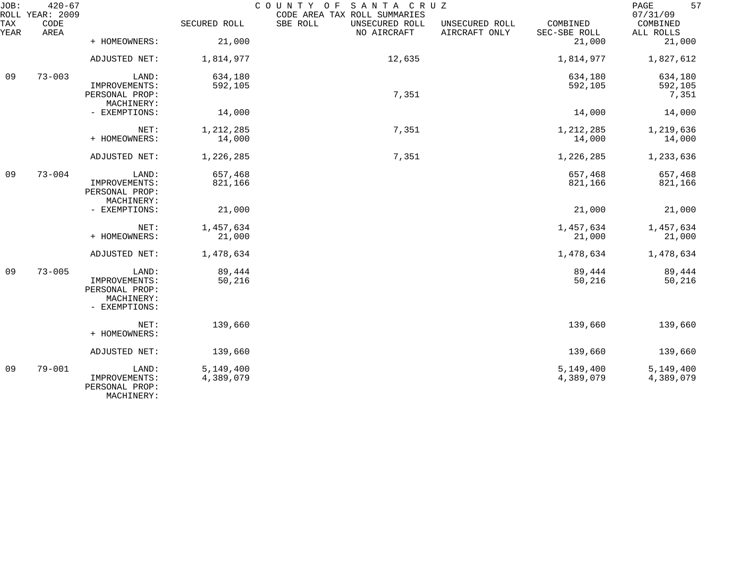| JOB:        | $420 - 67$<br>ROLL YEAR: 2009 |                                                                |                        | COUNTY OF<br>SANTA CRUZ<br>CODE AREA TAX ROLL SUMMARIES |                                 |                          | 57<br>$\mathop{\mathrm{PAGE}}$<br>07/31/09 |
|-------------|-------------------------------|----------------------------------------------------------------|------------------------|---------------------------------------------------------|---------------------------------|--------------------------|--------------------------------------------|
| TAX<br>YEAR | CODE<br>AREA                  |                                                                | SECURED ROLL           | SBE ROLL<br>UNSECURED ROLL<br>NO AIRCRAFT               | UNSECURED ROLL<br>AIRCRAFT ONLY | COMBINED<br>SEC-SBE ROLL | COMBINED<br>ALL ROLLS                      |
|             |                               | + HOMEOWNERS:                                                  | 21,000                 |                                                         |                                 | 21,000                   | 21,000                                     |
|             |                               | ADJUSTED NET:                                                  | 1,814,977              | 12,635                                                  |                                 | 1,814,977                | 1,827,612                                  |
| 09          | $73 - 003$                    | LAND:                                                          | 634,180                |                                                         |                                 | 634,180                  | 634,180                                    |
|             |                               | IMPROVEMENTS:<br>PERSONAL PROP:<br>MACHINERY:                  | 592,105                | 7,351                                                   |                                 | 592,105                  | 592,105<br>7,351                           |
|             |                               | - EXEMPTIONS:                                                  | 14,000                 |                                                         |                                 | 14,000                   | 14,000                                     |
|             |                               | NET:                                                           | 1,212,285              | 7,351                                                   |                                 | 1,212,285                | 1,219,636                                  |
|             |                               | + HOMEOWNERS:                                                  | 14,000                 |                                                         |                                 | 14,000                   | 14,000                                     |
|             |                               | ADJUSTED NET:                                                  | 1,226,285              | 7,351                                                   |                                 | 1,226,285                | 1,233,636                                  |
| 09          | $73 - 004$                    | LAND:                                                          | 657,468                |                                                         |                                 | 657,468                  | 657,468                                    |
|             |                               | IMPROVEMENTS:<br>PERSONAL PROP:<br>MACHINERY:                  | 821,166                |                                                         |                                 | 821,166                  | 821,166                                    |
|             |                               | - EXEMPTIONS:                                                  | 21,000                 |                                                         |                                 | 21,000                   | 21,000                                     |
|             |                               | NET:                                                           | 1,457,634              |                                                         |                                 | 1,457,634                | 1,457,634                                  |
|             |                               | + HOMEOWNERS:                                                  | 21,000                 |                                                         |                                 | 21,000                   | 21,000                                     |
|             |                               | ADJUSTED NET:                                                  | 1,478,634              |                                                         |                                 | 1,478,634                | 1,478,634                                  |
| 09          | $73 - 005$                    | LAND:                                                          | 89,444                 |                                                         |                                 | 89,444                   | 89,444                                     |
|             |                               | IMPROVEMENTS:<br>PERSONAL PROP:<br>MACHINERY:<br>- EXEMPTIONS: | 50,216                 |                                                         |                                 | 50,216                   | 50,216                                     |
|             |                               | NET:<br>+ HOMEOWNERS:                                          | 139,660                |                                                         |                                 | 139,660                  | 139,660                                    |
|             |                               | ADJUSTED NET:                                                  | 139,660                |                                                         |                                 | 139,660                  | 139,660                                    |
| 09          | $79 - 001$                    | LAND:<br>IMPROVEMENTS:<br>PERSONAL PROP:<br>MACHINERY:         | 5,149,400<br>4,389,079 |                                                         |                                 | 5,149,400<br>4,389,079   | 5,149,400<br>4,389,079                     |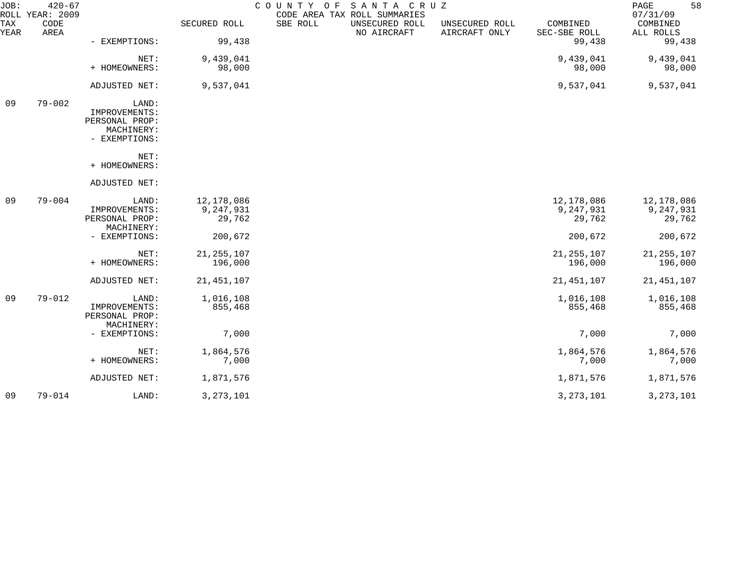| JOB:        | $420 - 67$<br>ROLL YEAR: 2009 |                                                                         |                         | COUNTY OF<br>CODE AREA TAX ROLL SUMMARIES | SANTA CRUZ                    |                                 |                          | 58<br>PAGE<br>07/31/09  |
|-------------|-------------------------------|-------------------------------------------------------------------------|-------------------------|-------------------------------------------|-------------------------------|---------------------------------|--------------------------|-------------------------|
| TAX<br>YEAR | CODE<br>AREA                  |                                                                         | SECURED ROLL            | SBE ROLL                                  | UNSECURED ROLL<br>NO AIRCRAFT | UNSECURED ROLL<br>AIRCRAFT ONLY | COMBINED<br>SEC-SBE ROLL | COMBINED<br>ALL ROLLS   |
|             |                               | - EXEMPTIONS:                                                           | 99,438                  |                                           |                               |                                 | 99,438                   | 99,438                  |
|             |                               | NET:                                                                    | 9,439,041               |                                           |                               |                                 | 9,439,041                | 9,439,041               |
|             |                               | + HOMEOWNERS:                                                           | 98,000                  |                                           |                               |                                 | 98,000                   | 98,000                  |
|             |                               | ADJUSTED NET:                                                           | 9,537,041               |                                           |                               |                                 | 9,537,041                | 9,537,041               |
| 09          | $79 - 002$                    | LAND:<br>IMPROVEMENTS:<br>PERSONAL PROP:<br>MACHINERY:<br>- EXEMPTIONS: |                         |                                           |                               |                                 |                          |                         |
|             |                               | NET:<br>+ HOMEOWNERS:                                                   |                         |                                           |                               |                                 |                          |                         |
|             |                               | ADJUSTED NET:                                                           |                         |                                           |                               |                                 |                          |                         |
| 09          | $79 - 004$                    | LAND:                                                                   | 12,178,086              |                                           |                               |                                 | 12,178,086               | 12,178,086              |
|             |                               | IMPROVEMENTS:<br>PERSONAL PROP:                                         | 9,247,931<br>29,762     |                                           |                               |                                 | 9,247,931<br>29,762      | 9,247,931<br>29,762     |
|             |                               | MACHINERY:                                                              |                         |                                           |                               |                                 |                          |                         |
|             |                               | - EXEMPTIONS:                                                           | 200,672                 |                                           |                               |                                 | 200,672                  | 200,672                 |
|             |                               | NET:<br>+ HOMEOWNERS:                                                   | 21, 255, 107<br>196,000 |                                           |                               |                                 | 21, 255, 107<br>196,000  | 21, 255, 107<br>196,000 |
|             |                               |                                                                         |                         |                                           |                               |                                 |                          |                         |
|             |                               | ADJUSTED NET:                                                           | 21, 451, 107            |                                           |                               |                                 | 21, 451, 107             | 21, 451, 107            |
| 09          | $79 - 012$                    | LAND:                                                                   | 1,016,108               |                                           |                               |                                 | 1,016,108                | 1,016,108               |
|             |                               | IMPROVEMENTS:<br>PERSONAL PROP:                                         | 855,468                 |                                           |                               |                                 | 855,468                  | 855,468                 |
|             |                               | MACHINERY:<br>- EXEMPTIONS:                                             | 7,000                   |                                           |                               |                                 | 7,000                    | 7,000                   |
|             |                               | NET:                                                                    | 1,864,576               |                                           |                               |                                 | 1,864,576                | 1,864,576               |
|             |                               | + HOMEOWNERS:                                                           | 7,000                   |                                           |                               |                                 | 7,000                    | 7,000                   |
|             |                               | ADJUSTED NET:                                                           | 1,871,576               |                                           |                               |                                 | 1,871,576                | 1,871,576               |
| 09          | $79 - 014$                    | LAND:                                                                   | 3, 273, 101             |                                           |                               |                                 | 3, 273, 101              | 3, 273, 101             |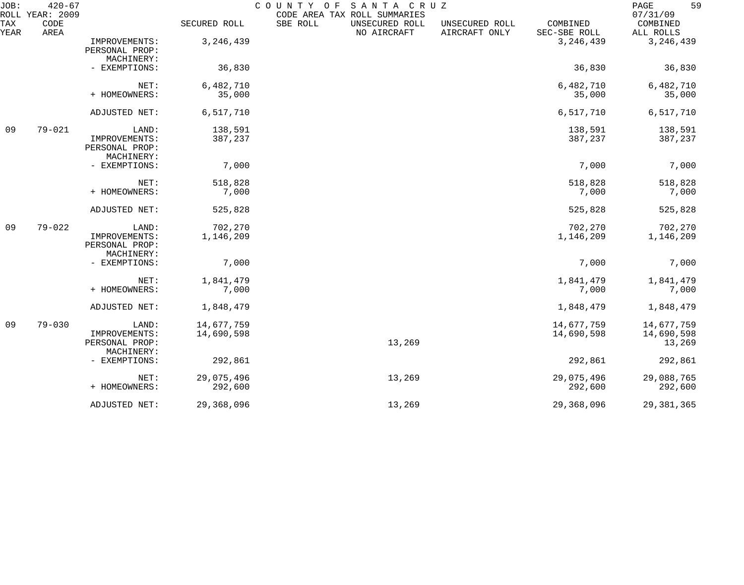| JOB:        | $420 - 67$<br>ROLL YEAR: 2009 |                                                        |                          | COUNTY OF<br>CODE AREA TAX ROLL SUMMARIES | SANTA CRUZ                    |                                 |                          | 59<br>$\mathop{\mathrm{PAGE}}$<br>07/31/09 |
|-------------|-------------------------------|--------------------------------------------------------|--------------------------|-------------------------------------------|-------------------------------|---------------------------------|--------------------------|--------------------------------------------|
| TAX<br>YEAR | CODE<br>AREA                  |                                                        | SECURED ROLL             | SBE ROLL                                  | UNSECURED ROLL<br>NO AIRCRAFT | UNSECURED ROLL<br>AIRCRAFT ONLY | COMBINED<br>SEC-SBE ROLL | COMBINED<br>ALL ROLLS                      |
|             |                               | IMPROVEMENTS:<br>PERSONAL PROP:<br>MACHINERY:          | 3, 246, 439              |                                           |                               |                                 | 3, 246, 439              | 3, 246, 439                                |
|             |                               | - EXEMPTIONS:                                          | 36,830                   |                                           |                               |                                 | 36,830                   | 36,830                                     |
|             |                               | NET:<br>+ HOMEOWNERS:                                  | 6,482,710<br>35,000      |                                           |                               |                                 | 6,482,710<br>35,000      | 6,482,710<br>35,000                        |
|             |                               | ADJUSTED NET:                                          | 6,517,710                |                                           |                               |                                 | 6,517,710                | 6,517,710                                  |
| 09          | $79 - 021$                    | LAND:<br>IMPROVEMENTS:<br>PERSONAL PROP:<br>MACHINERY: | 138,591<br>387,237       |                                           |                               |                                 | 138,591<br>387,237       | 138,591<br>387,237                         |
|             |                               | - EXEMPTIONS:                                          | 7,000                    |                                           |                               |                                 | 7,000                    | 7,000                                      |
|             |                               | NET:<br>+ HOMEOWNERS:                                  | 518,828<br>7,000         |                                           |                               |                                 | 518,828<br>7,000         | 518,828<br>7,000                           |
|             |                               | ADJUSTED NET:                                          | 525,828                  |                                           |                               |                                 | 525,828                  | 525,828                                    |
| 09          | $79 - 022$                    | LAND:<br>IMPROVEMENTS:<br>PERSONAL PROP:<br>MACHINERY: | 702,270<br>1,146,209     |                                           |                               |                                 | 702,270<br>1,146,209     | 702,270<br>1,146,209                       |
|             |                               | - EXEMPTIONS:                                          | 7,000                    |                                           |                               |                                 | 7,000                    | 7,000                                      |
|             |                               | NET:<br>+ HOMEOWNERS:                                  | 1,841,479<br>7,000       |                                           |                               |                                 | 1,841,479<br>7,000       | 1,841,479<br>7,000                         |
|             |                               | ADJUSTED NET:                                          | 1,848,479                |                                           |                               |                                 | 1,848,479                | 1,848,479                                  |
| 09          | $79 - 030$                    | LAND:<br>IMPROVEMENTS:<br>PERSONAL PROP:<br>MACHINERY: | 14,677,759<br>14,690,598 |                                           | 13,269                        |                                 | 14,677,759<br>14,690,598 | 14,677,759<br>14,690,598<br>13,269         |
|             |                               | - EXEMPTIONS:                                          | 292,861                  |                                           |                               |                                 | 292,861                  | 292,861                                    |
|             |                               | NET:<br>+ HOMEOWNERS:                                  | 29,075,496<br>292,600    |                                           | 13,269                        |                                 | 29,075,496<br>292,600    | 29,088,765<br>292,600                      |
|             |                               | ADJUSTED NET:                                          | 29,368,096               |                                           | 13,269                        |                                 | 29,368,096               | 29, 381, 365                               |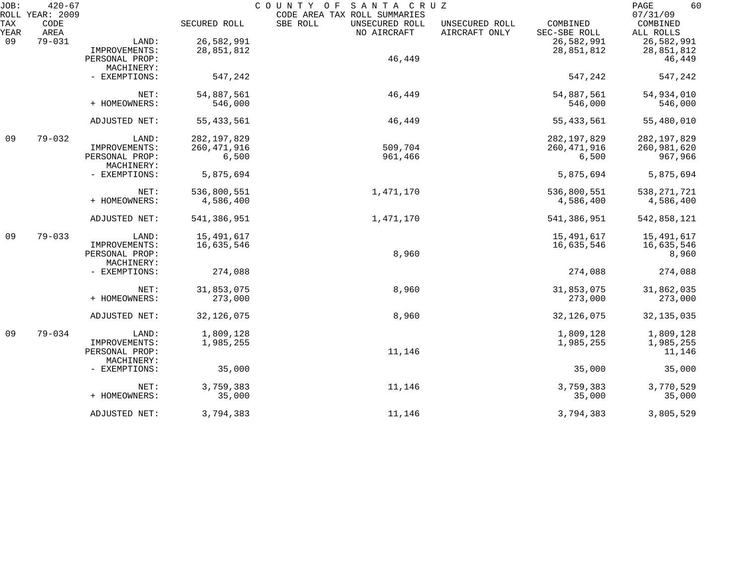| JOB: | $420 - 67$<br>ROLL YEAR: 2009 |                |               | COUNTY OF<br>SANTA CRUZ<br>CODE AREA TAX ROLL SUMMARIES |                |                          | 60<br>PAGE<br>07/31/09 |
|------|-------------------------------|----------------|---------------|---------------------------------------------------------|----------------|--------------------------|------------------------|
| TAX  | CODE<br>AREA                  |                | SECURED ROLL  | SBE ROLL<br>UNSECURED ROLL                              | UNSECURED ROLL | COMBINED<br>SEC-SBE ROLL | COMBINED               |
| YEAR | $79 - 031$                    |                |               | NO AIRCRAFT                                             | AIRCRAFT ONLY  |                          | ALL ROLLS              |
| 09   |                               | LAND:          | 26,582,991    |                                                         |                | 26,582,991               | 26,582,991             |
|      |                               | IMPROVEMENTS:  | 28,851,812    |                                                         |                | 28,851,812               | 28,851,812             |
|      |                               | PERSONAL PROP: |               | 46,449                                                  |                |                          | 46,449                 |
|      |                               | MACHINERY:     |               |                                                         |                |                          |                        |
|      |                               | - EXEMPTIONS:  | 547,242       |                                                         |                | 547,242                  | 547,242                |
|      |                               | NET:           | 54,887,561    | 46,449                                                  |                | 54,887,561               | 54,934,010             |
|      |                               | + HOMEOWNERS:  | 546,000       |                                                         |                | 546,000                  | 546,000                |
|      |                               |                |               |                                                         |                |                          |                        |
|      |                               | ADJUSTED NET:  | 55, 433, 561  | 46,449                                                  |                | 55, 433, 561             | 55,480,010             |
| 09   | $79 - 032$                    | LAND:          | 282, 197, 829 |                                                         |                | 282, 197, 829            | 282, 197, 829          |
|      |                               | IMPROVEMENTS:  | 260, 471, 916 | 509,704                                                 |                | 260, 471, 916            | 260,981,620            |
|      |                               | PERSONAL PROP: | 6,500         | 961,466                                                 |                | 6,500                    | 967,966                |
|      |                               | MACHINERY:     |               |                                                         |                |                          |                        |
|      |                               | - EXEMPTIONS:  | 5,875,694     |                                                         |                | 5,875,694                | 5,875,694              |
|      |                               | NET:           | 536,800,551   | 1,471,170                                               |                | 536,800,551              | 538, 271, 721          |
|      |                               | + HOMEOWNERS:  | 4,586,400     |                                                         |                | 4,586,400                | 4,586,400              |
|      |                               | ADJUSTED NET:  | 541,386,951   | 1,471,170                                               |                | 541,386,951              | 542,858,121            |
| 09   | $79 - 033$                    | LAND:          | 15,491,617    |                                                         |                | 15,491,617               | 15,491,617             |
|      |                               | IMPROVEMENTS:  | 16,635,546    |                                                         |                | 16,635,546               | 16,635,546             |
|      |                               | PERSONAL PROP: |               | 8,960                                                   |                |                          | 8,960                  |
|      |                               | MACHINERY:     |               |                                                         |                |                          |                        |
|      |                               | - EXEMPTIONS:  | 274,088       |                                                         |                | 274,088                  | 274,088                |
|      |                               | NET:           | 31,853,075    | 8,960                                                   |                | 31,853,075               | 31,862,035             |
|      |                               | + HOMEOWNERS:  | 273,000       |                                                         |                | 273,000                  | 273,000                |
|      |                               |                |               |                                                         |                |                          |                        |
|      |                               | ADJUSTED NET:  | 32, 126, 075  | 8,960                                                   |                | 32, 126, 075             | 32, 135, 035           |
| 09   | $79 - 034$                    | LAND:          | 1,809,128     |                                                         |                | 1,809,128                | 1,809,128              |
|      |                               | IMPROVEMENTS:  | 1,985,255     |                                                         |                | 1,985,255                | 1,985,255              |
|      |                               | PERSONAL PROP: |               | 11,146                                                  |                |                          | 11,146                 |
|      |                               | MACHINERY:     |               |                                                         |                |                          |                        |
|      |                               | - EXEMPTIONS:  | 35,000        |                                                         |                | 35,000                   | 35,000                 |
|      |                               | NET:           | 3,759,383     | 11,146                                                  |                | 3,759,383                | 3,770,529              |
|      |                               | + HOMEOWNERS:  | 35,000        |                                                         |                | 35,000                   | 35,000                 |
|      |                               | ADJUSTED NET:  | 3,794,383     | 11,146                                                  |                | 3,794,383                | 3,805,529              |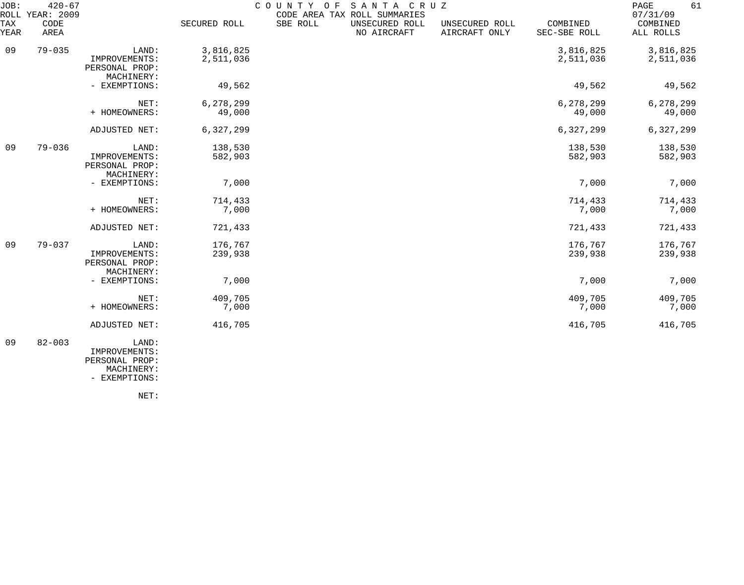| JOB:        | $420 - 67$<br>ROLL YEAR: 2009 |                                                        |                        | COUNTY<br>O F | SANTA CRUZ<br>CODE AREA TAX ROLL SUMMARIES |                                 |                          | 61<br>PAGE<br>07/31/09 |
|-------------|-------------------------------|--------------------------------------------------------|------------------------|---------------|--------------------------------------------|---------------------------------|--------------------------|------------------------|
| TAX<br>YEAR | CODE<br>AREA                  |                                                        | SECURED ROLL           | SBE ROLL      | UNSECURED ROLL<br>NO AIRCRAFT              | UNSECURED ROLL<br>AIRCRAFT ONLY | COMBINED<br>SEC-SBE ROLL | COMBINED<br>ALL ROLLS  |
| 09          | $79 - 035$                    | LAND:<br>IMPROVEMENTS:<br>PERSONAL PROP:<br>MACHINERY: | 3,816,825<br>2,511,036 |               |                                            |                                 | 3,816,825<br>2,511,036   | 3,816,825<br>2,511,036 |
|             |                               | - EXEMPTIONS:                                          | 49,562                 |               |                                            |                                 | 49,562                   | 49,562                 |
|             |                               | NET:<br>+ HOMEOWNERS:                                  | 6,278,299<br>49,000    |               |                                            |                                 | 6,278,299<br>49,000      | 6,278,299<br>49,000    |
|             |                               | ADJUSTED NET:                                          | 6,327,299              |               |                                            |                                 | 6,327,299                | 6,327,299              |
| 09          | $79 - 036$                    | LAND:<br>IMPROVEMENTS:<br>PERSONAL PROP:<br>MACHINERY: | 138,530<br>582,903     |               |                                            |                                 | 138,530<br>582,903       | 138,530<br>582,903     |
|             |                               | - EXEMPTIONS:                                          | 7,000                  |               |                                            |                                 | 7,000                    | 7,000                  |
|             |                               | NET:<br>+ HOMEOWNERS:                                  | 714,433<br>7,000       |               |                                            |                                 | 714,433<br>7,000         | 714,433<br>7,000       |
|             |                               | ADJUSTED NET:                                          | 721,433                |               |                                            |                                 | 721,433                  | 721,433                |
| 09          | $79 - 037$                    | LAND:<br>IMPROVEMENTS:<br>PERSONAL PROP:<br>MACHINERY: | 176,767<br>239,938     |               |                                            |                                 | 176,767<br>239,938       | 176,767<br>239,938     |
|             |                               | - EXEMPTIONS:                                          | 7,000                  |               |                                            |                                 | 7,000                    | 7,000                  |
|             |                               | NET:<br>+ HOMEOWNERS:                                  | 409,705<br>7,000       |               |                                            |                                 | 409,705<br>7,000         | 409,705<br>7,000       |
|             |                               | ADJUSTED NET:                                          | 416,705                |               |                                            |                                 | 416,705                  | 416,705                |
| 09          | $82 - 003$                    | LAND:<br>IMPROVEMENTS:                                 |                        |               |                                            |                                 |                          |                        |

 PERSONAL PROP: MACHINERY:

- EXEMPTIONS:

NET: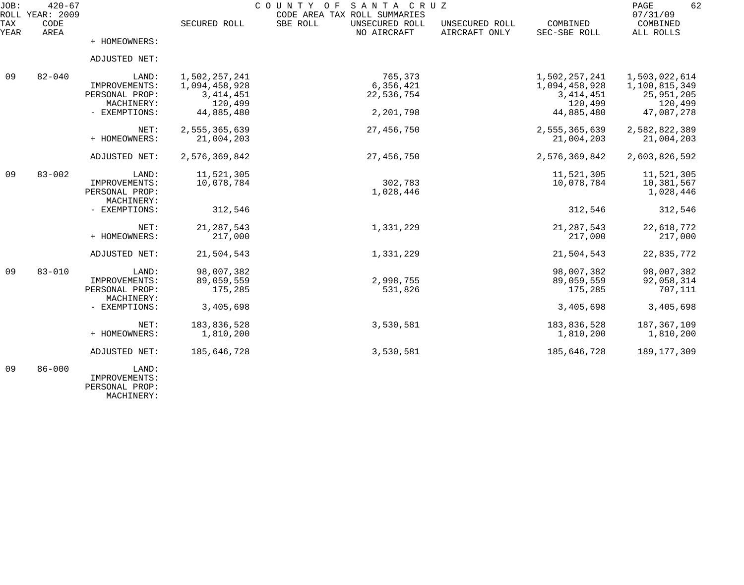| JOB:        | $420 - 67$<br>ROLL YEAR: 2009 |                |               | COUNTY OF SANTA CRUZ<br>CODE AREA TAX ROLL SUMMARIES |                                 |                          | 62<br>PAGE<br>07/31/09 |
|-------------|-------------------------------|----------------|---------------|------------------------------------------------------|---------------------------------|--------------------------|------------------------|
| TAX<br>YEAR | CODE<br><b>AREA</b>           |                | SECURED ROLL  | SBE ROLL<br>UNSECURED ROLL<br>NO AIRCRAFT            | UNSECURED ROLL<br>AIRCRAFT ONLY | COMBINED<br>SEC-SBE ROLL | COMBINED<br>ALL ROLLS  |
|             |                               | + HOMEOWNERS:  |               |                                                      |                                 |                          |                        |
|             |                               | ADJUSTED NET:  |               |                                                      |                                 |                          |                        |
| 09          | $82 - 040$                    | LAND:          | 1,502,257,241 | 765,373                                              |                                 | 1,502,257,241            | 1,503,022,614          |
|             |                               | IMPROVEMENTS:  | 1,094,458,928 | 6,356,421                                            |                                 | 1,094,458,928            | 1,100,815,349          |
|             |                               | PERSONAL PROP: | 3, 414, 451   | 22,536,754                                           |                                 | 3, 414, 451              | 25, 951, 205           |
|             |                               | MACHINERY:     | 120,499       |                                                      |                                 | 120,499                  | 120,499                |
|             |                               | - EXEMPTIONS:  | 44,885,480    | 2,201,798                                            |                                 | 44,885,480               | 47,087,278             |
|             |                               | NET:           | 2,555,365,639 | 27, 456, 750                                         |                                 | 2,555,365,639            | 2,582,822,389          |
|             |                               | + HOMEOWNERS:  | 21,004,203    |                                                      |                                 | 21,004,203               | 21,004,203             |
|             |                               | ADJUSTED NET:  | 2,576,369,842 | 27,456,750                                           |                                 | 2,576,369,842            | 2,603,826,592          |
| 09          | $83 - 002$                    | LAND:          | 11,521,305    |                                                      |                                 | 11,521,305               | 11,521,305             |
|             |                               | IMPROVEMENTS:  | 10,078,784    | 302,783                                              |                                 | 10,078,784               | 10,381,567             |
|             |                               | PERSONAL PROP: |               | 1,028,446                                            |                                 |                          | 1,028,446              |
|             |                               | MACHINERY:     |               |                                                      |                                 |                          |                        |
|             |                               | - EXEMPTIONS:  | 312,546       |                                                      |                                 | 312,546                  | 312,546                |
|             |                               | NET:           | 21, 287, 543  | 1,331,229                                            |                                 | 21, 287, 543             | 22,618,772             |
|             |                               | + HOMEOWNERS:  | 217,000       |                                                      |                                 | 217,000                  | 217,000                |
|             |                               | ADJUSTED NET:  | 21,504,543    | 1,331,229                                            |                                 | 21,504,543               | 22,835,772             |
| 09          | $83 - 010$                    | LAND:          | 98,007,382    |                                                      |                                 | 98,007,382               | 98,007,382             |
|             |                               | IMPROVEMENTS:  | 89,059,559    | 2,998,755                                            |                                 | 89,059,559               | 92,058,314             |
|             |                               | PERSONAL PROP: | 175,285       | 531,826                                              |                                 | 175,285                  | 707,111                |
|             |                               | MACHINERY:     |               |                                                      |                                 |                          |                        |
|             |                               | - EXEMPTIONS:  | 3,405,698     |                                                      |                                 | 3,405,698                | 3,405,698              |
|             |                               | NET:           | 183,836,528   | 3,530,581                                            |                                 | 183,836,528              | 187,367,109            |
|             |                               | + HOMEOWNERS:  | 1,810,200     |                                                      |                                 | 1,810,200                | 1,810,200              |
|             |                               | ADJUSTED NET:  | 185,646,728   | 3,530,581                                            |                                 | 185,646,728              | 189, 177, 309          |
| 09          | $86 - 000$                    | LAND:          |               |                                                      |                                 |                          |                        |

 IMPROVEMENTS: PERSONAL PROP: MACHINERY: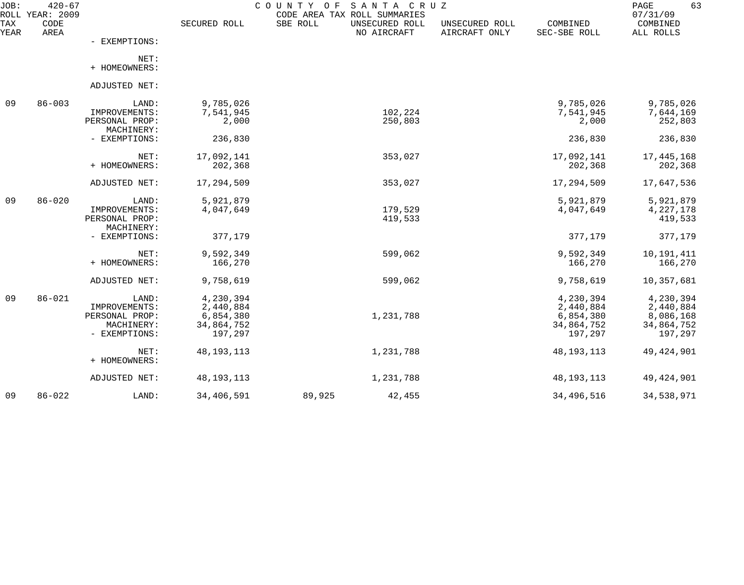| JOB:        | $420 - 67$<br>ROLL YEAR: 2009 | COUNTY OF<br>SANTA CRUZ<br>CODE AREA TAX ROLL SUMMARIES |              |          |                               |                                 | 63<br>PAGE<br>07/31/09   |                       |
|-------------|-------------------------------|---------------------------------------------------------|--------------|----------|-------------------------------|---------------------------------|--------------------------|-----------------------|
| TAX<br>YEAR | CODE<br>AREA                  |                                                         | SECURED ROLL | SBE ROLL | UNSECURED ROLL<br>NO AIRCRAFT | UNSECURED ROLL<br>AIRCRAFT ONLY | COMBINED<br>SEC-SBE ROLL | COMBINED<br>ALL ROLLS |
|             |                               | - EXEMPTIONS:                                           |              |          |                               |                                 |                          |                       |
|             |                               | NET:<br>+ HOMEOWNERS:                                   |              |          |                               |                                 |                          |                       |
|             |                               | ADJUSTED NET:                                           |              |          |                               |                                 |                          |                       |
| 09          | $86 - 003$                    | LAND:                                                   | 9,785,026    |          |                               |                                 | 9,785,026                | 9,785,026             |
|             |                               | IMPROVEMENTS:                                           | 7,541,945    |          | 102,224                       |                                 | 7,541,945                | 7,644,169             |
|             |                               | PERSONAL PROP:                                          | 2,000        |          | 250,803                       |                                 | 2,000                    | 252,803               |
|             |                               | MACHINERY:                                              |              |          |                               |                                 |                          |                       |
|             |                               | - EXEMPTIONS:                                           | 236,830      |          |                               |                                 | 236,830                  | 236,830               |
|             |                               | NET:                                                    | 17,092,141   |          | 353,027                       |                                 | 17,092,141               | 17, 445, 168          |
|             |                               | + HOMEOWNERS:                                           | 202,368      |          |                               |                                 | 202,368                  | 202,368               |
|             |                               | ADJUSTED NET:                                           | 17,294,509   |          | 353,027                       |                                 | 17,294,509               | 17,647,536            |
| 09          | $86 - 020$                    | LAND:                                                   | 5,921,879    |          |                               |                                 | 5,921,879                | 5,921,879             |
|             |                               | IMPROVEMENTS:                                           | 4,047,649    |          | 179,529                       |                                 | 4,047,649                | 4, 227, 178           |
|             |                               | PERSONAL PROP:                                          |              |          | 419,533                       |                                 |                          | 419,533               |
|             |                               | MACHINERY:                                              |              |          |                               |                                 |                          |                       |
|             |                               | - EXEMPTIONS:                                           | 377,179      |          |                               |                                 | 377,179                  | 377,179               |
|             |                               | NET:                                                    | 9,592,349    |          | 599,062                       |                                 | 9,592,349                | 10,191,411            |
|             |                               | + HOMEOWNERS:                                           | 166,270      |          |                               |                                 | 166,270                  | 166,270               |
|             |                               | ADJUSTED NET:                                           | 9,758,619    |          | 599,062                       |                                 | 9,758,619                | 10,357,681            |
| 09          | $86 - 021$                    | LAND:                                                   | 4,230,394    |          |                               |                                 | 4,230,394                | 4,230,394             |
|             |                               | IMPROVEMENTS:                                           | 2,440,884    |          |                               |                                 | 2,440,884                | 2,440,884             |
|             |                               | PERSONAL PROP:                                          | 6,854,380    |          | 1,231,788                     |                                 | 6,854,380                | 8,086,168             |
|             |                               | MACHINERY:                                              | 34,864,752   |          |                               |                                 | 34,864,752               | 34,864,752            |
|             |                               | - EXEMPTIONS:                                           | 197,297      |          |                               |                                 | 197,297                  | 197,297               |
|             |                               | NET:                                                    | 48, 193, 113 |          | 1,231,788                     |                                 | 48, 193, 113             | 49, 424, 901          |
|             |                               | + HOMEOWNERS:                                           |              |          |                               |                                 |                          |                       |
|             |                               | ADJUSTED NET:                                           | 48, 193, 113 |          | 1,231,788                     |                                 | 48, 193, 113             | 49, 424, 901          |
| 09          | $86 - 022$                    | LAND:                                                   | 34,406,591   | 89,925   | 42,455                        |                                 | 34, 496, 516             | 34,538,971            |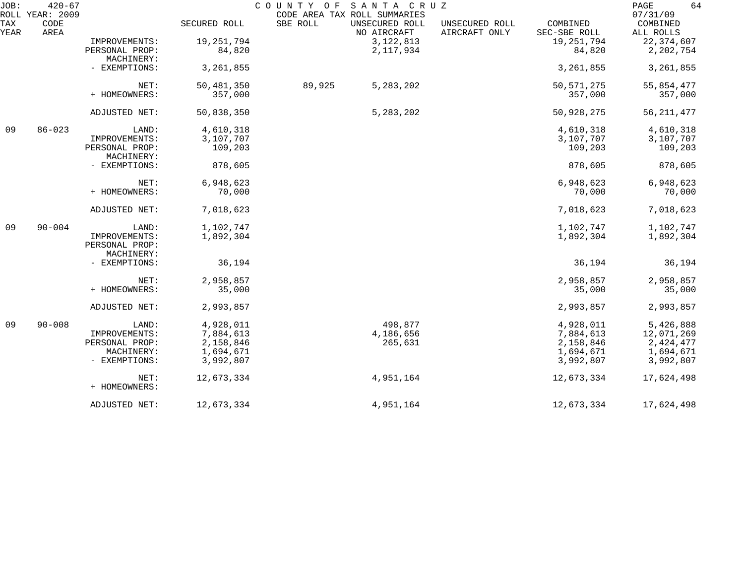| JOB:        | $420 - 67$<br>SANTA CRUZ<br>COUNTY OF<br>ROLL YEAR: 2009<br>CODE AREA TAX ROLL SUMMARIES |                                               |              |          |                               |                                 | 64<br>PAGE<br>07/31/09   |                       |
|-------------|------------------------------------------------------------------------------------------|-----------------------------------------------|--------------|----------|-------------------------------|---------------------------------|--------------------------|-----------------------|
| TAX<br>YEAR | CODE<br>AREA                                                                             |                                               | SECURED ROLL | SBE ROLL | UNSECURED ROLL<br>NO AIRCRAFT | UNSECURED ROLL<br>AIRCRAFT ONLY | COMBINED<br>SEC-SBE ROLL | COMBINED<br>ALL ROLLS |
|             |                                                                                          | IMPROVEMENTS:                                 | 19, 251, 794 |          | 3, 122, 813                   |                                 | 19,251,794               | 22, 374, 607          |
|             |                                                                                          | PERSONAL PROP:                                | 84,820       |          | 2, 117, 934                   |                                 | 84,820                   | 2,202,754             |
|             |                                                                                          | MACHINERY:                                    |              |          |                               |                                 |                          |                       |
|             |                                                                                          | - EXEMPTIONS:                                 | 3,261,855    |          |                               |                                 | 3, 261, 855              | 3, 261, 855           |
|             |                                                                                          | NET:                                          | 50,481,350   | 89,925   | 5,283,202                     |                                 | 50, 571, 275             | 55,854,477            |
|             |                                                                                          | + HOMEOWNERS:                                 | 357,000      |          |                               |                                 | 357,000                  | 357,000               |
|             |                                                                                          | ADJUSTED NET:                                 | 50,838,350   |          | 5, 283, 202                   |                                 | 50,928,275               | 56, 211, 477          |
| 09          | $86 - 023$                                                                               | LAND:                                         | 4,610,318    |          |                               |                                 | 4,610,318                | 4,610,318             |
|             |                                                                                          | IMPROVEMENTS:                                 | 3,107,707    |          |                               |                                 | 3,107,707                | 3,107,707             |
|             |                                                                                          | PERSONAL PROP:<br>MACHINERY:                  | 109,203      |          |                               |                                 | 109,203                  | 109,203               |
|             |                                                                                          | - EXEMPTIONS:                                 | 878,605      |          |                               |                                 | 878,605                  | 878,605               |
|             |                                                                                          | NET:                                          | 6,948,623    |          |                               |                                 | 6,948,623                | 6,948,623             |
|             |                                                                                          | + HOMEOWNERS:                                 | 70,000       |          |                               |                                 | 70,000                   | 70,000                |
|             |                                                                                          | ADJUSTED NET:                                 | 7,018,623    |          |                               |                                 | 7,018,623                | 7,018,623             |
| 09          | $90 - 004$                                                                               | LAND:                                         | 1,102,747    |          |                               |                                 | 1,102,747                | 1,102,747             |
|             |                                                                                          | IMPROVEMENTS:<br>PERSONAL PROP:<br>MACHINERY: | 1,892,304    |          |                               |                                 | 1,892,304                | 1,892,304             |
|             |                                                                                          | - EXEMPTIONS:                                 | 36,194       |          |                               |                                 | 36,194                   | 36,194                |
|             |                                                                                          | NET:                                          | 2,958,857    |          |                               |                                 | 2,958,857                | 2,958,857             |
|             |                                                                                          | + HOMEOWNERS:                                 | 35,000       |          |                               |                                 | 35,000                   | 35,000                |
|             |                                                                                          | ADJUSTED NET:                                 | 2,993,857    |          |                               |                                 | 2,993,857                | 2,993,857             |
| 09          | $90 - 008$                                                                               | LAND:                                         | 4,928,011    |          | 498,877                       |                                 | 4,928,011                | 5,426,888             |
|             |                                                                                          | IMPROVEMENTS:                                 | 7,884,613    |          | 4,186,656                     |                                 | 7,884,613                | 12,071,269            |
|             |                                                                                          | PERSONAL PROP:                                | 2,158,846    |          | 265,631                       |                                 | 2,158,846                | 2,424,477             |
|             |                                                                                          | MACHINERY:                                    | 1,694,671    |          |                               |                                 | 1,694,671                | 1,694,671             |
|             |                                                                                          | - EXEMPTIONS:                                 | 3,992,807    |          |                               |                                 | 3,992,807                | 3,992,807             |
|             |                                                                                          | NET:                                          | 12,673,334   |          | 4,951,164                     |                                 | 12,673,334               | 17,624,498            |
|             |                                                                                          | + HOMEOWNERS:                                 |              |          |                               |                                 |                          |                       |
|             |                                                                                          | ADJUSTED NET:                                 | 12,673,334   |          | 4,951,164                     |                                 | 12,673,334               | 17,624,498            |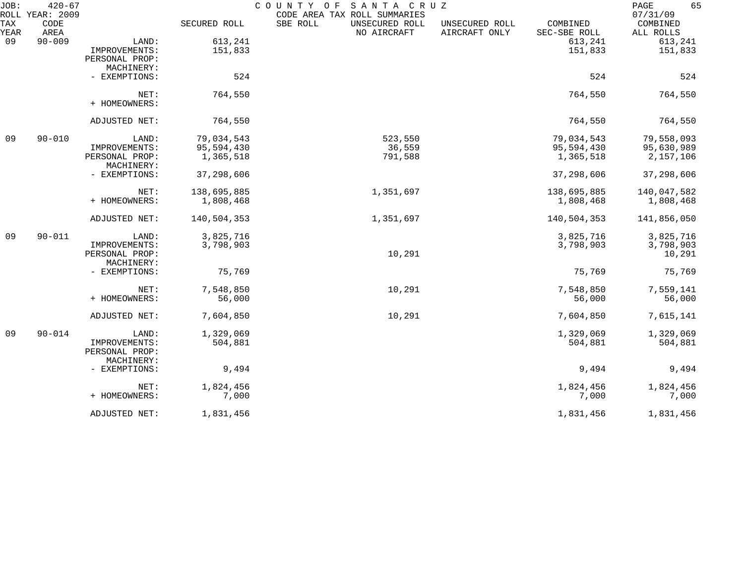| JOB:        | $420 - 67$<br>ROLL YEAR: 2009 |                |              | COUNTY OF<br>SANTA CRUZ<br>CODE AREA TAX ROLL SUMMARIES |                                 |                          | 65<br>PAGE<br>07/31/09 |
|-------------|-------------------------------|----------------|--------------|---------------------------------------------------------|---------------------------------|--------------------------|------------------------|
| TAX<br>YEAR | CODE<br>AREA                  |                | SECURED ROLL | SBE ROLL<br>UNSECURED ROLL<br>NO AIRCRAFT               | UNSECURED ROLL<br>AIRCRAFT ONLY | COMBINED<br>SEC-SBE ROLL | COMBINED<br>ALL ROLLS  |
| 09          | $90 - 009$                    | LAND:          | 613,241      |                                                         |                                 | 613,241                  | 613,241                |
|             |                               | IMPROVEMENTS:  | 151,833      |                                                         |                                 | 151,833                  | 151,833                |
|             |                               | PERSONAL PROP: |              |                                                         |                                 |                          |                        |
|             |                               | MACHINERY:     |              |                                                         |                                 |                          |                        |
|             |                               | - EXEMPTIONS:  | 524          |                                                         |                                 | 524                      | 524                    |
|             |                               | NET:           | 764,550      |                                                         |                                 | 764,550                  | 764,550                |
|             |                               | + HOMEOWNERS:  |              |                                                         |                                 |                          |                        |
|             |                               | ADJUSTED NET:  | 764,550      |                                                         |                                 | 764,550                  | 764,550                |
| 09          | $90 - 010$                    | LAND:          | 79,034,543   | 523,550                                                 |                                 | 79,034,543               | 79,558,093             |
|             |                               | IMPROVEMENTS:  | 95,594,430   | 36,559                                                  |                                 | 95,594,430               | 95,630,989             |
|             |                               | PERSONAL PROP: | 1,365,518    | 791,588                                                 |                                 | 1,365,518                | 2,157,106              |
|             |                               | MACHINERY:     |              |                                                         |                                 |                          |                        |
|             |                               | - EXEMPTIONS:  | 37,298,606   |                                                         |                                 | 37,298,606               | 37,298,606             |
|             |                               | NET:           | 138,695,885  | 1,351,697                                               |                                 | 138,695,885              | 140,047,582            |
|             |                               | + HOMEOWNERS:  | 1,808,468    |                                                         |                                 | 1,808,468                | 1,808,468              |
|             |                               | ADJUSTED NET:  | 140,504,353  | 1,351,697                                               |                                 | 140,504,353              | 141,856,050            |
| 09          | $90 - 011$                    | LAND:          | 3,825,716    |                                                         |                                 | 3,825,716                | 3,825,716              |
|             |                               | IMPROVEMENTS:  | 3,798,903    |                                                         |                                 | 3,798,903                | 3,798,903              |
|             |                               | PERSONAL PROP: |              | 10,291                                                  |                                 |                          | 10,291                 |
|             |                               | MACHINERY:     |              |                                                         |                                 |                          |                        |
|             |                               | - EXEMPTIONS:  | 75,769       |                                                         |                                 | 75,769                   | 75,769                 |
|             |                               | NET:           | 7,548,850    | 10,291                                                  |                                 | 7,548,850                | 7,559,141              |
|             |                               | + HOMEOWNERS:  | 56,000       |                                                         |                                 | 56,000                   | 56,000                 |
|             |                               | ADJUSTED NET:  | 7,604,850    | 10,291                                                  |                                 | 7,604,850                | 7,615,141              |
| 09          | $90 - 014$                    | LAND:          | 1,329,069    |                                                         |                                 | 1,329,069                | 1,329,069              |
|             |                               | IMPROVEMENTS:  | 504,881      |                                                         |                                 | 504,881                  | 504,881                |
|             |                               | PERSONAL PROP: |              |                                                         |                                 |                          |                        |
|             |                               | MACHINERY:     |              |                                                         |                                 |                          |                        |
|             |                               | - EXEMPTIONS:  | 9,494        |                                                         |                                 | 9,494                    | 9,494                  |
|             |                               | NET:           | 1,824,456    |                                                         |                                 | 1,824,456                | 1,824,456              |
|             |                               | + HOMEOWNERS:  | 7,000        |                                                         |                                 | 7,000                    | 7,000                  |
|             |                               | ADJUSTED NET:  | 1,831,456    |                                                         |                                 | 1,831,456                | 1,831,456              |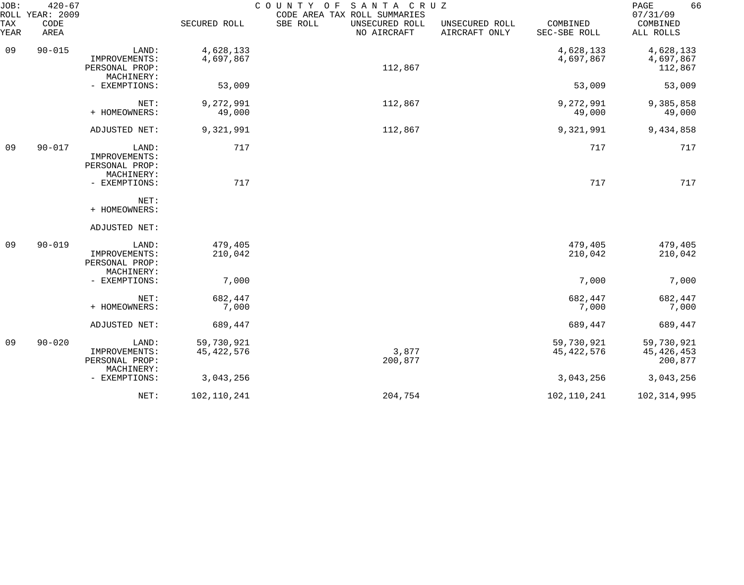| JOB:<br>ROLL | $420 - 67$<br>YEAR: 2009 |                                                        |                            | COUNTY OF<br>SANTA CRUZ<br>CODE AREA TAX ROLL SUMMARIES |                                 |                            | 66<br>PAGE<br>07/31/09                |
|--------------|--------------------------|--------------------------------------------------------|----------------------------|---------------------------------------------------------|---------------------------------|----------------------------|---------------------------------------|
| TAX<br>YEAR  | CODE<br>AREA             |                                                        | SECURED ROLL               | SBE ROLL<br>UNSECURED ROLL<br>NO AIRCRAFT               | UNSECURED ROLL<br>AIRCRAFT ONLY | COMBINED<br>SEC-SBE ROLL   | COMBINED<br>ALL ROLLS                 |
| 09           | $90 - 015$               | LAND:<br>IMPROVEMENTS:<br>PERSONAL PROP:<br>MACHINERY: | 4,628,133<br>4,697,867     | 112,867                                                 |                                 | 4,628,133<br>4,697,867     | 4,628,133<br>4,697,867<br>112,867     |
|              |                          | - EXEMPTIONS:                                          | 53,009                     |                                                         |                                 | 53,009                     | 53,009                                |
|              |                          | NET:<br>+ HOMEOWNERS:                                  | 9,272,991<br>49,000        | 112,867                                                 |                                 | 9,272,991<br>49,000        | 9,385,858<br>49,000                   |
|              |                          | ADJUSTED NET:                                          | 9,321,991                  | 112,867                                                 |                                 | 9,321,991                  | 9,434,858                             |
| 09           | $90 - 017$               | LAND:<br>IMPROVEMENTS:<br>PERSONAL PROP:<br>MACHINERY: | 717                        |                                                         |                                 | 717                        | 717                                   |
|              |                          | - EXEMPTIONS:                                          | 717                        |                                                         |                                 | 717                        | 717                                   |
|              |                          | NET:<br>+ HOMEOWNERS:                                  |                            |                                                         |                                 |                            |                                       |
|              |                          | ADJUSTED NET:                                          |                            |                                                         |                                 |                            |                                       |
| 09           | $90 - 019$               | LAND:<br>IMPROVEMENTS:<br>PERSONAL PROP:<br>MACHINERY: | 479,405<br>210,042         |                                                         |                                 | 479,405<br>210,042         | 479,405<br>210,042                    |
|              |                          | - EXEMPTIONS:                                          | 7,000                      |                                                         |                                 | 7,000                      | 7,000                                 |
|              |                          | NET:<br>+ HOMEOWNERS:                                  | 682,447<br>7,000           |                                                         |                                 | 682,447<br>7,000           | 682,447<br>7,000                      |
|              |                          | ADJUSTED NET:                                          | 689,447                    |                                                         |                                 | 689,447                    | 689,447                               |
| 09           | $90 - 020$               | LAND:<br>IMPROVEMENTS:<br>PERSONAL PROP:<br>MACHINERY: | 59,730,921<br>45, 422, 576 | 3,877<br>200,877                                        |                                 | 59,730,921<br>45, 422, 576 | 59,730,921<br>45, 426, 453<br>200,877 |
|              |                          | - EXEMPTIONS:                                          | 3,043,256                  |                                                         |                                 | 3,043,256                  | 3,043,256                             |
|              |                          | NET:                                                   | 102,110,241                | 204,754                                                 |                                 | 102,110,241                | 102, 314, 995                         |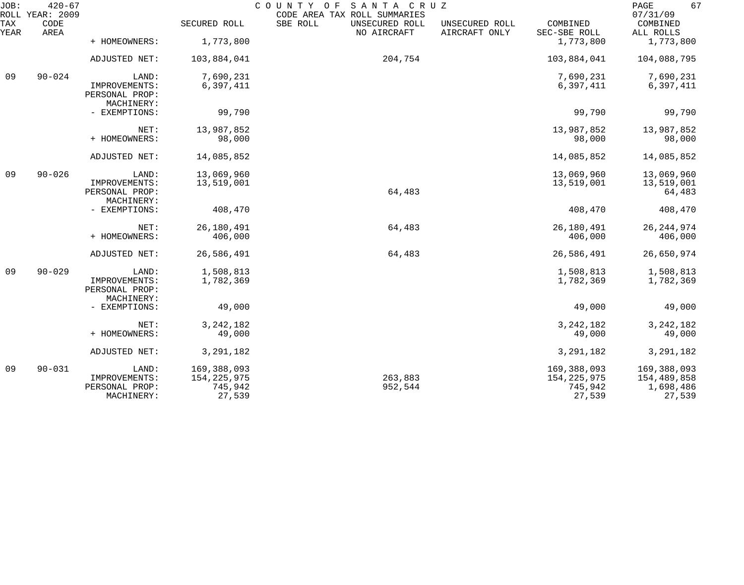| JOB:        | $420 - 67$<br>ROLL YEAR: 2009 |                                               |                          | COUNTY OF<br>SANTA CRUZ<br>CODE AREA TAX ROLL SUMMARIES |                                 |                          | 67<br>PAGE<br>07/31/09   |
|-------------|-------------------------------|-----------------------------------------------|--------------------------|---------------------------------------------------------|---------------------------------|--------------------------|--------------------------|
| TAX<br>YEAR | CODE<br>AREA                  |                                               | SECURED ROLL             | SBE ROLL<br>UNSECURED ROLL<br>NO AIRCRAFT               | UNSECURED ROLL<br>AIRCRAFT ONLY | COMBINED<br>SEC-SBE ROLL | COMBINED<br>ALL ROLLS    |
|             |                               | + HOMEOWNERS:                                 | 1,773,800                |                                                         |                                 | 1,773,800                | 1,773,800                |
|             |                               | ADJUSTED NET:                                 | 103,884,041              | 204,754                                                 |                                 | 103,884,041              | 104,088,795              |
| 09          | $90 - 024$                    | LAND:                                         | 7,690,231                |                                                         |                                 | 7,690,231                | 7,690,231                |
|             |                               | IMPROVEMENTS:<br>PERSONAL PROP:<br>MACHINERY: | 6,397,411                |                                                         |                                 | 6,397,411                | 6,397,411                |
|             |                               | - EXEMPTIONS:                                 | 99,790                   |                                                         |                                 | 99,790                   | 99,790                   |
|             |                               | NET:                                          | 13,987,852               |                                                         |                                 | 13,987,852               | 13,987,852               |
|             |                               | + HOMEOWNERS:                                 | 98,000                   |                                                         |                                 | 98,000                   | 98,000                   |
|             |                               | ADJUSTED NET:                                 | 14,085,852               |                                                         |                                 | 14,085,852               | 14,085,852               |
| 09          | $90 - 026$                    | LAND:                                         | 13,069,960               |                                                         |                                 | 13,069,960               | 13,069,960               |
|             |                               | IMPROVEMENTS:<br>PERSONAL PROP:<br>MACHINERY: | 13,519,001               | 64,483                                                  |                                 | 13,519,001               | 13,519,001<br>64,483     |
|             |                               | - EXEMPTIONS:                                 | 408,470                  |                                                         |                                 | 408,470                  | 408,470                  |
|             |                               | NET:                                          | 26,180,491               | 64,483                                                  |                                 | 26,180,491               | 26, 244, 974             |
|             |                               | + HOMEOWNERS:                                 | 406,000                  |                                                         |                                 | 406,000                  | 406,000                  |
|             |                               | ADJUSTED NET:                                 | 26,586,491               | 64,483                                                  |                                 | 26,586,491               | 26,650,974               |
| 09          | $90 - 029$                    | LAND:                                         | 1,508,813                |                                                         |                                 | 1,508,813                | 1,508,813                |
|             |                               | IMPROVEMENTS:<br>PERSONAL PROP:<br>MACHINERY: | 1,782,369                |                                                         |                                 | 1,782,369                | 1,782,369                |
|             |                               | - EXEMPTIONS:                                 | 49,000                   |                                                         |                                 | 49,000                   | 49,000                   |
|             |                               | NET:                                          | 3, 242, 182              |                                                         |                                 | 3, 242, 182              | 3, 242, 182              |
|             |                               | + HOMEOWNERS:                                 | 49,000                   |                                                         |                                 | 49,000                   | 49,000                   |
|             |                               | ADJUSTED NET:                                 | 3, 291, 182              |                                                         |                                 | 3, 291, 182              | 3, 291, 182              |
| 09          | $90 - 031$                    | LAND:                                         | 169,388,093              |                                                         |                                 | 169,388,093              | 169,388,093              |
|             |                               | IMPROVEMENTS:<br>PERSONAL PROP:               | 154, 225, 975<br>745,942 | 263,883<br>952,544                                      |                                 | 154, 225, 975<br>745,942 | 154,489,858<br>1,698,486 |
|             |                               | MACHINERY:                                    | 27,539                   |                                                         |                                 | 27,539                   | 27,539                   |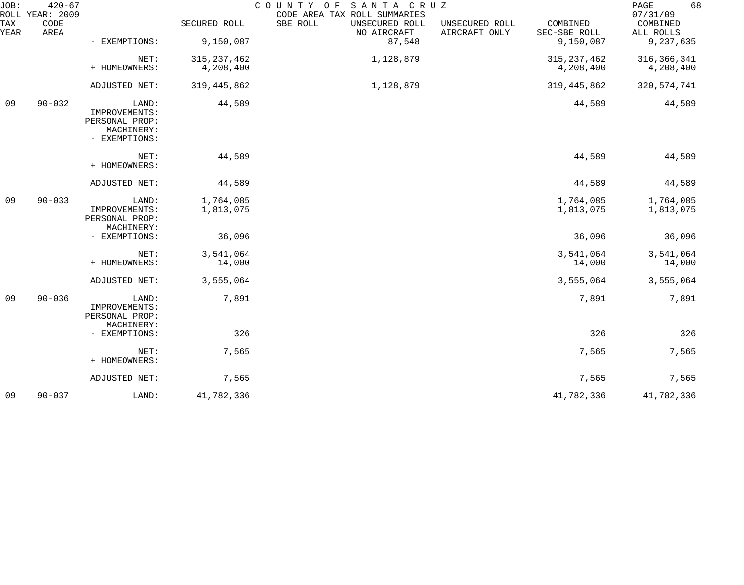| JOB:        | $420 - 67$<br>ROLL YEAR: 2009 |                                                                         |                        | COUNTY OF<br>SANTA CRUZ<br>CODE AREA TAX ROLL SUMMARIES |                                 |                          | 68<br>PAGE<br>07/31/09 |
|-------------|-------------------------------|-------------------------------------------------------------------------|------------------------|---------------------------------------------------------|---------------------------------|--------------------------|------------------------|
| TAX<br>YEAR | CODE<br>AREA                  |                                                                         | SECURED ROLL           | SBE ROLL<br>UNSECURED ROLL<br>NO AIRCRAFT               | UNSECURED ROLL<br>AIRCRAFT ONLY | COMBINED<br>SEC-SBE ROLL | COMBINED<br>ALL ROLLS  |
|             |                               | - EXEMPTIONS:                                                           | 9,150,087              | 87,548                                                  |                                 | 9,150,087                | 9,237,635              |
|             |                               | NET:                                                                    | 315, 237, 462          | 1,128,879                                               |                                 | 315, 237, 462            | 316, 366, 341          |
|             |                               | + HOMEOWNERS:                                                           | 4,208,400              |                                                         |                                 | 4,208,400                | 4,208,400              |
|             |                               | ADJUSTED NET:                                                           | 319, 445, 862          | 1,128,879                                               |                                 | 319, 445, 862            | 320, 574, 741          |
| 09          | $90 - 032$                    | LAND:<br>IMPROVEMENTS:<br>PERSONAL PROP:<br>MACHINERY:<br>- EXEMPTIONS: | 44,589                 |                                                         |                                 | 44,589                   | 44,589                 |
|             |                               | NET:<br>+ HOMEOWNERS:                                                   | 44,589                 |                                                         |                                 | 44,589                   | 44,589                 |
|             |                               | ADJUSTED NET:                                                           | 44,589                 |                                                         |                                 | 44,589                   | 44,589                 |
| 09          | $90 - 033$                    | LAND:<br>IMPROVEMENTS:<br>PERSONAL PROP:<br>MACHINERY:                  | 1,764,085<br>1,813,075 |                                                         |                                 | 1,764,085<br>1,813,075   | 1,764,085<br>1,813,075 |
|             |                               | - EXEMPTIONS:                                                           | 36,096                 |                                                         |                                 | 36,096                   | 36,096                 |
|             |                               | NET:<br>+ HOMEOWNERS:                                                   | 3,541,064<br>14,000    |                                                         |                                 | 3,541,064<br>14,000      | 3,541,064<br>14,000    |
|             |                               | ADJUSTED NET:                                                           | 3,555,064              |                                                         |                                 | 3,555,064                | 3,555,064              |
| 09          | $90 - 036$                    | LAND:<br>IMPROVEMENTS:<br>PERSONAL PROP:<br>MACHINERY:                  | 7,891                  |                                                         |                                 | 7,891                    | 7,891                  |
|             |                               | - EXEMPTIONS:                                                           | 326                    |                                                         |                                 | 326                      | 326                    |
|             |                               | NET:<br>+ HOMEOWNERS:                                                   | 7,565                  |                                                         |                                 | 7,565                    | 7,565                  |
|             |                               | ADJUSTED NET:                                                           | 7,565                  |                                                         |                                 | 7,565                    | 7,565                  |
| 09          | $90 - 037$                    | LAND:                                                                   | 41,782,336             |                                                         |                                 | 41,782,336               | 41,782,336             |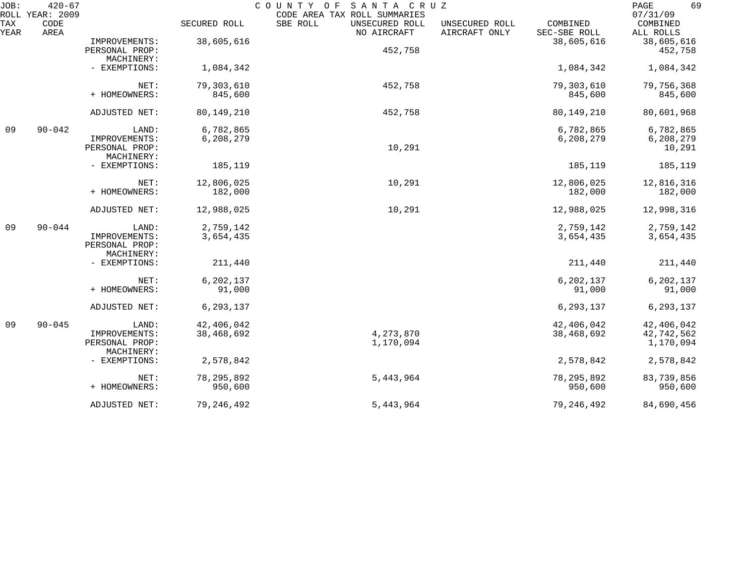| JOB:        | $420 - 67$<br>ROLL YEAR: 2009 |                                                        |                          | COUNTY OF<br>SANTA CRUZ<br>CODE AREA TAX ROLL SUMMARIES |                                 |                          | 69<br>PAGE<br>07/31/09                |
|-------------|-------------------------------|--------------------------------------------------------|--------------------------|---------------------------------------------------------|---------------------------------|--------------------------|---------------------------------------|
| TAX<br>YEAR | CODE<br>AREA                  |                                                        | SECURED ROLL             | SBE ROLL<br>UNSECURED ROLL<br>NO AIRCRAFT               | UNSECURED ROLL<br>AIRCRAFT ONLY | COMBINED<br>SEC-SBE ROLL | COMBINED<br>ALL ROLLS                 |
|             |                               | IMPROVEMENTS:<br>PERSONAL PROP:                        | 38,605,616               | 452,758                                                 |                                 | 38,605,616               | 38,605,616<br>452,758                 |
|             |                               | MACHINERY:<br>- EXEMPTIONS:                            | 1,084,342                |                                                         |                                 | 1,084,342                | 1,084,342                             |
|             |                               | NET:<br>+ HOMEOWNERS:                                  | 79,303,610<br>845,600    | 452,758                                                 |                                 | 79,303,610<br>845,600    | 79,756,368<br>845,600                 |
|             |                               | ADJUSTED NET:                                          | 80, 149, 210             | 452,758                                                 |                                 | 80, 149, 210             | 80,601,968                            |
| 09          | $90 - 042$                    | LAND:<br>IMPROVEMENTS:<br>PERSONAL PROP:<br>MACHINERY: | 6,782,865<br>6,208,279   | 10,291                                                  |                                 | 6,782,865<br>6,208,279   | 6,782,865<br>6,208,279<br>10,291      |
|             |                               | - EXEMPTIONS:                                          | 185,119                  |                                                         |                                 | 185,119                  | 185,119                               |
|             |                               | NET:<br>+ HOMEOWNERS:                                  | 12,806,025<br>182,000    | 10,291                                                  |                                 | 12,806,025<br>182,000    | 12,816,316<br>182,000                 |
|             |                               | ADJUSTED NET:                                          | 12,988,025               | 10,291                                                  |                                 | 12,988,025               | 12,998,316                            |
| 09          | $90 - 044$                    | LAND:<br>IMPROVEMENTS:<br>PERSONAL PROP:               | 2,759,142<br>3,654,435   |                                                         |                                 | 2,759,142<br>3,654,435   | 2,759,142<br>3,654,435                |
|             |                               | MACHINERY:<br>- EXEMPTIONS:                            | 211,440                  |                                                         |                                 | 211,440                  | 211,440                               |
|             |                               | NET:<br>+ HOMEOWNERS:                                  | 6,202,137<br>91,000      |                                                         |                                 | 6,202,137<br>91,000      | 6,202,137<br>91,000                   |
|             |                               | ADJUSTED NET:                                          | 6,293,137                |                                                         |                                 | 6,293,137                | 6, 293, 137                           |
| 09          | $90 - 045$                    | LAND:<br>IMPROVEMENTS:<br>PERSONAL PROP:<br>MACHINERY: | 42,406,042<br>38,468,692 | 4, 273, 870<br>1,170,094                                |                                 | 42,406,042<br>38,468,692 | 42,406,042<br>42,742,562<br>1,170,094 |
|             |                               | - EXEMPTIONS:                                          | 2,578,842                |                                                         |                                 | 2,578,842                | 2,578,842                             |
|             |                               | NET:<br>+ HOMEOWNERS:                                  | 78, 295, 892<br>950,600  | 5,443,964                                               |                                 | 78, 295, 892<br>950,600  | 83,739,856<br>950,600                 |
|             |                               | ADJUSTED NET:                                          | 79, 246, 492             | 5,443,964                                               |                                 | 79, 246, 492             | 84,690,456                            |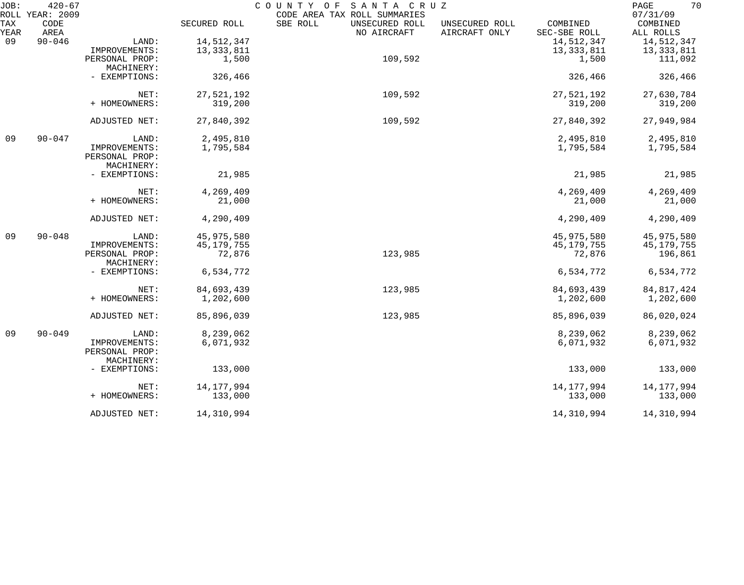| JOB:        | $420 - 67$<br>ROLL YEAR: 2009 |                              |              | COUNTY OF SANTA CRUZ<br>CODE AREA TAX ROLL SUMMARIES                         |                          | 70<br>PAGE<br>07/31/09 |
|-------------|-------------------------------|------------------------------|--------------|------------------------------------------------------------------------------|--------------------------|------------------------|
| TAX<br>YEAR | CODE<br>AREA                  |                              | SECURED ROLL | SBE ROLL<br>UNSECURED ROLL<br>UNSECURED ROLL<br>NO AIRCRAFT<br>AIRCRAFT ONLY | COMBINED<br>SEC-SBE ROLL | COMBINED<br>ALL ROLLS  |
| 09          | $90 - 046$                    | LAND:                        | 14,512,347   |                                                                              | 14,512,347               | 14,512,347             |
|             |                               | IMPROVEMENTS:                | 13, 333, 811 |                                                                              | 13, 333, 811             | 13, 333, 811           |
|             |                               | PERSONAL PROP:               | 1,500        | 109,592                                                                      | 1,500                    | 111,092                |
|             |                               | MACHINERY:                   |              |                                                                              |                          |                        |
|             |                               | - EXEMPTIONS:                | 326,466      |                                                                              | 326,466                  | 326,466                |
|             |                               | NET:                         | 27,521,192   | 109,592                                                                      | 27,521,192               | 27,630,784             |
|             |                               | + HOMEOWNERS:                | 319,200      |                                                                              | 319,200                  | 319,200                |
|             |                               | ADJUSTED NET:                | 27,840,392   | 109,592                                                                      | 27,840,392               | 27,949,984             |
| 09          | $90 - 047$                    | LAND:                        | 2,495,810    |                                                                              | 2,495,810                | 2,495,810              |
|             |                               | IMPROVEMENTS:                | 1,795,584    |                                                                              | 1,795,584                | 1,795,584              |
|             |                               | PERSONAL PROP:<br>MACHINERY: |              |                                                                              |                          |                        |
|             |                               | - EXEMPTIONS:                | 21,985       |                                                                              | 21,985                   | 21,985                 |
|             |                               | NET:                         | 4,269,409    |                                                                              | 4,269,409                | 4,269,409              |
|             |                               | + HOMEOWNERS:                | 21,000       |                                                                              | 21,000                   | 21,000                 |
|             |                               | ADJUSTED NET:                | 4,290,409    |                                                                              | 4,290,409                | 4,290,409              |
| 09          | $90 - 048$                    | LAND:                        | 45,975,580   |                                                                              | 45,975,580               | 45,975,580             |
|             |                               | IMPROVEMENTS:                | 45, 179, 755 |                                                                              | 45,179,755               | 45,179,755             |
|             |                               | PERSONAL PROP:<br>MACHINERY: | 72,876       | 123,985                                                                      | 72,876                   | 196,861                |
|             |                               | - EXEMPTIONS:                | 6,534,772    |                                                                              | 6,534,772                | 6,534,772              |
|             |                               | NET:                         | 84,693,439   | 123,985                                                                      | 84,693,439               | 84, 817, 424           |
|             |                               | + HOMEOWNERS:                | 1,202,600    |                                                                              | 1,202,600                | 1,202,600              |
|             |                               | ADJUSTED NET:                | 85,896,039   | 123,985                                                                      | 85,896,039               | 86,020,024             |
| 09          | $90 - 049$                    | LAND:                        | 8,239,062    |                                                                              | 8,239,062                | 8,239,062              |
|             |                               | IMPROVEMENTS:                | 6,071,932    |                                                                              | 6,071,932                | 6,071,932              |
|             |                               | PERSONAL PROP:<br>MACHINERY: |              |                                                                              |                          |                        |
|             |                               | - EXEMPTIONS:                | 133,000      |                                                                              | 133,000                  | 133,000                |
|             |                               | NET:                         | 14,177,994   |                                                                              | 14, 177, 994             | 14,177,994             |
|             |                               | + HOMEOWNERS:                | 133,000      |                                                                              | 133,000                  | 133,000                |
|             |                               | ADJUSTED NET:                | 14,310,994   |                                                                              | 14,310,994               | 14,310,994             |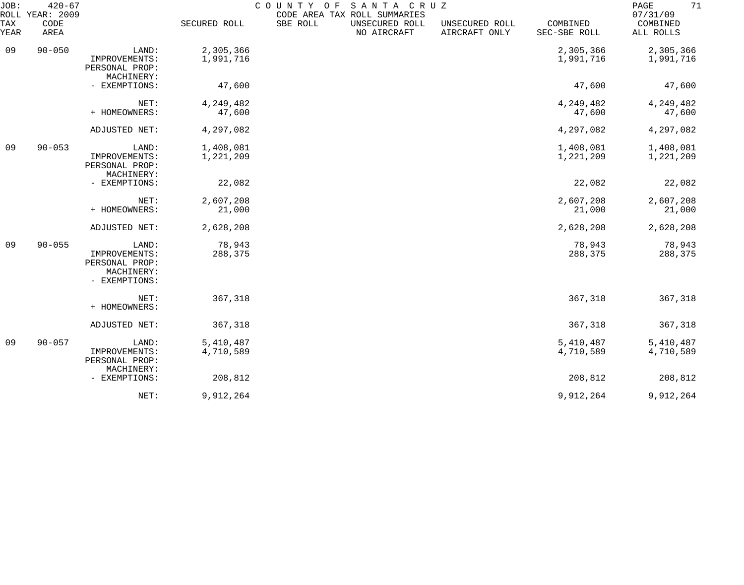| JOB:<br>ROLL | $420 - 67$<br>YEAR: 2009 |                                                                         |                        | SANTA CRUZ<br>COUNTY OF<br>CODE AREA TAX ROLL SUMMARIES |                                 |                          | 71<br>PAGE<br>07/31/09 |
|--------------|--------------------------|-------------------------------------------------------------------------|------------------------|---------------------------------------------------------|---------------------------------|--------------------------|------------------------|
| TAX<br>YEAR  | CODE<br>AREA             |                                                                         | SECURED ROLL           | SBE ROLL<br>UNSECURED ROLL<br>NO AIRCRAFT               | UNSECURED ROLL<br>AIRCRAFT ONLY | COMBINED<br>SEC-SBE ROLL | COMBINED<br>ALL ROLLS  |
| 09           | $90 - 050$               | LAND:<br>IMPROVEMENTS:                                                  | 2,305,366<br>1,991,716 |                                                         |                                 | 2,305,366<br>1,991,716   | 2,305,366<br>1,991,716 |
|              |                          | PERSONAL PROP:<br>MACHINERY:                                            |                        |                                                         |                                 |                          |                        |
|              |                          | - EXEMPTIONS:                                                           | 47,600                 |                                                         |                                 | 47,600                   | 47,600                 |
|              |                          | NET:<br>+ HOMEOWNERS:                                                   | 4,249,482<br>47,600    |                                                         |                                 | 4,249,482<br>47,600      | 4,249,482<br>47,600    |
|              |                          | ADJUSTED NET:                                                           | 4,297,082              |                                                         |                                 | 4,297,082                | 4,297,082              |
| 09           | $90 - 053$               | LAND:<br>IMPROVEMENTS:<br>PERSONAL PROP:                                | 1,408,081<br>1,221,209 |                                                         |                                 | 1,408,081<br>1,221,209   | 1,408,081<br>1,221,209 |
|              |                          | MACHINERY:<br>- EXEMPTIONS:                                             | 22,082                 |                                                         |                                 | 22,082                   | 22,082                 |
|              |                          | NET:<br>+ HOMEOWNERS:                                                   | 2,607,208<br>21,000    |                                                         |                                 | 2,607,208<br>21,000      | 2,607,208<br>21,000    |
|              |                          | ADJUSTED NET:                                                           | 2,628,208              |                                                         |                                 | 2,628,208                | 2,628,208              |
| 09           | $90 - 055$               | LAND:<br>IMPROVEMENTS:<br>PERSONAL PROP:<br>MACHINERY:<br>- EXEMPTIONS: | 78,943<br>288,375      |                                                         |                                 | 78,943<br>288,375        | 78,943<br>288,375      |
|              |                          | NET:<br>+ HOMEOWNERS:                                                   | 367,318                |                                                         |                                 | 367,318                  | 367,318                |
|              |                          | ADJUSTED NET:                                                           | 367,318                |                                                         |                                 | 367,318                  | 367,318                |
| 09           | $90 - 057$               | LAND:<br>IMPROVEMENTS:<br>PERSONAL PROP:<br>MACHINERY:                  | 5,410,487<br>4,710,589 |                                                         |                                 | 5,410,487<br>4,710,589   | 5,410,487<br>4,710,589 |
|              |                          | - EXEMPTIONS:                                                           | 208,812                |                                                         |                                 | 208,812                  | 208,812                |
|              |                          | NET:                                                                    | 9,912,264              |                                                         |                                 | 9,912,264                | 9,912,264              |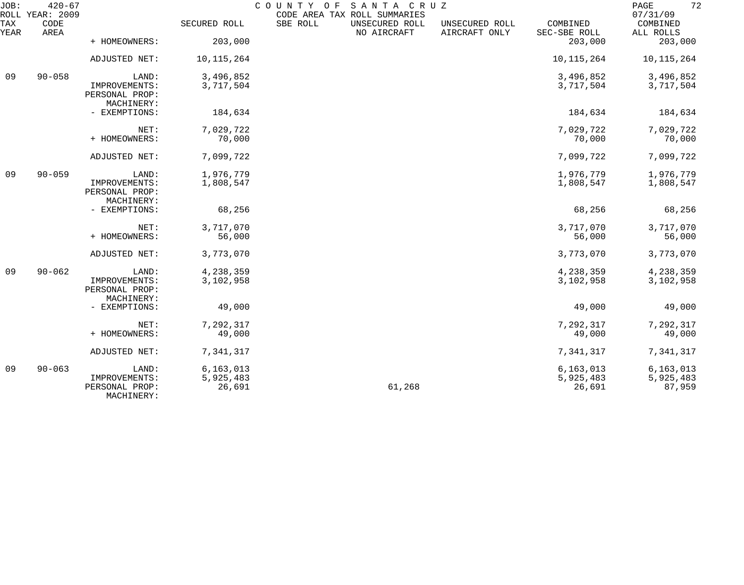| JOB:        | $420 - 67$<br>ROLL YEAR: 2009 |                                               |                     | COUNTY OF<br>CODE AREA TAX ROLL SUMMARIES | SANTA CRUZ     |                                 |                          | 72<br>PAGE<br>07/31/09 |
|-------------|-------------------------------|-----------------------------------------------|---------------------|-------------------------------------------|----------------|---------------------------------|--------------------------|------------------------|
| TAX<br>YEAR | CODE<br>AREA                  |                                               | SECURED ROLL        | SBE ROLL<br>NO AIRCRAFT                   | UNSECURED ROLL | UNSECURED ROLL<br>AIRCRAFT ONLY | COMBINED<br>SEC-SBE ROLL | COMBINED<br>ALL ROLLS  |
|             |                               | + HOMEOWNERS:                                 | 203,000             |                                           |                |                                 | 203,000                  | 203,000                |
|             |                               | ADJUSTED NET:                                 | 10,115,264          |                                           |                |                                 | 10, 115, 264             | 10,115,264             |
| 09          | $90 - 058$                    | LAND:                                         | 3,496,852           |                                           |                |                                 | 3,496,852                | 3,496,852              |
|             |                               | IMPROVEMENTS:<br>PERSONAL PROP:<br>MACHINERY: | 3,717,504           |                                           |                |                                 | 3,717,504                | 3,717,504              |
|             |                               | - EXEMPTIONS:                                 | 184,634             |                                           |                |                                 | 184,634                  | 184,634                |
|             |                               | NET:                                          | 7,029,722           |                                           |                |                                 | 7,029,722                | 7,029,722              |
|             |                               | + HOMEOWNERS:                                 | 70,000              |                                           |                |                                 | 70,000                   | 70,000                 |
|             |                               | ADJUSTED NET:                                 | 7,099,722           |                                           |                |                                 | 7,099,722                | 7,099,722              |
| 09          | $90 - 059$                    | LAND:                                         | 1,976,779           |                                           |                |                                 | 1,976,779                | 1,976,779              |
|             |                               | IMPROVEMENTS:<br>PERSONAL PROP:<br>MACHINERY: | 1,808,547           |                                           |                |                                 | 1,808,547                | 1,808,547              |
|             |                               | - EXEMPTIONS:                                 | 68,256              |                                           |                |                                 | 68,256                   | 68,256                 |
|             |                               | NET:                                          | 3,717,070           |                                           |                |                                 | 3,717,070                | 3,717,070              |
|             |                               | + HOMEOWNERS:                                 | 56,000              |                                           |                |                                 | 56,000                   | 56,000                 |
|             |                               | ADJUSTED NET:                                 | 3,773,070           |                                           |                |                                 | 3,773,070                | 3,773,070              |
| 09          | $90 - 062$                    | LAND:                                         | 4,238,359           |                                           |                |                                 | 4,238,359                | 4,238,359              |
|             |                               | IMPROVEMENTS:<br>PERSONAL PROP:<br>MACHINERY: | 3,102,958           |                                           |                |                                 | 3,102,958                | 3,102,958              |
|             |                               | - EXEMPTIONS:                                 | 49,000              |                                           |                |                                 | 49,000                   | 49,000                 |
|             |                               | NET:                                          | 7,292,317           |                                           |                |                                 | 7,292,317                | 7,292,317              |
|             |                               | + HOMEOWNERS:                                 | 49,000              |                                           |                |                                 | 49,000                   | 49,000                 |
|             |                               | ADJUSTED NET:                                 | 7,341,317           |                                           |                |                                 | 7,341,317                | 7,341,317              |
| 09          | $90 - 063$                    | LAND:                                         | 6, 163, 013         |                                           |                |                                 | 6, 163, 013              | 6,163,013              |
|             |                               | IMPROVEMENTS:<br>PERSONAL PROP:<br>MACHINERY: | 5,925,483<br>26,691 |                                           | 61,268         |                                 | 5,925,483<br>26,691      | 5,925,483<br>87,959    |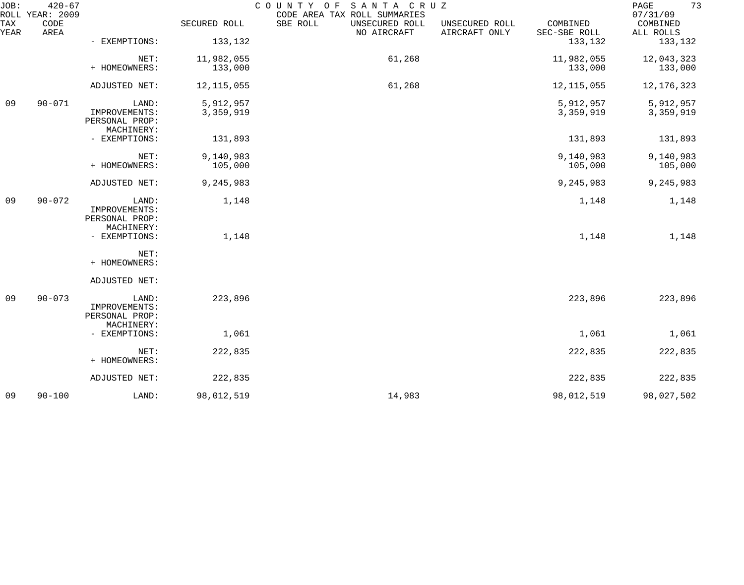| JOB:        | $420 - 67$<br>ROLL YEAR: 2009 |                                               |              | COUNTY OF SANTA CRUZ<br>CODE AREA TAX ROLL SUMMARIES |                                 |                          | 73<br>$\mathop{\mathrm{PAGE}}$<br>07/31/09 |
|-------------|-------------------------------|-----------------------------------------------|--------------|------------------------------------------------------|---------------------------------|--------------------------|--------------------------------------------|
| TAX<br>YEAR | CODE<br>AREA                  |                                               | SECURED ROLL | SBE ROLL<br>UNSECURED ROLL<br>NO AIRCRAFT            | UNSECURED ROLL<br>AIRCRAFT ONLY | COMBINED<br>SEC-SBE ROLL | COMBINED<br>ALL ROLLS                      |
|             |                               | - EXEMPTIONS:                                 | 133,132      |                                                      |                                 | 133,132                  | 133,132                                    |
|             |                               | NET:                                          | 11,982,055   | 61,268                                               |                                 | 11,982,055               | 12,043,323                                 |
|             |                               | + HOMEOWNERS:                                 | 133,000      |                                                      |                                 | 133,000                  | 133,000                                    |
|             |                               | ADJUSTED NET:                                 | 12, 115, 055 | 61,268                                               |                                 | 12, 115, 055             | 12, 176, 323                               |
| 09          | $90 - 071$                    | LAND:                                         | 5,912,957    |                                                      |                                 | 5,912,957                | 5,912,957                                  |
|             |                               | IMPROVEMENTS:<br>PERSONAL PROP:<br>MACHINERY: | 3,359,919    |                                                      |                                 | 3,359,919                | 3,359,919                                  |
|             |                               | - EXEMPTIONS:                                 | 131,893      |                                                      |                                 | 131,893                  | 131,893                                    |
|             |                               | NET:                                          | 9,140,983    |                                                      |                                 | 9,140,983                | 9,140,983                                  |
|             |                               | + HOMEOWNERS:                                 | 105,000      |                                                      |                                 | 105,000                  | 105,000                                    |
|             |                               | ADJUSTED NET:                                 | 9,245,983    |                                                      |                                 | 9,245,983                | 9,245,983                                  |
| 09          | $90 - 072$                    | LAND:                                         | 1,148        |                                                      |                                 | 1,148                    | 1,148                                      |
|             |                               | IMPROVEMENTS:<br>PERSONAL PROP:               |              |                                                      |                                 |                          |                                            |
|             |                               | MACHINERY:<br>- EXEMPTIONS:                   | 1,148        |                                                      |                                 | 1,148                    | 1,148                                      |
|             |                               |                                               |              |                                                      |                                 |                          |                                            |
|             |                               | NET:<br>+ HOMEOWNERS:                         |              |                                                      |                                 |                          |                                            |
|             |                               | ADJUSTED NET:                                 |              |                                                      |                                 |                          |                                            |
| 09          | $90 - 073$                    | LAND:                                         | 223,896      |                                                      |                                 | 223,896                  | 223,896                                    |
|             |                               | IMPROVEMENTS:<br>PERSONAL PROP:               |              |                                                      |                                 |                          |                                            |
|             |                               | MACHINERY:                                    |              |                                                      |                                 |                          |                                            |
|             |                               | - EXEMPTIONS:                                 | 1,061        |                                                      |                                 | 1,061                    | 1,061                                      |
|             |                               | NET:<br>+ HOMEOWNERS:                         | 222,835      |                                                      |                                 | 222,835                  | 222,835                                    |
|             |                               | ADJUSTED NET:                                 | 222,835      |                                                      |                                 | 222,835                  | 222,835                                    |
| 09          | $90 - 100$                    | LAND:                                         | 98,012,519   | 14,983                                               |                                 | 98,012,519               | 98,027,502                                 |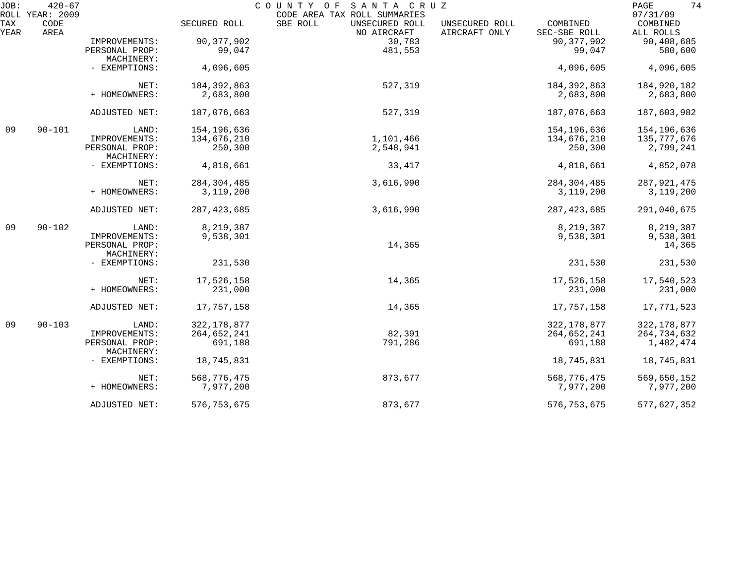| JOB:        | $420 - 67$<br>ROLL YEAR: 2009 |                                 |               | SANTA CRUZ<br>COUNTY OF                                                   |                                 |                          | 74<br>PAGE<br>07/31/09 |
|-------------|-------------------------------|---------------------------------|---------------|---------------------------------------------------------------------------|---------------------------------|--------------------------|------------------------|
| TAX<br>YEAR | CODE<br>AREA                  |                                 | SECURED ROLL  | CODE AREA TAX ROLL SUMMARIES<br>SBE ROLL<br>UNSECURED ROLL<br>NO AIRCRAFT | UNSECURED ROLL<br>AIRCRAFT ONLY | COMBINED<br>SEC-SBE ROLL | COMBINED<br>ALL ROLLS  |
|             |                               | IMPROVEMENTS:                   | 90, 377, 902  | 30,783                                                                    |                                 | 90, 377, 902             | 90,408,685             |
|             |                               | PERSONAL PROP:                  | 99,047        | 481,553                                                                   |                                 | 99,047                   | 580,600                |
|             |                               | MACHINERY:<br>- EXEMPTIONS:     | 4,096,605     |                                                                           |                                 | 4,096,605                | 4,096,605              |
|             |                               | NET:                            | 184, 392, 863 | 527,319                                                                   |                                 | 184, 392, 863            | 184,920,182            |
|             |                               | + HOMEOWNERS:                   | 2,683,800     |                                                                           |                                 | 2,683,800                | 2,683,800              |
|             |                               | ADJUSTED NET:                   | 187,076,663   | 527,319                                                                   |                                 | 187,076,663              | 187,603,982            |
| 09          | $90 - 101$                    | LAND:                           | 154,196,636   |                                                                           |                                 | 154,196,636              | 154,196,636            |
|             |                               | IMPROVEMENTS:                   | 134,676,210   | 1,101,466                                                                 |                                 | 134,676,210              | 135,777,676            |
|             |                               | PERSONAL PROP:<br>MACHINERY:    | 250,300       | 2,548,941                                                                 |                                 | 250,300                  | 2,799,241              |
|             |                               | - EXEMPTIONS:                   | 4,818,661     | 33,417                                                                    |                                 | 4,818,661                | 4,852,078              |
|             |                               | NET:                            | 284, 304, 485 | 3,616,990                                                                 |                                 | 284, 304, 485            | 287,921,475            |
|             |                               | + HOMEOWNERS:                   | 3,119,200     |                                                                           |                                 | 3,119,200                | 3,119,200              |
|             |                               | ADJUSTED NET:                   | 287, 423, 685 | 3,616,990                                                                 |                                 | 287, 423, 685            | 291,040,675            |
| 09          | $90 - 102$                    | LAND:                           | 8,219,387     |                                                                           |                                 | 8,219,387                | 8,219,387              |
|             |                               | IMPROVEMENTS:<br>PERSONAL PROP: | 9,538,301     | 14,365                                                                    |                                 | 9,538,301                | 9,538,301<br>14,365    |
|             |                               | MACHINERY:<br>- EXEMPTIONS:     | 231,530       |                                                                           |                                 | 231,530                  | 231,530                |
|             |                               | NET:                            | 17,526,158    | 14,365                                                                    |                                 | 17,526,158               | 17,540,523             |
|             |                               | + HOMEOWNERS:                   | 231,000       |                                                                           |                                 | 231,000                  | 231,000                |
|             |                               | ADJUSTED NET:                   | 17,757,158    | 14,365                                                                    |                                 | 17,757,158               | 17,771,523             |
| 09          | $90 - 103$                    | LAND:                           | 322, 178, 877 |                                                                           |                                 | 322, 178, 877            | 322, 178, 877          |
|             |                               | IMPROVEMENTS:                   | 264,652,241   | 82,391                                                                    |                                 | 264,652,241              | 264,734,632            |
|             |                               | PERSONAL PROP:<br>MACHINERY:    | 691,188       | 791,286                                                                   |                                 | 691,188                  | 1,482,474              |
|             |                               | - EXEMPTIONS:                   | 18,745,831    |                                                                           |                                 | 18,745,831               | 18,745,831             |
|             |                               | NET:                            | 568,776,475   | 873,677                                                                   |                                 | 568,776,475              | 569,650,152            |
|             |                               | + HOMEOWNERS:                   | 7,977,200     |                                                                           |                                 | 7,977,200                | 7,977,200              |
|             |                               | ADJUSTED NET:                   | 576, 753, 675 | 873,677                                                                   |                                 | 576, 753, 675            | 577,627,352            |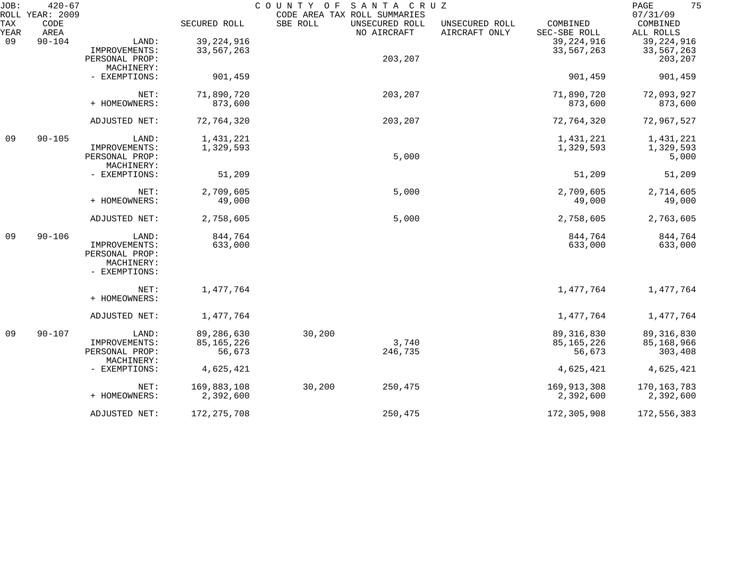| JOB:<br>ROLL | $420 - 67$<br>YEAR: 2009 |                                                                |               | COUNTY OF<br>SANTA CRUZ<br>CODE AREA TAX ROLL SUMMARIES |                                 |                          | 75<br>PAGE<br>07/31/09 |
|--------------|--------------------------|----------------------------------------------------------------|---------------|---------------------------------------------------------|---------------------------------|--------------------------|------------------------|
| TAX<br>YEAR  | CODE<br>AREA             |                                                                | SECURED ROLL  | SBE ROLL<br>UNSECURED ROLL<br>NO AIRCRAFT               | UNSECURED ROLL<br>AIRCRAFT ONLY | COMBINED<br>SEC-SBE ROLL | COMBINED<br>ALL ROLLS  |
| 09           | $90 - 104$               | LAND:                                                          | 39, 224, 916  |                                                         |                                 | 39, 224, 916             | 39, 224, 916           |
|              |                          | IMPROVEMENTS:                                                  | 33,567,263    |                                                         |                                 | 33,567,263               | 33,567,263             |
|              |                          | PERSONAL PROP:                                                 |               | 203,207                                                 |                                 |                          | 203,207                |
|              |                          | MACHINERY:                                                     |               |                                                         |                                 |                          |                        |
|              |                          | - EXEMPTIONS:                                                  | 901,459       |                                                         |                                 | 901,459                  | 901,459                |
|              |                          | NET:                                                           | 71,890,720    | 203,207                                                 |                                 | 71,890,720               | 72,093,927             |
|              |                          | + HOMEOWNERS:                                                  | 873,600       |                                                         |                                 | 873,600                  | 873,600                |
|              |                          | ADJUSTED NET:                                                  | 72,764,320    | 203,207                                                 |                                 | 72,764,320               | 72,967,527             |
| 09           | $90 - 105$               | LAND:                                                          | 1,431,221     |                                                         |                                 | 1,431,221                | 1,431,221              |
|              |                          | IMPROVEMENTS:                                                  | 1,329,593     |                                                         |                                 | 1,329,593                | 1,329,593              |
|              |                          | PERSONAL PROP:                                                 |               | 5,000                                                   |                                 |                          | 5,000                  |
|              |                          | MACHINERY:                                                     |               |                                                         |                                 |                          |                        |
|              |                          | - EXEMPTIONS:                                                  | 51,209        |                                                         |                                 | 51,209                   | 51,209                 |
|              |                          | NET:                                                           | 2,709,605     | 5,000                                                   |                                 | 2,709,605                | 2,714,605              |
|              |                          | + HOMEOWNERS:                                                  | 49,000        |                                                         |                                 | 49,000                   | 49,000                 |
|              |                          | ADJUSTED NET:                                                  | 2,758,605     | 5,000                                                   |                                 | 2,758,605                | 2,763,605              |
| 09           | $90 - 106$               | LAND:                                                          | 844,764       |                                                         |                                 | 844,764                  | 844,764                |
|              |                          | IMPROVEMENTS:<br>PERSONAL PROP:<br>MACHINERY:<br>- EXEMPTIONS: | 633,000       |                                                         |                                 | 633,000                  | 633,000                |
|              |                          | NET:<br>+ HOMEOWNERS:                                          | 1,477,764     |                                                         |                                 | 1,477,764                | 1,477,764              |
|              |                          | ADJUSTED NET:                                                  | 1,477,764     |                                                         |                                 | 1,477,764                | 1,477,764              |
| 09           | $90 - 107$               | LAND:                                                          | 89,286,630    | 30,200                                                  |                                 | 89, 316, 830             | 89, 316, 830           |
|              |                          | IMPROVEMENTS:                                                  | 85, 165, 226  | 3,740                                                   |                                 | 85, 165, 226             | 85,168,966             |
|              |                          | PERSONAL PROP:                                                 | 56,673        | 246,735                                                 |                                 | 56,673                   | 303,408                |
|              |                          | MACHINERY:<br>- EXEMPTIONS:                                    | 4,625,421     |                                                         |                                 | 4,625,421                | 4,625,421              |
|              |                          | NET:                                                           | 169,883,108   | 30,200<br>250,475                                       |                                 | 169,913,308              | 170,163,783            |
|              |                          | + HOMEOWNERS:                                                  | 2,392,600     |                                                         |                                 | 2,392,600                | 2,392,600              |
|              |                          | ADJUSTED NET:                                                  | 172, 275, 708 | 250,475                                                 |                                 | 172,305,908              | 172,556,383            |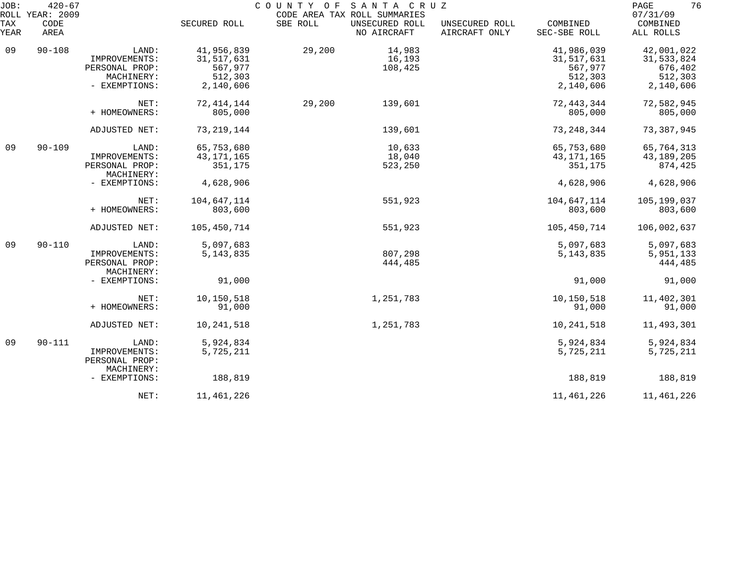| JOB:               | $420 - 67$<br>ROLL YEAR: 2009 |                |              | COUNTY OF SANTA CRUZ | CODE AREA TAX ROLL SUMMARIES  |                                 |                          | 76<br>PAGE<br>07/31/09 |
|--------------------|-------------------------------|----------------|--------------|----------------------|-------------------------------|---------------------------------|--------------------------|------------------------|
| <b>TAX</b><br>YEAR | CODE<br>AREA                  |                | SECURED ROLL | SBE ROLL             | UNSECURED ROLL<br>NO AIRCRAFT | UNSECURED ROLL<br>AIRCRAFT ONLY | COMBINED<br>SEC-SBE ROLL | COMBINED<br>ALL ROLLS  |
| 09                 | $90 - 108$                    | LAND:          | 41,956,839   | 29,200               | 14,983                        |                                 | 41,986,039               | 42,001,022             |
|                    |                               | IMPROVEMENTS:  | 31, 517, 631 |                      | 16,193                        |                                 | 31,517,631               | 31,533,824             |
|                    |                               | PERSONAL PROP: | 567,977      |                      | 108,425                       |                                 | 567,977                  | 676,402                |
|                    |                               | MACHINERY:     | 512,303      |                      |                               |                                 | 512,303                  | 512,303                |
|                    |                               | - EXEMPTIONS:  | 2,140,606    |                      |                               |                                 | 2,140,606                | 2,140,606              |
|                    |                               | NET:           | 72, 414, 144 | 29,200               | 139,601                       |                                 | 72, 443, 344             | 72,582,945             |
|                    |                               | + HOMEOWNERS:  | 805,000      |                      |                               |                                 | 805,000                  | 805,000                |
|                    |                               | ADJUSTED NET:  | 73, 219, 144 |                      | 139,601                       |                                 | 73, 248, 344             | 73,387,945             |
| 09                 | $90 - 109$                    | LAND:          | 65,753,680   |                      | 10,633                        |                                 | 65,753,680               | 65,764,313             |
|                    |                               | IMPROVEMENTS:  | 43, 171, 165 |                      | 18,040                        |                                 | 43, 171, 165             | 43, 189, 205           |
|                    |                               | PERSONAL PROP: | 351,175      |                      | 523,250                       |                                 | 351,175                  | 874,425                |
|                    |                               | MACHINERY:     |              |                      |                               |                                 |                          |                        |
|                    |                               | - EXEMPTIONS:  | 4,628,906    |                      |                               |                                 | 4,628,906                | 4,628,906              |
|                    |                               | NET:           | 104,647,114  |                      | 551,923                       |                                 | 104,647,114              | 105,199,037            |
|                    |                               | + HOMEOWNERS:  | 803,600      |                      |                               |                                 | 803,600                  | 803,600                |
|                    |                               | ADJUSTED NET:  | 105,450,714  |                      | 551,923                       |                                 | 105,450,714              | 106,002,637            |
| 09                 | $90 - 110$                    | LAND:          | 5,097,683    |                      |                               |                                 | 5,097,683                | 5,097,683              |
|                    |                               | IMPROVEMENTS:  | 5, 143, 835  |                      | 807,298                       |                                 | 5, 143, 835              | 5,951,133              |
|                    |                               | PERSONAL PROP: |              |                      | 444,485                       |                                 |                          | 444,485                |
|                    |                               | MACHINERY:     |              |                      |                               |                                 |                          |                        |
|                    |                               | - EXEMPTIONS:  | 91,000       |                      |                               |                                 | 91,000                   | 91,000                 |
|                    |                               | NET:           | 10,150,518   |                      | 1,251,783                     |                                 | 10,150,518               | 11,402,301             |
|                    |                               | + HOMEOWNERS:  | 91,000       |                      |                               |                                 | 91,000                   | 91,000                 |
|                    |                               | ADJUSTED NET:  | 10,241,518   |                      | 1,251,783                     |                                 | 10,241,518               | 11, 493, 301           |
| 09                 | $90 - 111$                    | LAND:          | 5,924,834    |                      |                               |                                 | 5,924,834                | 5,924,834              |
|                    |                               | IMPROVEMENTS:  | 5,725,211    |                      |                               |                                 | 5,725,211                | 5,725,211              |
|                    |                               | PERSONAL PROP: |              |                      |                               |                                 |                          |                        |
|                    |                               | MACHINERY:     |              |                      |                               |                                 |                          |                        |
|                    |                               | - EXEMPTIONS:  | 188,819      |                      |                               |                                 | 188,819                  | 188,819                |
|                    |                               | NET:           | 11,461,226   |                      |                               |                                 | 11,461,226               | 11,461,226             |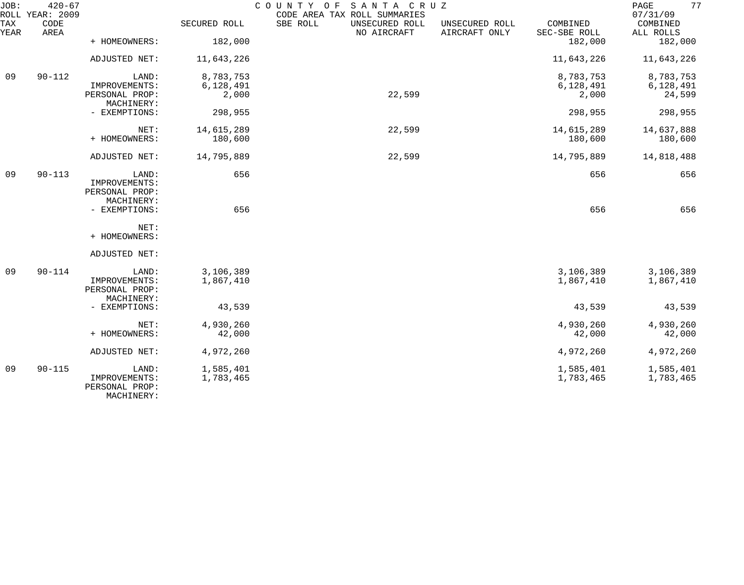| JOB:        | $420 - 67$<br>ROLL YEAR: 2009 |                                 |              | COUNTY OF<br>SANTA CRUZ<br>CODE AREA TAX ROLL SUMMARIES |                                 |                          | 77<br>PAGE<br>07/31/09 |
|-------------|-------------------------------|---------------------------------|--------------|---------------------------------------------------------|---------------------------------|--------------------------|------------------------|
| TAX<br>YEAR | CODE<br>AREA                  |                                 | SECURED ROLL | SBE ROLL<br>UNSECURED ROLL<br>NO AIRCRAFT               | UNSECURED ROLL<br>AIRCRAFT ONLY | COMBINED<br>SEC-SBE ROLL | COMBINED<br>ALL ROLLS  |
|             |                               | + HOMEOWNERS:                   | 182,000      |                                                         |                                 | 182,000                  | 182,000                |
|             |                               | ADJUSTED NET:                   | 11,643,226   |                                                         |                                 | 11,643,226               | 11,643,226             |
| 09          | $90 - 112$                    | LAND:                           | 8,783,753    |                                                         |                                 | 8,783,753                | 8,783,753              |
|             |                               | IMPROVEMENTS:                   | 6,128,491    |                                                         |                                 | 6,128,491                | 6,128,491              |
|             |                               | PERSONAL PROP:<br>MACHINERY:    | 2,000        | 22,599                                                  |                                 | 2,000                    | 24,599                 |
|             |                               | - EXEMPTIONS:                   | 298,955      |                                                         |                                 | 298,955                  | 298,955                |
|             |                               | NET:                            | 14,615,289   | 22,599                                                  |                                 | 14,615,289               | 14,637,888             |
|             |                               | + HOMEOWNERS:                   | 180,600      |                                                         |                                 | 180,600                  | 180,600                |
|             |                               | ADJUSTED NET:                   | 14,795,889   | 22,599                                                  |                                 | 14,795,889               | 14,818,488             |
| 09          | $90 - 113$                    | LAND:                           | 656          |                                                         |                                 | 656                      | 656                    |
|             |                               | IMPROVEMENTS:                   |              |                                                         |                                 |                          |                        |
|             |                               | PERSONAL PROP:                  |              |                                                         |                                 |                          |                        |
|             |                               | MACHINERY:<br>- EXEMPTIONS:     | 656          |                                                         |                                 | 656                      | 656                    |
|             |                               |                                 |              |                                                         |                                 |                          |                        |
|             |                               | NET:<br>+ HOMEOWNERS:           |              |                                                         |                                 |                          |                        |
|             |                               |                                 |              |                                                         |                                 |                          |                        |
|             |                               | ADJUSTED NET:                   |              |                                                         |                                 |                          |                        |
| 09          | $90 - 114$                    | LAND:                           | 3,106,389    |                                                         |                                 | 3,106,389                | 3,106,389              |
|             |                               | IMPROVEMENTS:                   | 1,867,410    |                                                         |                                 | 1,867,410                | 1,867,410              |
|             |                               | PERSONAL PROP:<br>MACHINERY:    |              |                                                         |                                 |                          |                        |
|             |                               | - EXEMPTIONS:                   | 43,539       |                                                         |                                 | 43,539                   | 43,539                 |
|             |                               |                                 |              |                                                         |                                 |                          |                        |
|             |                               | NET:                            | 4,930,260    |                                                         |                                 | 4,930,260                | 4,930,260              |
|             |                               | + HOMEOWNERS:                   | 42,000       |                                                         |                                 | 42,000                   | 42,000                 |
|             |                               | ADJUSTED NET:                   | 4,972,260    |                                                         |                                 | 4,972,260                | 4,972,260              |
| 09          | $90 - 115$                    | LAND:                           | 1,585,401    |                                                         |                                 | 1,585,401                | 1,585,401              |
|             |                               | IMPROVEMENTS:<br>PERSONAL PROP: | 1,783,465    |                                                         |                                 | 1,783,465                | 1,783,465              |
|             |                               | MACHINERY:                      |              |                                                         |                                 |                          |                        |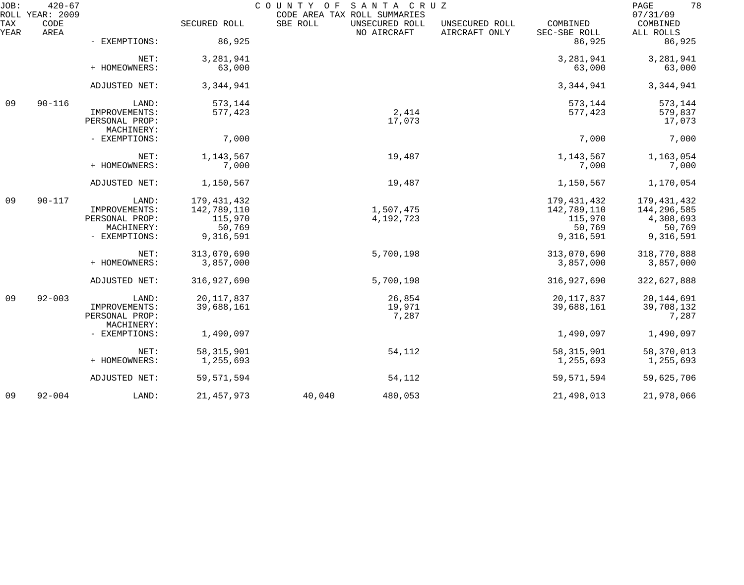| JOB:        | $420 - 67$<br>ROLL YEAR: 2009 |                                 |                     | COUNTY OF SANTA CRUZ<br>CODE AREA TAX ROLL SUMMARIES |                                 |                          | 78<br>PAGE<br>07/31/09 |
|-------------|-------------------------------|---------------------------------|---------------------|------------------------------------------------------|---------------------------------|--------------------------|------------------------|
| TAX<br>YEAR | CODE<br>AREA                  |                                 | SECURED ROLL        | SBE ROLL<br>UNSECURED ROLL<br>NO AIRCRAFT            | UNSECURED ROLL<br>AIRCRAFT ONLY | COMBINED<br>SEC-SBE ROLL | COMBINED<br>ALL ROLLS  |
|             |                               | - EXEMPTIONS:                   | 86,925              |                                                      |                                 | 86,925                   | 86,925                 |
|             |                               | NET:                            | 3,281,941           |                                                      |                                 | 3,281,941                | 3,281,941              |
|             |                               | + HOMEOWNERS:                   | 63,000              |                                                      |                                 | 63,000                   | 63,000                 |
|             |                               | ADJUSTED NET:                   | 3,344,941           |                                                      |                                 | 3,344,941                | 3,344,941              |
| 09          | $90 - 116$                    | LAND:                           | 573,144             |                                                      |                                 | 573,144                  | 573,144                |
|             |                               | IMPROVEMENTS:<br>PERSONAL PROP: | 577,423             | 2,414<br>17,073                                      |                                 | 577,423                  | 579,837<br>17,073      |
|             |                               | MACHINERY:                      |                     |                                                      |                                 |                          |                        |
|             |                               | - EXEMPTIONS:                   | 7,000               |                                                      |                                 | 7,000                    | 7,000                  |
|             |                               | NET:                            | 1,143,567           | 19,487                                               |                                 | 1,143,567                | 1,163,054              |
|             |                               | + HOMEOWNERS:                   | 7,000               |                                                      |                                 | 7,000                    | 7,000                  |
|             |                               | ADJUSTED NET:                   | 1,150,567           | 19,487                                               |                                 | 1,150,567                | 1,170,054              |
| 09          | $90 - 117$                    | LAND:                           | 179, 431, 432       |                                                      |                                 | 179, 431, 432            | 179,431,432            |
|             |                               | IMPROVEMENTS:                   | 142,789,110         | 1,507,475                                            |                                 | 142,789,110              | 144,296,585            |
|             |                               | PERSONAL PROP:                  | 115,970             | 4,192,723                                            |                                 | 115,970                  | 4,308,693              |
|             |                               | MACHINERY:<br>- EXEMPTIONS:     | 50,769<br>9,316,591 |                                                      |                                 | 50,769<br>9,316,591      | 50,769<br>9,316,591    |
|             |                               |                                 |                     |                                                      |                                 |                          |                        |
|             |                               | NET:                            | 313,070,690         | 5,700,198                                            |                                 | 313,070,690              | 318,770,888            |
|             |                               | + HOMEOWNERS:                   | 3,857,000           |                                                      |                                 | 3,857,000                | 3,857,000              |
|             |                               | ADJUSTED NET:                   | 316,927,690         | 5,700,198                                            |                                 | 316,927,690              | 322,627,888            |
| 09          | $92 - 003$                    | LAND:                           | 20, 117, 837        | 26,854                                               |                                 | 20, 117, 837             | 20, 144, 691           |
|             |                               | IMPROVEMENTS:                   | 39,688,161          | 19,971                                               |                                 | 39,688,161               | 39,708,132             |
|             |                               | PERSONAL PROP:                  |                     | 7,287                                                |                                 |                          | 7,287                  |
|             |                               | MACHINERY:                      |                     |                                                      |                                 |                          |                        |
|             |                               | - EXEMPTIONS:                   | 1,490,097           |                                                      |                                 | 1,490,097                | 1,490,097              |
|             |                               | NET:                            | 58, 315, 901        | 54,112                                               |                                 | 58, 315, 901             | 58,370,013             |
|             |                               | + HOMEOWNERS:                   | 1,255,693           |                                                      |                                 | 1,255,693                | 1,255,693              |
|             |                               | ADJUSTED NET:                   | 59, 571, 594        | 54,112                                               |                                 | 59, 571, 594             | 59,625,706             |
| 09          | $92 - 004$                    | LAND:                           | 21, 457, 973        | 40,040<br>480,053                                    |                                 | 21,498,013               | 21,978,066             |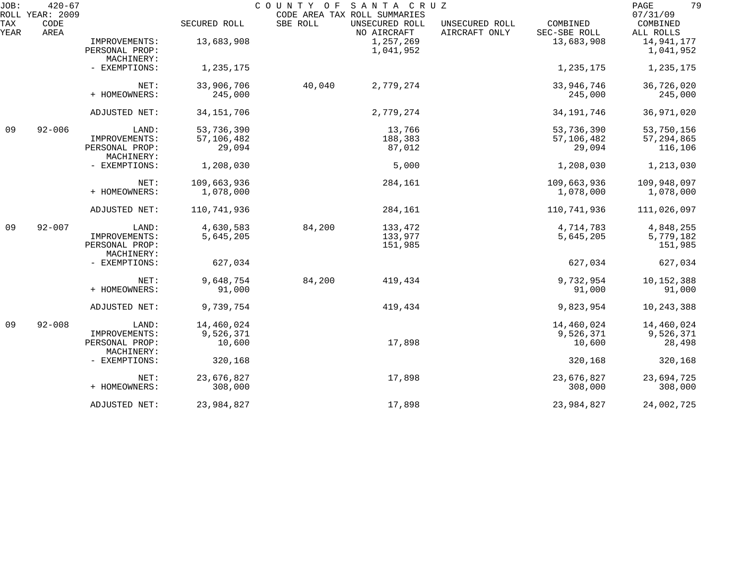| JOB:        | $420 - 67$<br>ROLL YEAR: 2009 |                                                        |                                    | COUNTY OF | SANTA CRUZ<br>CODE AREA TAX ROLL SUMMARIES |                                 |                                    | 79<br>PAGE<br>07/31/09                |
|-------------|-------------------------------|--------------------------------------------------------|------------------------------------|-----------|--------------------------------------------|---------------------------------|------------------------------------|---------------------------------------|
| TAX<br>YEAR | CODE<br>AREA                  |                                                        | SECURED ROLL                       | SBE ROLL  | UNSECURED ROLL<br>NO AIRCRAFT              | UNSECURED ROLL<br>AIRCRAFT ONLY | COMBINED<br>SEC-SBE ROLL           | COMBINED<br>ALL ROLLS                 |
|             |                               | IMPROVEMENTS:<br>PERSONAL PROP:<br>MACHINERY:          | 13,683,908                         |           | 1,257,269<br>1,041,952                     |                                 | 13,683,908                         | 14,941,177<br>1,041,952               |
|             |                               | - EXEMPTIONS:                                          | 1,235,175                          |           |                                            |                                 | 1,235,175                          | 1,235,175                             |
|             |                               | NET:<br>+ HOMEOWNERS:                                  | 33,906,706<br>245,000              | 40,040    | 2,779,274                                  |                                 | 33,946,746<br>245,000              | 36,726,020<br>245,000                 |
|             |                               | ADJUSTED NET:                                          | 34, 151, 706                       |           | 2,779,274                                  |                                 | 34, 191, 746                       | 36,971,020                            |
| 09          | $92 - 006$                    | LAND:<br>IMPROVEMENTS:<br>PERSONAL PROP:<br>MACHINERY: | 53,736,390<br>57,106,482<br>29,094 |           | 13,766<br>188,383<br>87,012                |                                 | 53,736,390<br>57,106,482<br>29,094 | 53,750,156<br>57, 294, 865<br>116,106 |
|             |                               | - EXEMPTIONS:                                          | 1,208,030                          |           | 5,000                                      |                                 | 1,208,030                          | 1,213,030                             |
|             |                               | NET:<br>+ HOMEOWNERS:                                  | 109,663,936<br>1,078,000           |           | 284,161                                    |                                 | 109,663,936<br>1,078,000           | 109,948,097<br>1,078,000              |
|             |                               | ADJUSTED NET:                                          | 110,741,936                        |           | 284,161                                    |                                 | 110,741,936                        | 111,026,097                           |
| 09          | $92 - 007$                    | LAND:<br>IMPROVEMENTS:<br>PERSONAL PROP:<br>MACHINERY: | 4,630,583<br>5,645,205             | 84,200    | 133,472<br>133,977<br>151,985              |                                 | 4,714,783<br>5,645,205             | 4,848,255<br>5,779,182<br>151,985     |
|             |                               | - EXEMPTIONS:                                          | 627,034                            |           |                                            |                                 | 627,034                            | 627,034                               |
|             |                               | NET:<br>+ HOMEOWNERS:                                  | 9,648,754<br>91,000                | 84,200    | 419,434                                    |                                 | 9,732,954<br>91,000                | 10,152,388<br>91,000                  |
|             |                               | ADJUSTED NET:                                          | 9,739,754                          |           | 419,434                                    |                                 | 9,823,954                          | 10,243,388                            |
| 09          | $92 - 008$                    | LAND:<br>IMPROVEMENTS:<br>PERSONAL PROP:               | 14,460,024<br>9,526,371<br>10,600  |           | 17,898                                     |                                 | 14,460,024<br>9,526,371<br>10,600  | 14,460,024<br>9,526,371<br>28,498     |
|             |                               | MACHINERY:<br>- EXEMPTIONS:                            | 320,168                            |           |                                            |                                 | 320,168                            | 320,168                               |
|             |                               | NET:<br>+ HOMEOWNERS:                                  | 23,676,827<br>308,000              |           | 17,898                                     |                                 | 23,676,827<br>308,000              | 23,694,725<br>308,000                 |
|             |                               | ADJUSTED NET:                                          | 23,984,827                         |           | 17,898                                     |                                 | 23,984,827                         | 24,002,725                            |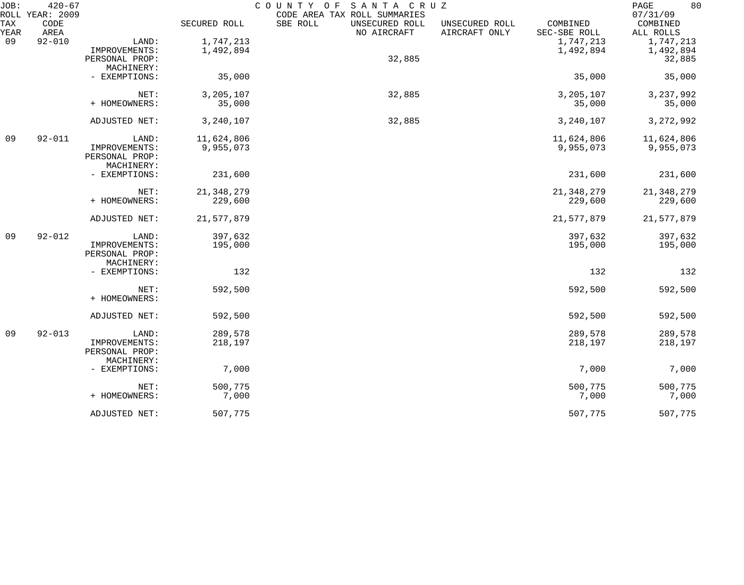| JOB:               | $420 - 67$<br>ROLL YEAR: 2009 |                |              | COUNTY OF<br>SANTA CRUZ<br>CODE AREA TAX ROLL SUMMARIES |                                 |                          | 80<br>PAGE<br>07/31/09 |
|--------------------|-------------------------------|----------------|--------------|---------------------------------------------------------|---------------------------------|--------------------------|------------------------|
| <b>TAX</b><br>YEAR | CODE<br>AREA                  |                | SECURED ROLL | SBE ROLL<br>UNSECURED ROLL<br>NO AIRCRAFT               | UNSECURED ROLL<br>AIRCRAFT ONLY | COMBINED<br>SEC-SBE ROLL | COMBINED<br>ALL ROLLS  |
| 09                 | $92 - 010$                    | LAND:          | 1,747,213    |                                                         |                                 | 1,747,213                | 1,747,213              |
|                    |                               | IMPROVEMENTS:  | 1,492,894    |                                                         |                                 | 1,492,894                | 1,492,894              |
|                    |                               | PERSONAL PROP: |              | 32,885                                                  |                                 |                          | 32,885                 |
|                    |                               | MACHINERY:     |              |                                                         |                                 |                          |                        |
|                    |                               | - EXEMPTIONS:  | 35,000       |                                                         |                                 | 35,000                   | 35,000                 |
|                    |                               | NET:           | 3,205,107    | 32,885                                                  |                                 | 3,205,107                | 3, 237, 992            |
|                    |                               | + HOMEOWNERS:  | 35,000       |                                                         |                                 | 35,000                   | 35,000                 |
|                    |                               | ADJUSTED NET:  | 3,240,107    | 32,885                                                  |                                 | 3,240,107                | 3, 272, 992            |
| 09                 | $92 - 011$                    | LAND:          | 11,624,806   |                                                         |                                 | 11,624,806               | 11,624,806             |
|                    |                               | IMPROVEMENTS:  | 9,955,073    |                                                         |                                 | 9,955,073                | 9,955,073              |
|                    |                               | PERSONAL PROP: |              |                                                         |                                 |                          |                        |
|                    |                               | MACHINERY:     |              |                                                         |                                 |                          |                        |
|                    |                               | - EXEMPTIONS:  | 231,600      |                                                         |                                 | 231,600                  | 231,600                |
|                    |                               | NET:           | 21, 348, 279 |                                                         |                                 | 21, 348, 279             | 21, 348, 279           |
|                    |                               | + HOMEOWNERS:  | 229,600      |                                                         |                                 | 229,600                  | 229,600                |
|                    |                               | ADJUSTED NET:  | 21,577,879   |                                                         |                                 | 21,577,879               | 21,577,879             |
| 09                 | $92 - 012$                    | LAND:          | 397,632      |                                                         |                                 | 397,632                  | 397,632                |
|                    |                               | IMPROVEMENTS:  | 195,000      |                                                         |                                 | 195,000                  | 195,000                |
|                    |                               | PERSONAL PROP: |              |                                                         |                                 |                          |                        |
|                    |                               | MACHINERY:     |              |                                                         |                                 |                          |                        |
|                    |                               | - EXEMPTIONS:  | 132          |                                                         |                                 | 132                      | 132                    |
|                    |                               | NET:           | 592,500      |                                                         |                                 | 592,500                  | 592,500                |
|                    |                               | + HOMEOWNERS:  |              |                                                         |                                 |                          |                        |
|                    |                               | ADJUSTED NET:  | 592,500      |                                                         |                                 | 592,500                  | 592,500                |
| 09                 | $92 - 013$                    | LAND:          | 289,578      |                                                         |                                 | 289,578                  | 289,578                |
|                    |                               | IMPROVEMENTS:  | 218,197      |                                                         |                                 | 218,197                  | 218,197                |
|                    |                               | PERSONAL PROP: |              |                                                         |                                 |                          |                        |
|                    |                               | MACHINERY:     |              |                                                         |                                 |                          |                        |
|                    |                               | - EXEMPTIONS:  | 7,000        |                                                         |                                 | 7,000                    | 7,000                  |
|                    |                               | NET:           | 500,775      |                                                         |                                 | 500,775                  | 500,775                |
|                    |                               | + HOMEOWNERS:  | 7,000        |                                                         |                                 | 7,000                    | 7,000                  |
|                    |                               | ADJUSTED NET:  | 507,775      |                                                         |                                 | 507,775                  | 507,775                |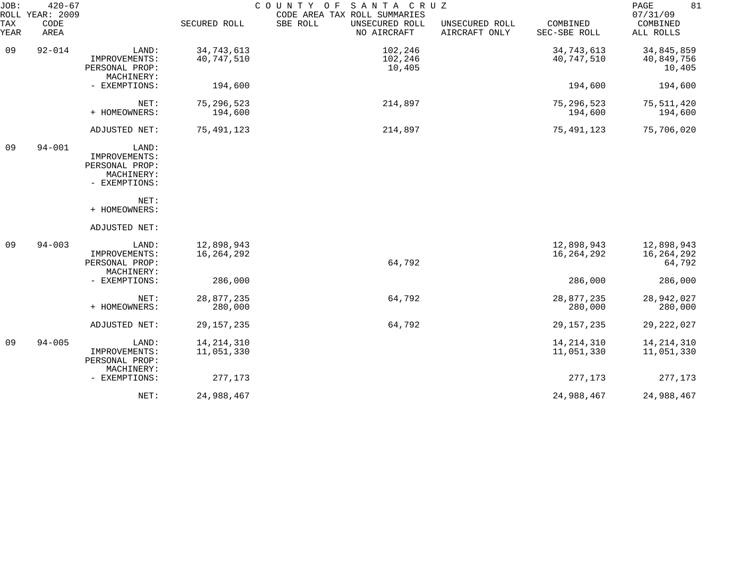| JOB:<br>ROLL | $420 - 67$<br>YEAR: 2009 |                                                                         |                            | COUNTY<br>SANTA CRUZ<br>O F<br>CODE AREA TAX ROLL SUMMARIES |                                 |                            | 81<br>PAGE<br>07/31/09             |
|--------------|--------------------------|-------------------------------------------------------------------------|----------------------------|-------------------------------------------------------------|---------------------------------|----------------------------|------------------------------------|
| TAX<br>YEAR  | CODE<br>AREA             |                                                                         | SECURED ROLL               | SBE ROLL<br>UNSECURED ROLL<br>NO AIRCRAFT                   | UNSECURED ROLL<br>AIRCRAFT ONLY | COMBINED<br>SEC-SBE ROLL   | COMBINED<br>ALL ROLLS              |
| 09           | $92 - 014$               | LAND:<br>IMPROVEMENTS:<br>PERSONAL PROP:<br>MACHINERY:                  | 34,743,613<br>40,747,510   | 102,246<br>102,246<br>10,405                                |                                 | 34,743,613<br>40,747,510   | 34,845,859<br>40,849,756<br>10,405 |
|              |                          | - EXEMPTIONS:                                                           | 194,600                    |                                                             |                                 | 194,600                    | 194,600                            |
|              |                          | NET:<br>+ HOMEOWNERS:                                                   | 75, 296, 523<br>194,600    | 214,897                                                     |                                 | 75, 296, 523<br>194,600    | 75,511,420<br>194,600              |
|              |                          | ADJUSTED NET:                                                           | 75,491,123                 | 214,897                                                     |                                 | 75,491,123                 | 75,706,020                         |
| 09           | $94 - 001$               | LAND:<br>IMPROVEMENTS:<br>PERSONAL PROP:<br>MACHINERY:<br>- EXEMPTIONS: |                            |                                                             |                                 |                            |                                    |
|              |                          | NET:<br>+ HOMEOWNERS:                                                   |                            |                                                             |                                 |                            |                                    |
|              |                          | ADJUSTED NET:                                                           |                            |                                                             |                                 |                            |                                    |
| 09           | $94 - 003$               | LAND:<br>IMPROVEMENTS:<br>PERSONAL PROP:<br>MACHINERY:                  | 12,898,943<br>16,264,292   | 64,792                                                      |                                 | 12,898,943<br>16,264,292   | 12,898,943<br>16,264,292<br>64,792 |
|              |                          | - EXEMPTIONS:                                                           | 286,000                    |                                                             |                                 | 286,000                    | 286,000                            |
|              |                          | NET:<br>+ HOMEOWNERS:                                                   | 28,877,235<br>280,000      | 64,792                                                      |                                 | 28,877,235<br>280,000      | 28,942,027<br>280,000              |
|              |                          | ADJUSTED NET:                                                           | 29, 157, 235               | 64,792                                                      |                                 | 29, 157, 235               | 29, 222, 027                       |
| 09           | $94 - 005$               | LAND:<br>IMPROVEMENTS:<br>PERSONAL PROP:<br>MACHINERY:                  | 14, 214, 310<br>11,051,330 |                                                             |                                 | 14, 214, 310<br>11,051,330 | 14, 214, 310<br>11,051,330         |
|              |                          | - EXEMPTIONS:                                                           | 277,173                    |                                                             |                                 | 277,173                    | 277,173                            |
|              |                          | NET:                                                                    | 24,988,467                 |                                                             |                                 | 24,988,467                 | 24,988,467                         |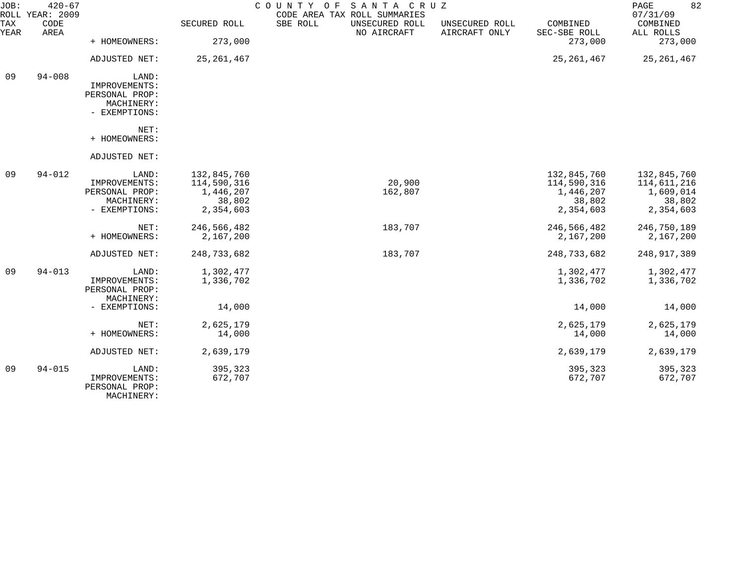| JOB:        | $420 - 67$<br>ROLL YEAR: 2009 |                                                                         |                                                                | COUNTY OF<br>SANTA CRUZ<br>CODE AREA TAX ROLL SUMMARIES |                                 |                                                                | 82<br>PAGE<br>07/31/09                                         |
|-------------|-------------------------------|-------------------------------------------------------------------------|----------------------------------------------------------------|---------------------------------------------------------|---------------------------------|----------------------------------------------------------------|----------------------------------------------------------------|
| TAX<br>YEAR | CODE<br>AREA                  |                                                                         | SECURED ROLL                                                   | SBE ROLL<br>UNSECURED ROLL<br>NO AIRCRAFT               | UNSECURED ROLL<br>AIRCRAFT ONLY | COMBINED<br>SEC-SBE ROLL                                       | COMBINED<br>ALL ROLLS                                          |
|             |                               | + HOMEOWNERS:                                                           | 273,000                                                        |                                                         |                                 | 273,000                                                        | 273,000                                                        |
|             |                               | ADJUSTED NET:                                                           | 25,261,467                                                     |                                                         |                                 | 25, 261, 467                                                   | 25, 261, 467                                                   |
| 09          | $94 - 008$                    | LAND:<br>IMPROVEMENTS:<br>PERSONAL PROP:<br>MACHINERY:<br>- EXEMPTIONS: |                                                                |                                                         |                                 |                                                                |                                                                |
|             |                               | NET:<br>+ HOMEOWNERS:                                                   |                                                                |                                                         |                                 |                                                                |                                                                |
|             |                               | ADJUSTED NET:                                                           |                                                                |                                                         |                                 |                                                                |                                                                |
| 09          | $94 - 012$                    | LAND:<br>IMPROVEMENTS:<br>PERSONAL PROP:<br>MACHINERY:<br>- EXEMPTIONS: | 132,845,760<br>114,590,316<br>1,446,207<br>38,802<br>2,354,603 | 20,900<br>162,807                                       |                                 | 132,845,760<br>114,590,316<br>1,446,207<br>38,802<br>2,354,603 | 132,845,760<br>114,611,216<br>1,609,014<br>38,802<br>2,354,603 |
|             |                               | NET:<br>+ HOMEOWNERS:                                                   | 246,566,482<br>2,167,200                                       | 183,707                                                 |                                 | 246,566,482<br>2,167,200                                       | 246,750,189<br>2,167,200                                       |
|             |                               | ADJUSTED NET:                                                           | 248,733,682                                                    | 183,707                                                 |                                 | 248,733,682                                                    | 248, 917, 389                                                  |
| 09          | $94 - 013$                    | LAND:<br>IMPROVEMENTS:<br>PERSONAL PROP:<br>MACHINERY:                  | 1,302,477<br>1,336,702                                         |                                                         |                                 | 1,302,477<br>1,336,702                                         | 1,302,477<br>1,336,702                                         |
|             |                               | - EXEMPTIONS:                                                           | 14,000                                                         |                                                         |                                 | 14,000                                                         | 14,000                                                         |
|             |                               | NET:<br>+ HOMEOWNERS:                                                   | 2,625,179<br>14,000                                            |                                                         |                                 | 2,625,179<br>14,000                                            | 2,625,179<br>14,000                                            |
|             |                               | ADJUSTED NET:                                                           | 2,639,179                                                      |                                                         |                                 | 2,639,179                                                      | 2,639,179                                                      |
| 09          | $94 - 015$                    | LAND:<br>IMPROVEMENTS:<br>PERSONAL PROP:<br>MACHINERY:                  | 395,323<br>672,707                                             |                                                         |                                 | 395,323<br>672,707                                             | 395,323<br>672,707                                             |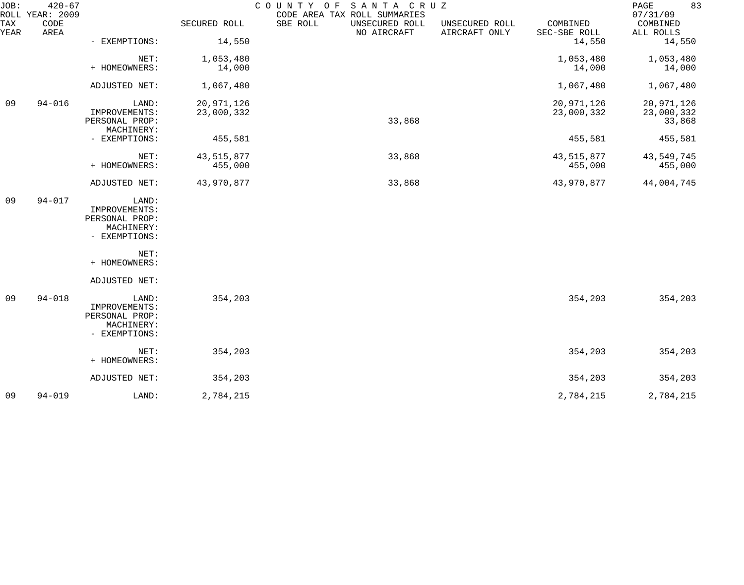| JOB:        | $420 - 67$<br>ROLL YEAR: 2009 |                                                                         |                          | COUNTY OF<br>SANTA CRUZ<br>CODE AREA TAX ROLL SUMMARIES |                                 |                          | 83<br>PAGE<br>07/31/09             |
|-------------|-------------------------------|-------------------------------------------------------------------------|--------------------------|---------------------------------------------------------|---------------------------------|--------------------------|------------------------------------|
| TAX<br>YEAR | CODE<br>AREA                  |                                                                         | SECURED ROLL             | SBE ROLL<br>UNSECURED ROLL<br>NO AIRCRAFT               | UNSECURED ROLL<br>AIRCRAFT ONLY | COMBINED<br>SEC-SBE ROLL | COMBINED<br>ALL ROLLS              |
|             |                               | - EXEMPTIONS:                                                           | 14,550                   |                                                         |                                 | 14,550                   | 14,550                             |
|             |                               | NET:<br>+ HOMEOWNERS:                                                   | 1,053,480<br>14,000      |                                                         |                                 | 1,053,480<br>14,000      | 1,053,480<br>14,000                |
|             |                               | ADJUSTED NET:                                                           | 1,067,480                |                                                         |                                 | 1,067,480                | 1,067,480                          |
| 09          | $94 - 016$                    | LAND:<br>IMPROVEMENTS:<br>PERSONAL PROP:                                | 20,971,126<br>23,000,332 | 33,868                                                  |                                 | 20,971,126<br>23,000,332 | 20,971,126<br>23,000,332<br>33,868 |
|             |                               | MACHINERY:<br>- EXEMPTIONS:                                             | 455,581                  |                                                         |                                 | 455,581                  | 455,581                            |
|             |                               | NET:<br>+ HOMEOWNERS:                                                   | 43, 515, 877<br>455,000  | 33,868                                                  |                                 | 43,515,877<br>455,000    | 43,549,745<br>455,000              |
|             |                               | ADJUSTED NET:                                                           | 43,970,877               | 33,868                                                  |                                 | 43,970,877               | 44,004,745                         |
| 09          | $94 - 017$                    | LAND:<br>IMPROVEMENTS:<br>PERSONAL PROP:<br>MACHINERY:<br>- EXEMPTIONS: |                          |                                                         |                                 |                          |                                    |
|             |                               | NET:<br>+ HOMEOWNERS:                                                   |                          |                                                         |                                 |                          |                                    |
|             |                               | ADJUSTED NET:                                                           |                          |                                                         |                                 |                          |                                    |
| 09          | $94 - 018$                    | LAND:<br>IMPROVEMENTS:<br>PERSONAL PROP:<br>MACHINERY:<br>- EXEMPTIONS: | 354,203                  |                                                         |                                 | 354,203                  | 354,203                            |
|             |                               | NET:<br>+ HOMEOWNERS:                                                   | 354,203                  |                                                         |                                 | 354,203                  | 354,203                            |
|             |                               | ADJUSTED NET:                                                           | 354,203                  |                                                         |                                 | 354,203                  | 354,203                            |
| 09          | $94 - 019$                    | LAND:                                                                   | 2,784,215                |                                                         |                                 | 2,784,215                | 2,784,215                          |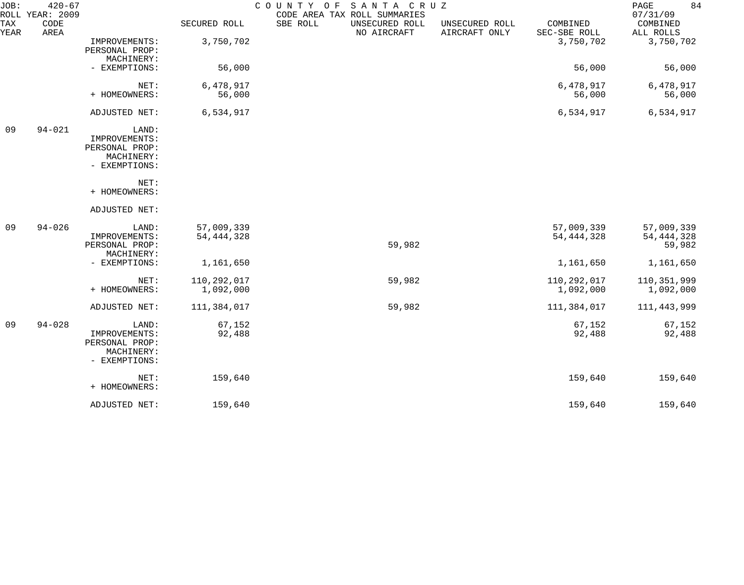| JOB:<br>ROLL | $420 - 67$<br>YEAR: 2009 |                                                                         |                            | COUNTY OF<br>SANTA CRUZ<br>CODE AREA TAX ROLL SUMMARIES |                                 |                            | 84<br>PAGE<br>07/31/09               |
|--------------|--------------------------|-------------------------------------------------------------------------|----------------------------|---------------------------------------------------------|---------------------------------|----------------------------|--------------------------------------|
| TAX<br>YEAR  | CODE<br>AREA             |                                                                         | SECURED ROLL               | SBE ROLL<br>UNSECURED ROLL<br>NO AIRCRAFT               | UNSECURED ROLL<br>AIRCRAFT ONLY | COMBINED<br>SEC-SBE ROLL   | COMBINED<br>ALL ROLLS                |
|              |                          | IMPROVEMENTS:<br>PERSONAL PROP:<br>MACHINERY:                           | 3,750,702                  |                                                         |                                 | 3,750,702                  | 3,750,702                            |
|              |                          | - EXEMPTIONS:                                                           | 56,000                     |                                                         |                                 | 56,000                     | 56,000                               |
|              |                          | NET:<br>+ HOMEOWNERS:                                                   | 6,478,917<br>56,000        |                                                         |                                 | 6,478,917<br>56,000        | 6,478,917<br>56,000                  |
|              |                          | ADJUSTED NET:                                                           | 6,534,917                  |                                                         |                                 | 6,534,917                  | 6,534,917                            |
| 09           | $94 - 021$               | LAND:<br>IMPROVEMENTS:<br>PERSONAL PROP:<br>MACHINERY:<br>- EXEMPTIONS: |                            |                                                         |                                 |                            |                                      |
|              |                          | NET:<br>+ HOMEOWNERS:                                                   |                            |                                                         |                                 |                            |                                      |
|              |                          | ADJUSTED NET:                                                           |                            |                                                         |                                 |                            |                                      |
| 09           | $94 - 026$               | LAND:<br>IMPROVEMENTS:<br>PERSONAL PROP:<br>MACHINERY:                  | 57,009,339<br>54, 444, 328 | 59,982                                                  |                                 | 57,009,339<br>54, 444, 328 | 57,009,339<br>54, 444, 328<br>59,982 |
|              |                          | - EXEMPTIONS:                                                           | 1,161,650                  |                                                         |                                 | 1,161,650                  | 1,161,650                            |
|              |                          | NET:<br>+ HOMEOWNERS:                                                   | 110,292,017<br>1,092,000   | 59,982                                                  |                                 | 110,292,017<br>1,092,000   | 110,351,999<br>1,092,000             |
|              |                          | ADJUSTED NET:                                                           | 111,384,017                | 59,982                                                  |                                 | 111,384,017                | 111, 443, 999                        |
| 09           | $94 - 028$               | LAND:<br>IMPROVEMENTS:<br>PERSONAL PROP:<br>MACHINERY:<br>- EXEMPTIONS: | 67,152<br>92,488           |                                                         |                                 | 67,152<br>92,488           | 67,152<br>92,488                     |
|              |                          | NET:<br>+ HOMEOWNERS:                                                   | 159,640                    |                                                         |                                 | 159,640                    | 159,640                              |
|              |                          | ADJUSTED NET:                                                           | 159,640                    |                                                         |                                 | 159,640                    | 159,640                              |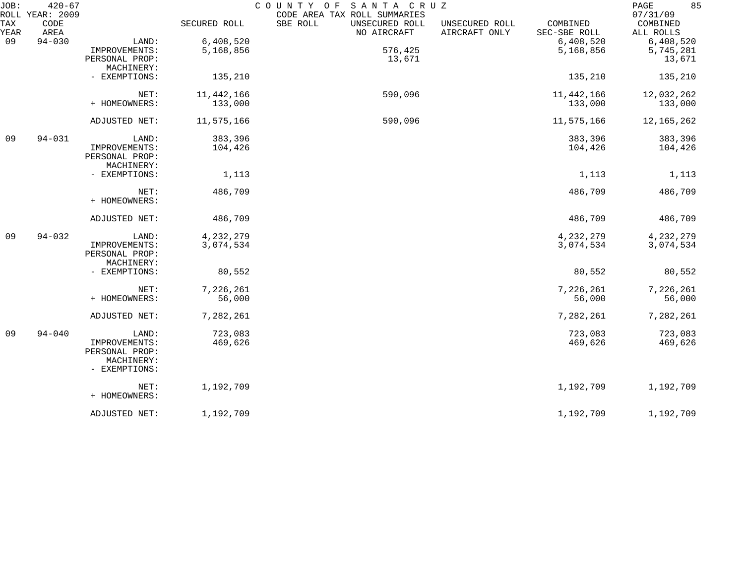| JOB:        | $420 - 67$<br>ROLL YEAR: 2009 |                |              | COUNTY OF<br>SANTA CRUZ<br>CODE AREA TAX ROLL SUMMARIES    |                                            | 85<br>PAGE<br>07/31/09 |
|-------------|-------------------------------|----------------|--------------|------------------------------------------------------------|--------------------------------------------|------------------------|
| TAX<br>YEAR | CODE<br>AREA                  |                | SECURED ROLL | SBE ROLL<br>UNSECURED ROLL<br>NO AIRCRAFT<br>AIRCRAFT ONLY | COMBINED<br>UNSECURED ROLL<br>SEC-SBE ROLL | COMBINED<br>ALL ROLLS  |
| 09          | $94 - 030$                    | LAND:          | 6,408,520    |                                                            | 6,408,520                                  | 6,408,520              |
|             |                               | IMPROVEMENTS:  | 5,168,856    | 576,425                                                    | 5,168,856                                  | 5,745,281              |
|             |                               | PERSONAL PROP: |              | 13,671                                                     |                                            | 13,671                 |
|             |                               | MACHINERY:     |              |                                                            |                                            |                        |
|             |                               | - EXEMPTIONS:  | 135,210      |                                                            | 135,210                                    | 135,210                |
|             |                               | NET:           | 11,442,166   | 590,096                                                    | 11,442,166                                 | 12,032,262             |
|             |                               | + HOMEOWNERS:  | 133,000      |                                                            | 133,000                                    | 133,000                |
|             |                               | ADJUSTED NET:  | 11,575,166   | 590,096                                                    | 11,575,166                                 | 12, 165, 262           |
| 09          | $94 - 031$                    | LAND:          | 383,396      |                                                            | 383,396                                    | 383,396                |
|             |                               | IMPROVEMENTS:  | 104,426      |                                                            | 104,426                                    | 104,426                |
|             |                               | PERSONAL PROP: |              |                                                            |                                            |                        |
|             |                               | MACHINERY:     |              |                                                            |                                            |                        |
|             |                               | - EXEMPTIONS:  | 1,113        |                                                            | 1,113                                      | 1,113                  |
|             |                               | NET:           | 486,709      |                                                            | 486,709                                    | 486,709                |
|             |                               | + HOMEOWNERS:  |              |                                                            |                                            |                        |
|             |                               | ADJUSTED NET:  | 486,709      |                                                            | 486,709                                    | 486,709                |
| 09          | $94 - 032$                    | LAND:          | 4,232,279    |                                                            | 4, 232, 279                                | 4, 232, 279            |
|             |                               | IMPROVEMENTS:  | 3,074,534    |                                                            | 3,074,534                                  | 3,074,534              |
|             |                               | PERSONAL PROP: |              |                                                            |                                            |                        |
|             |                               | MACHINERY:     |              |                                                            |                                            |                        |
|             |                               | - EXEMPTIONS:  | 80,552       |                                                            | 80,552                                     | 80,552                 |
|             |                               | NET:           | 7,226,261    |                                                            | 7,226,261                                  | 7,226,261              |
|             |                               | + HOMEOWNERS:  | 56,000       |                                                            | 56,000                                     | 56,000                 |
|             |                               | ADJUSTED NET:  | 7,282,261    |                                                            | 7,282,261                                  | 7,282,261              |
| 09          | $94 - 040$                    | LAND:          | 723,083      |                                                            | 723,083                                    | 723,083                |
|             |                               | IMPROVEMENTS:  | 469,626      |                                                            | 469,626                                    | 469,626                |
|             |                               | PERSONAL PROP: |              |                                                            |                                            |                        |
|             |                               | MACHINERY:     |              |                                                            |                                            |                        |
|             |                               | - EXEMPTIONS:  |              |                                                            |                                            |                        |
|             |                               | NET:           | 1,192,709    |                                                            | 1,192,709                                  | 1,192,709              |
|             |                               | + HOMEOWNERS:  |              |                                                            |                                            |                        |
|             |                               | ADJUSTED NET:  | 1,192,709    |                                                            | 1,192,709                                  | 1,192,709              |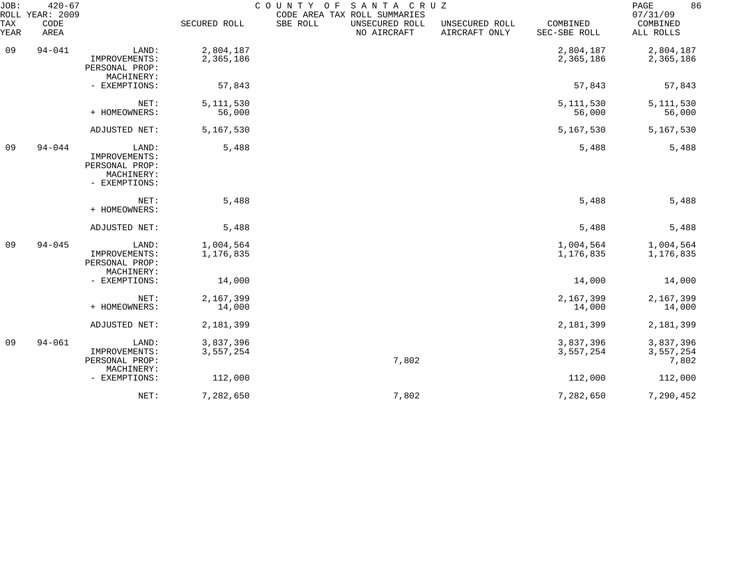| JOB:<br>ROLL       | $420 - 67$<br>YEAR: 2009 |                                                                         |                        | COUNTY OF | SANTA CRUZ<br>CODE AREA TAX ROLL SUMMARIES |                                 |                          | 86<br>PAGE<br>07/31/09          |
|--------------------|--------------------------|-------------------------------------------------------------------------|------------------------|-----------|--------------------------------------------|---------------------------------|--------------------------|---------------------------------|
| <b>TAX</b><br>YEAR | CODE<br>AREA             |                                                                         | SECURED ROLL           | SBE ROLL  | UNSECURED ROLL<br>NO AIRCRAFT              | UNSECURED ROLL<br>AIRCRAFT ONLY | COMBINED<br>SEC-SBE ROLL | COMBINED<br>ALL ROLLS           |
| 09                 | $94 - 041$               | LAND:<br>IMPROVEMENTS:<br>PERSONAL PROP:<br>MACHINERY:                  | 2,804,187<br>2,365,186 |           |                                            |                                 | 2,804,187<br>2,365,186   | 2,804,187<br>2,365,186          |
|                    |                          | - EXEMPTIONS:                                                           | 57,843                 |           |                                            |                                 | 57,843                   | 57,843                          |
|                    |                          | NET:<br>+ HOMEOWNERS:                                                   | 5, 111, 530<br>56,000  |           |                                            |                                 | 5, 111, 530<br>56,000    | 5, 111, 530<br>56,000           |
|                    |                          | ADJUSTED NET:                                                           | 5,167,530              |           |                                            |                                 | 5,167,530                | 5,167,530                       |
| 09                 | $94 - 044$               | LAND:<br>IMPROVEMENTS:<br>PERSONAL PROP:<br>MACHINERY:<br>- EXEMPTIONS: | 5,488                  |           |                                            |                                 | 5,488                    | 5,488                           |
|                    |                          | NET:<br>+ HOMEOWNERS:                                                   | 5,488                  |           |                                            |                                 | 5,488                    | 5,488                           |
|                    |                          | ADJUSTED NET:                                                           | 5,488                  |           |                                            |                                 | 5,488                    | 5,488                           |
| 09                 | $94 - 045$               | LAND:<br>IMPROVEMENTS:<br>PERSONAL PROP:<br>MACHINERY:                  | 1,004,564<br>1,176,835 |           |                                            |                                 | 1,004,564<br>1,176,835   | 1,004,564<br>1,176,835          |
|                    |                          | - EXEMPTIONS:                                                           | 14,000                 |           |                                            |                                 | 14,000                   | 14,000                          |
|                    |                          | NET:<br>+ HOMEOWNERS:                                                   | 2,167,399<br>14,000    |           |                                            |                                 | 2,167,399<br>14,000      | 2,167,399<br>14,000             |
|                    |                          | ADJUSTED NET:                                                           | 2,181,399              |           |                                            |                                 | 2,181,399                | 2,181,399                       |
| 09                 | $94 - 061$               | LAND:<br>IMPROVEMENTS:<br>PERSONAL PROP:<br>MACHINERY:                  | 3,837,396<br>3,557,254 |           | 7,802                                      |                                 | 3,837,396<br>3,557,254   | 3,837,396<br>3,557,254<br>7,802 |
|                    |                          | - EXEMPTIONS:                                                           | 112,000                |           |                                            |                                 | 112,000                  | 112,000                         |
|                    |                          | NET:                                                                    | 7,282,650              |           | 7,802                                      |                                 | 7,282,650                | 7,290,452                       |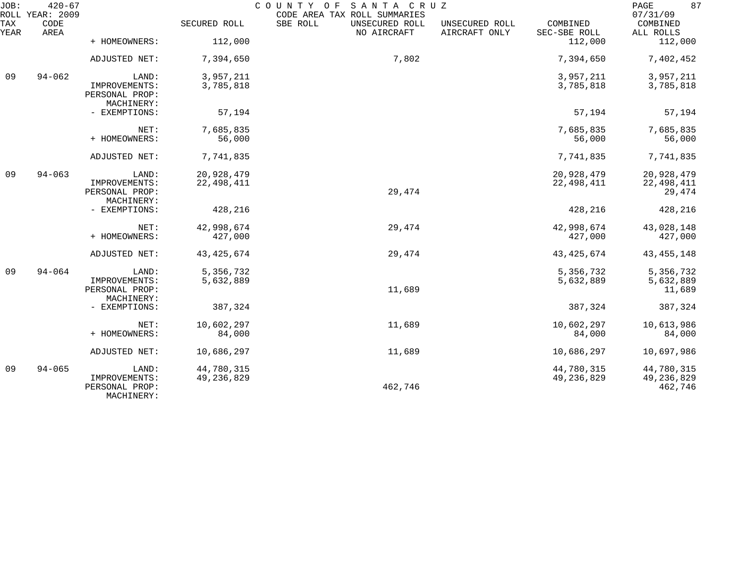| JOB:        | $420 - 67$<br>ROLL YEAR: 2009 |                                               |              | COUNTY OF<br>SANTA CRUZ<br>CODE AREA TAX ROLL SUMMARIES |                                 |                          | 87<br>PAGE<br>07/31/09  |
|-------------|-------------------------------|-----------------------------------------------|--------------|---------------------------------------------------------|---------------------------------|--------------------------|-------------------------|
| TAX<br>YEAR | CODE<br>AREA                  |                                               | SECURED ROLL | SBE ROLL<br>UNSECURED ROLL<br>NO AIRCRAFT               | UNSECURED ROLL<br>AIRCRAFT ONLY | COMBINED<br>SEC-SBE ROLL | COMBINED<br>ALL ROLLS   |
|             |                               | + HOMEOWNERS:                                 | 112,000      |                                                         |                                 | 112,000                  | 112,000                 |
|             |                               | ADJUSTED NET:                                 | 7,394,650    | 7,802                                                   |                                 | 7,394,650                | 7,402,452               |
| 09          | $94 - 062$                    | LAND:                                         | 3,957,211    |                                                         |                                 | 3,957,211                | 3,957,211               |
|             |                               | IMPROVEMENTS:<br>PERSONAL PROP:<br>MACHINERY: | 3,785,818    |                                                         |                                 | 3,785,818                | 3,785,818               |
|             |                               | - EXEMPTIONS:                                 | 57,194       |                                                         |                                 | 57,194                   | 57,194                  |
|             |                               | NET:                                          | 7,685,835    |                                                         |                                 | 7,685,835                | 7,685,835               |
|             |                               | + HOMEOWNERS:                                 | 56,000       |                                                         |                                 | 56,000                   | 56,000                  |
|             |                               | ADJUSTED NET:                                 | 7,741,835    |                                                         |                                 | 7,741,835                | 7,741,835               |
| 09          | $94 - 063$                    | LAND:                                         | 20,928,479   |                                                         |                                 | 20,928,479               | 20,928,479              |
|             |                               | IMPROVEMENTS:<br>PERSONAL PROP:<br>MACHINERY: | 22, 498, 411 | 29,474                                                  |                                 | 22, 498, 411             | 22, 498, 411<br>29,474  |
|             |                               | - EXEMPTIONS:                                 | 428,216      |                                                         |                                 | 428,216                  | 428,216                 |
|             |                               | NET:                                          | 42,998,674   | 29,474                                                  |                                 | 42,998,674               | 43,028,148              |
|             |                               | + HOMEOWNERS:                                 | 427,000      |                                                         |                                 | 427,000                  | 427,000                 |
|             |                               | ADJUSTED NET:                                 | 43, 425, 674 | 29,474                                                  |                                 | 43, 425, 674             | 43, 455, 148            |
| 09          | $94 - 064$                    | LAND:                                         | 5,356,732    |                                                         |                                 | 5,356,732                | 5,356,732               |
|             |                               | IMPROVEMENTS:<br>PERSONAL PROP:               | 5,632,889    | 11,689                                                  |                                 | 5,632,889                | 5,632,889<br>11,689     |
|             |                               | MACHINERY:                                    |              |                                                         |                                 |                          |                         |
|             |                               | - EXEMPTIONS:                                 | 387,324      |                                                         |                                 | 387,324                  | 387,324                 |
|             |                               | NET:                                          | 10,602,297   | 11,689                                                  |                                 | 10,602,297               | 10,613,986              |
|             |                               | + HOMEOWNERS:                                 | 84,000       |                                                         |                                 | 84,000                   | 84,000                  |
|             |                               | ADJUSTED NET:                                 | 10,686,297   | 11,689                                                  |                                 | 10,686,297               | 10,697,986              |
| 09          | $94 - 065$                    | LAND:                                         | 44,780,315   |                                                         |                                 | 44,780,315               | 44,780,315              |
|             |                               | IMPROVEMENTS:<br>PERSONAL PROP:<br>MACHINERY: | 49, 236, 829 | 462,746                                                 |                                 | 49, 236, 829             | 49, 236, 829<br>462,746 |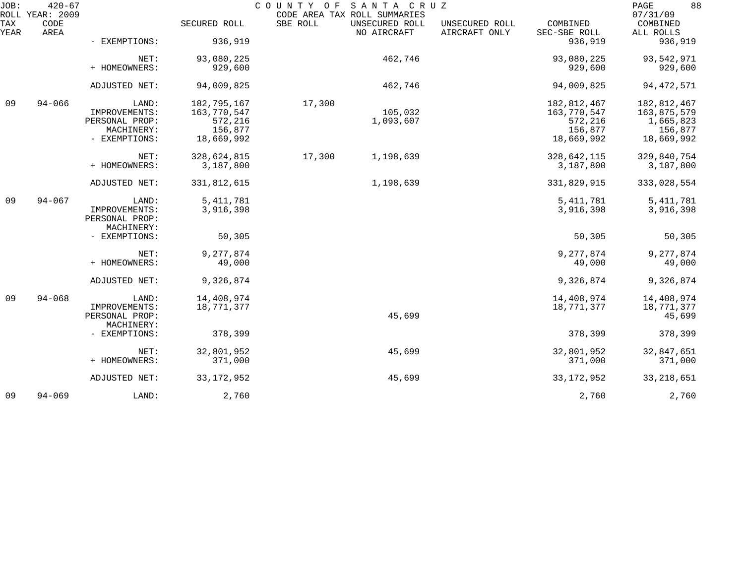| 88<br>PAGE<br>07/31/09                            |
|---------------------------------------------------|
| COMBINED<br>COMBINED<br>SEC-SBE ROLL<br>ALL ROLLS |
| 936,919<br>936,919                                |
| 93,080,225<br>93,542,971                          |
| 929,600<br>929,600                                |
| 94,009,825<br>94, 472, 571                        |
| 182,812,467<br>182,812,467                        |
| 163,770,547<br>163,875,579                        |
| 572,216<br>1,665,823                              |
| 156,877<br>156,877                                |
| 18,669,992<br>18,669,992                          |
| 328,642,115<br>329,840,754                        |
| 3,187,800<br>3,187,800                            |
|                                                   |
| 331,829,915<br>333,028,554                        |
| 5, 411, 781<br>5, 411, 781                        |
| 3,916,398<br>3,916,398                            |
|                                                   |
|                                                   |
| 50,305<br>50,305                                  |
|                                                   |
| 9,277,874<br>9,277,874                            |
| 49,000<br>49,000                                  |
| 9,326,874<br>9,326,874                            |
| 14,408,974<br>14,408,974                          |
|                                                   |
| 18,771,377<br>18,771,377                          |
| 45,699                                            |
|                                                   |
| 378,399<br>378,399                                |
| 32,801,952<br>32,847,651                          |
| 371,000<br>371,000                                |
| 33, 218, 651<br>33, 172, 952                      |
| 2,760<br>2,760                                    |
|                                                   |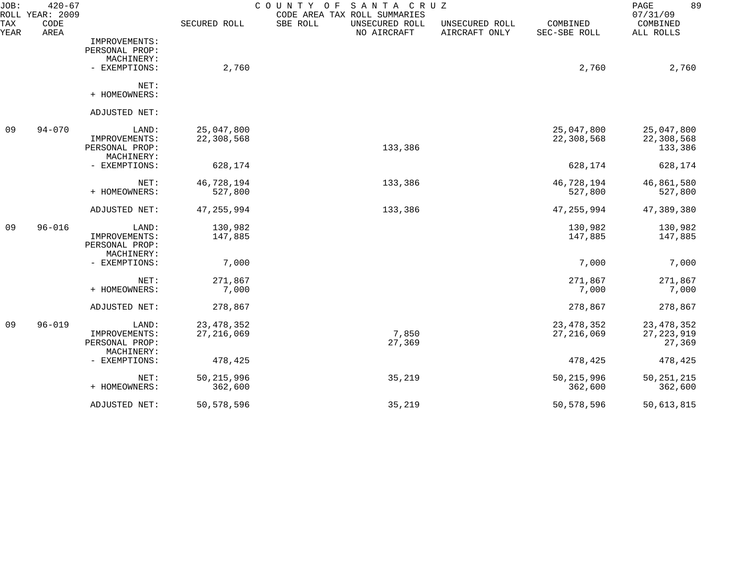| JOB:        | $420 - 67$<br>ROLL YEAR: 2009 |                             |              | SANTA CRUZ<br>COUNTY<br>O F<br>CODE AREA TAX ROLL SUMMARIES |                                 |                          | 89<br>PAGE<br>07/31/09 |
|-------------|-------------------------------|-----------------------------|--------------|-------------------------------------------------------------|---------------------------------|--------------------------|------------------------|
| TAX<br>YEAR | CODE<br>AREA                  |                             | SECURED ROLL | SBE ROLL<br>UNSECURED ROLL<br>NO AIRCRAFT                   | UNSECURED ROLL<br>AIRCRAFT ONLY | COMBINED<br>SEC-SBE ROLL | COMBINED<br>ALL ROLLS  |
|             |                               | IMPROVEMENTS:               |              |                                                             |                                 |                          |                        |
|             |                               | PERSONAL PROP:              |              |                                                             |                                 |                          |                        |
|             |                               | MACHINERY:                  |              |                                                             |                                 |                          |                        |
|             |                               | - EXEMPTIONS:               | 2,760        |                                                             |                                 | 2,760                    | 2,760                  |
|             |                               | NET:                        |              |                                                             |                                 |                          |                        |
|             |                               | + HOMEOWNERS:               |              |                                                             |                                 |                          |                        |
|             |                               | ADJUSTED NET:               |              |                                                             |                                 |                          |                        |
| 09          | $94 - 070$                    | LAND:                       | 25,047,800   |                                                             |                                 | 25,047,800               | 25,047,800             |
|             |                               | IMPROVEMENTS:               | 22,308,568   |                                                             |                                 | 22,308,568               | 22,308,568             |
|             |                               | PERSONAL PROP:              |              | 133,386                                                     |                                 |                          | 133,386                |
|             |                               | MACHINERY:<br>- EXEMPTIONS: | 628,174      |                                                             |                                 | 628,174                  | 628,174                |
|             |                               |                             |              |                                                             |                                 |                          |                        |
|             |                               | NET:                        | 46,728,194   | 133,386                                                     |                                 | 46,728,194               | 46,861,580             |
|             |                               | + HOMEOWNERS:               | 527,800      |                                                             |                                 | 527,800                  | 527,800                |
|             |                               | ADJUSTED NET:               | 47, 255, 994 | 133,386                                                     |                                 | 47, 255, 994             | 47,389,380             |
| 09          | $96 - 016$                    | LAND:                       | 130,982      |                                                             |                                 | 130,982                  | 130,982                |
|             |                               | IMPROVEMENTS:               | 147,885      |                                                             |                                 | 147,885                  | 147,885                |
|             |                               | PERSONAL PROP:              |              |                                                             |                                 |                          |                        |
|             |                               | MACHINERY:                  |              |                                                             |                                 |                          |                        |
|             |                               | - EXEMPTIONS:               | 7,000        |                                                             |                                 | 7,000                    | 7,000                  |
|             |                               | NET:                        | 271,867      |                                                             |                                 | 271,867                  | 271,867                |
|             |                               | + HOMEOWNERS:               | 7,000        |                                                             |                                 | 7,000                    | 7,000                  |
|             |                               | ADJUSTED NET:               | 278,867      |                                                             |                                 | 278,867                  | 278,867                |
| 09          | $96 - 019$                    | LAND:                       | 23, 478, 352 |                                                             |                                 | 23, 478, 352             | 23, 478, 352           |
|             |                               | IMPROVEMENTS:               | 27, 216, 069 | 7,850                                                       |                                 | 27, 216, 069             | 27, 223, 919           |
|             |                               | PERSONAL PROP:              |              | 27,369                                                      |                                 |                          | 27,369                 |
|             |                               | MACHINERY:                  |              |                                                             |                                 |                          |                        |
|             |                               | - EXEMPTIONS:               | 478,425      |                                                             |                                 | 478,425                  | 478,425                |
|             |                               | NET:                        | 50, 215, 996 | 35,219                                                      |                                 | 50, 215, 996             | 50, 251, 215           |
|             |                               | + HOMEOWNERS:               | 362,600      |                                                             |                                 | 362,600                  | 362,600                |
|             |                               | ADJUSTED NET:               | 50,578,596   | 35,219                                                      |                                 | 50,578,596               | 50,613,815             |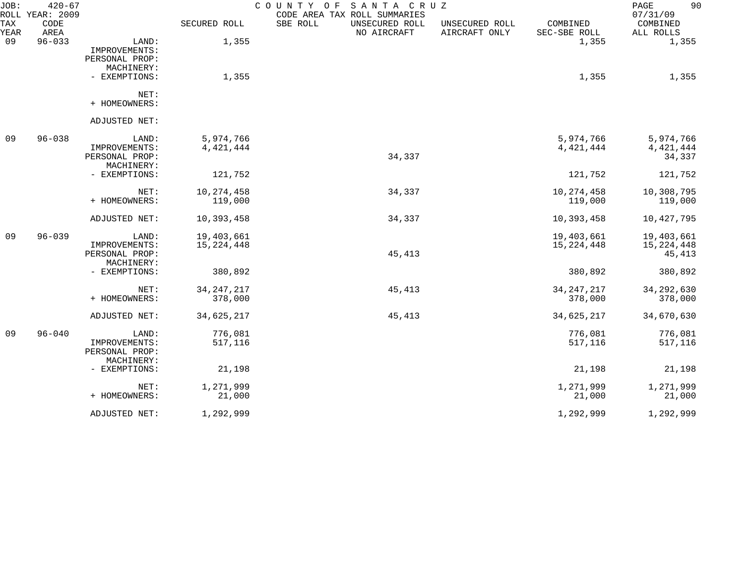| JOB:        | $420 - 67$<br>ROLL YEAR: 2009 |                |              | SANTA CRUZ<br>COUNTY OF<br>CODE AREA TAX ROLL SUMMARIES |                                 |                          | 90<br>PAGE<br>07/31/09 |
|-------------|-------------------------------|----------------|--------------|---------------------------------------------------------|---------------------------------|--------------------------|------------------------|
| TAX<br>YEAR | CODE<br>AREA                  |                | SECURED ROLL | SBE ROLL<br>UNSECURED ROLL<br>NO AIRCRAFT               | UNSECURED ROLL<br>AIRCRAFT ONLY | COMBINED<br>SEC-SBE ROLL | COMBINED<br>ALL ROLLS  |
| 09          | $96 - 033$                    | LAND:          | 1,355        |                                                         |                                 | 1,355                    | 1,355                  |
|             |                               | IMPROVEMENTS:  |              |                                                         |                                 |                          |                        |
|             |                               | PERSONAL PROP: |              |                                                         |                                 |                          |                        |
|             |                               | MACHINERY:     |              |                                                         |                                 |                          |                        |
|             |                               | - EXEMPTIONS:  | 1,355        |                                                         |                                 | 1,355                    | 1,355                  |
|             |                               | NET:           |              |                                                         |                                 |                          |                        |
|             |                               | + HOMEOWNERS:  |              |                                                         |                                 |                          |                        |
|             |                               | ADJUSTED NET:  |              |                                                         |                                 |                          |                        |
| 09          | $96 - 038$                    | LAND:          | 5,974,766    |                                                         |                                 | 5,974,766                | 5,974,766              |
|             |                               | IMPROVEMENTS:  | 4, 421, 444  |                                                         |                                 | 4, 421, 444              | 4, 421, 444            |
|             |                               | PERSONAL PROP: |              | 34,337                                                  |                                 |                          | 34,337                 |
|             |                               | MACHINERY:     |              |                                                         |                                 |                          |                        |
|             |                               | - EXEMPTIONS:  | 121,752      |                                                         |                                 | 121,752                  | 121,752                |
|             |                               | NET:           | 10, 274, 458 | 34,337                                                  |                                 | 10, 274, 458             | 10,308,795             |
|             |                               | + HOMEOWNERS:  | 119,000      |                                                         |                                 | 119,000                  | 119,000                |
|             |                               | ADJUSTED NET:  | 10,393,458   | 34,337                                                  |                                 | 10,393,458               | 10,427,795             |
| 09          | $96 - 039$                    | LAND:          | 19,403,661   |                                                         |                                 | 19,403,661               | 19,403,661             |
|             |                               | IMPROVEMENTS:  | 15, 224, 448 |                                                         |                                 | 15, 224, 448             | 15, 224, 448           |
|             |                               | PERSONAL PROP: |              | 45,413                                                  |                                 |                          | 45,413                 |
|             |                               | MACHINERY:     |              |                                                         |                                 |                          |                        |
|             |                               | - EXEMPTIONS:  | 380,892      |                                                         |                                 | 380,892                  | 380,892                |
|             |                               | NET:           | 34, 247, 217 | 45,413                                                  |                                 | 34, 247, 217             | 34, 292, 630           |
|             |                               | + HOMEOWNERS:  | 378,000      |                                                         |                                 | 378,000                  | 378,000                |
|             |                               | ADJUSTED NET:  | 34,625,217   | 45,413                                                  |                                 | 34,625,217               | 34,670,630             |
| 09          | $96 - 040$                    | LAND:          | 776,081      |                                                         |                                 | 776,081                  | 776,081                |
|             |                               | IMPROVEMENTS:  | 517,116      |                                                         |                                 | 517,116                  | 517,116                |
|             |                               | PERSONAL PROP: |              |                                                         |                                 |                          |                        |
|             |                               | MACHINERY:     |              |                                                         |                                 |                          |                        |
|             |                               | - EXEMPTIONS:  | 21,198       |                                                         |                                 | 21,198                   | 21,198                 |
|             |                               | NET:           | 1,271,999    |                                                         |                                 | 1,271,999                | 1,271,999              |
|             |                               | + HOMEOWNERS:  | 21,000       |                                                         |                                 | 21,000                   | 21,000                 |
|             |                               | ADJUSTED NET:  | 1,292,999    |                                                         |                                 | 1,292,999                | 1,292,999              |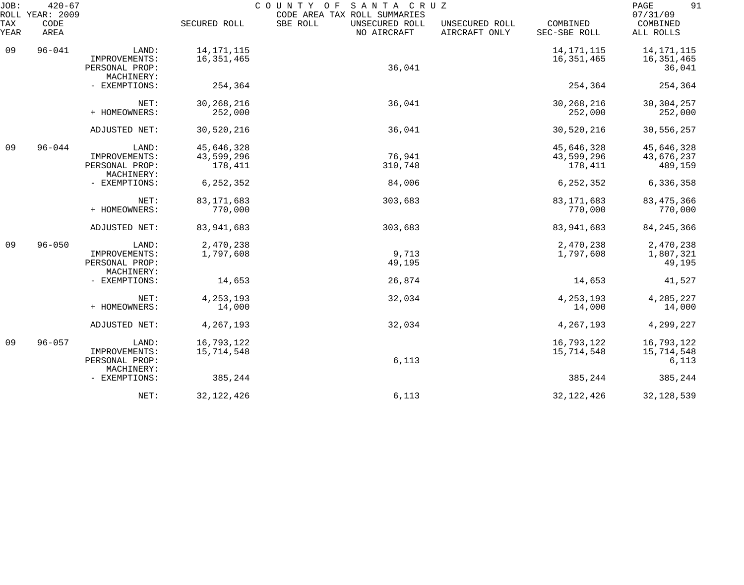| JOB:        | $420 - 67$<br>ROLL YEAR: 2009 |                                                        |                                     | COUNTY OF<br>SANTA CRUZ<br>CODE AREA TAX ROLL SUMMARIES |                                 |                                     | 91<br>PAGE<br>07/31/09                 |
|-------------|-------------------------------|--------------------------------------------------------|-------------------------------------|---------------------------------------------------------|---------------------------------|-------------------------------------|----------------------------------------|
| TAX<br>YEAR | CODE<br>AREA                  |                                                        | SECURED ROLL                        | SBE ROLL<br>UNSECURED ROLL<br>NO AIRCRAFT               | UNSECURED ROLL<br>AIRCRAFT ONLY | COMBINED<br>SEC-SBE ROLL            | COMBINED<br>ALL ROLLS                  |
| 09          | $96 - 041$                    | LAND:<br>IMPROVEMENTS:<br>PERSONAL PROP:<br>MACHINERY: | 14, 171, 115<br>16, 351, 465        | 36,041                                                  |                                 | 14, 171, 115<br>16, 351, 465        | 14, 171, 115<br>16, 351, 465<br>36,041 |
|             |                               | - EXEMPTIONS:                                          | 254,364                             |                                                         |                                 | 254,364                             | 254,364                                |
|             |                               | NET:<br>+ HOMEOWNERS:                                  | 30, 268, 216<br>252,000             | 36,041                                                  |                                 | 30, 268, 216<br>252,000             | 30, 304, 257<br>252,000                |
|             |                               | ADJUSTED NET:                                          | 30,520,216                          | 36,041                                                  |                                 | 30,520,216                          | 30,556,257                             |
| 09          | $96 - 044$                    | LAND:<br>IMPROVEMENTS:<br>PERSONAL PROP:<br>MACHINERY: | 45,646,328<br>43,599,296<br>178,411 | 76,941<br>310,748                                       |                                 | 45,646,328<br>43,599,296<br>178,411 | 45,646,328<br>43,676,237<br>489,159    |
|             |                               | - EXEMPTIONS:                                          | 6, 252, 352                         | 84,006                                                  |                                 | 6,252,352                           | 6,336,358                              |
|             |                               | NET:<br>+ HOMEOWNERS:                                  | 83, 171, 683<br>770,000             | 303,683                                                 |                                 | 83, 171, 683<br>770,000             | 83, 475, 366<br>770,000                |
|             |                               | ADJUSTED NET:                                          | 83,941,683                          | 303,683                                                 |                                 | 83, 941, 683                        | 84, 245, 366                           |
| 09          | $96 - 050$                    | LAND:<br>IMPROVEMENTS:<br>PERSONAL PROP:<br>MACHINERY: | 2,470,238<br>1,797,608              | 9,713<br>49,195                                         |                                 | 2,470,238<br>1,797,608              | 2,470,238<br>1,807,321<br>49,195       |
|             |                               | - EXEMPTIONS:                                          | 14,653                              | 26,874                                                  |                                 | 14,653                              | 41,527                                 |
|             |                               | NET:<br>+ HOMEOWNERS:                                  | 4, 253, 193<br>14,000               | 32,034                                                  |                                 | 4, 253, 193<br>14,000               | 4,285,227<br>14,000                    |
|             |                               | ADJUSTED NET:                                          | 4,267,193                           | 32,034                                                  |                                 | 4,267,193                           | 4,299,227                              |
| 09          | $96 - 057$                    | LAND:<br>IMPROVEMENTS:<br>PERSONAL PROP:<br>MACHINERY: | 16,793,122<br>15,714,548            | 6,113                                                   |                                 | 16,793,122<br>15,714,548            | 16,793,122<br>15,714,548<br>6,113      |
|             |                               | - EXEMPTIONS:                                          | 385,244                             |                                                         |                                 | 385,244                             | 385,244                                |
|             |                               | NET:                                                   | 32, 122, 426                        | 6,113                                                   |                                 | 32, 122, 426                        | 32, 128, 539                           |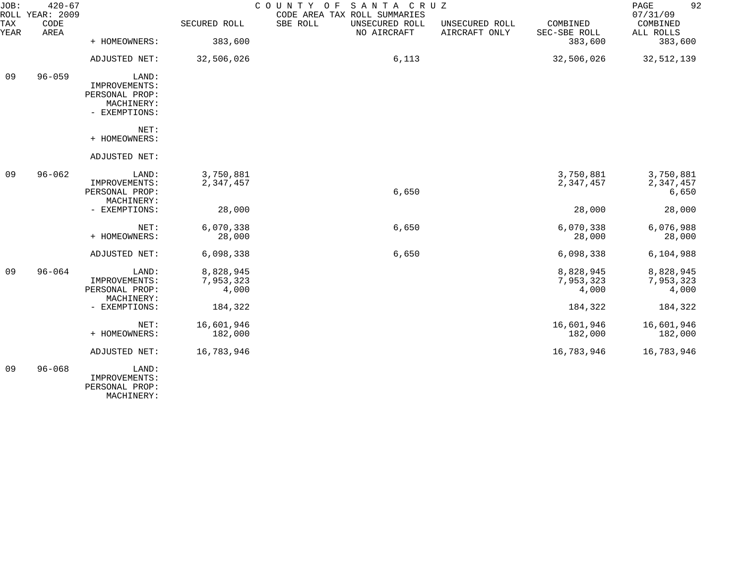| JOB:<br>ROLL | $420 - 67$<br><b>YEAR: 2009</b> |                              |              | C O U N T Y<br>SANTA CRUZ<br>O F<br>CODE AREA TAX ROLL SUMMARIES |                                 |                          | 92<br>PAGE<br>07/31/09 |
|--------------|---------------------------------|------------------------------|--------------|------------------------------------------------------------------|---------------------------------|--------------------------|------------------------|
| TAX<br>YEAR  | CODE<br>AREA                    |                              | SECURED ROLL | SBE ROLL<br>UNSECURED ROLL<br>NO AIRCRAFT                        | UNSECURED ROLL<br>AIRCRAFT ONLY | COMBINED<br>SEC-SBE ROLL | COMBINED<br>ALL ROLLS  |
|              |                                 | + HOMEOWNERS:                | 383,600      |                                                                  |                                 | 383,600                  | 383,600                |
|              |                                 | ADJUSTED NET:                | 32,506,026   | 6,113                                                            |                                 | 32,506,026               | 32,512,139             |
| 09           | $96 - 059$                      | LAND:                        |              |                                                                  |                                 |                          |                        |
|              |                                 | IMPROVEMENTS:                |              |                                                                  |                                 |                          |                        |
|              |                                 | PERSONAL PROP:               |              |                                                                  |                                 |                          |                        |
|              |                                 | MACHINERY:<br>- EXEMPTIONS:  |              |                                                                  |                                 |                          |                        |
|              |                                 | NET:                         |              |                                                                  |                                 |                          |                        |
|              |                                 | + HOMEOWNERS:                |              |                                                                  |                                 |                          |                        |
|              |                                 | ADJUSTED NET:                |              |                                                                  |                                 |                          |                        |
| 09           | $96 - 062$                      | LAND:                        | 3,750,881    |                                                                  |                                 | 3,750,881                | 3,750,881              |
|              |                                 | IMPROVEMENTS:                | 2,347,457    |                                                                  |                                 | 2,347,457                | 2,347,457              |
|              |                                 | PERSONAL PROP:               |              | 6,650                                                            |                                 |                          | 6,650                  |
|              |                                 | MACHINERY:                   |              |                                                                  |                                 |                          |                        |
|              |                                 | - EXEMPTIONS:                | 28,000       |                                                                  |                                 | 28,000                   | 28,000                 |
|              |                                 | NET:                         | 6,070,338    | 6,650                                                            |                                 | 6,070,338                | 6,076,988              |
|              |                                 | + HOMEOWNERS:                | 28,000       |                                                                  |                                 | 28,000                   | 28,000                 |
|              |                                 | ADJUSTED NET:                | 6,098,338    | 6,650                                                            |                                 | 6,098,338                | 6,104,988              |
| 09           | $96 - 064$                      | LAND:                        | 8,828,945    |                                                                  |                                 | 8,828,945                | 8,828,945              |
|              |                                 | IMPROVEMENTS:                | 7,953,323    |                                                                  |                                 | 7,953,323                | 7,953,323              |
|              |                                 | PERSONAL PROP:<br>MACHINERY: | 4,000        |                                                                  |                                 | 4,000                    | 4,000                  |
|              |                                 | - EXEMPTIONS:                | 184,322      |                                                                  |                                 | 184,322                  | 184,322                |
|              |                                 | NET:                         | 16,601,946   |                                                                  |                                 | 16,601,946               | 16,601,946             |
|              |                                 | + HOMEOWNERS:                | 182,000      |                                                                  |                                 | 182,000                  | 182,000                |
|              |                                 | ADJUSTED NET:                | 16,783,946   |                                                                  |                                 | 16,783,946               | 16,783,946             |
| 09           | $96 - 068$                      | LAND:                        |              |                                                                  |                                 |                          |                        |
|              |                                 | IMPROVEMENTS:                |              |                                                                  |                                 |                          |                        |
|              |                                 | PERSONAL PROP:               |              |                                                                  |                                 |                          |                        |

MACHINERY: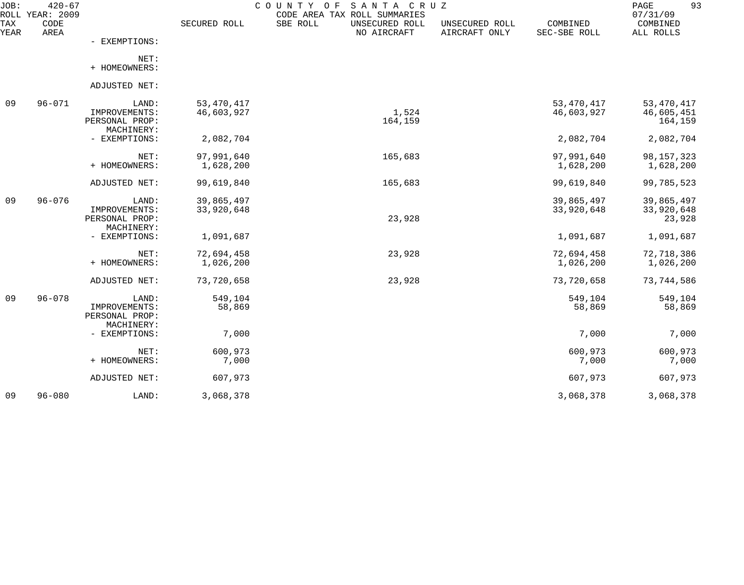| $420 - 67$<br>YEAR: 2009<br>ROLL |                |                                                                                                                                                                         | CODE AREA TAX ROLL SUMMARIES                                          |                                              |                          | 93<br>PAGE<br>07/31/09                                                   |
|----------------------------------|----------------|-------------------------------------------------------------------------------------------------------------------------------------------------------------------------|-----------------------------------------------------------------------|----------------------------------------------|--------------------------|--------------------------------------------------------------------------|
| CODE<br>AREA                     |                | SECURED ROLL                                                                                                                                                            | SBE ROLL<br>UNSECURED ROLL                                            | UNSECURED ROLL<br>AIRCRAFT ONLY              | COMBINED<br>SEC-SBE ROLL | COMBINED<br>ALL ROLLS                                                    |
|                                  | - EXEMPTIONS:  |                                                                                                                                                                         |                                                                       |                                              |                          |                                                                          |
|                                  | NET:           |                                                                                                                                                                         |                                                                       |                                              |                          |                                                                          |
|                                  |                |                                                                                                                                                                         |                                                                       |                                              |                          |                                                                          |
|                                  |                |                                                                                                                                                                         |                                                                       |                                              |                          |                                                                          |
| $96 - 071$                       | LAND:          | 53, 470, 417                                                                                                                                                            |                                                                       |                                              | 53, 470, 417             | 53, 470, 417                                                             |
|                                  | IMPROVEMENTS:  | 46,603,927                                                                                                                                                              |                                                                       |                                              |                          | 46,605,451                                                               |
|                                  |                |                                                                                                                                                                         |                                                                       |                                              |                          | 164,159                                                                  |
|                                  |                |                                                                                                                                                                         |                                                                       |                                              |                          | 2,082,704                                                                |
|                                  |                |                                                                                                                                                                         |                                                                       |                                              |                          |                                                                          |
|                                  | NET:           | 97,991,640                                                                                                                                                              | 165,683                                                               |                                              | 97,991,640               | 98, 157, 323                                                             |
|                                  |                |                                                                                                                                                                         |                                                                       |                                              |                          | 1,628,200                                                                |
|                                  | ADJUSTED NET:  | 99,619,840                                                                                                                                                              | 165,683                                                               |                                              | 99,619,840               | 99,785,523                                                               |
|                                  |                |                                                                                                                                                                         |                                                                       |                                              |                          | 39,865,497                                                               |
|                                  | IMPROVEMENTS:  | 33,920,648                                                                                                                                                              |                                                                       |                                              | 33,920,648               | 33,920,648                                                               |
|                                  | PERSONAL PROP: |                                                                                                                                                                         | 23,928                                                                |                                              |                          | 23,928                                                                   |
|                                  |                |                                                                                                                                                                         |                                                                       |                                              |                          |                                                                          |
|                                  |                |                                                                                                                                                                         |                                                                       |                                              |                          | 1,091,687                                                                |
|                                  | NET:           | 72,694,458                                                                                                                                                              | 23,928                                                                |                                              | 72,694,458               | 72,718,386                                                               |
|                                  | + HOMEOWNERS:  | 1,026,200                                                                                                                                                               |                                                                       |                                              | 1,026,200                | 1,026,200                                                                |
|                                  | ADJUSTED NET:  | 73,720,658                                                                                                                                                              | 23,928                                                                |                                              | 73,720,658               | 73,744,586                                                               |
| $96 - 078$                       | LAND:          |                                                                                                                                                                         |                                                                       |                                              | 549,104                  | 549,104                                                                  |
|                                  | IMPROVEMENTS:  | 58,869                                                                                                                                                                  |                                                                       |                                              | 58,869                   | 58,869                                                                   |
|                                  | PERSONAL PROP: |                                                                                                                                                                         |                                                                       |                                              |                          |                                                                          |
|                                  |                |                                                                                                                                                                         |                                                                       |                                              |                          |                                                                          |
|                                  |                |                                                                                                                                                                         |                                                                       |                                              |                          | 7,000                                                                    |
|                                  | NET:           | 600,973                                                                                                                                                                 |                                                                       |                                              | 600,973                  | 600,973                                                                  |
|                                  | + HOMEOWNERS:  | 7,000                                                                                                                                                                   |                                                                       |                                              | 7,000                    | 7,000                                                                    |
|                                  | ADJUSTED NET:  | 607,973                                                                                                                                                                 |                                                                       |                                              | 607,973                  | 607,973                                                                  |
| $96 - 080$                       | LAND:          | 3,068,378                                                                                                                                                               |                                                                       |                                              | 3,068,378                | 3,068,378                                                                |
|                                  | $96 - 076$     | + HOMEOWNERS:<br>ADJUSTED NET:<br>PERSONAL PROP:<br>MACHINERY:<br>- EXEMPTIONS:<br>+ HOMEOWNERS:<br>LAND:<br>MACHINERY:<br>- EXEMPTIONS:<br>MACHINERY:<br>- EXEMPTIONS: | 2,082,704<br>1,628,200<br>39,865,497<br>1,091,687<br>549,104<br>7,000 | COUNTY OF<br>NO AIRCRAFT<br>1,524<br>164,159 | SANTA CRUZ               | 46,603,927<br>2,082,704<br>1,628,200<br>39,865,497<br>1,091,687<br>7,000 |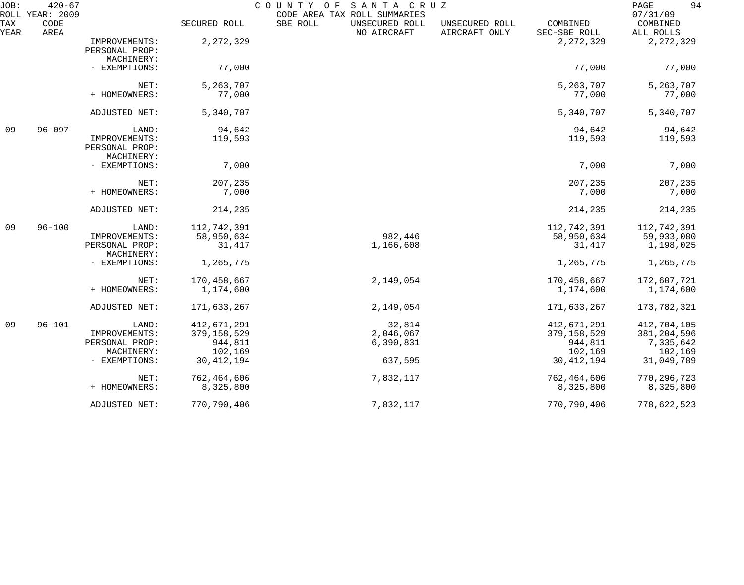| JOB:<br>ROLL | $420 - 67$<br>YEAR: 2009 |                                                                         |                                                                    | SANTA CRUZ<br>COUNTY OF<br>CODE AREA TAX ROLL SUMMARIES |                                 |                                                                    | 94<br>PAGE<br>07/31/09                                             |
|--------------|--------------------------|-------------------------------------------------------------------------|--------------------------------------------------------------------|---------------------------------------------------------|---------------------------------|--------------------------------------------------------------------|--------------------------------------------------------------------|
| TAX<br>YEAR  | CODE<br>AREA             |                                                                         | SECURED ROLL                                                       | SBE ROLL<br>UNSECURED ROLL<br>NO AIRCRAFT               | UNSECURED ROLL<br>AIRCRAFT ONLY | COMBINED<br>SEC-SBE ROLL                                           | COMBINED<br>ALL ROLLS                                              |
|              |                          | IMPROVEMENTS:<br>PERSONAL PROP:<br>MACHINERY:                           | 2, 272, 329                                                        |                                                         |                                 | 2, 272, 329                                                        | 2, 272, 329                                                        |
|              |                          | - EXEMPTIONS:                                                           | 77,000                                                             |                                                         |                                 | 77,000                                                             | 77,000                                                             |
|              |                          | NET:<br>+ HOMEOWNERS:                                                   | 5,263,707<br>77,000                                                |                                                         |                                 | 5,263,707<br>77,000                                                | 5,263,707<br>77,000                                                |
|              |                          | ADJUSTED NET:                                                           | 5,340,707                                                          |                                                         |                                 | 5,340,707                                                          | 5,340,707                                                          |
| 09           | $96 - 097$               | LAND:<br>IMPROVEMENTS:<br>PERSONAL PROP:<br>MACHINERY:                  | 94,642<br>119,593                                                  |                                                         |                                 | 94,642<br>119,593                                                  | 94,642<br>119,593                                                  |
|              |                          | - EXEMPTIONS:                                                           | 7,000                                                              |                                                         |                                 | 7,000                                                              | 7,000                                                              |
|              |                          | NET:<br>+ HOMEOWNERS:                                                   | 207,235<br>7,000                                                   |                                                         |                                 | 207,235<br>7,000                                                   | 207,235<br>7,000                                                   |
|              |                          | ADJUSTED NET:                                                           | 214,235                                                            |                                                         |                                 | 214,235                                                            | 214,235                                                            |
| 09           | $96 - 100$               | LAND:<br>IMPROVEMENTS:<br>PERSONAL PROP:<br>MACHINERY:                  | 112,742,391<br>58,950,634<br>31,417                                | 982,446<br>1,166,608                                    |                                 | 112,742,391<br>58,950,634<br>31,417                                | 112,742,391<br>59,933,080<br>1,198,025                             |
|              |                          | - EXEMPTIONS:                                                           | 1,265,775                                                          |                                                         |                                 | 1,265,775                                                          | 1,265,775                                                          |
|              |                          | NET:<br>+ HOMEOWNERS:                                                   | 170,458,667<br>1,174,600                                           | 2,149,054                                               |                                 | 170,458,667<br>1,174,600                                           | 172,607,721<br>1,174,600                                           |
|              |                          | ADJUSTED NET:                                                           | 171,633,267                                                        | 2,149,054                                               |                                 | 171,633,267                                                        | 173,782,321                                                        |
| 09           | $96 - 101$               | LAND:<br>IMPROVEMENTS:<br>PERSONAL PROP:<br>MACHINERY:<br>- EXEMPTIONS: | 412,671,291<br>379, 158, 529<br>944,811<br>102,169<br>30, 412, 194 | 32,814<br>2,046,067<br>6,390,831<br>637,595             |                                 | 412,671,291<br>379, 158, 529<br>944,811<br>102,169<br>30, 412, 194 | 412,704,105<br>381, 204, 596<br>7,335,642<br>102,169<br>31,049,789 |
|              |                          | NET:<br>+ HOMEOWNERS:                                                   | 762,464,606<br>8,325,800                                           | 7,832,117                                               |                                 | 762,464,606<br>8,325,800                                           | 770, 296, 723<br>8,325,800                                         |
|              |                          | ADJUSTED NET:                                                           | 770,790,406                                                        | 7,832,117                                               |                                 | 770,790,406                                                        | 778,622,523                                                        |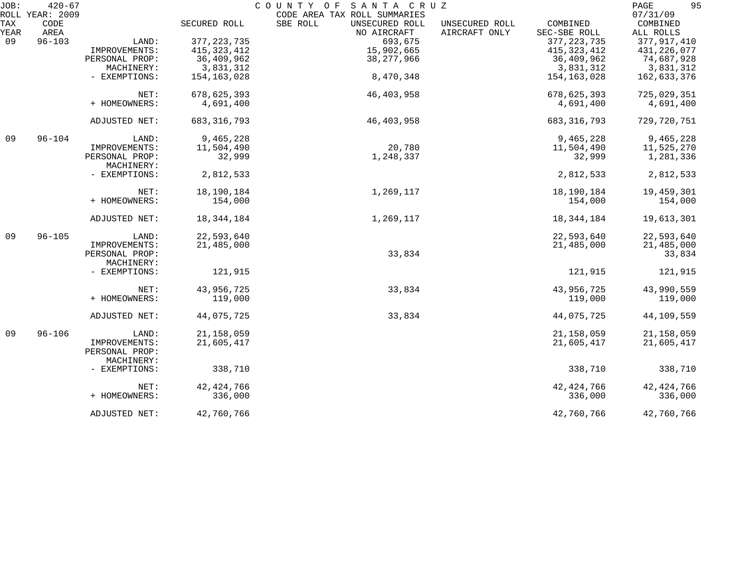| JOB: | $420 - 67$<br>ROLL YEAR: 2009 |                |               | COUNTY OF<br>SANTA CRUZ<br>CODE AREA TAX ROLL SUMMARIES |                |               | 95<br>PAGE<br>07/31/09 |
|------|-------------------------------|----------------|---------------|---------------------------------------------------------|----------------|---------------|------------------------|
| TAX  | CODE                          |                | SECURED ROLL  | SBE ROLL<br>UNSECURED ROLL                              | UNSECURED ROLL | COMBINED      | COMBINED               |
| YEAR | AREA                          |                |               | NO AIRCRAFT                                             | AIRCRAFT ONLY  | SEC-SBE ROLL  | ALL ROLLS              |
| 09   | $96 - 103$                    | LAND:          | 377, 223, 735 | 693,675                                                 |                | 377, 223, 735 | 377, 917, 410          |
|      |                               |                |               |                                                         |                |               |                        |
|      |                               | IMPROVEMENTS:  | 415, 323, 412 | 15,902,665                                              |                | 415, 323, 412 | 431, 226, 077          |
|      |                               | PERSONAL PROP: | 36,409,962    | 38, 277, 966                                            |                | 36,409,962    | 74,687,928             |
|      |                               | MACHINERY:     | 3,831,312     |                                                         |                | 3,831,312     | 3,831,312              |
|      |                               | - EXEMPTIONS:  | 154,163,028   | 8,470,348                                               |                | 154,163,028   | 162,633,376            |
|      |                               | NET:           | 678,625,393   | 46, 403, 958                                            |                | 678,625,393   | 725,029,351            |
|      |                               | + HOMEOWNERS:  | 4,691,400     |                                                         |                | 4,691,400     | 4,691,400              |
|      |                               | ADJUSTED NET:  | 683, 316, 793 | 46, 403, 958                                            |                | 683, 316, 793 | 729,720,751            |
| 09   | $96 - 104$                    | LAND:          | 9,465,228     |                                                         |                | 9,465,228     | 9,465,228              |
|      |                               | IMPROVEMENTS:  | 11,504,490    | 20,780                                                  |                | 11,504,490    | 11,525,270             |
|      |                               | PERSONAL PROP: | 32,999        | 1,248,337                                               |                | 32,999        | 1,281,336              |
|      |                               | MACHINERY:     |               |                                                         |                |               |                        |
|      |                               | - EXEMPTIONS:  | 2,812,533     |                                                         |                | 2,812,533     | 2,812,533              |
|      |                               | NET:           | 18,190,184    | 1,269,117                                               |                | 18,190,184    | 19,459,301             |
|      |                               | + HOMEOWNERS:  | 154,000       |                                                         |                | 154,000       | 154,000                |
|      |                               | ADJUSTED NET:  | 18,344,184    | 1,269,117                                               |                | 18,344,184    | 19,613,301             |
| 09   | $96 - 105$                    | LAND:          | 22,593,640    |                                                         |                | 22,593,640    | 22,593,640             |
|      |                               | IMPROVEMENTS:  | 21,485,000    |                                                         |                | 21,485,000    | 21,485,000             |
|      |                               | PERSONAL PROP: |               | 33,834                                                  |                |               | 33,834                 |
|      |                               | MACHINERY:     |               |                                                         |                |               |                        |
|      |                               | - EXEMPTIONS:  | 121,915       |                                                         |                | 121,915       | 121,915                |
|      |                               | NET:           | 43,956,725    | 33,834                                                  |                | 43,956,725    | 43,990,559             |
|      |                               | + HOMEOWNERS:  | 119,000       |                                                         |                | 119,000       | 119,000                |
|      |                               | ADJUSTED NET:  | 44,075,725    | 33,834                                                  |                | 44,075,725    | 44,109,559             |
| 09   | $96 - 106$                    | LAND:          | 21, 158, 059  |                                                         |                | 21, 158, 059  | 21, 158, 059           |
|      |                               | IMPROVEMENTS:  | 21,605,417    |                                                         |                | 21,605,417    | 21,605,417             |
|      |                               | PERSONAL PROP: |               |                                                         |                |               |                        |
|      |                               | MACHINERY:     |               |                                                         |                |               |                        |
|      |                               |                | 338,710       |                                                         |                | 338,710       |                        |
|      |                               | - EXEMPTIONS:  |               |                                                         |                |               | 338,710                |
|      |                               | NET:           | 42, 424, 766  |                                                         |                | 42, 424, 766  | 42, 424, 766           |
|      |                               | + HOMEOWNERS:  | 336,000       |                                                         |                | 336,000       | 336,000                |
|      |                               | ADJUSTED NET:  | 42,760,766    |                                                         |                | 42,760,766    | 42,760,766             |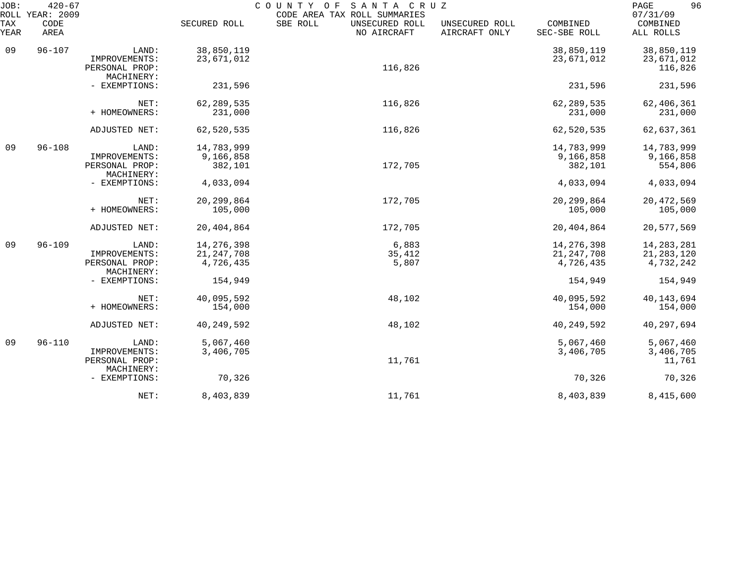| JOB:<br>ROLL       | $420 - 67$<br>YEAR: 2009 |                                               |                           | SANTA CRUZ<br>COUNTY OF<br>CODE AREA TAX ROLL SUMMARIES |                                 |                           | 96<br>PAGE<br>07/31/09   |
|--------------------|--------------------------|-----------------------------------------------|---------------------------|---------------------------------------------------------|---------------------------------|---------------------------|--------------------------|
| <b>TAX</b><br>YEAR | CODE<br>AREA             |                                               | SECURED ROLL              | SBE ROLL<br>UNSECURED ROLL<br>NO AIRCRAFT               | UNSECURED ROLL<br>AIRCRAFT ONLY | COMBINED<br>SEC-SBE ROLL  | COMBINED<br>ALL ROLLS    |
| 09                 | $96 - 107$               | LAND:<br>IMPROVEMENTS:                        | 38,850,119<br>23,671,012  |                                                         |                                 | 38,850,119<br>23,671,012  | 38,850,119<br>23,671,012 |
|                    |                          | PERSONAL PROP:<br>MACHINERY:                  |                           | 116,826                                                 |                                 |                           | 116,826                  |
|                    |                          | - EXEMPTIONS:                                 | 231,596                   |                                                         |                                 | 231,596                   | 231,596                  |
|                    |                          | NET:<br>+ HOMEOWNERS:                         | 62, 289, 535<br>231,000   | 116,826                                                 |                                 | 62, 289, 535<br>231,000   | 62,406,361<br>231,000    |
|                    |                          | ADJUSTED NET:                                 | 62,520,535                | 116,826                                                 |                                 | 62,520,535                | 62,637,361               |
| 09                 | $96 - 108$               | LAND:                                         | 14,783,999                |                                                         |                                 | 14,783,999                | 14,783,999               |
|                    |                          | IMPROVEMENTS:<br>PERSONAL PROP:<br>MACHINERY: | 9,166,858<br>382,101      | 172,705                                                 |                                 | 9,166,858<br>382,101      | 9,166,858<br>554,806     |
|                    |                          | - EXEMPTIONS:                                 | 4,033,094                 |                                                         |                                 | 4,033,094                 | 4,033,094                |
|                    |                          | NET:<br>+ HOMEOWNERS:                         | 20, 299, 864<br>105,000   | 172,705                                                 |                                 | 20, 299, 864<br>105,000   | 20, 472, 569<br>105,000  |
|                    |                          | ADJUSTED NET:                                 | 20,404,864                | 172,705                                                 |                                 | 20,404,864                | 20,577,569               |
| 09                 | $96 - 109$               | LAND:                                         | 14, 276, 398              | 6,883                                                   |                                 | 14,276,398                | 14,283,281               |
|                    |                          | IMPROVEMENTS:<br>PERSONAL PROP:<br>MACHINERY: | 21, 247, 708<br>4,726,435 | 35,412<br>5,807                                         |                                 | 21, 247, 708<br>4,726,435 | 21,283,120<br>4,732,242  |
|                    |                          | - EXEMPTIONS:                                 | 154,949                   |                                                         |                                 | 154,949                   | 154,949                  |
|                    |                          | NET:<br>+ HOMEOWNERS:                         | 40,095,592<br>154,000     | 48,102                                                  |                                 | 40,095,592<br>154,000     | 40, 143, 694<br>154,000  |
|                    |                          | ADJUSTED NET:                                 | 40, 249, 592              | 48,102                                                  |                                 | 40, 249, 592              | 40,297,694               |
| 09                 | $96 - 110$               | LAND:<br>IMPROVEMENTS:                        | 5,067,460<br>3,406,705    |                                                         |                                 | 5,067,460<br>3,406,705    | 5,067,460<br>3,406,705   |
|                    |                          | PERSONAL PROP:<br>MACHINERY:                  |                           | 11,761                                                  |                                 |                           | 11,761                   |
|                    |                          | - EXEMPTIONS:                                 | 70,326                    |                                                         |                                 | 70,326                    | 70,326                   |
|                    |                          | NET:                                          | 8,403,839                 | 11,761                                                  |                                 | 8,403,839                 | 8,415,600                |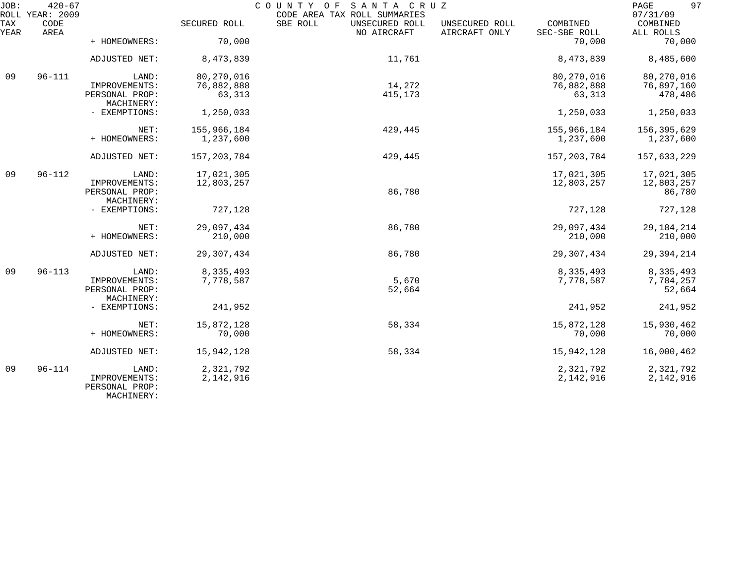| JOB:        | $420 - 67$<br>ROLL YEAR: 2009 |                                                        |                          | COUNTY OF<br>SANTA CRUZ<br>CODE AREA TAX ROLL SUMMARIES |                                 |                          | 97<br>PAGE<br>07/31/09             |
|-------------|-------------------------------|--------------------------------------------------------|--------------------------|---------------------------------------------------------|---------------------------------|--------------------------|------------------------------------|
| TAX<br>YEAR | CODE<br>AREA                  |                                                        | SECURED ROLL             | SBE ROLL<br>UNSECURED ROLL<br>NO AIRCRAFT               | UNSECURED ROLL<br>AIRCRAFT ONLY | COMBINED<br>SEC-SBE ROLL | COMBINED<br>ALL ROLLS              |
|             |                               | + HOMEOWNERS:                                          | 70,000                   |                                                         |                                 | 70,000                   | 70,000                             |
|             |                               | ADJUSTED NET:                                          | 8,473,839                | 11,761                                                  |                                 | 8,473,839                | 8,485,600                          |
| 09          | $96 - 111$                    | LAND:                                                  | 80, 270, 016             |                                                         |                                 | 80,270,016               | 80,270,016                         |
|             |                               | IMPROVEMENTS:<br>PERSONAL PROP:<br>MACHINERY:          | 76,882,888<br>63,313     | 14,272<br>415,173                                       |                                 | 76,882,888<br>63,313     | 76,897,160<br>478,486              |
|             |                               | - EXEMPTIONS:                                          | 1,250,033                |                                                         |                                 | 1,250,033                | 1,250,033                          |
|             |                               | NET:<br>+ HOMEOWNERS:                                  | 155,966,184<br>1,237,600 | 429,445                                                 |                                 | 155,966,184<br>1,237,600 | 156,395,629<br>1,237,600           |
|             |                               | ADJUSTED NET:                                          | 157, 203, 784            | 429,445                                                 |                                 | 157,203,784              | 157,633,229                        |
| 09          | $96 - 112$                    | LAND:<br>IMPROVEMENTS:<br>PERSONAL PROP:               | 17,021,305<br>12,803,257 | 86,780                                                  |                                 | 17,021,305<br>12,803,257 | 17,021,305<br>12,803,257<br>86,780 |
|             |                               | MACHINERY:<br>- EXEMPTIONS:                            | 727,128                  |                                                         |                                 | 727,128                  | 727,128                            |
|             |                               | NET:<br>+ HOMEOWNERS:                                  | 29,097,434<br>210,000    | 86,780                                                  |                                 | 29,097,434<br>210,000    | 29, 184, 214<br>210,000            |
|             |                               | ADJUSTED NET:                                          | 29, 307, 434             | 86,780                                                  |                                 | 29, 307, 434             | 29, 394, 214                       |
| 09          | $96 - 113$                    | LAND:<br>IMPROVEMENTS:<br>PERSONAL PROP:<br>MACHINERY: | 8,335,493<br>7,778,587   | 5,670<br>52,664                                         |                                 | 8,335,493<br>7,778,587   | 8,335,493<br>7,784,257<br>52,664   |
|             |                               | - EXEMPTIONS:                                          | 241,952                  |                                                         |                                 | 241,952                  | 241,952                            |
|             |                               | NET:<br>+ HOMEOWNERS:                                  | 15,872,128<br>70,000     | 58,334                                                  |                                 | 15,872,128<br>70,000     | 15,930,462<br>70,000               |
|             |                               | ADJUSTED NET:                                          | 15,942,128               | 58,334                                                  |                                 | 15,942,128               | 16,000,462                         |
| 09          | $96 - 114$                    | LAND:<br>IMPROVEMENTS:<br>PERSONAL PROP:               | 2,321,792<br>2,142,916   |                                                         |                                 | 2,321,792<br>2,142,916   | 2,321,792<br>2,142,916             |

MACHINERY: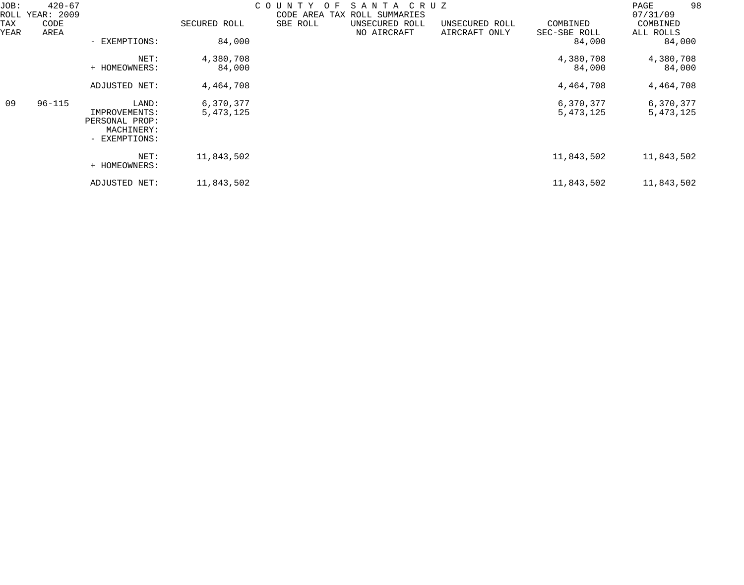| JOB:<br>ROLL | $420 - 67$<br>YEAR: 2009<br>CODE<br>AREA | COUNTY<br>$\Omega$<br>SANTA<br>C R U Z<br>F.<br>CODE AREA TAX<br>ROLL SUMMARIES |                          |          |  |                               |                                 | PAGE<br>07/31/09         | 98                     |  |
|--------------|------------------------------------------|---------------------------------------------------------------------------------|--------------------------|----------|--|-------------------------------|---------------------------------|--------------------------|------------------------|--|
| TAX<br>YEAR  |                                          |                                                                                 | SECURED ROLL             | SBE ROLL |  | UNSECURED ROLL<br>NO AIRCRAFT | UNSECURED ROLL<br>AIRCRAFT ONLY | COMBINED<br>SEC-SBE ROLL | COMBINED<br>ALL ROLLS  |  |
|              |                                          | - EXEMPTIONS:                                                                   | 84,000                   |          |  |                               |                                 | 84,000                   | 84,000                 |  |
|              |                                          | NET:<br>+ HOMEOWNERS:                                                           | 4,380,708<br>84,000      |          |  |                               |                                 | 4,380,708<br>84,000      | 4,380,708<br>84,000    |  |
|              |                                          | ADJUSTED NET:                                                                   | 4,464,708                |          |  |                               |                                 | 4,464,708                | 4,464,708              |  |
| 09           | $96 - 115$                               | LAND:<br>IMPROVEMENTS:<br>PERSONAL PROP:<br>MACHINERY:<br>- EXEMPTIONS:         | 6,370,377<br>5, 473, 125 |          |  |                               |                                 | 6,370,377<br>5, 473, 125 | 6,370,377<br>5,473,125 |  |
|              |                                          | NET:<br>+ HOMEOWNERS:                                                           | 11,843,502               |          |  |                               |                                 | 11,843,502               | 11,843,502             |  |
|              |                                          | ADJUSTED NET:                                                                   | 11,843,502               |          |  |                               |                                 | 11,843,502               | 11,843,502             |  |